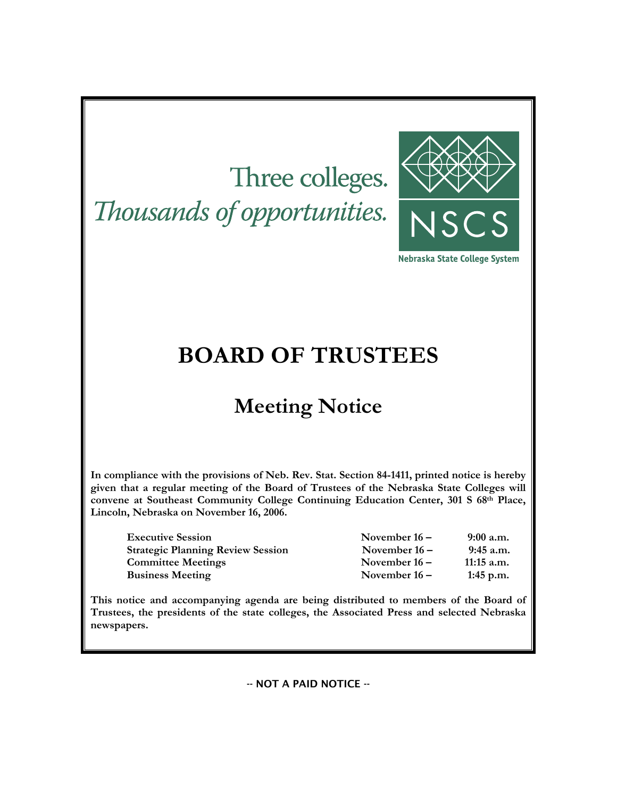# Three colleges.

Thousands of opportunities.



Nebraska State College System

## **BOARD OF TRUSTEES**

## **Meeting Notice**

**In compliance with the provisions of Neb. Rev. Stat. Section 84-1411, printed notice is hereby given that a regular meeting of the Board of Trustees of the Nebraska State Colleges will convene at Southeast Community College Continuing Education Center, 301 S 68th Place, Lincoln, Nebraska on November 16, 2006.** 

| <b>Executive Session</b>                 | November $16 -$ | $9:00$ a.m.  |
|------------------------------------------|-----------------|--------------|
| <b>Strategic Planning Review Session</b> | November $16 -$ | $9:45$ a.m.  |
| <b>Committee Meetings</b>                | November $16 -$ | $11:15$ a.m. |
| <b>Business Meeting</b>                  | November $16 -$ | 1:45 p.m.    |

**This notice and accompanying agenda are being distributed to members of the Board of Trustees, the presidents of the state colleges, the Associated Press and selected Nebraska newspapers.** 

-- NOT A PAID NOTICE --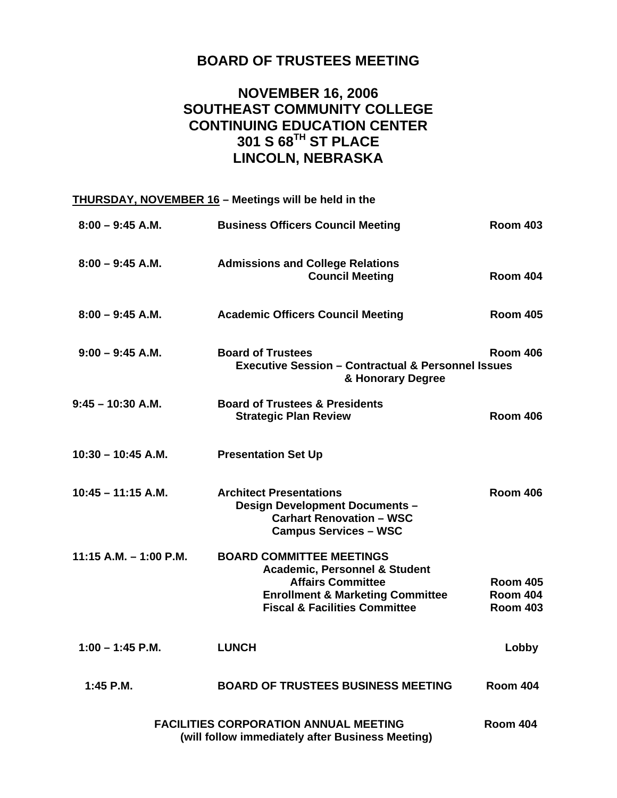## **BOARD OF TRUSTEES MEETING**

## **NOVEMBER 16, 2006 SOUTHEAST COMMUNITY COLLEGE CONTINUING EDUCATION CENTER 301 S 68TH ST PLACE LINCOLN, NEBRASKA**

|                           | <b>THURSDAY, NOVEMBER 16 - Meetings will be held in the</b>                                                                                                                                        |                                                       |
|---------------------------|----------------------------------------------------------------------------------------------------------------------------------------------------------------------------------------------------|-------------------------------------------------------|
| $8:00 - 9:45$ A.M.        | <b>Business Officers Council Meeting</b>                                                                                                                                                           | <b>Room 403</b>                                       |
| $8:00 - 9:45$ A.M.        | <b>Admissions and College Relations</b><br><b>Council Meeting</b>                                                                                                                                  | <b>Room 404</b>                                       |
| $8:00 - 9:45$ A.M.        | <b>Academic Officers Council Meeting</b>                                                                                                                                                           | <b>Room 405</b>                                       |
| $9:00 - 9:45$ A.M.        | <b>Board of Trustees</b><br><b>Executive Session - Contractual &amp; Personnel Issues</b><br>& Honorary Degree                                                                                     | <b>Room 406</b>                                       |
| $9:45 - 10:30$ A.M.       | <b>Board of Trustees &amp; Presidents</b><br><b>Strategic Plan Review</b>                                                                                                                          | <b>Room 406</b>                                       |
| $10:30 - 10:45$ A.M.      | <b>Presentation Set Up</b>                                                                                                                                                                         |                                                       |
| $10:45 - 11:15$ A.M.      | <b>Architect Presentations</b><br>Design Development Documents -<br><b>Carhart Renovation - WSC</b><br><b>Campus Services - WSC</b>                                                                | <b>Room 406</b>                                       |
| $11:15$ A.M. $-1:00$ P.M. | <b>BOARD COMMITTEE MEETINGS</b><br><b>Academic, Personnel &amp; Student</b><br><b>Affairs Committee</b><br><b>Enrollment &amp; Marketing Committee</b><br><b>Fiscal &amp; Facilities Committee</b> | <b>Room 405</b><br><b>Room 404</b><br><b>Room 403</b> |
| $1:00 - 1:45$ P.M.        | <b>LUNCH</b>                                                                                                                                                                                       | Lobby                                                 |
| $1:45$ P.M.               | <b>BOARD OF TRUSTEES BUSINESS MEETING</b>                                                                                                                                                          | <b>Room 404</b>                                       |
|                           | <b>FACILITIES CORPORATION ANNUAL MEETING</b><br>(will follow immediately after Business Meeting)                                                                                                   | <b>Room 404</b>                                       |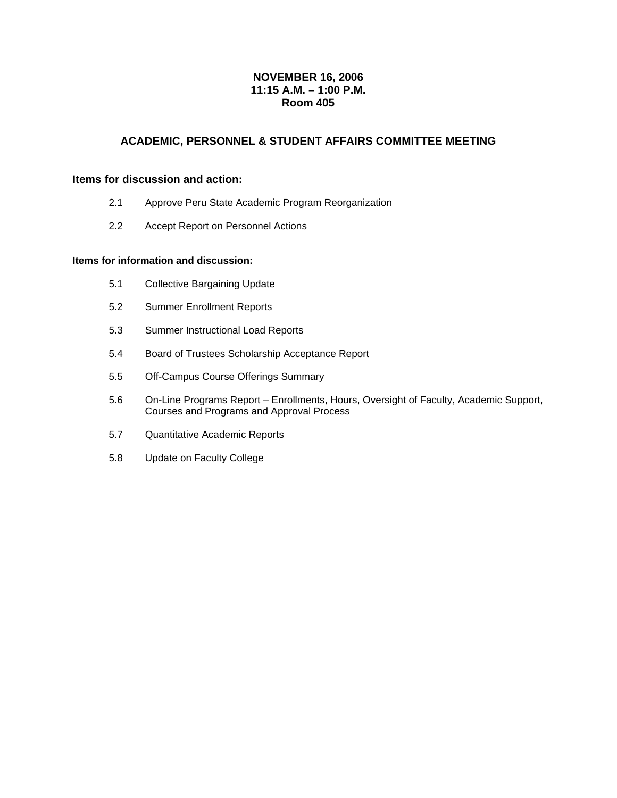## **NOVEMBER 16, 2006 11:15 A.M. – 1:00 P.M. Room 405**

## **ACADEMIC, PERSONNEL & STUDENT AFFAIRS COMMITTEE MEETING**

#### **Items for discussion and action:**

- 2.1 Approve Peru State Academic Program Reorganization
- 2.2 Accept Report on Personnel Actions

#### **Items for information and discussion:**

- 5.1 Collective Bargaining Update
- 5.2 Summer Enrollment Reports
- 5.3 Summer Instructional Load Reports
- 5.4 Board of Trustees Scholarship Acceptance Report
- 5.5 Off-Campus Course Offerings Summary
- 5.6 On-Line Programs Report Enrollments, Hours, Oversight of Faculty, Academic Support, Courses and Programs and Approval Process
- 5.7 Quantitative Academic Reports
- 5.8 Update on Faculty College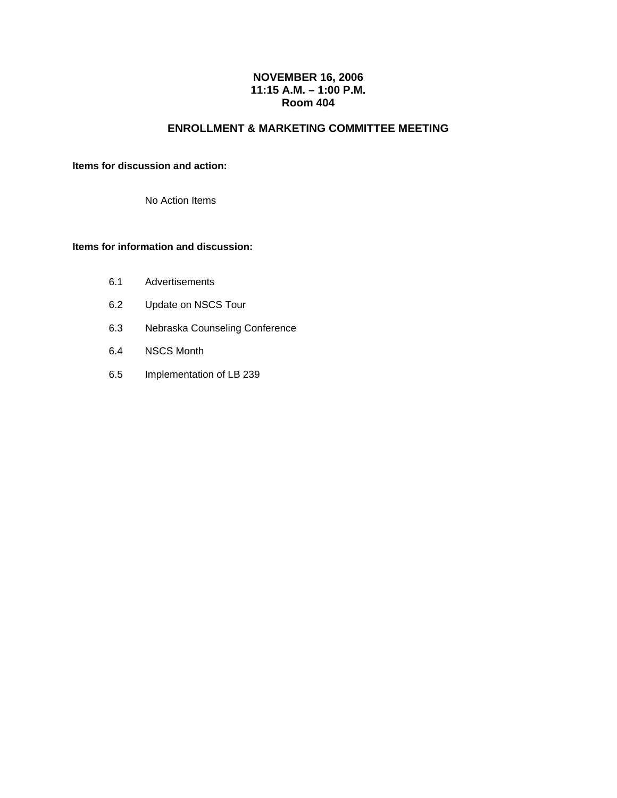## **NOVEMBER 16, 2006 11:15 A.M. – 1:00 P.M. Room 404**

## **ENROLLMENT & MARKETING COMMITTEE MEETING**

#### **Items for discussion and action:**

No Action Items

## **Items for information and discussion:**

- 6.1 Advertisements
- 6.2 Update on NSCS Tour
- 6.3 Nebraska Counseling Conference
- 6.4 NSCS Month
- 6.5 Implementation of LB 239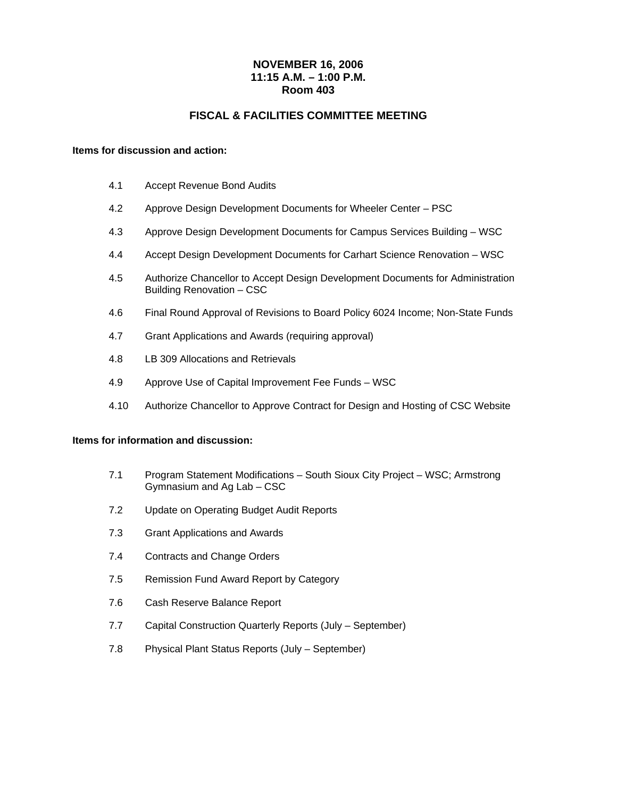## **NOVEMBER 16, 2006 11:15 A.M. – 1:00 P.M. Room 403**

## **FISCAL & FACILITIES COMMITTEE MEETING**

#### **Items for discussion and action:**

- 4.1 Accept Revenue Bond Audits
- 4.2 Approve Design Development Documents for Wheeler Center PSC
- 4.3 Approve Design Development Documents for Campus Services Building WSC
- 4.4 Accept Design Development Documents for Carhart Science Renovation WSC
- 4.5 Authorize Chancellor to Accept Design Development Documents for Administration Building Renovation – CSC
- 4.6 Final Round Approval of Revisions to Board Policy 6024 Income; Non-State Funds
- 4.7 Grant Applications and Awards (requiring approval)
- 4.8 LB 309 Allocations and Retrievals
- 4.9 Approve Use of Capital Improvement Fee Funds WSC
- 4.10 Authorize Chancellor to Approve Contract for Design and Hosting of CSC Website

#### **Items for information and discussion:**

- 7.1 Program Statement Modifications South Sioux City Project WSC; Armstrong Gymnasium and Ag Lab – CSC
- 7.2 Update on Operating Budget Audit Reports
- 7.3 Grant Applications and Awards
- 7.4 Contracts and Change Orders
- 7.5 Remission Fund Award Report by Category
- 7.6 Cash Reserve Balance Report
- 7.7 Capital Construction Quarterly Reports (July September)
- 7.8 Physical Plant Status Reports (July September)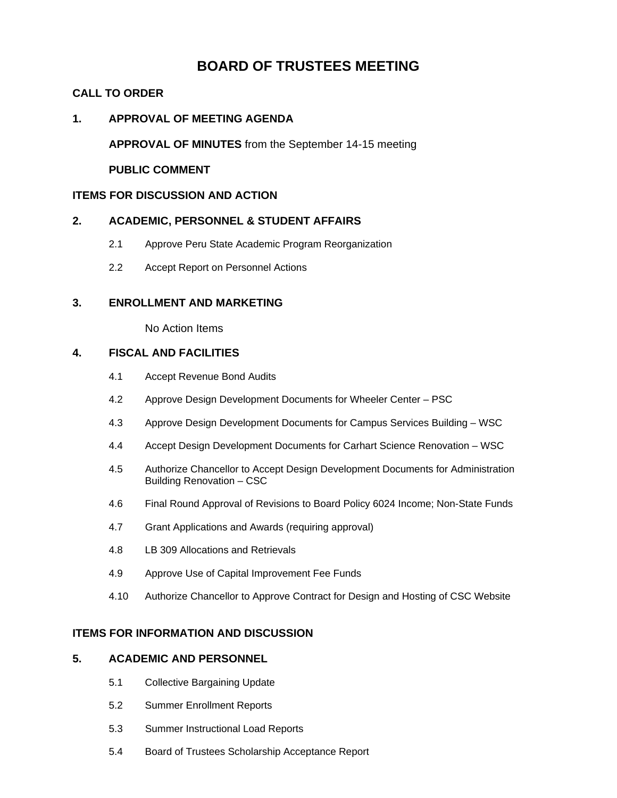## **BOARD OF TRUSTEES MEETING**

## **CALL TO ORDER**

## **1. APPROVAL OF MEETING AGENDA**

 **APPROVAL OF MINUTES** from the September 14-15 meeting

## **PUBLIC COMMENT**

## **ITEMS FOR DISCUSSION AND ACTION**

## **2. ACADEMIC, PERSONNEL & STUDENT AFFAIRS**

- 2.1 Approve Peru State Academic Program Reorganization
- 2.2 Accept Report on Personnel Actions

## **3. ENROLLMENT AND MARKETING**

No Action Items

## **4. FISCAL AND FACILITIES**

- 4.1 Accept Revenue Bond Audits
- 4.2 Approve Design Development Documents for Wheeler Center PSC
- 4.3 Approve Design Development Documents for Campus Services Building WSC
- 4.4 Accept Design Development Documents for Carhart Science Renovation WSC
- 4.5 Authorize Chancellor to Accept Design Development Documents for Administration Building Renovation – CSC
- 4.6 Final Round Approval of Revisions to Board Policy 6024 Income; Non-State Funds
- 4.7 Grant Applications and Awards (requiring approval)
- 4.8 LB 309 Allocations and Retrievals
- 4.9 Approve Use of Capital Improvement Fee Funds
- 4.10 Authorize Chancellor to Approve Contract for Design and Hosting of CSC Website

#### **ITEMS FOR INFORMATION AND DISCUSSION**

#### **5. ACADEMIC AND PERSONNEL**

- 5.1 Collective Bargaining Update
- 5.2 Summer Enrollment Reports
- 5.3 Summer Instructional Load Reports
- 5.4 Board of Trustees Scholarship Acceptance Report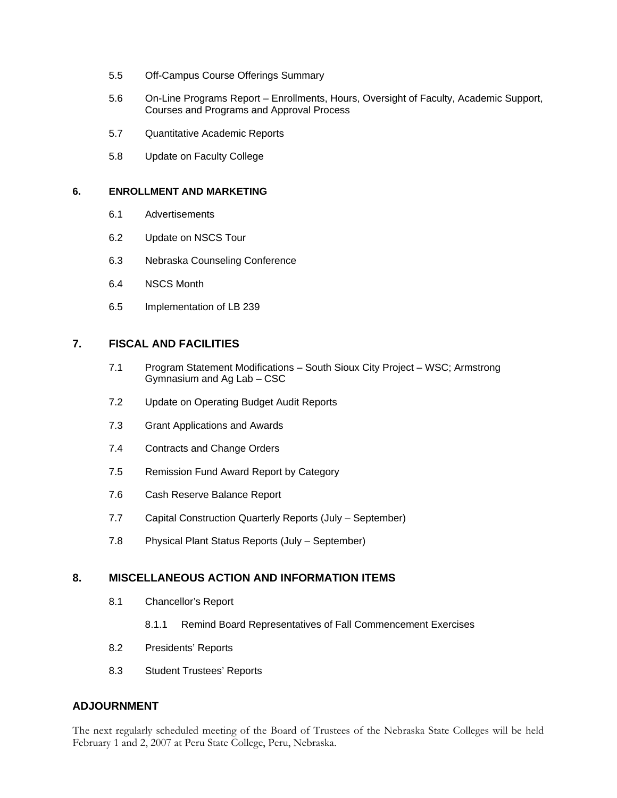- 5.5 Off-Campus Course Offerings Summary
- 5.6 On-Line Programs Report Enrollments, Hours, Oversight of Faculty, Academic Support, Courses and Programs and Approval Process
- 5.7 Quantitative Academic Reports
- 5.8 Update on Faculty College

#### **6. ENROLLMENT AND MARKETING**

- 6.1 Advertisements
- 6.2 Update on NSCS Tour
- 6.3 Nebraska Counseling Conference
- 6.4 NSCS Month
- 6.5 Implementation of LB 239

#### **7. FISCAL AND FACILITIES**

- 7.1 Program Statement Modifications South Sioux City Project WSC; Armstrong Gymnasium and Ag Lab – CSC
- 7.2 Update on Operating Budget Audit Reports
- 7.3 Grant Applications and Awards
- 7.4 Contracts and Change Orders
- 7.5 Remission Fund Award Report by Category
- 7.6 Cash Reserve Balance Report
- 7.7 Capital Construction Quarterly Reports (July September)
- 7.8 Physical Plant Status Reports (July September)

#### **8. MISCELLANEOUS ACTION AND INFORMATION ITEMS**

- 8.1 Chancellor's Report
	- 8.1.1 Remind Board Representatives of Fall Commencement Exercises
- 8.2 Presidents' Reports
- 8.3 Student Trustees' Reports

## **ADJOURNMENT**

The next regularly scheduled meeting of the Board of Trustees of the Nebraska State Colleges will be held February 1 and 2, 2007 at Peru State College, Peru, Nebraska.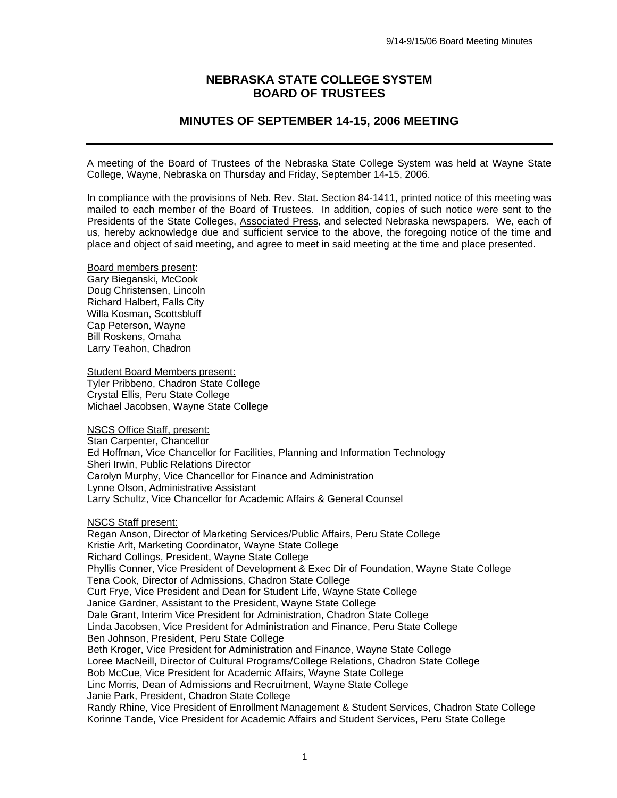## **NEBRASKA STATE COLLEGE SYSTEM BOARD OF TRUSTEES**

## **MINUTES OF SEPTEMBER 14-15, 2006 MEETING**

A meeting of the Board of Trustees of the Nebraska State College System was held at Wayne State College, Wayne, Nebraska on Thursday and Friday, September 14-15, 2006.

In compliance with the provisions of Neb. Rev. Stat. Section 84-1411, printed notice of this meeting was mailed to each member of the Board of Trustees. In addition, copies of such notice were sent to the Presidents of the State Colleges, Associated Press, and selected Nebraska newspapers. We, each of us, hereby acknowledge due and sufficient service to the above, the foregoing notice of the time and place and object of said meeting, and agree to meet in said meeting at the time and place presented.

Board members present: Gary Bieganski, McCook Doug Christensen, Lincoln Richard Halbert, Falls City Willa Kosman, Scottsbluff Cap Peterson, Wayne Bill Roskens, Omaha Larry Teahon, Chadron

Student Board Members present: Tyler Pribbeno, Chadron State College Crystal Ellis, Peru State College Michael Jacobsen, Wayne State College

NSCS Office Staff, present: Stan Carpenter, Chancellor Ed Hoffman, Vice Chancellor for Facilities, Planning and Information Technology Sheri Irwin, Public Relations Director Carolyn Murphy, Vice Chancellor for Finance and Administration Lynne Olson, Administrative Assistant Larry Schultz, Vice Chancellor for Academic Affairs & General Counsel

NSCS Staff present:

Regan Anson, Director of Marketing Services/Public Affairs, Peru State College Kristie Arlt, Marketing Coordinator, Wayne State College Richard Collings, President, Wayne State College Phyllis Conner, Vice President of Development & Exec Dir of Foundation, Wayne State College Tena Cook, Director of Admissions, Chadron State College Curt Frye, Vice President and Dean for Student Life, Wayne State College Janice Gardner, Assistant to the President, Wayne State College Dale Grant, Interim Vice President for Administration, Chadron State College Linda Jacobsen, Vice President for Administration and Finance, Peru State College Ben Johnson, President, Peru State College Beth Kroger, Vice President for Administration and Finance, Wayne State College Loree MacNeill, Director of Cultural Programs/College Relations, Chadron State College Bob McCue, Vice President for Academic Affairs, Wayne State College Linc Morris, Dean of Admissions and Recruitment, Wayne State College Janie Park, President, Chadron State College Randy Rhine, Vice President of Enrollment Management & Student Services, Chadron State College Korinne Tande, Vice President for Academic Affairs and Student Services, Peru State College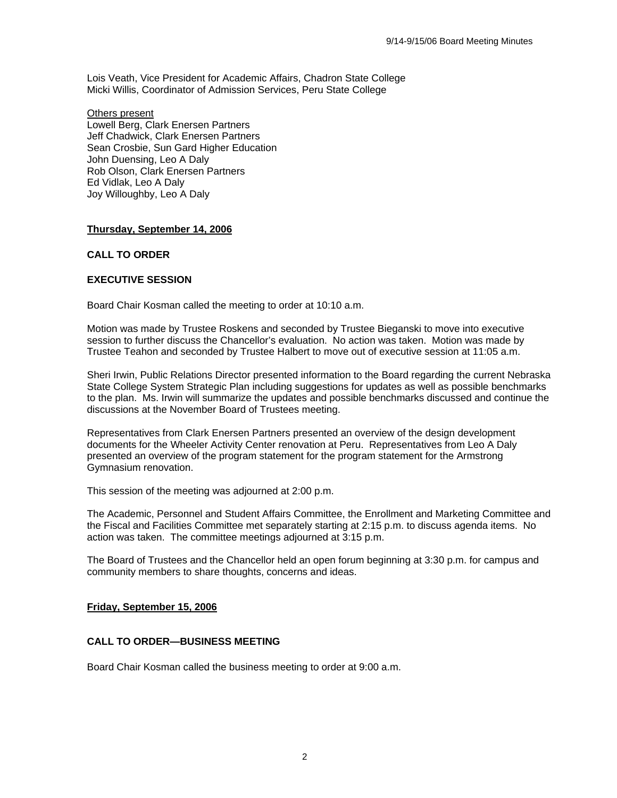Lois Veath, Vice President for Academic Affairs, Chadron State College Micki Willis, Coordinator of Admission Services, Peru State College

Others present Lowell Berg, Clark Enersen Partners Jeff Chadwick, Clark Enersen Partners Sean Crosbie, Sun Gard Higher Education John Duensing, Leo A Daly Rob Olson, Clark Enersen Partners Ed Vidlak, Leo A Daly Joy Willoughby, Leo A Daly

#### **Thursday, September 14, 2006**

#### **CALL TO ORDER**

#### **EXECUTIVE SESSION**

Board Chair Kosman called the meeting to order at 10:10 a.m.

Motion was made by Trustee Roskens and seconded by Trustee Bieganski to move into executive session to further discuss the Chancellor's evaluation. No action was taken. Motion was made by Trustee Teahon and seconded by Trustee Halbert to move out of executive session at 11:05 a.m.

Sheri Irwin, Public Relations Director presented information to the Board regarding the current Nebraska State College System Strategic Plan including suggestions for updates as well as possible benchmarks to the plan. Ms. Irwin will summarize the updates and possible benchmarks discussed and continue the discussions at the November Board of Trustees meeting.

Representatives from Clark Enersen Partners presented an overview of the design development documents for the Wheeler Activity Center renovation at Peru. Representatives from Leo A Daly presented an overview of the program statement for the program statement for the Armstrong Gymnasium renovation.

This session of the meeting was adjourned at 2:00 p.m.

The Academic, Personnel and Student Affairs Committee, the Enrollment and Marketing Committee and the Fiscal and Facilities Committee met separately starting at 2:15 p.m. to discuss agenda items. No action was taken. The committee meetings adjourned at 3:15 p.m.

The Board of Trustees and the Chancellor held an open forum beginning at 3:30 p.m. for campus and community members to share thoughts, concerns and ideas.

#### **Friday, September 15, 2006**

#### **CALL TO ORDER—BUSINESS MEETING**

Board Chair Kosman called the business meeting to order at 9:00 a.m.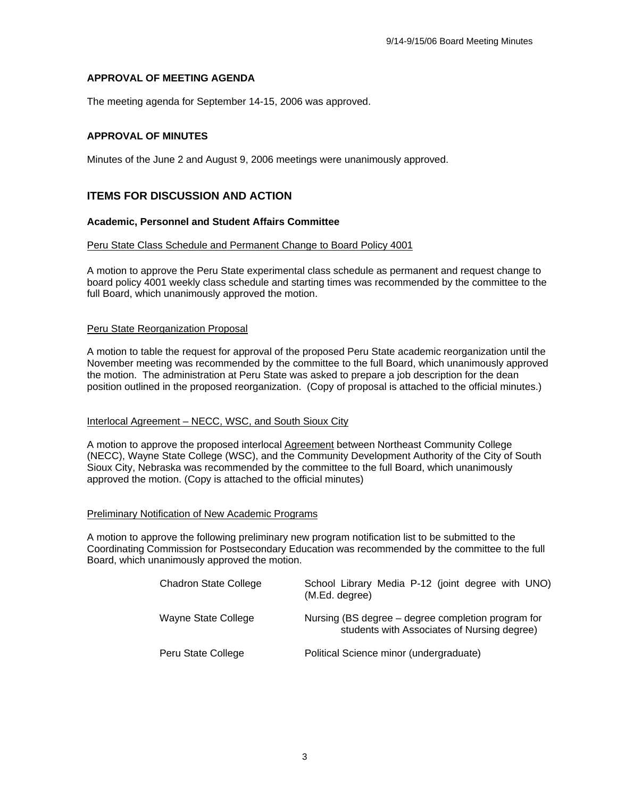#### **APPROVAL OF MEETING AGENDA**

The meeting agenda for September 14-15, 2006 was approved.

## **APPROVAL OF MINUTES**

Minutes of the June 2 and August 9, 2006 meetings were unanimously approved.

## **ITEMS FOR DISCUSSION AND ACTION**

#### **Academic, Personnel and Student Affairs Committee**

#### Peru State Class Schedule and Permanent Change to Board Policy 4001

A motion to approve the Peru State experimental class schedule as permanent and request change to board policy 4001 weekly class schedule and starting times was recommended by the committee to the full Board, which unanimously approved the motion.

#### Peru State Reorganization Proposal

A motion to table the request for approval of the proposed Peru State academic reorganization until the November meeting was recommended by the committee to the full Board, which unanimously approved the motion. The administration at Peru State was asked to prepare a job description for the dean position outlined in the proposed reorganization. (Copy of proposal is attached to the official minutes.)

#### Interlocal Agreement – NECC, WSC, and South Sioux City

A motion to approve the proposed interlocal Agreement between Northeast Community College (NECC), Wayne State College (WSC), and the Community Development Authority of the City of South Sioux City, Nebraska was recommended by the committee to the full Board, which unanimously approved the motion. (Copy is attached to the official minutes)

#### Preliminary Notification of New Academic Programs

A motion to approve the following preliminary new program notification list to be submitted to the Coordinating Commission for Postsecondary Education was recommended by the committee to the full Board, which unanimously approved the motion.

| <b>Chadron State College</b> | School Library Media P-12 (joint degree with UNO)<br>(M.Ed. degree)                               |
|------------------------------|---------------------------------------------------------------------------------------------------|
| Wayne State College          | Nursing (BS degree – degree completion program for<br>students with Associates of Nursing degree) |
| Peru State College           | Political Science minor (undergraduate)                                                           |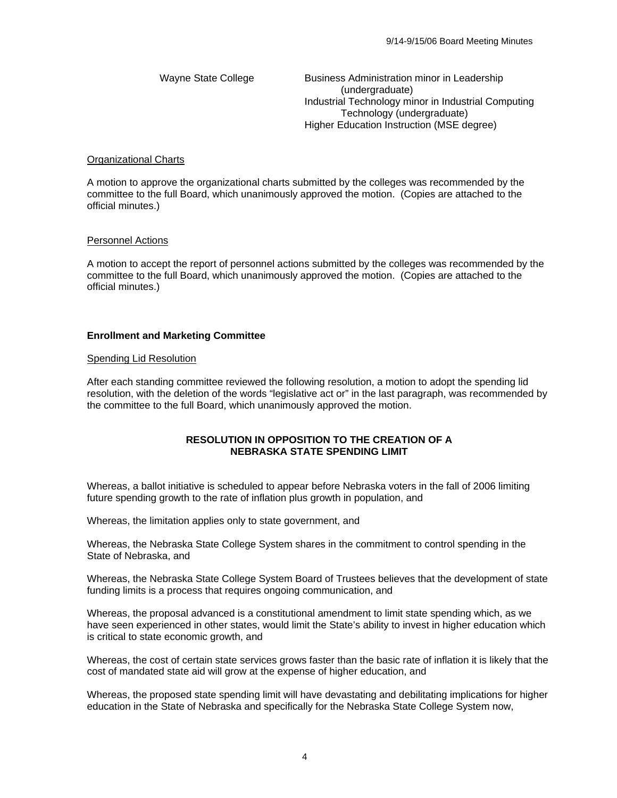Wayne State College Business Administration minor in Leadership (undergraduate) Industrial Technology minor in Industrial Computing Technology (undergraduate) **Higher Education Instruction (MSE degree)** 

#### Organizational Charts

A motion to approve the organizational charts submitted by the colleges was recommended by the committee to the full Board, which unanimously approved the motion. (Copies are attached to the official minutes.)

#### Personnel Actions

A motion to accept the report of personnel actions submitted by the colleges was recommended by the committee to the full Board, which unanimously approved the motion. (Copies are attached to the official minutes.)

#### **Enrollment and Marketing Committee**

#### Spending Lid Resolution

After each standing committee reviewed the following resolution, a motion to adopt the spending lid resolution, with the deletion of the words "legislative act or" in the last paragraph, was recommended by the committee to the full Board, which unanimously approved the motion.

#### **RESOLUTION IN OPPOSITION TO THE CREATION OF A NEBRASKA STATE SPENDING LIMIT**

Whereas, a ballot initiative is scheduled to appear before Nebraska voters in the fall of 2006 limiting future spending growth to the rate of inflation plus growth in population, and

Whereas, the limitation applies only to state government, and

Whereas, the Nebraska State College System shares in the commitment to control spending in the State of Nebraska, and

Whereas, the Nebraska State College System Board of Trustees believes that the development of state funding limits is a process that requires ongoing communication, and

Whereas, the proposal advanced is a constitutional amendment to limit state spending which, as we have seen experienced in other states, would limit the State's ability to invest in higher education which is critical to state economic growth, and

Whereas, the cost of certain state services grows faster than the basic rate of inflation it is likely that the cost of mandated state aid will grow at the expense of higher education, and

Whereas, the proposed state spending limit will have devastating and debilitating implications for higher education in the State of Nebraska and specifically for the Nebraska State College System now,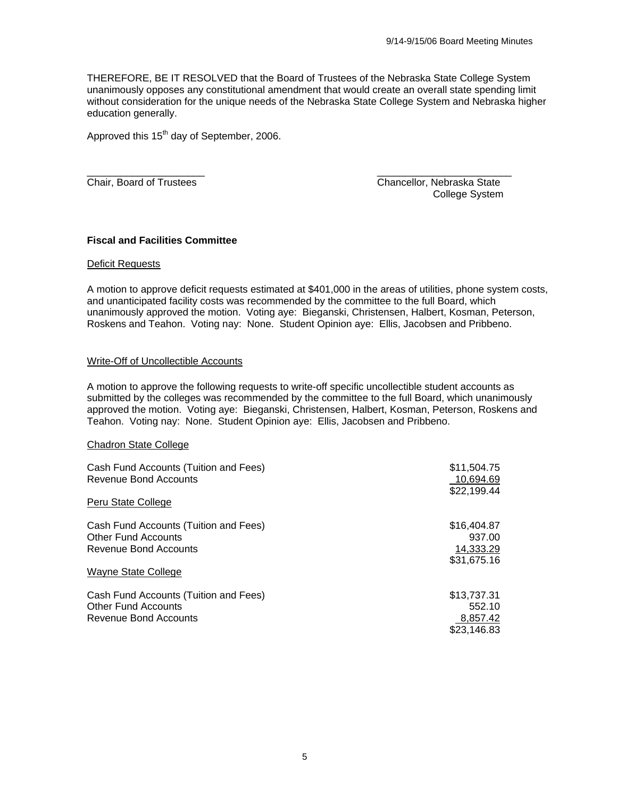THEREFORE, BE IT RESOLVED that the Board of Trustees of the Nebraska State College System unanimously opposes any constitutional amendment that would create an overall state spending limit without consideration for the unique needs of the Nebraska State College System and Nebraska higher education generally.

\_\_\_\_\_\_\_\_\_\_\_\_\_\_\_\_\_\_\_\_\_ \_\_\_\_\_\_\_\_\_\_\_\_\_\_\_\_\_\_\_\_\_\_\_\_

Approved this 15<sup>th</sup> day of September, 2006.

Chair, Board of Trustees Chancellor, Nebraska State College System

#### **Fiscal and Facilities Committee**

#### Deficit Requests

A motion to approve deficit requests estimated at \$401,000 in the areas of utilities, phone system costs, and unanticipated facility costs was recommended by the committee to the full Board, which unanimously approved the motion. Voting aye: Bieganski, Christensen, Halbert, Kosman, Peterson, Roskens and Teahon. Voting nay: None. Student Opinion aye: Ellis, Jacobsen and Pribbeno.

#### Write-Off of Uncollectible Accounts

A motion to approve the following requests to write-off specific uncollectible student accounts as submitted by the colleges was recommended by the committee to the full Board, which unanimously approved the motion. Voting aye: Bieganski, Christensen, Halbert, Kosman, Peterson, Roskens and Teahon. Voting nay: None. Student Opinion aye: Ellis, Jacobsen and Pribbeno.

#### Chadron State College

| Cash Fund Accounts (Tuition and Fees)<br>Revenue Bond Accounts                                      | \$11,504.75<br>10,694.69<br>\$22,199.44           |
|-----------------------------------------------------------------------------------------------------|---------------------------------------------------|
| Peru State College                                                                                  |                                                   |
| Cash Fund Accounts (Tuition and Fees)<br><b>Other Fund Accounts</b><br><b>Revenue Bond Accounts</b> | \$16,404.87<br>937.00<br>14,333.29<br>\$31.675.16 |
| Wayne State College                                                                                 |                                                   |
| Cash Fund Accounts (Tuition and Fees)<br><b>Other Fund Accounts</b><br>Revenue Bond Accounts        | \$13,737.31<br>552.10<br>8,857.42<br>\$23.146.83  |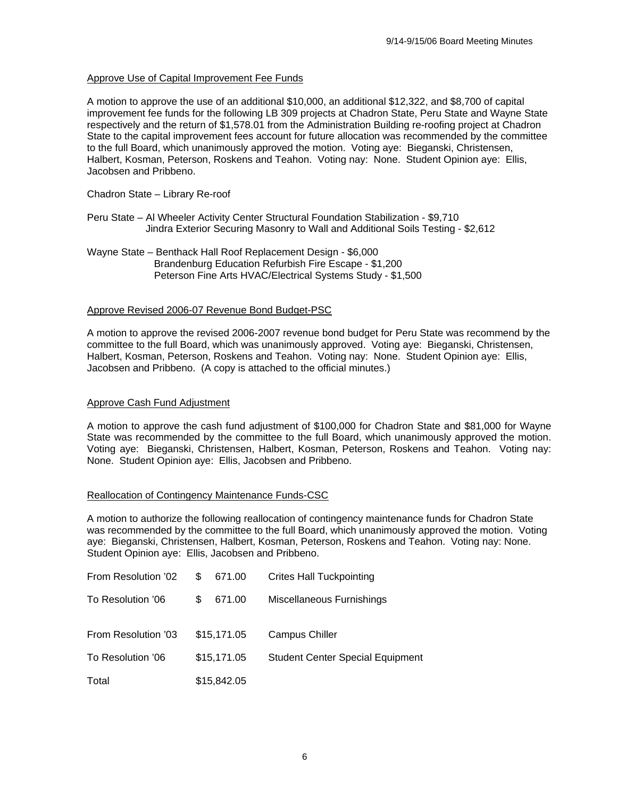#### Approve Use of Capital Improvement Fee Funds

A motion to approve the use of an additional \$10,000, an additional \$12,322, and \$8,700 of capital improvement fee funds for the following LB 309 projects at Chadron State, Peru State and Wayne State respectively and the return of \$1,578.01 from the Administration Building re-roofing project at Chadron State to the capital improvement fees account for future allocation was recommended by the committee to the full Board, which unanimously approved the motion. Voting aye: Bieganski, Christensen, Halbert, Kosman, Peterson, Roskens and Teahon. Voting nay: None. Student Opinion aye: Ellis, Jacobsen and Pribbeno.

Chadron State – Library Re-roof

- Peru State Al Wheeler Activity Center Structural Foundation Stabilization \$9,710 Jindra Exterior Securing Masonry to Wall and Additional Soils Testing - \$2,612
- Wayne State Benthack Hall Roof Replacement Design \$6,000 Brandenburg Education Refurbish Fire Escape - \$1,200 Peterson Fine Arts HVAC/Electrical Systems Study - \$1,500

#### Approve Revised 2006-07 Revenue Bond Budget-PSC

A motion to approve the revised 2006-2007 revenue bond budget for Peru State was recommend by the committee to the full Board, which was unanimously approved. Voting aye: Bieganski, Christensen, Halbert, Kosman, Peterson, Roskens and Teahon. Voting nay: None. Student Opinion aye: Ellis, Jacobsen and Pribbeno. (A copy is attached to the official minutes.)

#### Approve Cash Fund Adjustment

A motion to approve the cash fund adjustment of \$100,000 for Chadron State and \$81,000 for Wayne State was recommended by the committee to the full Board, which unanimously approved the motion. Voting aye: Bieganski, Christensen, Halbert, Kosman, Peterson, Roskens and Teahon. Voting nay: None. Student Opinion aye: Ellis, Jacobsen and Pribbeno.

#### Reallocation of Contingency Maintenance Funds-CSC

A motion to authorize the following reallocation of contingency maintenance funds for Chadron State was recommended by the committee to the full Board, which unanimously approved the motion. Voting aye: Bieganski, Christensen, Halbert, Kosman, Peterson, Roskens and Teahon. Voting nay: None. Student Opinion aye: Ellis, Jacobsen and Pribbeno.

| From Resolution '02 | \$.<br>671.00 | <b>Crites Hall Tuckpointing</b>         |
|---------------------|---------------|-----------------------------------------|
| To Resolution '06   | 671.00<br>\$. | Miscellaneous Furnishings               |
| From Resolution '03 | \$15,171.05   | <b>Campus Chiller</b>                   |
| To Resolution '06   | \$15,171.05   | <b>Student Center Special Equipment</b> |
| Total               | \$15,842.05   |                                         |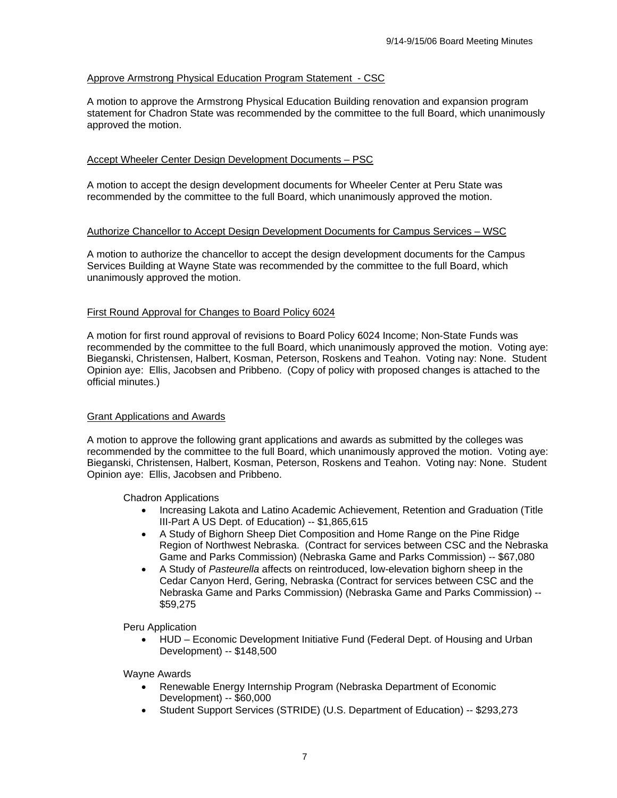#### Approve Armstrong Physical Education Program Statement - CSC

A motion to approve the Armstrong Physical Education Building renovation and expansion program statement for Chadron State was recommended by the committee to the full Board, which unanimously approved the motion.

#### Accept Wheeler Center Design Development Documents – PSC

A motion to accept the design development documents for Wheeler Center at Peru State was recommended by the committee to the full Board, which unanimously approved the motion.

#### Authorize Chancellor to Accept Design Development Documents for Campus Services – WSC

A motion to authorize the chancellor to accept the design development documents for the Campus Services Building at Wayne State was recommended by the committee to the full Board, which unanimously approved the motion.

#### First Round Approval for Changes to Board Policy 6024

A motion for first round approval of revisions to Board Policy 6024 Income; Non-State Funds was recommended by the committee to the full Board, which unanimously approved the motion. Voting aye: Bieganski, Christensen, Halbert, Kosman, Peterson, Roskens and Teahon. Voting nay: None. Student Opinion aye: Ellis, Jacobsen and Pribbeno. (Copy of policy with proposed changes is attached to the official minutes.)

#### Grant Applications and Awards

A motion to approve the following grant applications and awards as submitted by the colleges was recommended by the committee to the full Board, which unanimously approved the motion. Voting aye: Bieganski, Christensen, Halbert, Kosman, Peterson, Roskens and Teahon. Voting nay: None. Student Opinion aye: Ellis, Jacobsen and Pribbeno.

Chadron Applications

- Increasing Lakota and Latino Academic Achievement, Retention and Graduation (Title III-Part A US Dept. of Education) -- \$1,865,615
- A Study of Bighorn Sheep Diet Composition and Home Range on the Pine Ridge Region of Northwest Nebraska. (Contract for services between CSC and the Nebraska Game and Parks Commission) (Nebraska Game and Parks Commission) -- \$67,080
- A Study of *Pasteurella* affects on reintroduced, low-elevation bighorn sheep in the Cedar Canyon Herd, Gering, Nebraska (Contract for services between CSC and the Nebraska Game and Parks Commission) (Nebraska Game and Parks Commission) -- \$59,275

Peru Application

• HUD – Economic Development Initiative Fund (Federal Dept. of Housing and Urban Development) -- \$148,500

Wayne Awards

- Renewable Energy Internship Program (Nebraska Department of Economic Development) -- \$60,000
- Student Support Services (STRIDE) (U.S. Department of Education) -- \$293,273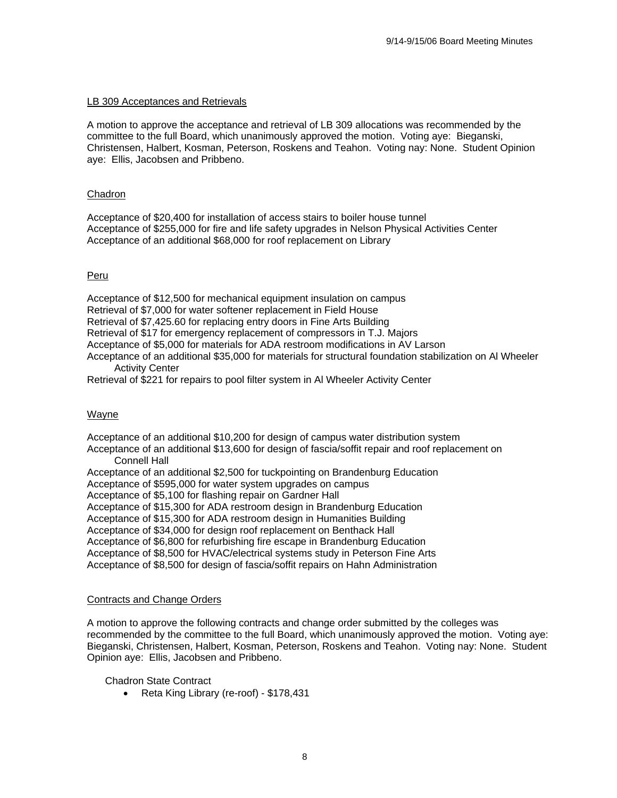#### LB 309 Acceptances and Retrievals

A motion to approve the acceptance and retrieval of LB 309 allocations was recommended by the committee to the full Board, which unanimously approved the motion. Voting aye: Bieganski, Christensen, Halbert, Kosman, Peterson, Roskens and Teahon. Voting nay: None. Student Opinion aye: Ellis, Jacobsen and Pribbeno.

#### Chadron

Acceptance of \$20,400 for installation of access stairs to boiler house tunnel Acceptance of \$255,000 for fire and life safety upgrades in Nelson Physical Activities Center Acceptance of an additional \$68,000 for roof replacement on Library

#### Peru

Acceptance of \$12,500 for mechanical equipment insulation on campus Retrieval of \$7,000 for water softener replacement in Field House Retrieval of \$7,425.60 for replacing entry doors in Fine Arts Building Retrieval of \$17 for emergency replacement of compressors in T.J. Majors Acceptance of \$5,000 for materials for ADA restroom modifications in AV Larson Acceptance of an additional \$35,000 for materials for structural foundation stabilization on Al Wheeler Activity Center

Retrieval of \$221 for repairs to pool filter system in Al Wheeler Activity Center

#### Wayne

Acceptance of an additional \$10,200 for design of campus water distribution system Acceptance of an additional \$13,600 for design of fascia/soffit repair and roof replacement on Connell Hall Acceptance of an additional \$2,500 for tuckpointing on Brandenburg Education Acceptance of \$595,000 for water system upgrades on campus Acceptance of \$5,100 for flashing repair on Gardner Hall Acceptance of \$15,300 for ADA restroom design in Brandenburg Education Acceptance of \$15,300 for ADA restroom design in Humanities Building Acceptance of \$34,000 for design roof replacement on Benthack Hall Acceptance of \$6,800 for refurbishing fire escape in Brandenburg Education Acceptance of \$8,500 for HVAC/electrical systems study in Peterson Fine Arts Acceptance of \$8,500 for design of fascia/soffit repairs on Hahn Administration

#### Contracts and Change Orders

A motion to approve the following contracts and change order submitted by the colleges was recommended by the committee to the full Board, which unanimously approved the motion. Voting aye: Bieganski, Christensen, Halbert, Kosman, Peterson, Roskens and Teahon. Voting nay: None. Student Opinion aye: Ellis, Jacobsen and Pribbeno.

Chadron State Contract

• Reta King Library (re-roof) - \$178,431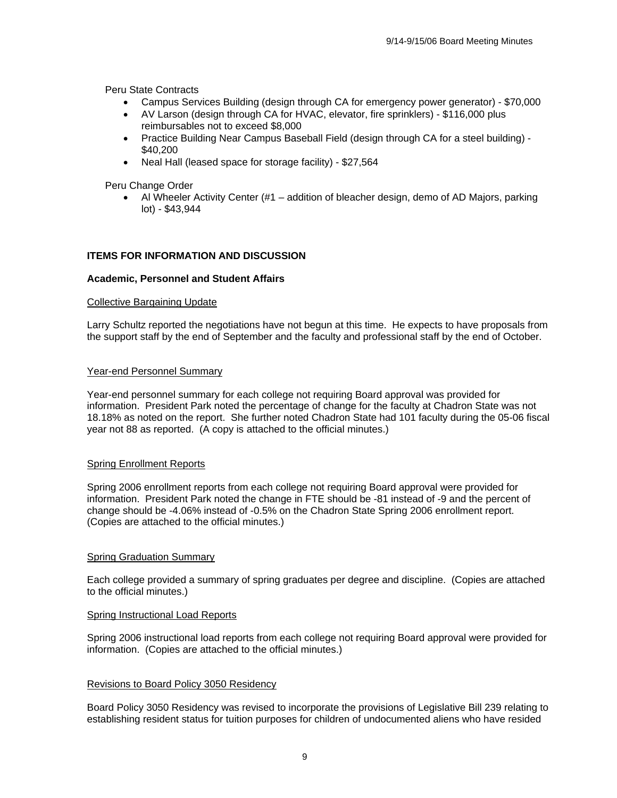Peru State Contracts

- Campus Services Building (design through CA for emergency power generator) \$70,000
- AV Larson (design through CA for HVAC, elevator, fire sprinklers) \$116,000 plus reimbursables not to exceed \$8,000
- Practice Building Near Campus Baseball Field (design through CA for a steel building) \$40,200
- Neal Hall (leased space for storage facility) \$27,564

Peru Change Order

• Al Wheeler Activity Center (#1 – addition of bleacher design, demo of AD Majors, parking lot) - \$43,944

#### **ITEMS FOR INFORMATION AND DISCUSSION**

#### **Academic, Personnel and Student Affairs**

#### Collective Bargaining Update

Larry Schultz reported the negotiations have not begun at this time. He expects to have proposals from the support staff by the end of September and the faculty and professional staff by the end of October.

#### Year-end Personnel Summary

Year-end personnel summary for each college not requiring Board approval was provided for information. President Park noted the percentage of change for the faculty at Chadron State was not 18.18% as noted on the report. She further noted Chadron State had 101 faculty during the 05-06 fiscal year not 88 as reported. (A copy is attached to the official minutes.)

#### Spring Enrollment Reports

Spring 2006 enrollment reports from each college not requiring Board approval were provided for information. President Park noted the change in FTE should be -81 instead of -9 and the percent of change should be -4.06% instead of -0.5% on the Chadron State Spring 2006 enrollment report. (Copies are attached to the official minutes.)

#### Spring Graduation Summary

Each college provided a summary of spring graduates per degree and discipline. (Copies are attached to the official minutes.)

#### Spring Instructional Load Reports

Spring 2006 instructional load reports from each college not requiring Board approval were provided for information. (Copies are attached to the official minutes.)

#### Revisions to Board Policy 3050 Residency

Board Policy 3050 Residency was revised to incorporate the provisions of Legislative Bill 239 relating to establishing resident status for tuition purposes for children of undocumented aliens who have resided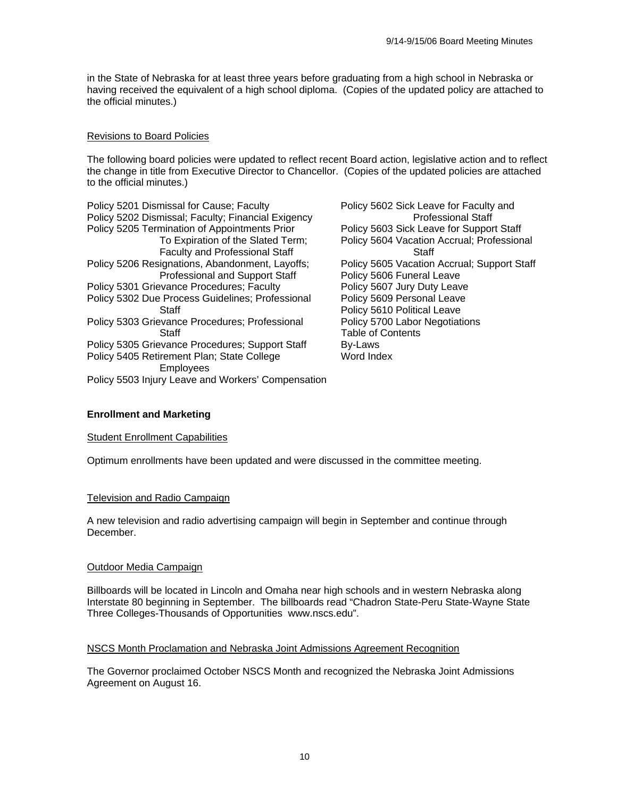in the State of Nebraska for at least three years before graduating from a high school in Nebraska or having received the equivalent of a high school diploma. (Copies of the updated policy are attached to the official minutes.)

#### Revisions to Board Policies

The following board policies were updated to reflect recent Board action, legislative action and to reflect the change in title from Executive Director to Chancellor. (Copies of the updated policies are attached to the official minutes.)

Policy 5201 Dismissal for Cause; Faculty **Policy 5602 Sick Leave for Faculty and** Policy 5202 Dismissal; Faculty; Financial Exigency Professional Staff Policy 5205 Termination of Appointments Prior Policy 5603 Sick Leave for Support Staff Faculty and Professional Staff Staff Staff Staff Staff Staff Staff Staff Staff Staff Staff Staff Staff Staff Staff Staff Staff Staff Staff Staff Staff Staff Staff Staff Staff Staff Staff Staff Staff Staff Staff Staff Staff Policy 5206 Resignations, Abandonment, Layoffs; Policy 5605 Vacation Accrual; Support Staff Professional and Support Staff Policy 5606 Funeral Leave Policy 5301 Grievance Procedures; Faculty Policy 5607 Jury Duty Leave Policy 5302 Due Process Guidelines; Professional Policy 5609 Personal Leave Staff **Policy 5610 Political Leave** Policy 5303 Grievance Procedures; Professional Policy 5700 Labor Negotiations Staff Table of Contents Policy 5305 Grievance Procedures; Support Staff By-Laws<br>Policy 5405 Retirement Plan: State College Mord Index Policy 5405 Retirement Plan: State College Employees Policy 5503 Injury Leave and Workers' Compensation

To Expiration of the Slated Term; Policy 5604 Vacation Accrual; Professional

#### **Enrollment and Marketing**

#### Student Enrollment Capabilities

Optimum enrollments have been updated and were discussed in the committee meeting.

#### Television and Radio Campaign

A new television and radio advertising campaign will begin in September and continue through December.

#### Outdoor Media Campaign

Billboards will be located in Lincoln and Omaha near high schools and in western Nebraska along Interstate 80 beginning in September. The billboards read "Chadron State-Peru State-Wayne State Three Colleges-Thousands of Opportunities www.nscs.edu".

#### NSCS Month Proclamation and Nebraska Joint Admissions Agreement Recognition

The Governor proclaimed October NSCS Month and recognized the Nebraska Joint Admissions Agreement on August 16.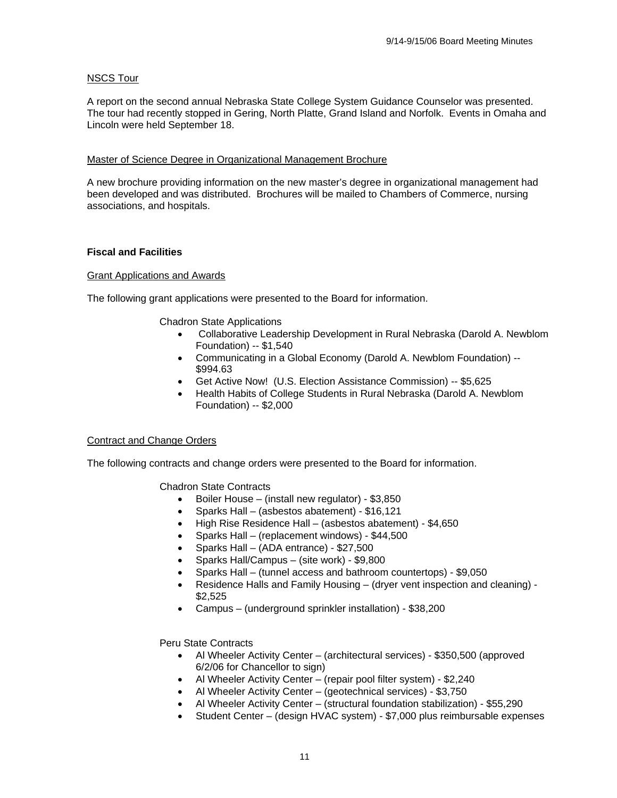#### NSCS Tour

A report on the second annual Nebraska State College System Guidance Counselor was presented. The tour had recently stopped in Gering, North Platte, Grand Island and Norfolk. Events in Omaha and Lincoln were held September 18.

#### Master of Science Degree in Organizational Management Brochure

A new brochure providing information on the new master's degree in organizational management had been developed and was distributed. Brochures will be mailed to Chambers of Commerce, nursing associations, and hospitals.

#### **Fiscal and Facilities**

#### Grant Applications and Awards

The following grant applications were presented to the Board for information.

Chadron State Applications

- Collaborative Leadership Development in Rural Nebraska (Darold A. Newblom Foundation) -- \$1,540
- Communicating in a Global Economy (Darold A. Newblom Foundation) -- \$994.63
- Get Active Now! (U.S. Election Assistance Commission) -- \$5,625
- Health Habits of College Students in Rural Nebraska (Darold A. Newblom Foundation) -- \$2,000

#### Contract and Change Orders

The following contracts and change orders were presented to the Board for information.

Chadron State Contracts

- Boiler House (install new regulator) \$3,850
- Sparks Hall (asbestos abatement) \$16,121
- High Rise Residence Hall (asbestos abatement) \$4,650
- Sparks Hall (replacement windows) \$44,500
- Sparks Hall (ADA entrance) \$27,500
- Sparks Hall/Campus (site work) \$9,800
- Sparks Hall (tunnel access and bathroom countertops) \$9,050
- Residence Halls and Family Housing (dryer vent inspection and cleaning) \$2,525
- Campus (underground sprinkler installation) \$38,200

Peru State Contracts

- Al Wheeler Activity Center (architectural services) \$350,500 (approved 6/2/06 for Chancellor to sign)
- Al Wheeler Activity Center (repair pool filter system) \$2,240
- Al Wheeler Activity Center (geotechnical services) \$3,750
- Al Wheeler Activity Center (structural foundation stabilization) \$55,290
- Student Center (design HVAC system) \$7,000 plus reimbursable expenses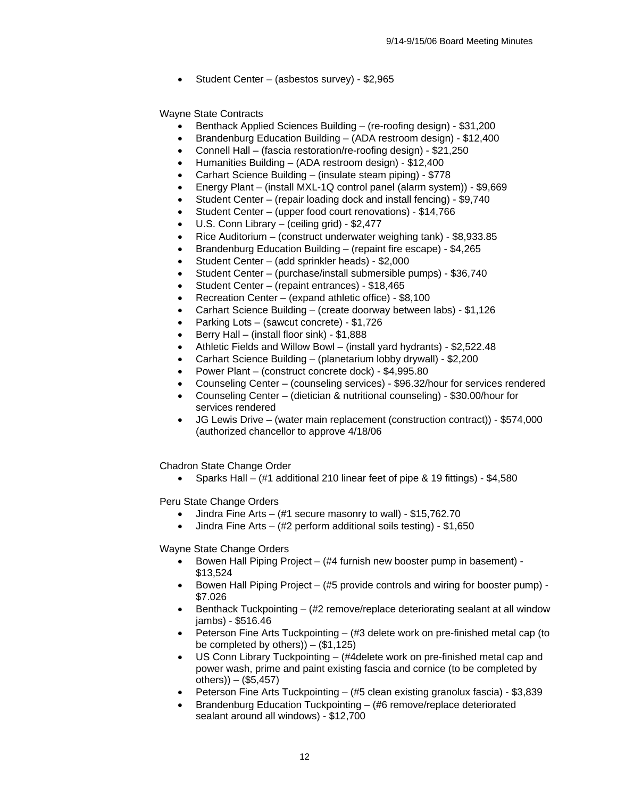• Student Center – (asbestos survey) - \$2,965

Wayne State Contracts

- Benthack Applied Sciences Building (re-roofing design) \$31,200
- Brandenburg Education Building (ADA restroom design) \$12,400
- Connell Hall (fascia restoration/re-roofing design) \$21,250
- Humanities Building (ADA restroom design) \$12,400
- Carhart Science Building (insulate steam piping) \$778
- Energy Plant (install MXL-1Q control panel (alarm system)) \$9,669
- Student Center (repair loading dock and install fencing) \$9,740
- Student Center (upper food court renovations) \$14,766
- U.S. Conn Library (ceiling grid) \$2,477
- Rice Auditorium (construct underwater weighing tank) \$8,933.85
- Brandenburg Education Building (repaint fire escape) \$4,265
- Student Center (add sprinkler heads) \$2,000
- Student Center (purchase/install submersible pumps) \$36,740
- Student Center (repaint entrances) \$18,465
- Recreation Center (expand athletic office) \$8,100
- Carhart Science Building (create doorway between labs) \$1,126
- Parking Lots (sawcut concrete) \$1,726
- Berry Hall (install floor sink) \$1,888
- Athletic Fields and Willow Bowl (install yard hydrants) \$2,522.48
- Carhart Science Building (planetarium lobby drywall) \$2,200
- Power Plant (construct concrete dock) \$4,995.80
- Counseling Center (counseling services) \$96.32/hour for services rendered
- Counseling Center (dietician & nutritional counseling) \$30.00/hour for services rendered
- JG Lewis Drive (water main replacement (construction contract)) \$574,000 (authorized chancellor to approve 4/18/06

Chadron State Change Order

• Sparks Hall – (#1 additional 210 linear feet of pipe & 19 fittings) - \$4,580

Peru State Change Orders

- Jindra Fine Arts (#1 secure masonry to wall) \$15,762.70
- Jindra Fine Arts  $(\#2 \text{ perform additional soils testing}) \$1,650$

Wayne State Change Orders

- Bowen Hall Piping Project (#4 furnish new booster pump in basement) \$13,524
- Bowen Hall Piping Project (#5 provide controls and wiring for booster pump) \$7.026
- Benthack Tuckpointing (#2 remove/replace deteriorating sealant at all window jambs) - \$516.46
- Peterson Fine Arts Tuckpointing (#3 delete work on pre-finished metal cap (to be completed by others))  $-$  (\$1,125)
- US Conn Library Tuckpointing (#4delete work on pre-finished metal cap and power wash, prime and paint existing fascia and cornice (to be completed by others)) – (\$5,457)
- Peterson Fine Arts Tuckpointing (#5 clean existing granolux fascia) \$3,839
- Brandenburg Education Tuckpointing (#6 remove/replace deteriorated sealant around all windows) - \$12,700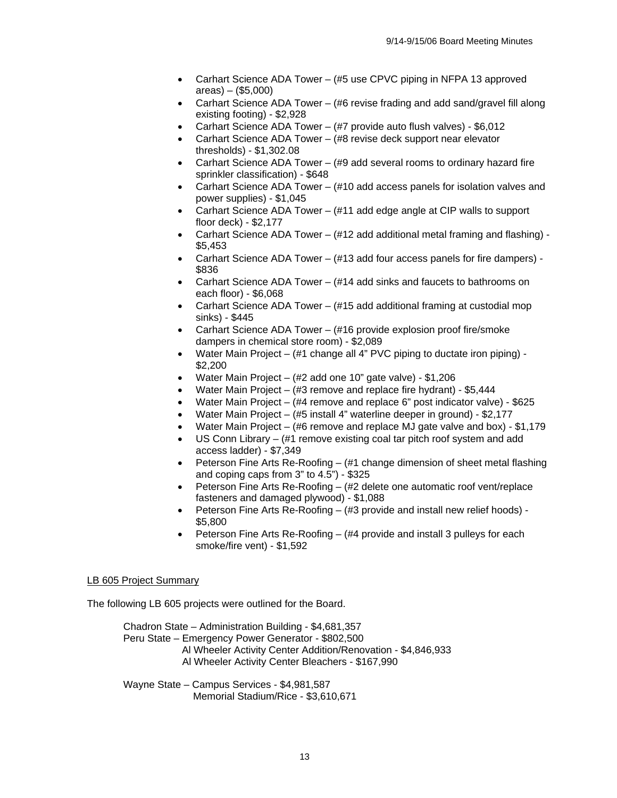- Carhart Science ADA Tower (#5 use CPVC piping in NFPA 13 approved areas) – (\$5,000)
- Carhart Science ADA Tower (#6 revise frading and add sand/gravel fill along existing footing) - \$2,928
- Carhart Science ADA Tower (#7 provide auto flush valves) \$6,012
- Carhart Science ADA Tower (#8 revise deck support near elevator thresholds) - \$1,302.08
- Carhart Science ADA Tower (#9 add several rooms to ordinary hazard fire sprinkler classification) - \$648
- Carhart Science ADA Tower (#10 add access panels for isolation valves and power supplies) - \$1,045
- Carhart Science ADA Tower (#11 add edge angle at CIP walls to support floor deck) - \$2,177
- Carhart Science ADA Tower (#12 add additional metal framing and flashing) \$5,453
- Carhart Science ADA Tower (#13 add four access panels for fire dampers) \$836
- Carhart Science ADA Tower (#14 add sinks and faucets to bathrooms on each floor) - \$6,068
- Carhart Science ADA Tower (#15 add additional framing at custodial mop sinks) - \$445
- Carhart Science ADA Tower (#16 provide explosion proof fire/smoke dampers in chemical store room) - \$2,089
- Water Main Project (#1 change all 4" PVC piping to ductate iron piping) \$2,200
- Water Main Project (#2 add one 10" gate valve) \$1,206
- Water Main Project (#3 remove and replace fire hydrant) \$5,444
- Water Main Project (#4 remove and replace 6" post indicator valve) \$625
- Water Main Project (#5 install 4" waterline deeper in ground) \$2,177
- Water Main Project (#6 remove and replace MJ gate valve and box) \$1,179
- US Conn Library (#1 remove existing coal tar pitch roof system and add access ladder) - \$7,349
- Peterson Fine Arts Re-Roofing (#1 change dimension of sheet metal flashing and coping caps from 3" to 4.5") - \$325
- Peterson Fine Arts Re-Roofing (#2 delete one automatic roof vent/replace fasteners and damaged plywood) - \$1,088
- Peterson Fine Arts Re-Roofing (#3 provide and install new relief hoods) \$5,800
- Peterson Fine Arts Re-Roofing (#4 provide and install 3 pulleys for each smoke/fire vent) - \$1,592

#### LB 605 Project Summary

The following LB 605 projects were outlined for the Board.

 Chadron State – Administration Building - \$4,681,357 Peru State – Emergency Power Generator - \$802,500 Al Wheeler Activity Center Addition/Renovation - \$4,846,933 Al Wheeler Activity Center Bleachers - \$167,990

 Wayne State – Campus Services - \$4,981,587 Memorial Stadium/Rice - \$3,610,671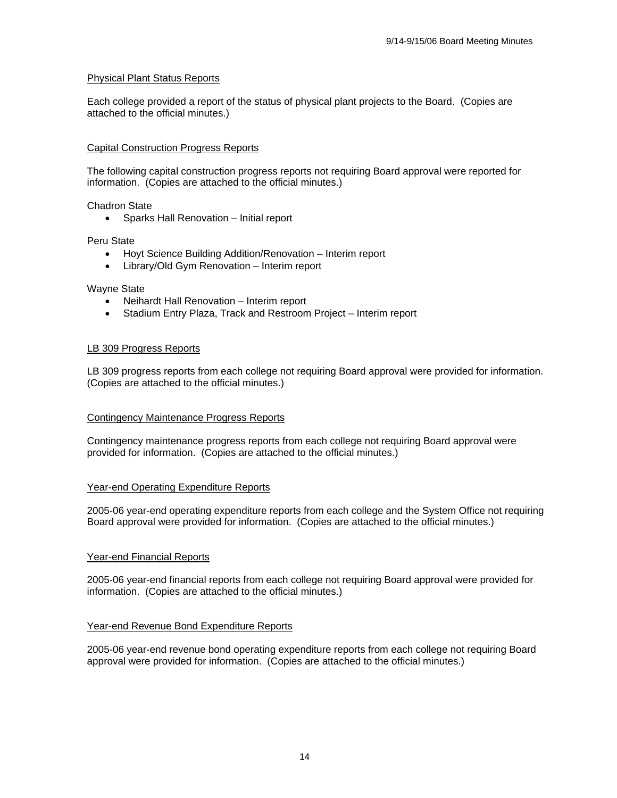#### Physical Plant Status Reports

Each college provided a report of the status of physical plant projects to the Board. (Copies are attached to the official minutes.)

#### Capital Construction Progress Reports

The following capital construction progress reports not requiring Board approval were reported for information. (Copies are attached to the official minutes.)

Chadron State

• Sparks Hall Renovation – Initial report

#### Peru State

- Hoyt Science Building Addition/Renovation Interim report
- Library/Old Gym Renovation Interim report

#### Wayne State

- Neihardt Hall Renovation Interim report
- Stadium Entry Plaza, Track and Restroom Project Interim report

#### LB 309 Progress Reports

LB 309 progress reports from each college not requiring Board approval were provided for information. (Copies are attached to the official minutes.)

#### Contingency Maintenance Progress Reports

Contingency maintenance progress reports from each college not requiring Board approval were provided for information. (Copies are attached to the official minutes.)

#### Year-end Operating Expenditure Reports

2005-06 year-end operating expenditure reports from each college and the System Office not requiring Board approval were provided for information. (Copies are attached to the official minutes.)

#### Year-end Financial Reports

2005-06 year-end financial reports from each college not requiring Board approval were provided for information. (Copies are attached to the official minutes.)

#### Year-end Revenue Bond Expenditure Reports

2005-06 year-end revenue bond operating expenditure reports from each college not requiring Board approval were provided for information. (Copies are attached to the official minutes.)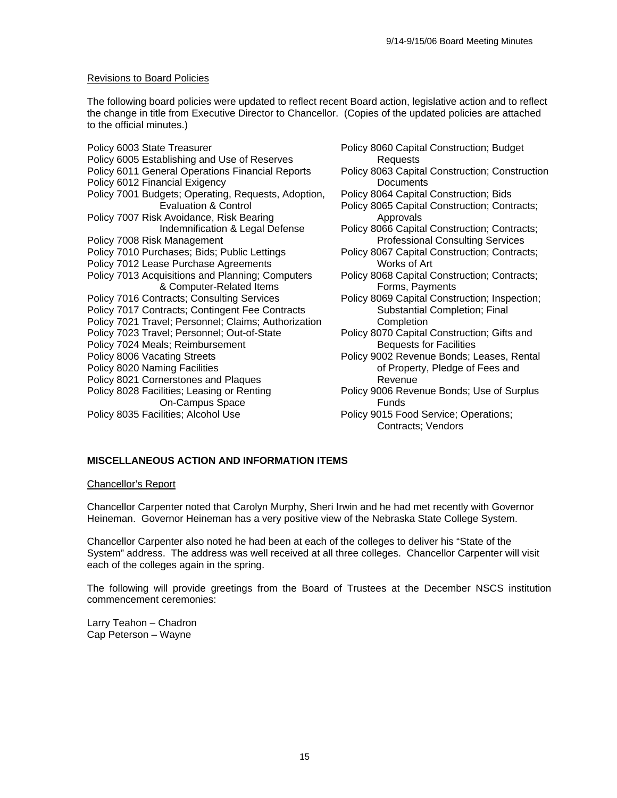#### Revisions to Board Policies

The following board policies were updated to reflect recent Board action, legislative action and to reflect the change in title from Executive Director to Chancellor. (Copies of the updated policies are attached to the official minutes.)

Policy 6003 State Treasurer **Policy 8060 Capital Construction**; Budget Policy 6005 Establishing and Use of Reserves The Requests Policy 6011 General Operations Financial Reports Policy 8063 Capital Construction; Construction Policy 6012 Financial Exigency **Documents** Policy 7001 Budgets; Operating, Requests, Adoption, Policy 8064 Capital Construction; Bids Policy 7007 Risk Avoidance, Risk Bearing Manuel Approvals Policy 7008 Risk Management **Professional Consulting Services** Policy 7010 Purchases; Bids; Public Lettings Policy 8067 Capital Construction; Contracts; Policy 7012 Lease Purchase Agreements Works of Art Policy 7013 Acquisitions and Planning; Computers Policy 8068 Capital Construction; Contracts; & Computer-Related Items Forms, Payments Policy 7016 Contracts; Consulting Services<br>
Policy 8069 Capital Construction; Inspection;<br>
Policy 7017 Contracts: Contingent Fee Contracts<br>
Substantial Completion; Final Policy 7017 Contracts; Contingent Fee Contracts Policy 7021 Travel; Personnel; Claims; Authorization Completion Policy 7023 Travel; Personnel; Out-of-State Policy 8070 Capital Construction; Gifts and Policy 7024 Meals; Reimbursement Bequests for Facilities Policy 8006 Vacating Streets **Policy 9002 Revenue Bonds**; Leases, Rental Policy 8020 Naming Facilities **by Calic Acids** of Property, Pledge of Fees and Policy 8021 Cornerstones and Plaques Revenue Policy 8028 Facilities; Leasing or Renting Policy 9006 Revenue Bonds; Use of Surplus On-Campus Space Funds Policy 8035 Facilities; Alcohol Use Policy 9015 Food Service; Operations;

 Evaluation & Control Policy 8065 Capital Construction; Contracts; Indemnification & Legal Defense Policy 8066 Capital Construction; Contracts; Contracts; Vendors

#### **MISCELLANEOUS ACTION AND INFORMATION ITEMS**

#### Chancellor's Report

Chancellor Carpenter noted that Carolyn Murphy, Sheri Irwin and he had met recently with Governor Heineman. Governor Heineman has a very positive view of the Nebraska State College System.

Chancellor Carpenter also noted he had been at each of the colleges to deliver his "State of the System" address. The address was well received at all three colleges. Chancellor Carpenter will visit each of the colleges again in the spring.

The following will provide greetings from the Board of Trustees at the December NSCS institution commencement ceremonies:

Larry Teahon – Chadron Cap Peterson – Wayne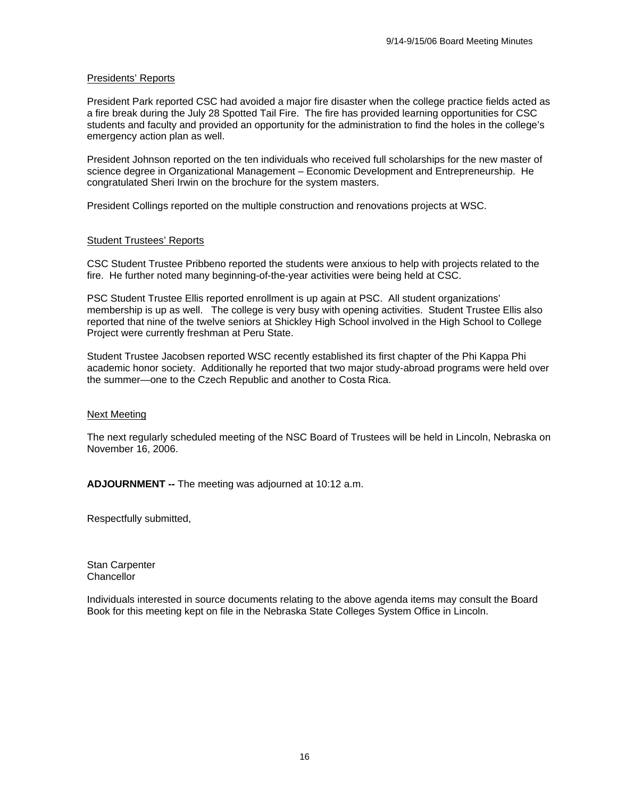#### Presidents' Reports

President Park reported CSC had avoided a major fire disaster when the college practice fields acted as a fire break during the July 28 Spotted Tail Fire. The fire has provided learning opportunities for CSC students and faculty and provided an opportunity for the administration to find the holes in the college's emergency action plan as well.

President Johnson reported on the ten individuals who received full scholarships for the new master of science degree in Organizational Management – Economic Development and Entrepreneurship. He congratulated Sheri Irwin on the brochure for the system masters.

President Collings reported on the multiple construction and renovations projects at WSC.

#### Student Trustees' Reports

CSC Student Trustee Pribbeno reported the students were anxious to help with projects related to the fire. He further noted many beginning-of-the-year activities were being held at CSC.

PSC Student Trustee Ellis reported enrollment is up again at PSC. All student organizations' membership is up as well. The college is very busy with opening activities. Student Trustee Ellis also reported that nine of the twelve seniors at Shickley High School involved in the High School to College Project were currently freshman at Peru State.

Student Trustee Jacobsen reported WSC recently established its first chapter of the Phi Kappa Phi academic honor society. Additionally he reported that two major study-abroad programs were held over the summer—one to the Czech Republic and another to Costa Rica.

#### Next Meeting

The next regularly scheduled meeting of the NSC Board of Trustees will be held in Lincoln, Nebraska on November 16, 2006.

**ADJOURNMENT --** The meeting was adjourned at 10:12 a.m.

Respectfully submitted,

Stan Carpenter **Chancellor** 

Individuals interested in source documents relating to the above agenda items may consult the Board Book for this meeting kept on file in the Nebraska State Colleges System Office in Lincoln.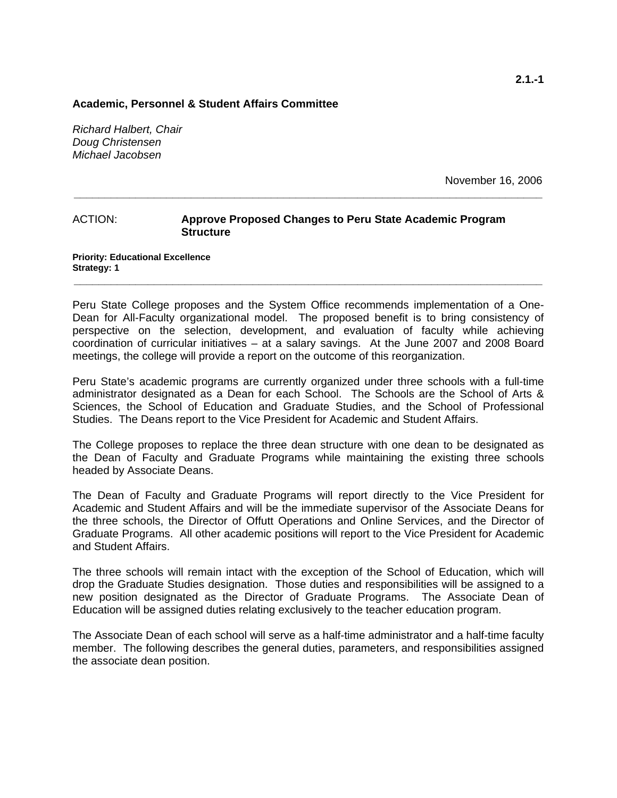#### **Academic, Personnel & Student Affairs Committee**

*Richard Halbert, Chair Doug Christensen Michael Jacobsen* 

November 16, 2006

## ACTION: **Approve Proposed Changes to Peru State Academic Program Structure**

**\_\_\_\_\_\_\_\_\_\_\_\_\_\_\_\_\_\_\_\_\_\_\_\_\_\_\_\_\_\_\_\_\_\_\_\_\_\_\_\_\_\_\_\_\_\_\_\_\_\_\_\_\_\_\_\_\_\_\_\_\_\_\_\_\_\_\_\_\_\_\_\_\_\_\_\_** 

**Priority: Educational Excellence Strategy: 1** 

Peru State College proposes and the System Office recommends implementation of a One-Dean for All-Faculty organizational model. The proposed benefit is to bring consistency of perspective on the selection, development, and evaluation of faculty while achieving coordination of curricular initiatives – at a salary savings. At the June 2007 and 2008 Board meetings, the college will provide a report on the outcome of this reorganization.

**\_\_\_\_\_\_\_\_\_\_\_\_\_\_\_\_\_\_\_\_\_\_\_\_\_\_\_\_\_\_\_\_\_\_\_\_\_\_\_\_\_\_\_\_\_\_\_\_\_\_\_\_\_\_\_\_\_\_\_\_\_\_\_\_\_\_\_\_\_\_\_\_\_\_\_\_** 

Peru State's academic programs are currently organized under three schools with a full-time administrator designated as a Dean for each School. The Schools are the School of Arts & Sciences, the School of Education and Graduate Studies, and the School of Professional Studies. The Deans report to the Vice President for Academic and Student Affairs.

The College proposes to replace the three dean structure with one dean to be designated as the Dean of Faculty and Graduate Programs while maintaining the existing three schools headed by Associate Deans.

The Dean of Faculty and Graduate Programs will report directly to the Vice President for Academic and Student Affairs and will be the immediate supervisor of the Associate Deans for the three schools, the Director of Offutt Operations and Online Services, and the Director of Graduate Programs. All other academic positions will report to the Vice President for Academic and Student Affairs.

The three schools will remain intact with the exception of the School of Education, which will drop the Graduate Studies designation. Those duties and responsibilities will be assigned to a new position designated as the Director of Graduate Programs. The Associate Dean of Education will be assigned duties relating exclusively to the teacher education program.

The Associate Dean of each school will serve as a half-time administrator and a half-time faculty member. The following describes the general duties, parameters, and responsibilities assigned the associate dean position.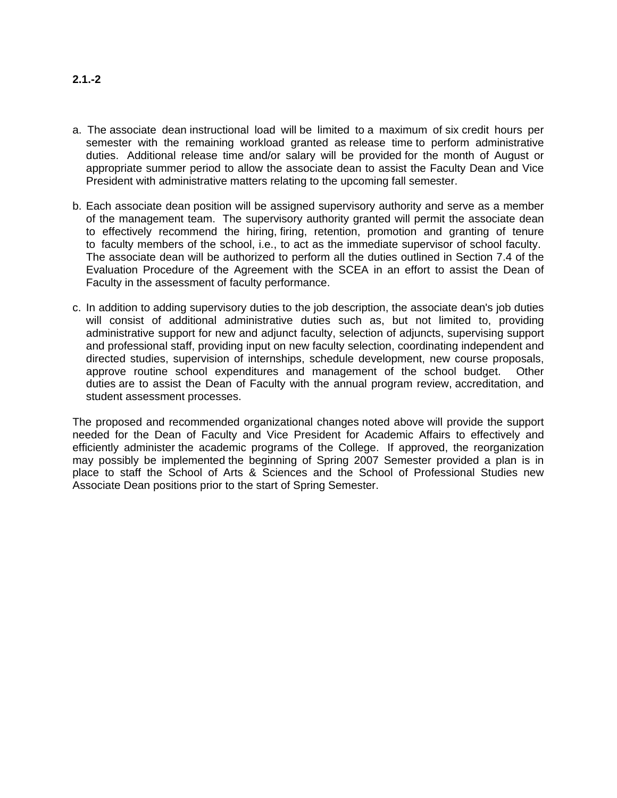- a. The associate dean instructional load will be limited to a maximum of six credit hours per semester with the remaining workload granted as release time to perform administrative duties. Additional release time and/or salary will be provided for the month of August or appropriate summer period to allow the associate dean to assist the Faculty Dean and Vice President with administrative matters relating to the upcoming fall semester.
- b. Each associate dean position will be assigned supervisory authority and serve as a member of the management team. The supervisory authority granted will permit the associate dean to effectively recommend the hiring, firing, retention, promotion and granting of tenure to faculty members of the school, i.e., to act as the immediate supervisor of school faculty. The associate dean will be authorized to perform all the duties outlined in Section 7.4 of the Evaluation Procedure of the Agreement with the SCEA in an effort to assist the Dean of Faculty in the assessment of faculty performance.
- c. In addition to adding supervisory duties to the job description, the associate dean's job duties will consist of additional administrative duties such as, but not limited to, providing administrative support for new and adjunct faculty, selection of adjuncts, supervising support and professional staff, providing input on new faculty selection, coordinating independent and directed studies, supervision of internships, schedule development, new course proposals, approve routine school expenditures and management of the school budget. Other duties are to assist the Dean of Faculty with the annual program review, accreditation, and student assessment processes.

The proposed and recommended organizational changes noted above will provide the support needed for the Dean of Faculty and Vice President for Academic Affairs to effectively and efficiently administer the academic programs of the College. If approved, the reorganization may possibly be implemented the beginning of Spring 2007 Semester provided a plan is in place to staff the School of Arts & Sciences and the School of Professional Studies new Associate Dean positions prior to the start of Spring Semester.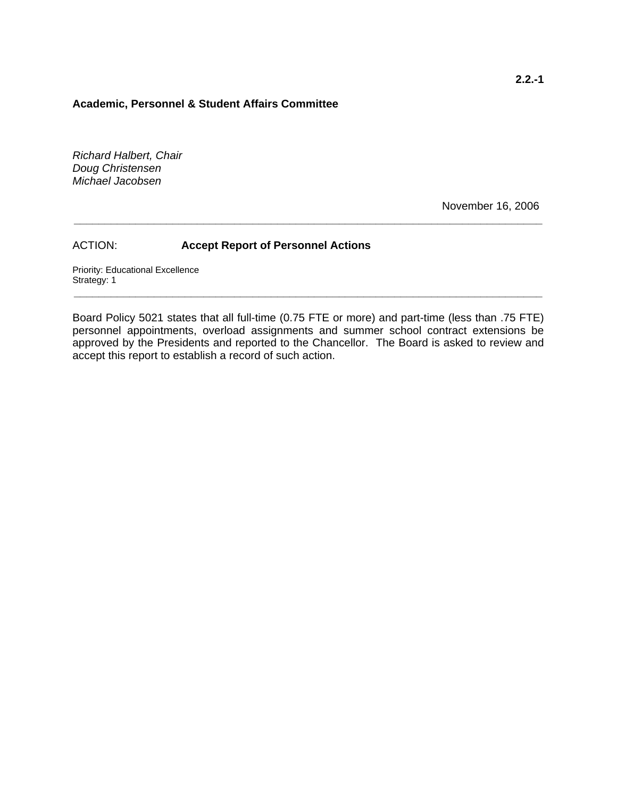#### **Academic, Personnel & Student Affairs Committee**

*Richard Halbert, Chair Doug Christensen Michael Jacobsen* 

November 16, 2006

## ACTION: **Accept Report of Personnel Actions**

Priority: Educational Excellence Strategy: 1

Board Policy 5021 states that all full-time (0.75 FTE or more) and part-time (less than .75 FTE) personnel appointments, overload assignments and summer school contract extensions be approved by the Presidents and reported to the Chancellor. The Board is asked to review and accept this report to establish a record of such action.

**\_\_\_\_\_\_\_\_\_\_\_\_\_\_\_\_\_\_\_\_\_\_\_\_\_\_\_\_\_\_\_\_\_\_\_\_\_\_\_\_\_\_\_\_\_\_\_\_\_\_\_\_\_\_\_\_\_\_\_\_\_\_\_\_\_\_\_\_\_\_\_\_\_\_\_\_** 

**\_\_\_\_\_\_\_\_\_\_\_\_\_\_\_\_\_\_\_\_\_\_\_\_\_\_\_\_\_\_\_\_\_\_\_\_\_\_\_\_\_\_\_\_\_\_\_\_\_\_\_\_\_\_\_\_\_\_\_\_\_\_\_\_\_\_\_\_\_\_\_\_\_\_\_\_**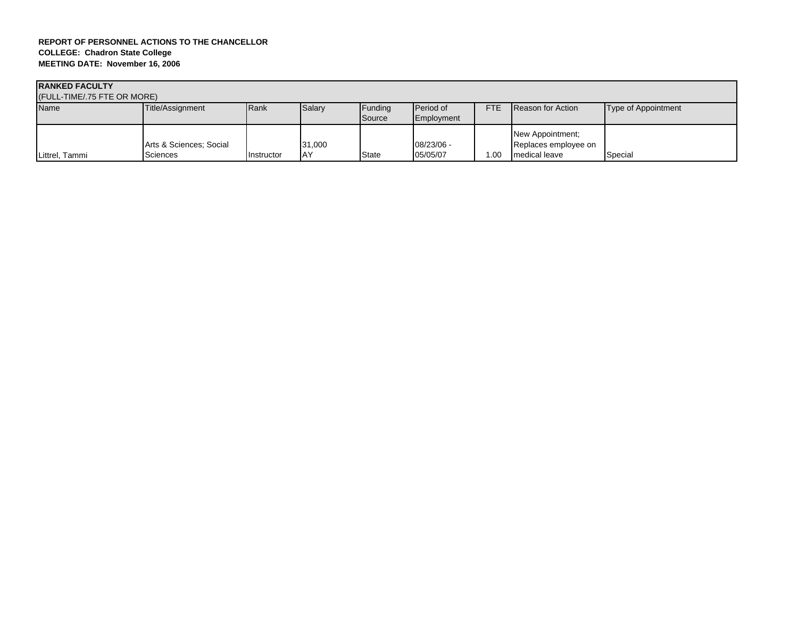| <b>RANKED FACULTY</b><br>(FULL-TIME/.75 FTE OR MORE) |                                     |                   |                     |                   |                         |      |                                                           |                     |
|------------------------------------------------------|-------------------------------------|-------------------|---------------------|-------------------|-------------------------|------|-----------------------------------------------------------|---------------------|
| Name                                                 | Title/Assignment                    | Rank              | Salary              | Funding<br>Source | Period of<br>Employment | FTE. | <b>Reason for Action</b>                                  | Type of Appointment |
| Littrel, Tammi                                       | Arts & Sciences; Social<br>Sciences | <b>Instructor</b> | 31,000<br><b>AY</b> | <b>State</b>      | 08/23/06 -<br>05/05/07  | .00  | New Appointment;<br>Replaces employee on<br>medical leave | Special             |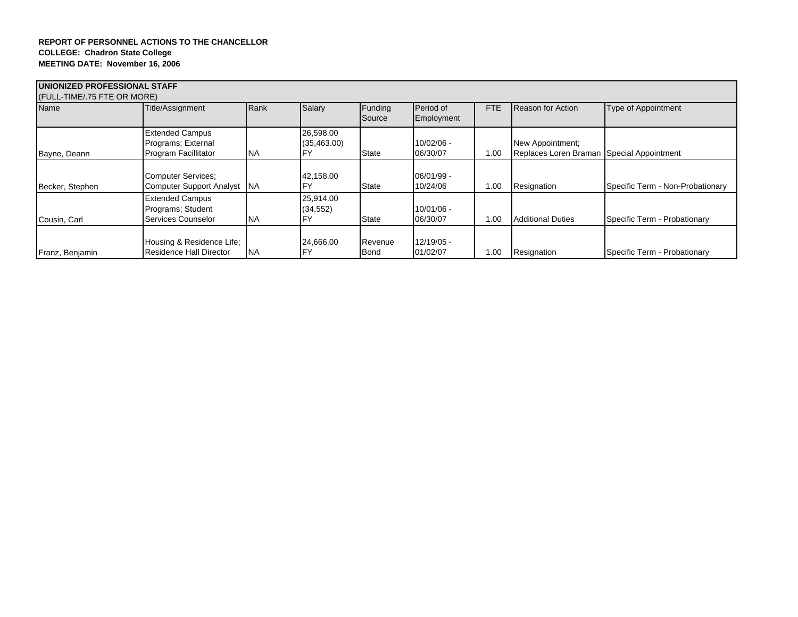| <b>UNIONIZED PROFESSIONAL STAFF</b> |                                 |            |              |         |            |            |                                           |                                  |
|-------------------------------------|---------------------------------|------------|--------------|---------|------------|------------|-------------------------------------------|----------------------------------|
| (FULL-TIME/.75 FTE OR MORE)<br>Name | Title/Assignment                | Rank       | Salary       | Funding | Period of  | <b>FTE</b> | Reason for Action                         | <b>Type of Appointment</b>       |
|                                     |                                 |            |              | Source  | Employment |            |                                           |                                  |
|                                     | <b>Extended Campus</b>          |            | 26,598.00    |         |            |            |                                           |                                  |
|                                     | Programs; External              |            | (35, 463.00) |         | 10/02/06 - |            | New Appointment;                          |                                  |
| Bayne, Deann                        | Program Facillitator            | <b>NA</b>  |              | State   | 06/30/07   | 1.00       | Replaces Loren Braman Special Appointment |                                  |
|                                     |                                 |            |              |         |            |            |                                           |                                  |
|                                     | <b>Computer Services;</b>       |            | 42,158.00    |         | 06/01/99 - |            |                                           |                                  |
| Becker, Stephen                     | <b>Computer Support Analyst</b> | <b>INA</b> |              | State   | 10/24/06   | 1.00       | Resignation                               | Specific Term - Non-Probationary |
|                                     | <b>Extended Campus</b>          |            | 25,914.00    |         |            |            |                                           |                                  |
|                                     | Programs; Student               |            | (34, 552)    |         | 10/01/06 - |            |                                           |                                  |
| Cousin, Carl                        | Services Counselor              | <b>NA</b>  |              | State   | 06/30/07   | 1.00       | <b>Additional Duties</b>                  | Specific Term - Probationary     |
|                                     |                                 |            |              |         |            |            |                                           |                                  |
|                                     | Housing & Residence Life;       |            | 24.666.00    | Revenue | 12/19/05 - |            |                                           |                                  |
| Franz, Benjamin                     | <b>Residence Hall Director</b>  | <b>NA</b>  |              | Bond    | 01/02/07   | 1.00       | Resignation                               | Specific Term - Probationary     |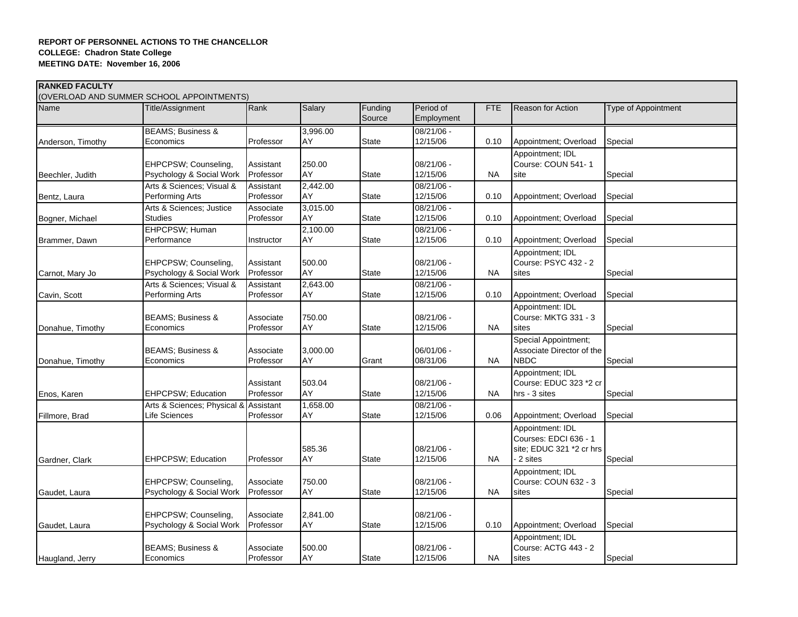| Name              | Title/Assignment             | Rank       | Salary   | Funding      | Period of    | <b>FTE</b> | <b>Reason for Action</b>  | Type of Appointment |
|-------------------|------------------------------|------------|----------|--------------|--------------|------------|---------------------------|---------------------|
|                   |                              |            |          | Source       | Employment   |            |                           |                     |
|                   | <b>BEAMS; Business &amp;</b> |            | 3,996.00 |              | 08/21/06 -   |            |                           |                     |
| Anderson, Timothy | Economics                    | Professor  | AY       | <b>State</b> | 12/15/06     | 0.10       | Appointment; Overload     | Special             |
|                   |                              |            |          |              |              |            | Appointment; IDL          |                     |
|                   | EHPCPSW; Counseling,         | Assistant  | 250.00   |              | 08/21/06 -   |            | Course: COUN 541-1        |                     |
| Beechler, Judith  | Psychology & Social Work     | Professor  | AY       | <b>State</b> | 12/15/06     | <b>NA</b>  | site                      | Special             |
|                   | Arts & Sciences: Visual &    | Assistant  | 2,442.00 |              | 08/21/06 -   |            |                           |                     |
| Bentz, Laura      | Performing Arts              | Professor  | AY       | <b>State</b> | 12/15/06     | 0.10       | Appointment; Overload     | Special             |
|                   | Arts & Sciences; Justice     | Associate  | 3,015.00 |              | 08/21/06 -   |            |                           |                     |
| Bogner, Michael   | <b>Studies</b>               | Professor  | AY       | <b>State</b> | 12/15/06     | 0.10       | Appointment; Overload     | Special             |
|                   | EHPCPSW; Human               |            | 2,100.00 |              | 08/21/06 -   |            |                           |                     |
| Brammer, Dawn     | Performance                  | Instructor | AY       | <b>State</b> | 12/15/06     | 0.10       | Appointment; Overload     | Special             |
|                   |                              |            |          |              |              |            | Appointment; IDL          |                     |
|                   | EHPCPSW; Counseling,         | Assistant  | 500.00   |              | 08/21/06 -   |            | Course: PSYC 432 - 2      |                     |
| Carnot, Mary Jo   | Psychology & Social Work     | Professor  | AY       | <b>State</b> | 12/15/06     | NA.        | sites                     | Special             |
|                   | Arts & Sciences; Visual &    | Assistant  | 2,643.00 |              | $08/21/06 -$ |            |                           |                     |
| Cavin, Scott      | Performing Arts              | Professor  | AY       | <b>State</b> | 12/15/06     | 0.10       | Appointment; Overload     | Special             |
|                   |                              |            |          |              |              |            | Appointment: IDL          |                     |
|                   | <b>BEAMS: Business &amp;</b> | Associate  | 750.00   |              | 08/21/06 -   |            | Course: MKTG 331 - 3      |                     |
| Donahue, Timothy  | Economics                    | Professor  | AY       | <b>State</b> | 12/15/06     | NA.        | sites                     | Special             |
|                   |                              |            |          |              |              |            | Special Appointment;      |                     |
|                   | <b>BEAMS: Business &amp;</b> | Associate  | 3,000.00 |              | 06/01/06 -   |            | Associate Director of the |                     |
| Donahue, Timothy  | Economics                    | Professor  | AY       | Grant        | 08/31/06     | <b>NA</b>  | <b>NBDC</b>               | Special             |
|                   |                              |            |          |              |              |            | Appointment; IDL          |                     |
|                   |                              | Assistant  | 503.04   |              | 08/21/06 -   |            | Course: EDUC 323 *2 cr    |                     |
| Enos, Karen       | <b>EHPCPSW</b> ; Education   | Professor  | AY       | <b>State</b> | 12/15/06     | <b>NA</b>  | hrs - 3 sites             | Special             |
|                   | Arts & Sciences; Physical &  | Assistant  | 1,658.00 |              | 08/21/06 -   |            |                           |                     |
| Fillmore, Brad    | Life Sciences                | Professor  | AY       | <b>State</b> | 12/15/06     | 0.06       | Appointment; Overload     | Special             |
|                   |                              |            |          |              |              |            | Appointment: IDL          |                     |
|                   |                              |            |          |              |              |            | Courses: EDCI 636 - 1     |                     |
|                   |                              |            | 585.36   |              | $08/21/06 -$ |            | site; EDUC 321 *2 cr hrs  |                     |
| Gardner, Clark    | EHPCPSW; Education           | Professor  | AY       | <b>State</b> | 12/15/06     | <b>NA</b>  | - 2 sites                 | Special             |
|                   |                              |            |          |              |              |            | Appointment; IDL          |                     |
|                   | EHPCPSW; Counseling,         | Associate  | 750.00   |              | 08/21/06 -   |            | Course: COUN 632 - 3      |                     |
| Gaudet, Laura     | Psychology & Social Work     | Professor  | AY       | <b>State</b> | 12/15/06     | <b>NA</b>  | sites                     | Special             |
|                   |                              |            |          |              |              |            |                           |                     |
|                   | EHPCPSW; Counseling,         | Associate  | 2,841.00 |              | $08/21/06 -$ |            |                           |                     |
| Gaudet, Laura     | Psychology & Social Work     | Professor  | AY       | <b>State</b> | 12/15/06     | 0.10       | Appointment; Overload     | Special             |
|                   |                              |            |          |              |              |            | Appointment; IDL          |                     |
|                   | <b>BEAMS; Business &amp;</b> | Associate  | 500.00   |              | $08/21/06 -$ |            | Course: ACTG 443 - 2      |                     |
|                   |                              |            |          |              |              |            |                           |                     |
| Haugland, Jerry   | Economics                    | Professor  | AY       | <b>State</b> | 12/15/06     | NA.        | sites                     | Special             |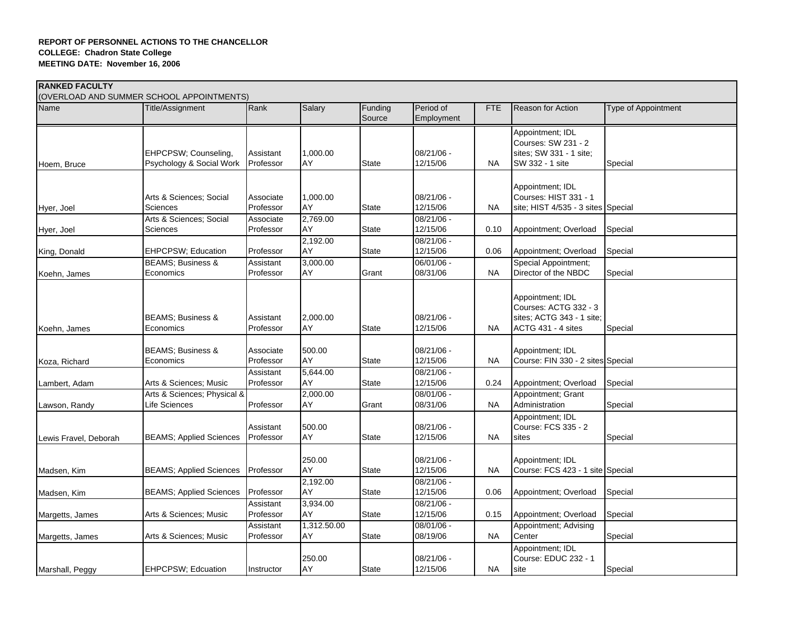| <b>RANKED FACULTY</b> |                                           |            |             |                   |                         |            |                                    |                            |
|-----------------------|-------------------------------------------|------------|-------------|-------------------|-------------------------|------------|------------------------------------|----------------------------|
|                       | (OVERLOAD AND SUMMER SCHOOL APPOINTMENTS) |            |             |                   |                         |            |                                    |                            |
| Name                  | Title/Assignment                          | Rank       | Salary      | Funding<br>Source | Period of<br>Employment | <b>FTE</b> | <b>Reason for Action</b>           | <b>Type of Appointment</b> |
|                       |                                           |            |             |                   |                         |            | Appointment; IDL                   |                            |
|                       |                                           |            |             |                   |                         |            | Courses: SW 231 - 2                |                            |
|                       | EHPCPSW; Counseling,                      | Assistant  | 1,000.00    |                   | 08/21/06 -              |            | sites; SW 331 - 1 site;            |                            |
| Hoem, Bruce           | Psychology & Social Work                  | Professor  | AY          | <b>State</b>      | 12/15/06                | NA         | SW 332 - 1 site                    | Special                    |
|                       |                                           |            |             |                   |                         |            |                                    |                            |
|                       |                                           |            |             |                   |                         |            | Appointment; IDL                   |                            |
|                       | Arts & Sciences; Social                   | Associate  | 1,000.00    |                   | 08/21/06 -              |            | Courses: HIST 331 - 1              |                            |
| Hyer, Joel            | Sciences                                  | Professor  | AY          | <b>State</b>      | 12/15/06                | <b>NA</b>  | site; HIST 4/535 - 3 sites Special |                            |
|                       | Arts & Sciences; Social                   | Associate  | 2,769.00    |                   | 08/21/06 -              |            |                                    |                            |
| Hyer, Joel            | Sciences                                  | Professor  | AY          | <b>State</b>      | 12/15/06                | 0.10       | Appointment; Overload              | Special                    |
|                       |                                           |            | 2,192.00    |                   | $08/21/06 -$            |            |                                    |                            |
| King, Donald          | <b>EHPCPSW</b> ; Education                | Professor  | AY          | <b>State</b>      | 12/15/06                | 0.06       | Appointment; Overload              | Special                    |
|                       | <b>BEAMS</b> ; Business &                 | Assistant  | 3,000.00    |                   | 06/01/06 -              |            | Special Appointment;               |                            |
|                       | Economics                                 |            | AY          | Grant             | 08/31/06                | NA.        | Director of the NBDC               |                            |
| Koehn, James          |                                           | Professor  |             |                   |                         |            |                                    | Special                    |
|                       |                                           |            |             |                   |                         |            |                                    |                            |
|                       |                                           |            |             |                   |                         |            | Appointment; IDL                   |                            |
|                       |                                           |            |             |                   |                         |            | Courses: ACTG 332 - 3              |                            |
|                       | <b>BEAMS: Business &amp;</b>              | Assistant  | 2,000.00    |                   | 08/21/06 -              |            | sites; ACTG 343 - 1 site;          |                            |
| Koehn, James          | Economics                                 | Professor  | AY          | <b>State</b>      | 12/15/06                | <b>NA</b>  | ACTG 431 - 4 sites                 | Special                    |
|                       |                                           |            |             |                   |                         |            |                                    |                            |
|                       | <b>BEAMS; Business &amp;</b>              | Associate  | 500.00      |                   | 08/21/06 -              |            | Appointment; IDL                   |                            |
| Koza, Richard         | Economics                                 | Professor  | AY          | <b>State</b>      | 12/15/06                | <b>NA</b>  | Course: FIN 330 - 2 sites Special  |                            |
|                       |                                           | Assistant  | 5,644.00    |                   | $08/21/06 -$            |            |                                    |                            |
| Lambert, Adam         | Arts & Sciences; Music                    | Professor  | AY          | <b>State</b>      | 12/15/06                | 0.24       | Appointment; Overload              | Special                    |
|                       | Arts & Sciences; Physical &               |            | 2,000.00    |                   | 08/01/06 -              |            | Appointment; Grant                 |                            |
| Lawson, Randy         | Life Sciences                             | Professor  | AY          | Grant             | 08/31/06                | NA.        | Administration                     | Special                    |
|                       |                                           |            |             |                   |                         |            | Appointment; IDL                   |                            |
|                       |                                           | Assistant  | 500.00      |                   | 08/21/06 -              |            | Course: FCS 335 - 2                |                            |
| Lewis Fravel, Deborah | <b>BEAMS; Applied Sciences</b>            | Professor  | AY          | State             | 12/15/06                | <b>NA</b>  | sites                              | Special                    |
|                       |                                           |            |             |                   |                         |            |                                    |                            |
|                       |                                           |            | 250.00      |                   | 08/21/06 -              |            | Appointment; IDL                   |                            |
| Madsen, Kim           | <b>BEAMS; Applied Sciences</b>            | Professor  | AY          | <b>State</b>      | 12/15/06                | <b>NA</b>  | Course: FCS 423 - 1 site Special   |                            |
|                       |                                           |            | 2,192.00    |                   | 08/21/06 -              |            |                                    |                            |
| Madsen, Kim           | <b>BEAMS; Applied Sciences</b>            | Professor  | AY          | <b>State</b>      | 12/15/06                | 0.06       | Appointment; Overload              | Special                    |
|                       |                                           | Assistant  | 3,934.00    |                   | 08/21/06 -              |            |                                    |                            |
| Margetts, James       | Arts & Sciences; Music                    | Professor  | AY          | <b>State</b>      | 12/15/06                | 0.15       | Appointment; Overload              | Special                    |
|                       |                                           | Assistant  | 1,312.50.00 |                   | 08/01/06 -              |            | Appointment; Advising              |                            |
| Margetts, James       | Arts & Sciences; Music                    | Professor  | AY          | <b>State</b>      | 08/19/06                | <b>NA</b>  | Center                             | Special                    |
|                       |                                           |            |             |                   |                         |            |                                    |                            |
|                       |                                           |            |             |                   | 08/21/06 -              |            | Appointment; IDL                   |                            |
|                       |                                           |            | 250.00      |                   |                         |            | Course: EDUC 232 - 1               |                            |
| Marshall, Peggy       | <b>EHPCPSW: Edcuation</b>                 | Instructor | AY          | <b>State</b>      | 12/15/06                | NA.        | site                               | Special                    |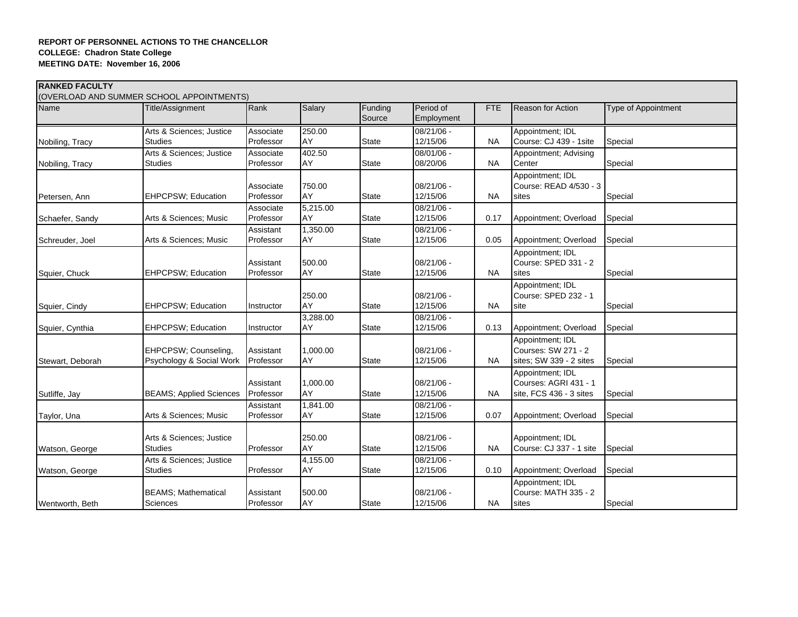| <b>RANKED FACULTY</b> |                                                  |                        |                |                   |                         |            |                                                                      |                            |
|-----------------------|--------------------------------------------------|------------------------|----------------|-------------------|-------------------------|------------|----------------------------------------------------------------------|----------------------------|
|                       | (OVERLOAD AND SUMMER SCHOOL APPOINTMENTS)        |                        |                |                   |                         |            |                                                                      |                            |
| Name                  | Title/Assignment                                 | Rank                   | Salary         | Funding<br>Source | Period of<br>Employment | <b>FTE</b> | <b>Reason for Action</b>                                             | <b>Type of Appointment</b> |
|                       | Arts & Sciences: Justice                         | Associate              | 250.00         |                   | $08/21/06 -$            |            | Appointment; IDL                                                     |                            |
| Nobiling, Tracy       | <b>Studies</b>                                   | Professor              | AY             | <b>State</b>      | 12/15/06                | <b>NA</b>  | Course: CJ 439 - 1site                                               | Special                    |
|                       | Arts & Sciences; Justice                         | Associate              | 402.50         |                   | 08/01/06 -              |            | Appointment; Advising                                                |                            |
| Nobiling, Tracy       | <b>Studies</b>                                   | Professor              | AY             | <b>State</b>      | 08/20/06                | <b>NA</b>  | Center                                                               | Special                    |
| Petersen, Ann         | <b>EHPCPSW</b> ; Education                       | Associate<br>Professor | 750.00<br>AY   | <b>State</b>      | 08/21/06 -<br>12/15/06  | <b>NA</b>  | Appointment; IDL<br>Course: READ 4/530 - 3<br>sites                  | Special                    |
|                       |                                                  | Associate              | 5,215.00       |                   | 08/21/06 -              |            |                                                                      |                            |
| Schaefer, Sandy       | Arts & Sciences; Music                           | Professor              | AY             | <b>State</b>      | 12/15/06                | 0.17       | Appointment; Overload                                                | Special                    |
| Schreuder, Joel       | Arts & Sciences; Music                           | Assistant<br>Professor | 1,350.00<br>AY | <b>State</b>      | 08/21/06 -<br>12/15/06  | 0.05       | Appointment; Overload                                                | Special                    |
| Squier, Chuck         | EHPCPSW; Education                               | Assistant<br>Professor | 500.00<br>AY   | <b>State</b>      | 08/21/06 -<br>12/15/06  | <b>NA</b>  | Appointment; IDL<br>Course: SPED 331 - 2<br>sites                    | Special                    |
| Squier, Cindy         | EHPCPSW; Education                               | Instructor             | 250.00<br>AY   | <b>State</b>      | 08/21/06 -<br>12/15/06  | <b>NA</b>  | Appointment; IDL<br>Course: SPED 232 - 1<br>site                     | Special                    |
| Squier, Cynthia       | EHPCPSW; Education                               | Instructor             | 3,288.00<br>AY | <b>State</b>      | 08/21/06 -<br>12/15/06  | 0.13       | Appointment; Overload                                                | Special                    |
| Stewart, Deborah      | EHPCPSW; Counseling,<br>Psychology & Social Work | Assistant<br>Professor | 1,000.00<br>AY | <b>State</b>      | 08/21/06 -<br>12/15/06  | <b>NA</b>  | Appointment; IDL<br>Courses: SW 271 - 2<br>sites; SW 339 - 2 sites   | Special                    |
| Sutliffe, Jay         | <b>BEAMS; Applied Sciences</b>                   | Assistant<br>Professor | 1,000.00<br>AY | <b>State</b>      | 08/21/06 -<br>12/15/06  | <b>NA</b>  | Appointment; IDL<br>Courses: AGRI 431 - 1<br>site, FCS 436 - 3 sites | Special                    |
| Taylor, Una           | Arts & Sciences; Music                           | Assistant<br>Professor | 1,841.00<br>AY | <b>State</b>      | 08/21/06 -<br>12/15/06  | 0.07       | Appointment; Overload                                                | Special                    |
| Watson, George        | Arts & Sciences; Justice<br><b>Studies</b>       | Professor              | 250.00<br>AY   | <b>State</b>      | 08/21/06 -<br>12/15/06  | <b>NA</b>  | Appointment; IDL<br>Course: CJ 337 - 1 site                          | Special                    |
| Watson, George        | Arts & Sciences; Justice<br><b>Studies</b>       | Professor              | 4,155.00<br>AY | <b>State</b>      | 08/21/06 -<br>12/15/06  | 0.10       | Appointment; Overload                                                | Special                    |
| Wentworth, Beth       | <b>BEAMS</b> ; Mathematical<br><b>Sciences</b>   | Assistant<br>Professor | 500.00<br>AY   | <b>State</b>      | 08/21/06 -<br>12/15/06  | <b>NA</b>  | Appointment; IDL<br><b>Course: MATH 335 - 2</b><br>sites             | Special                    |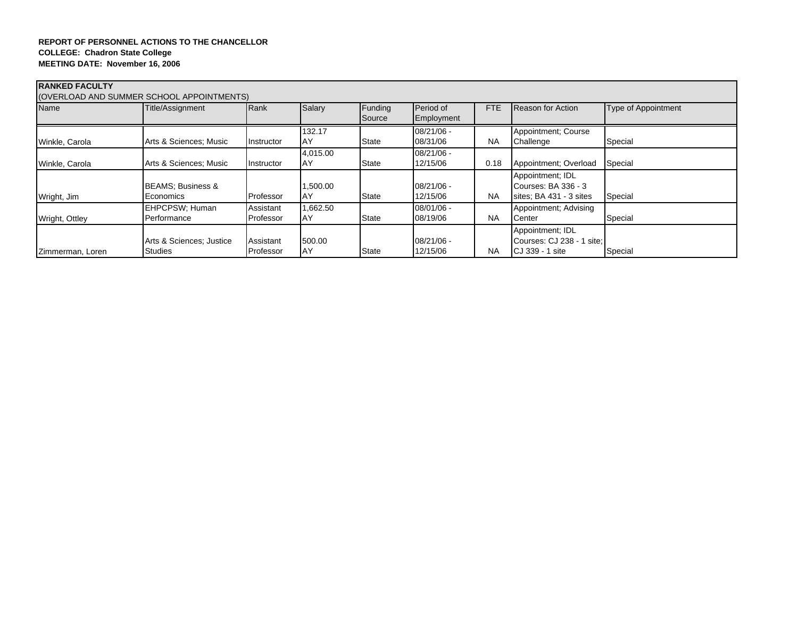| <b>RANKED FACULTY</b> | (OVERLOAD AND SUMMER SCHOOL APPOINTMENTS)  |                        |                       |                   |                          |            |                                                                    |                            |
|-----------------------|--------------------------------------------|------------------------|-----------------------|-------------------|--------------------------|------------|--------------------------------------------------------------------|----------------------------|
| Name                  | Title/Assignment                           | Rank                   | Salary                | Funding<br>Source | Period of<br>Employment  | <b>FTE</b> | <b>Reason for Action</b>                                           | <b>Type of Appointment</b> |
| Winkle, Carola        | Arts & Sciences; Music                     | Instructor             | 132.17<br>AY          | <b>State</b>      | 08/21/06 -<br>08/31/06   | <b>NA</b>  | Appointment; Course<br>Challenge                                   | Special                    |
| Winkle, Carola        | Arts & Sciences; Music                     | Instructor             | 4,015.00<br>IAY       | <b>State</b>      | $08/21/06 -$<br>12/15/06 | 0.18       | Appointment; Overload                                              | Special                    |
| Wright, Jim           | <b>BEAMS</b> ; Business &<br>Economics     | Professor              | 1,500.00<br>AY        | <b>State</b>      | $08/21/06 -$<br>12/15/06 | <b>NA</b>  | Appointment; IDL<br>Courses: BA 336 - 3<br>sites; BA 431 - 3 sites | Special                    |
| Wright, Ottley        | EHPCPSW: Human<br>Performance              | Assistant<br>Professor | 1,662.50<br><b>AY</b> | <b>State</b>      | $08/01/06 -$<br>08/19/06 | <b>NA</b>  | Appointment; Advising<br>Center                                    | Special                    |
| Zimmerman, Loren      | Arts & Sciences; Justice<br><b>Studies</b> | Assistant<br>Professor | 500.00<br><b>AY</b>   | <b>State</b>      | $08/21/06 -$<br>12/15/06 | <b>NA</b>  | Appointment; IDL<br>Courses: CJ 238 - 1 site:<br>CJ 339 - 1 site   | Special                    |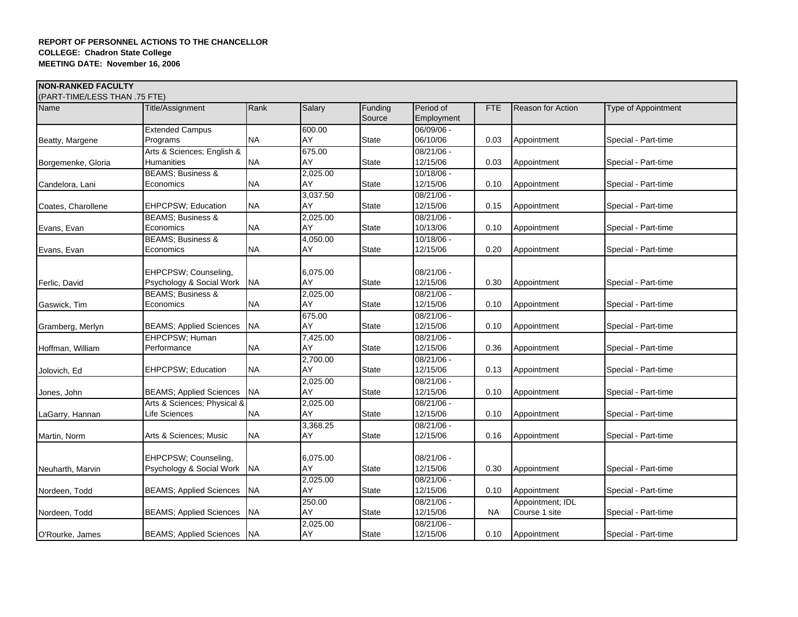| <b>NON-RANKED FACULTY</b>     |                                |           |          |                   |              |            |                          |                            |
|-------------------------------|--------------------------------|-----------|----------|-------------------|--------------|------------|--------------------------|----------------------------|
| (PART-TIME/LESS THAN .75 FTE) |                                | Rank      |          |                   | Period of    |            |                          |                            |
| Name                          | Title/Assignment               |           | Salary   | Funding<br>Source | Employment   | <b>FTE</b> | <b>Reason for Action</b> | <b>Type of Appointment</b> |
|                               | <b>Extended Campus</b>         |           | 600.00   |                   | 06/09/06 -   |            |                          |                            |
| Beatty, Margene               | Programs                       | <b>NA</b> | AY       | <b>State</b>      | 06/10/06     | 0.03       | Appointment              | Special - Part-time        |
|                               | Arts & Sciences; English &     |           | 675.00   |                   | 08/21/06 -   |            |                          |                            |
| Borgemenke, Gloria            | <b>Humanities</b>              | <b>NA</b> | AY       | <b>State</b>      | 12/15/06     | 0.03       | Appointment              | Special - Part-time        |
|                               | <b>BEAMS; Business &amp;</b>   |           | 2,025.00 |                   | $10/18/06 -$ |            |                          |                            |
| Candelora, Lani               | Economics                      | <b>NA</b> | AY       | <b>State</b>      | 12/15/06     | 0.10       | Appointment              | Special - Part-time        |
|                               |                                |           | 3,037.50 |                   | 08/21/06 -   |            |                          |                            |
| Coates, Charollene            | EHPCPSW; Education             | <b>NA</b> | AY       | <b>State</b>      | 12/15/06     | 0.15       | Appointment              | Special - Part-time        |
|                               | <b>BEAMS</b> ; Business &      |           | 2,025.00 |                   | 08/21/06 -   |            |                          |                            |
| Evans, Evan                   | Economics                      | <b>NA</b> | AY       | <b>State</b>      | 10/13/06     | 0.10       | Appointment              | Special - Part-time        |
|                               | <b>BEAMS; Business &amp;</b>   |           | 4,050.00 |                   | 10/18/06 -   |            |                          |                            |
| Evans, Evan                   | Economics                      | <b>NA</b> | AY       | <b>State</b>      | 12/15/06     | 0.20       | Appointment              | Special - Part-time        |
|                               |                                |           |          |                   |              |            |                          |                            |
|                               | EHPCPSW; Counseling,           |           | 6,075.00 |                   | 08/21/06 -   |            |                          |                            |
| Ferlic, David                 | Psychology & Social Work       | <b>NA</b> | AY       | <b>State</b>      | 12/15/06     | 0.30       | Appointment              | Special - Part-time        |
|                               | <b>BEAMS; Business &amp;</b>   |           | 2,025.00 |                   | 08/21/06 -   |            |                          |                            |
| Gaswick, Tim                  | Economics                      | <b>NA</b> | AY       | <b>State</b>      | 12/15/06     | 0.10       | Appointment              | Special - Part-time        |
|                               |                                |           | 675.00   |                   | 08/21/06 -   |            |                          |                            |
| Gramberg, Merlyn              | <b>BEAMS; Applied Sciences</b> | <b>NA</b> | AY       | <b>State</b>      | 12/15/06     | 0.10       | Appointment              | Special - Part-time        |
|                               | EHPCPSW; Human                 |           | 7,425.00 |                   | $08/21/06 -$ |            |                          |                            |
| Hoffman, William              | Performance                    | NA        | AY       | State             | 12/15/06     | 0.36       | Appointment              | Special - Part-time        |
|                               |                                |           | 2,700.00 |                   | 08/21/06 -   |            |                          |                            |
| Jolovich, Ed                  | <b>EHPCPSW</b> ; Education     | <b>NA</b> | AY       | <b>State</b>      | 12/15/06     | 0.13       | Appointment              | Special - Part-time        |
|                               |                                |           | 2,025.00 |                   | $08/21/06 -$ |            |                          |                            |
| Jones, John                   | <b>BEAMS; Applied Sciences</b> | <b>NA</b> | AY       | State             | 12/15/06     | 0.10       | Appointment              | Special - Part-time        |
|                               | Arts & Sciences; Physical &    |           | 2,025.00 |                   | 08/21/06 -   |            |                          |                            |
| LaGarry, Hannan               | Life Sciences                  | <b>NA</b> | AY       | <b>State</b>      | 12/15/06     | 0.10       | Appointment              | Special - Part-time        |
|                               |                                |           | 3,368.25 |                   | 08/21/06 -   |            |                          |                            |
| Martin, Norm                  | Arts & Sciences; Music         | <b>NA</b> | AY       | <b>State</b>      | 12/15/06     | 0.16       | Appointment              | Special - Part-time        |
|                               |                                |           |          |                   |              |            |                          |                            |
|                               | EHPCPSW; Counseling,           |           | 6,075.00 |                   | 08/21/06 -   |            |                          |                            |
| Neuharth, Marvin              | Psychology & Social Work NA    |           | AY       | <b>State</b>      | 12/15/06     | 0.30       | Appointment              | Special - Part-time        |
|                               |                                |           | 2,025.00 |                   | 08/21/06 -   |            |                          |                            |
| Nordeen, Todd                 | <b>BEAMS; Applied Sciences</b> | <b>NA</b> | AY       | <b>State</b>      | 12/15/06     | 0.10       | Appointment              | Special - Part-time        |
|                               |                                |           | 250.00   |                   | 08/21/06 -   |            | Appointment; IDL         |                            |
| Nordeen, Todd                 | <b>BEAMS; Applied Sciences</b> | <b>NA</b> | AY       | State             | 12/15/06     | NA.        | Course 1 site            | Special - Part-time        |
|                               |                                |           | 2,025.00 |                   | 08/21/06 -   |            |                          |                            |
| O'Rourke, James               | BEAMS; Applied Sciences NA     |           | AY       | <b>State</b>      | 12/15/06     | 0.10       | Appointment              | Special - Part-time        |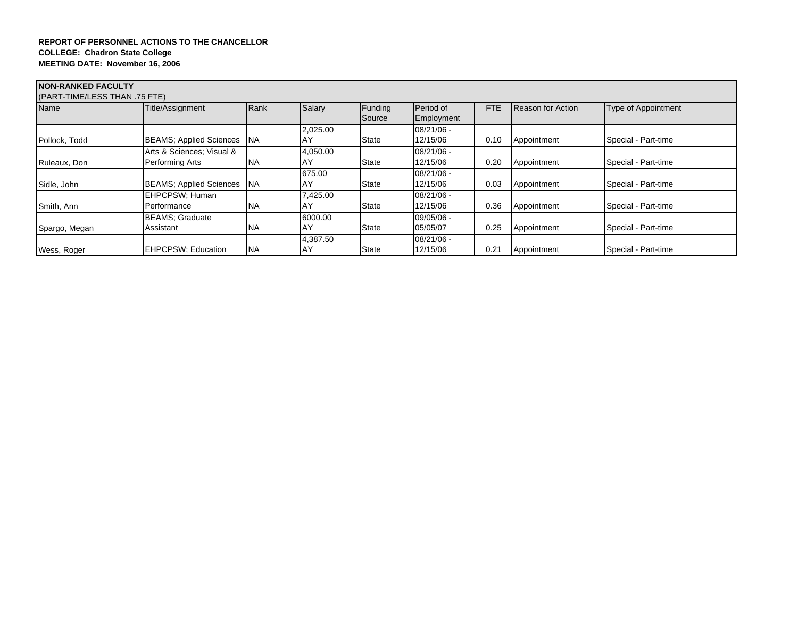| <b>NON-RANKED FACULTY</b><br>(PART-TIME/LESS THAN .75 FTE) |                                 |            |          |                   |                         |      |                   |                            |
|------------------------------------------------------------|---------------------------------|------------|----------|-------------------|-------------------------|------|-------------------|----------------------------|
| Name                                                       | Title/Assignment                | Rank       | Salary   | Funding<br>Source | Period of<br>Employment | FTE  | Reason for Action | <b>Type of Appointment</b> |
|                                                            |                                 |            | 2,025.00 |                   | 08/21/06 -              |      |                   |                            |
| Pollock, Todd                                              | <b>BEAMS</b> ; Applied Sciences | <b>INA</b> | .AY      | State             | 12/15/06                | 0.10 | Appointment       | Special - Part-time        |
|                                                            | Arts & Sciences: Visual &       |            | 4,050.00 |                   | 08/21/06 -              |      |                   |                            |
| Ruleaux, Don                                               | Performing Arts                 | <b>NA</b>  | AY       | <b>State</b>      | 12/15/06                | 0.20 | Appointment       | Special - Part-time        |
|                                                            |                                 |            | 675.00   |                   | 08/21/06 -              |      |                   |                            |
| Sidle, John                                                | <b>BEAMS</b> ; Applied Sciences | <b>INA</b> | ΙAΥ      | <b>State</b>      | 12/15/06                | 0.03 | Appointment       | Special - Part-time        |
|                                                            | EHPCPSW; Human                  |            | 7,425.00 |                   | $08/21/06 -$            |      |                   |                            |
| Smith, Ann                                                 | Performance                     | <b>NA</b>  | ΑY       | <b>State</b>      | 12/15/06                | 0.36 | Appointment       | Special - Part-time        |
|                                                            | <b>BEAMS</b> ; Graduate         |            | 6000.00  |                   | 09/05/06 -              |      |                   |                            |
| Spargo, Megan                                              | Assistant                       | <b>NA</b>  | ΙAΥ      | <b>State</b>      | 05/05/07                | 0.25 | Appointment       | Special - Part-time        |
|                                                            |                                 |            | 4,387.50 |                   | $08/21/06 -$            |      |                   |                            |
| Wess, Roger                                                | <b>EHPCPSW</b> ; Education      | <b>NA</b>  | ΙAΥ      | State             | 12/15/06                | 0.21 | Appointment       | Special - Part-time        |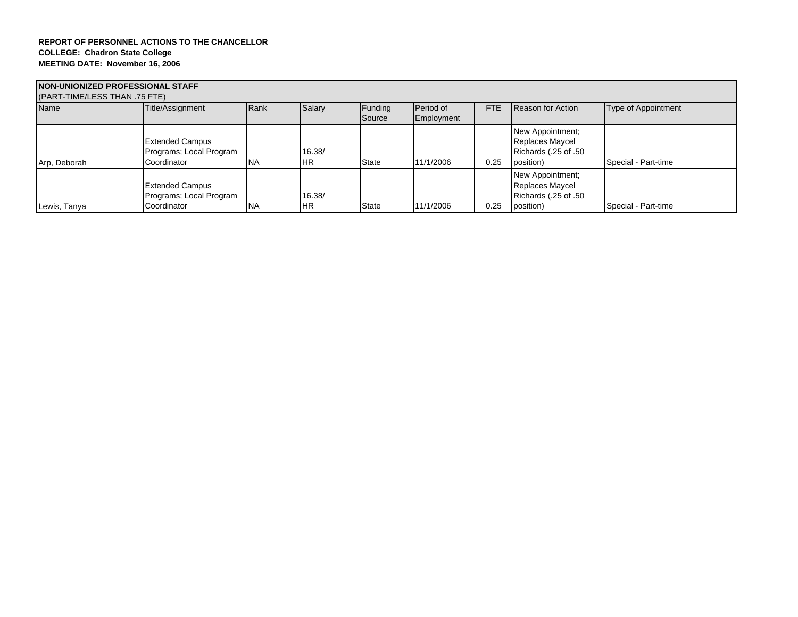| NON-UNIONIZED PROFESSIONAL STAFF<br>(PART-TIME/LESS THAN .75 FTE) |                                                                  |            |                     |                   |                         |            |                                                                          |                            |
|-------------------------------------------------------------------|------------------------------------------------------------------|------------|---------------------|-------------------|-------------------------|------------|--------------------------------------------------------------------------|----------------------------|
| Name                                                              | Title/Assignment                                                 | Rank       | Salary              | Funding<br>Source | Period of<br>Employment | <b>FTE</b> | <b>Reason for Action</b>                                                 | <b>Type of Appointment</b> |
| Arp, Deborah                                                      | <b>Extended Campus</b><br>Programs; Local Program<br>Coordinator | <b>INA</b> | 16.38/<br><b>HR</b> | <b>State</b>      | 11/1/2006               | 0.25       | New Appointment;<br>Replaces Maycel<br>Richards (.25 of .50<br>position) | Special - Part-time        |
| Lewis, Tanya                                                      | <b>Extended Campus</b><br>Programs; Local Program<br>Coordinator | <b>NA</b>  | 16.38/<br><b>HR</b> | <b>State</b>      | 11/1/2006               | 0.25       | New Appointment;<br>Replaces Maycel<br>Richards (.25 of .50<br>position) | Special - Part-time        |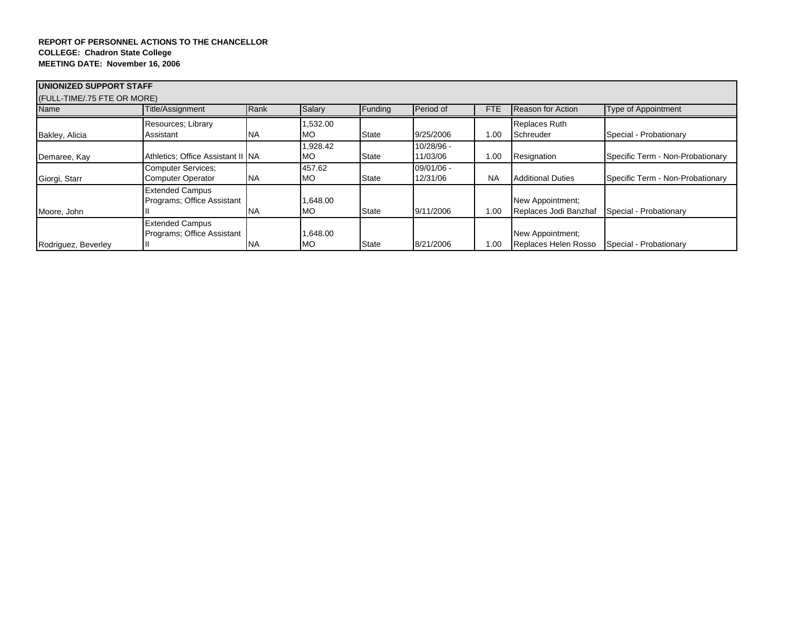| UNIONIZED SUPPORT STAFF<br>(FULL-TIME/.75 FTE OR MORE) |                                                       |           |                      |              |                        |           |                                           |                                  |  |
|--------------------------------------------------------|-------------------------------------------------------|-----------|----------------------|--------------|------------------------|-----------|-------------------------------------------|----------------------------------|--|
|                                                        |                                                       |           |                      |              |                        |           |                                           |                                  |  |
| Bakley, Alicia                                         | Resources: Library<br>Assistant                       | <b>NA</b> | ,532.00<br>МO        | <b>State</b> | 9/25/2006              | 1.00      | Replaces Ruth<br>Schreuder                | Special - Probationary           |  |
| Demaree, Kay                                           | Athletics: Office Assistant II NA                     |           | .928.42<br>МO        | <b>State</b> | 10/28/96 -<br>11/03/06 | 1.00      | Resignation                               | Specific Term - Non-Probationary |  |
| Giorgi, Starr                                          | <b>Computer Services:</b><br><b>Computer Operator</b> | <b>NA</b> | 457.62<br>МO         | <b>State</b> | 09/01/06 -<br>12/31/06 | <b>NA</b> | <b>Additional Duties</b>                  | Specific Term - Non-Probationary |  |
| Moore, John                                            | <b>Extended Campus</b><br>Programs: Office Assistant  | <b>NA</b> | .648.00<br><b>MO</b> | State        | 9/11/2006              | 1.00      | New Appointment;<br>Replaces Jodi Banzhaf | Special - Probationary           |  |
| Rodriguez, Beverley                                    | <b>Extended Campus</b><br>Programs: Office Assistant  | INA       | .648.00<br><b>MO</b> | <b>State</b> | 8/21/2006              | 1.00      | New Appointment;<br>Replaces Helen Rosso  | Special - Probationary           |  |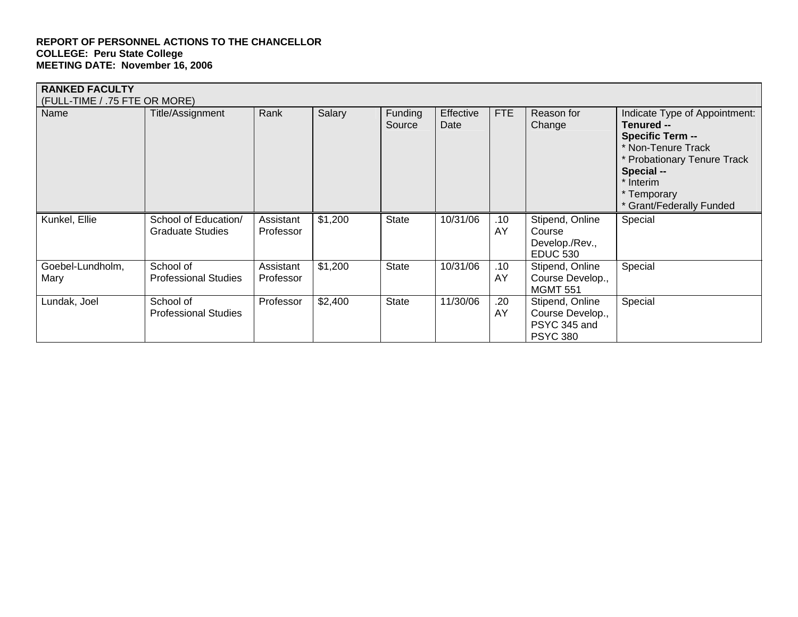| <b>RANKED FACULTY</b><br>(FULL-TIME / .75 FTE OR MORE) |                                                 |                        |         |                   |                   |           |                                                                        |                                                                                                                                                                                                 |
|--------------------------------------------------------|-------------------------------------------------|------------------------|---------|-------------------|-------------------|-----------|------------------------------------------------------------------------|-------------------------------------------------------------------------------------------------------------------------------------------------------------------------------------------------|
| Name                                                   | Title/Assignment                                | Rank                   | Salary  | Funding<br>Source | Effective<br>Date | FTE       | Reason for<br>Change                                                   | Indicate Type of Appointment:<br>Tenured --<br><b>Specific Term --</b><br>* Non-Tenure Track<br>* Probationary Tenure Track<br>Special --<br>* Interim<br>Temporary<br>* Grant/Federally Funded |
| Kunkel, Ellie                                          | School of Education/<br><b>Graduate Studies</b> | Assistant<br>Professor | \$1,200 | <b>State</b>      | 10/31/06          | .10<br>AY | Stipend, Online<br>Course<br>Develop./Rev.,<br><b>EDUC 530</b>         | Special                                                                                                                                                                                         |
| Goebel-Lundholm,<br>Mary                               | School of<br><b>Professional Studies</b>        | Assistant<br>Professor | \$1,200 | <b>State</b>      | 10/31/06          | .10<br>AY | Stipend, Online<br>Course Develop.,<br><b>MGMT 551</b>                 | Special                                                                                                                                                                                         |
| Lundak, Joel                                           | School of<br><b>Professional Studies</b>        | Professor              | \$2,400 | <b>State</b>      | 11/30/06          | .20<br>AY | Stipend, Online<br>Course Develop.,<br>PSYC 345 and<br><b>PSYC 380</b> | Special                                                                                                                                                                                         |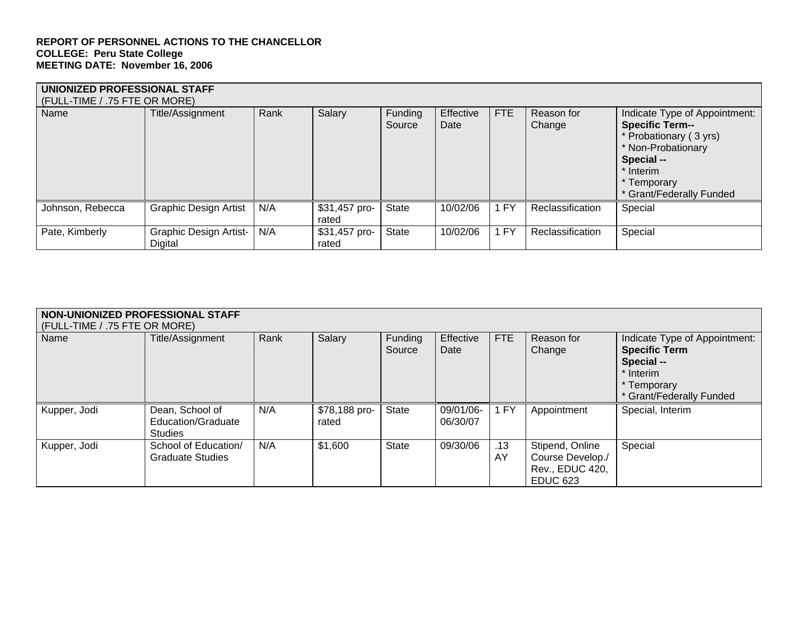| UNIONIZED PROFESSIONAL STAFF<br>(FULL-TIME / .75 FTE OR MORE) |                                                 |      |                        |                   |                   |            |                      |                                                                                                                                                                               |  |  |
|---------------------------------------------------------------|-------------------------------------------------|------|------------------------|-------------------|-------------------|------------|----------------------|-------------------------------------------------------------------------------------------------------------------------------------------------------------------------------|--|--|
| Name                                                          | Title/Assignment                                | Rank | Salary                 | Funding<br>Source | Effective<br>Date | <b>FTE</b> | Reason for<br>Change | Indicate Type of Appointment:<br><b>Specific Term--</b><br>* Probationary (3 yrs)<br>* Non-Probationary<br>Special --<br>* Interim<br>* Temporary<br>* Grant/Federally Funded |  |  |
| Johnson, Rebecca                                              | <b>Graphic Design Artist</b>                    | N/A  | \$31,457 pro-<br>rated | State             | 10/02/06          | <b>FY</b>  | Reclassification     | Special                                                                                                                                                                       |  |  |
| Pate, Kimberly                                                | <b>Graphic Design Artist-</b><br><b>Digital</b> | N/A  | \$31,457 pro-<br>rated | State             | 10/02/06          | . FY       | Reclassification     | Special                                                                                                                                                                       |  |  |

# **NON-UNIONIZED PROFESSIONAL STAFF**  (FULL-TIME / .75 FTE OR MORE)

| Name         | Title/Assignment                                        | Rank | Salary                 | Funding<br>Source | Effective<br>Date     | FTE       | Reason for<br>Change                                                      | Indicate Type of Appointment:<br><b>Specific Term</b><br>Special --<br>* Interim<br>* Temporary<br>* Grant/Federally Funded |  |  |
|--------------|---------------------------------------------------------|------|------------------------|-------------------|-----------------------|-----------|---------------------------------------------------------------------------|-----------------------------------------------------------------------------------------------------------------------------|--|--|
| Kupper, Jodi | Dean, School of<br>Education/Graduate<br><b>Studies</b> | N/A  | \$78,188 pro-<br>rated | State             | 09/01/06-<br>06/30/07 | 1 FY      | Appointment                                                               | Special, Interim                                                                                                            |  |  |
| Kupper, Jodi | School of Education/<br><b>Graduate Studies</b>         | N/A  | \$1,600                | <b>State</b>      | 09/30/06              | .13<br>AY | Stipend, Online<br>Course Develop./<br>Rev., EDUC 420,<br><b>EDUC 623</b> | Special                                                                                                                     |  |  |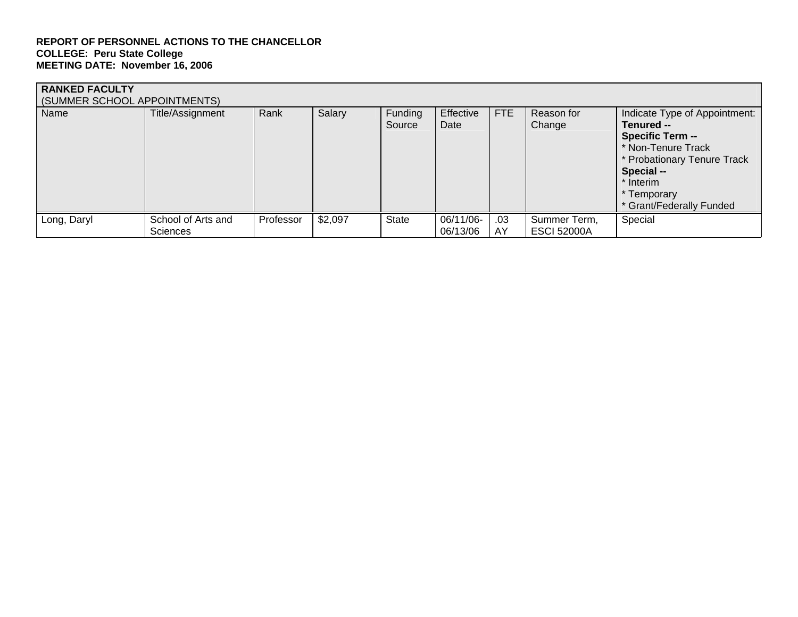| <b>RANKED FACULTY</b><br>(SUMMER SCHOOL APPOINTMENTS) |                                       |           |         |                   |                       |           |                                    |                                                                                                                                                                                                   |  |
|-------------------------------------------------------|---------------------------------------|-----------|---------|-------------------|-----------------------|-----------|------------------------------------|---------------------------------------------------------------------------------------------------------------------------------------------------------------------------------------------------|--|
| Name                                                  | Title/Assignment                      | Rank      | Salary  | Funding<br>Source | Effective<br>Date     | FTE       | Reason for<br>Change               | Indicate Type of Appointment:<br>Tenured --<br><b>Specific Term --</b><br>* Non-Tenure Track<br>* Probationary Tenure Track<br>Special --<br>* Interim<br>* Temporary<br>* Grant/Federally Funded |  |
| Long, Daryl                                           | School of Arts and<br><b>Sciences</b> | Professor | \$2,097 | <b>State</b>      | 06/11/06-<br>06/13/06 | .03<br>AY | Summer Term,<br><b>ESCI 52000A</b> | Special                                                                                                                                                                                           |  |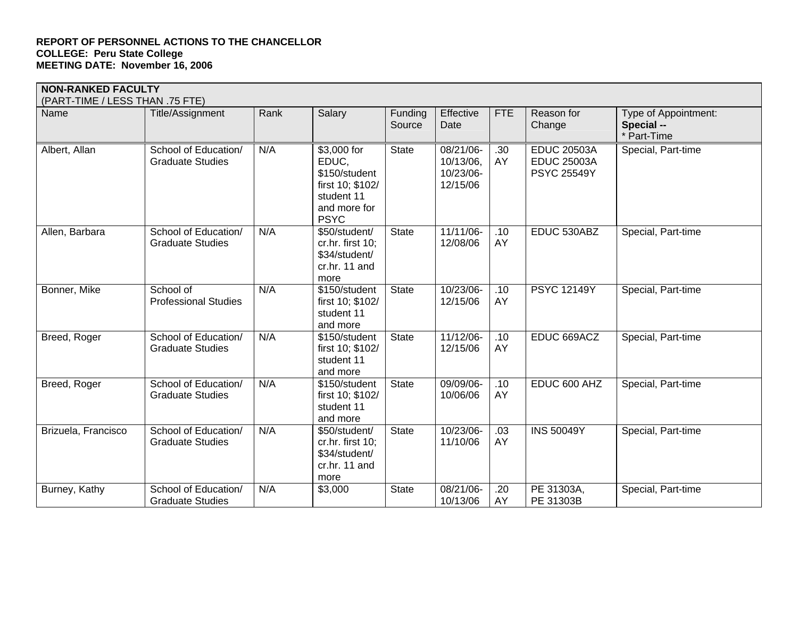| <b>NON-RANKED FACULTY</b><br>(PART-TIME / LESS THAN .75 FTE) |                                                 |      |                                                                                                        |                   |                                                 |            |                                                                |                                                   |
|--------------------------------------------------------------|-------------------------------------------------|------|--------------------------------------------------------------------------------------------------------|-------------------|-------------------------------------------------|------------|----------------------------------------------------------------|---------------------------------------------------|
| Name                                                         | Title/Assignment                                | Rank | Salary                                                                                                 | Funding<br>Source | Effective<br>Date                               | <b>FTE</b> | Reason for<br>Change                                           | Type of Appointment:<br>Special --<br>* Part-Time |
| Albert, Allan                                                | School of Education/<br><b>Graduate Studies</b> | N/A  | \$3,000 for<br>EDUC,<br>\$150/student<br>first 10; \$102/<br>student 11<br>and more for<br><b>PSYC</b> | <b>State</b>      | 08/21/06-<br>10/13/06,<br>10/23/06-<br>12/15/06 | .30<br>AY  | <b>EDUC 20503A</b><br><b>EDUC 25003A</b><br><b>PSYC 25549Y</b> | Special, Part-time                                |
| Allen, Barbara                                               | School of Education/<br><b>Graduate Studies</b> | N/A  | \$50/student/<br>cr.hr. first 10;<br>\$34/student/<br>cr.hr. 11 and<br>more                            | <b>State</b>      | 11/11/06-<br>12/08/06                           | .10<br>AY  | EDUC 530ABZ                                                    | Special, Part-time                                |
| Bonner, Mike                                                 | School of<br><b>Professional Studies</b>        | N/A  | \$150/student<br>first 10; \$102/<br>student 11<br>and more                                            | <b>State</b>      | 10/23/06-<br>12/15/06                           | .10<br>AY  | <b>PSYC 12149Y</b>                                             | Special, Part-time                                |
| Breed, Roger                                                 | School of Education/<br><b>Graduate Studies</b> | N/A  | \$150/student<br>first 10; \$102/<br>student 11<br>and more                                            | <b>State</b>      | 11/12/06-<br>12/15/06                           | .10<br>AY  | EDUC 669ACZ                                                    | Special, Part-time                                |
| Breed, Roger                                                 | School of Education/<br><b>Graduate Studies</b> | N/A  | \$150/student<br>first 10; \$102/<br>student 11<br>and more                                            | <b>State</b>      | 09/09/06-<br>10/06/06                           | .10<br>AY  | EDUC 600 AHZ                                                   | Special, Part-time                                |
| Brizuela, Francisco                                          | School of Education/<br><b>Graduate Studies</b> | N/A  | \$50/student/<br>cr.hr. first 10;<br>\$34/student/<br>cr.hr. 11 and<br>more                            | <b>State</b>      | 10/23/06-<br>11/10/06                           | .03<br>AY  | <b>INS 50049Y</b>                                              | Special, Part-time                                |
| Burney, Kathy                                                | School of Education/<br><b>Graduate Studies</b> | N/A  | \$3,000                                                                                                | <b>State</b>      | 08/21/06-<br>10/13/06                           | .20<br>AY  | PE 31303A,<br>PE 31303B                                        | Special, Part-time                                |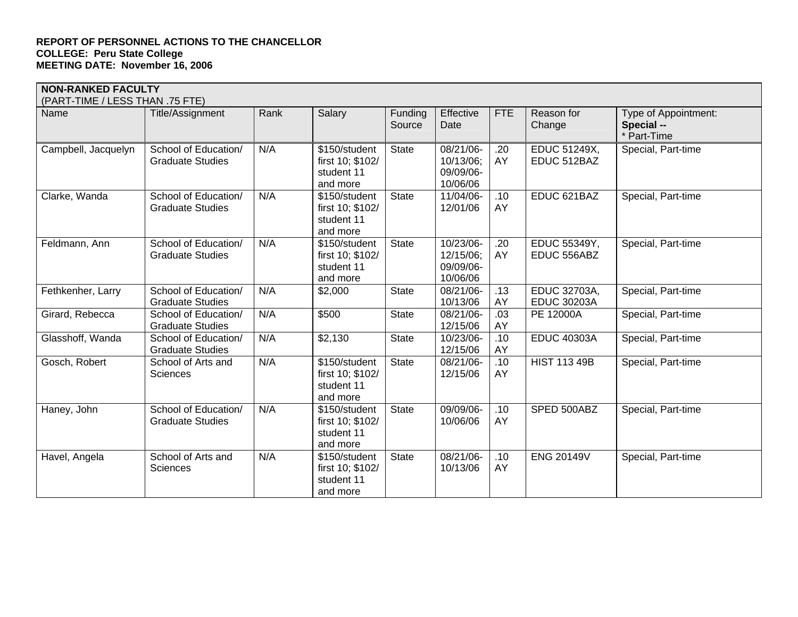|                     | <b>NON-RANKED FACULTY</b><br>(PART-TIME / LESS THAN .75 FTE) |      |                                                             |                   |                                                 |            |                                    |                                                 |  |  |  |
|---------------------|--------------------------------------------------------------|------|-------------------------------------------------------------|-------------------|-------------------------------------------------|------------|------------------------------------|-------------------------------------------------|--|--|--|
| Name                | Title/Assignment                                             | Rank | Salary                                                      | Funding<br>Source | Effective<br>Date                               | <b>FTE</b> | Reason for<br>Change               | Type of Appointment:<br>Special --<br>Part-Time |  |  |  |
| Campbell, Jacquelyn | School of Education/<br><b>Graduate Studies</b>              | N/A  | \$150/student<br>first 10; \$102/<br>student 11<br>and more | <b>State</b>      | 08/21/06-<br>10/13/06;<br>09/09/06-<br>10/06/06 | .20<br>AY  | EDUC 51249X.<br>EDUC 512BAZ        | Special, Part-time                              |  |  |  |
| Clarke, Wanda       | School of Education/<br><b>Graduate Studies</b>              | N/A  | \$150/student<br>first 10; \$102/<br>student 11<br>and more | <b>State</b>      | 11/04/06-<br>12/01/06                           | .10<br>AY  | EDUC 621BAZ                        | Special, Part-time                              |  |  |  |
| Feldmann, Ann       | School of Education/<br><b>Graduate Studies</b>              | N/A  | \$150/student<br>first 10; \$102/<br>student 11<br>and more | <b>State</b>      | 10/23/06-<br>12/15/06:<br>09/09/06-<br>10/06/06 | .20<br>AY  | EDUC 55349Y,<br>EDUC 556ABZ        | Special, Part-time                              |  |  |  |
| Fethkenher, Larry   | School of Education/<br><b>Graduate Studies</b>              | N/A  | \$2,000                                                     | <b>State</b>      | 08/21/06-<br>10/13/06                           | .13<br>AY  | EDUC 32703A,<br><b>EDUC 30203A</b> | Special, Part-time                              |  |  |  |
| Girard, Rebecca     | School of Education/<br><b>Graduate Studies</b>              | N/A  | \$500                                                       | State             | 08/21/06-<br>12/15/06                           | .03<br>AY  | PE 12000A                          | Special, Part-time                              |  |  |  |
| Glasshoff, Wanda    | School of Education/<br><b>Graduate Studies</b>              | N/A  | \$2,130                                                     | <b>State</b>      | 10/23/06-<br>12/15/06                           | .10<br>AY  | <b>EDUC 40303A</b>                 | Special, Part-time                              |  |  |  |
| Gosch, Robert       | School of Arts and<br><b>Sciences</b>                        | N/A  | \$150/student<br>first 10; \$102/<br>student 11<br>and more | <b>State</b>      | 08/21/06-<br>12/15/06                           | .10<br>AY  | <b>HIST 113 49B</b>                | Special, Part-time                              |  |  |  |
| Haney, John         | School of Education/<br><b>Graduate Studies</b>              | N/A  | \$150/student<br>first 10; \$102/<br>student 11<br>and more | <b>State</b>      | 09/09/06-<br>10/06/06                           | .10<br>AY  | SPED 500ABZ                        | Special, Part-time                              |  |  |  |
| Havel, Angela       | School of Arts and<br>Sciences                               | N/A  | \$150/student<br>first 10; \$102/<br>student 11<br>and more | State             | 08/21/06-<br>10/13/06                           | .10<br>AY  | <b>ENG 20149V</b>                  | Special, Part-time                              |  |  |  |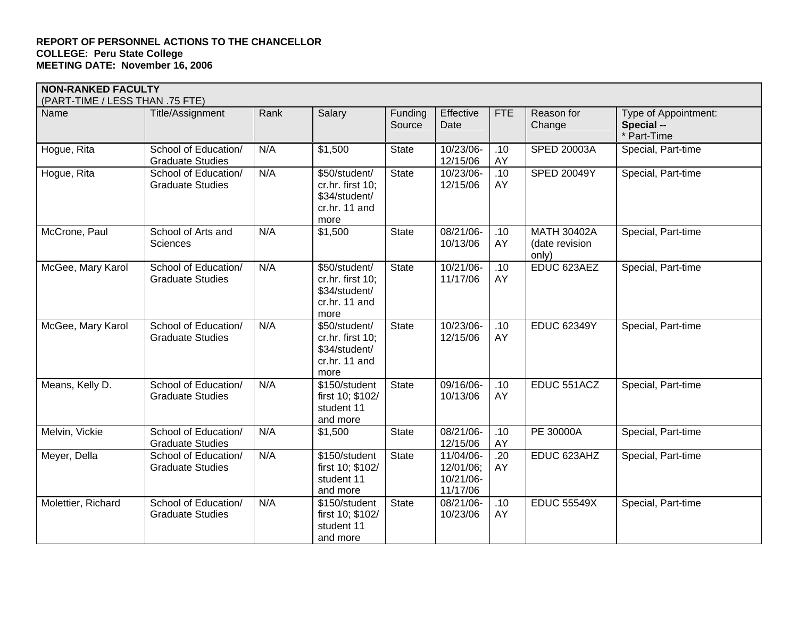| <b>NON-RANKED FACULTY</b><br>(PART-TIME / LESS THAN .75 FTE) |                                                 |      |                                                                             |                   |                                                 |                        |                                        |                                                   |
|--------------------------------------------------------------|-------------------------------------------------|------|-----------------------------------------------------------------------------|-------------------|-------------------------------------------------|------------------------|----------------------------------------|---------------------------------------------------|
| Name                                                         | Title/Assignment                                | Rank | Salary                                                                      | Funding<br>Source | Effective<br>Date                               | <b>FTE</b>             | Reason for<br>Change                   | Type of Appointment:<br>Special --<br>* Part-Time |
| Hogue, Rita                                                  | School of Education/<br><b>Graduate Studies</b> | N/A  | \$1,500                                                                     | <b>State</b>      | 10/23/06-<br>12/15/06                           | .10<br>AY              | <b>SPED 20003A</b>                     | Special, Part-time                                |
| Hogue, Rita                                                  | School of Education/<br><b>Graduate Studies</b> | N/A  | \$50/student/<br>cr.hr. first 10;<br>\$34/student/<br>cr.hr. 11 and<br>more | <b>State</b>      | 10/23/06-<br>12/15/06                           | .10<br>AY              | <b>SPED 20049Y</b>                     | Special, Part-time                                |
| McCrone, Paul                                                | School of Arts and<br>Sciences                  | N/A  | \$1,500                                                                     | <b>State</b>      | 08/21/06-<br>10/13/06                           | .10<br>AY              | MATH 30402A<br>(date revision<br>only) | Special, Part-time                                |
| McGee, Mary Karol                                            | School of Education/<br><b>Graduate Studies</b> | N/A  | \$50/student/<br>cr.hr. first 10;<br>\$34/student/<br>cr.hr. 11 and<br>more | <b>State</b>      | 10/21/06-<br>11/17/06                           | .10<br>AY              | EDUC 623AEZ                            | Special, Part-time                                |
| McGee, Mary Karol                                            | School of Education/<br><b>Graduate Studies</b> | N/A  | \$50/student/<br>cr.hr. first 10;<br>\$34/student/<br>cr.hr. 11 and<br>more | <b>State</b>      | 10/23/06-<br>12/15/06                           | .10<br>AY              | <b>EDUC 62349Y</b>                     | Special, Part-time                                |
| Means, Kelly D.                                              | School of Education/<br><b>Graduate Studies</b> | N/A  | \$150/student<br>first 10; \$102/<br>student 11<br>and more                 | <b>State</b>      | 09/16/06-<br>10/13/06                           | $\overline{.10}$<br>AY | EDUC 551ACZ                            | Special, Part-time                                |
| Melvin, Vickie                                               | School of Education/<br><b>Graduate Studies</b> | N/A  | \$1,500                                                                     | <b>State</b>      | 08/21/06-<br>12/15/06                           | .10<br>AY              | PE 30000A                              | Special, Part-time                                |
| Meyer, Della                                                 | School of Education/<br><b>Graduate Studies</b> | N/A  | \$150/student<br>first 10; \$102/<br>student 11<br>and more                 | <b>State</b>      | 11/04/06-<br>12/01/06;<br>10/21/06-<br>11/17/06 | .20<br>AY              | EDUC 623AHZ                            | Special, Part-time                                |
| Molettier, Richard                                           | School of Education/<br><b>Graduate Studies</b> | N/A  | \$150/student<br>first 10; \$102/<br>student 11<br>and more                 | <b>State</b>      | 08/21/06-<br>10/23/06                           | .10<br>AY              | <b>EDUC 55549X</b>                     | Special, Part-time                                |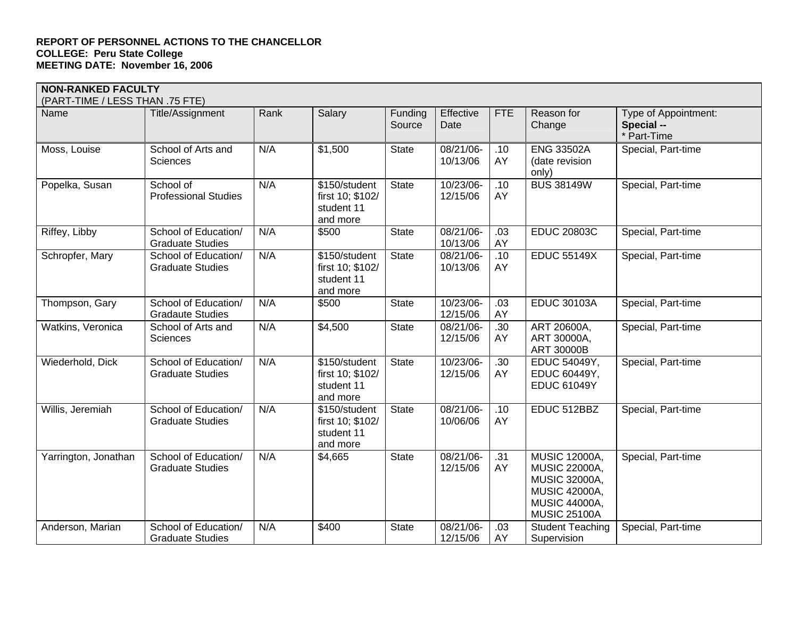|                      | <b>NON-RANKED FACULTY</b><br>(PART-TIME / LESS THAN .75 FTE) |      |                                                             |                   |                       |            |                                                                                                                                             |                                                   |  |  |  |
|----------------------|--------------------------------------------------------------|------|-------------------------------------------------------------|-------------------|-----------------------|------------|---------------------------------------------------------------------------------------------------------------------------------------------|---------------------------------------------------|--|--|--|
| Name                 | Title/Assignment                                             | Rank | Salary                                                      | Funding<br>Source | Effective<br>Date     | <b>FTE</b> | Reason for<br>Change                                                                                                                        | Type of Appointment:<br>Special --<br>* Part-Time |  |  |  |
| Moss, Louise         | School of Arts and<br>Sciences                               | N/A  | \$1,500                                                     | <b>State</b>      | 08/21/06-<br>10/13/06 | .10<br>AY  | <b>ENG 33502A</b><br>(date revision<br>only)                                                                                                | Special, Part-time                                |  |  |  |
| Popelka, Susan       | School of<br><b>Professional Studies</b>                     | N/A  | \$150/student<br>first 10; \$102/<br>student 11<br>and more | <b>State</b>      | 10/23/06-<br>12/15/06 | .10<br>AY  | <b>BUS 38149W</b>                                                                                                                           | Special, Part-time                                |  |  |  |
| Riffey, Libby        | School of Education/<br><b>Graduate Studies</b>              | N/A  | \$500                                                       | State             | 08/21/06-<br>10/13/06 | .03<br>AY  | <b>EDUC 20803C</b>                                                                                                                          | Special, Part-time                                |  |  |  |
| Schropfer, Mary      | School of Education/<br><b>Graduate Studies</b>              | N/A  | \$150/student<br>first 10; \$102/<br>student 11<br>and more | State             | 08/21/06-<br>10/13/06 | .10<br>AY  | <b>EDUC 55149X</b>                                                                                                                          | Special, Part-time                                |  |  |  |
| Thompson, Gary       | School of Education/<br><b>Gradaute Studies</b>              | N/A  | \$500                                                       | <b>State</b>      | 10/23/06-<br>12/15/06 | .03<br>AY  | <b>EDUC 30103A</b>                                                                                                                          | Special, Part-time                                |  |  |  |
| Watkins, Veronica    | School of Arts and<br>Sciences                               | N/A  | \$4,500                                                     | <b>State</b>      | 08/21/06-<br>12/15/06 | .30<br>AY  | ART 20600A,<br>ART 30000A,<br>ART 30000B                                                                                                    | Special, Part-time                                |  |  |  |
| Wiederhold, Dick     | School of Education/<br><b>Graduate Studies</b>              | N/A  | \$150/student<br>first 10; \$102/<br>student 11<br>and more | <b>State</b>      | 10/23/06-<br>12/15/06 | .30<br>AY  | EDUC 54049Y,<br>EDUC 60449Y,<br><b>EDUC 61049Y</b>                                                                                          | Special, Part-time                                |  |  |  |
| Willis, Jeremiah     | School of Education/<br><b>Graduate Studies</b>              | N/A  | \$150/student<br>first 10; \$102/<br>student 11<br>and more | <b>State</b>      | 08/21/06-<br>10/06/06 | .10<br>AY  | EDUC 512BBZ                                                                                                                                 | Special, Part-time                                |  |  |  |
| Yarrington, Jonathan | School of Education/<br><b>Graduate Studies</b>              | N/A  | \$4,665                                                     | <b>State</b>      | 08/21/06-<br>12/15/06 | .31<br>AY  | <b>MUSIC 12000A,</b><br><b>MUSIC 22000A,</b><br><b>MUSIC 32000A,</b><br><b>MUSIC 42000A,</b><br><b>MUSIC 44000A,</b><br><b>MUSIC 25100A</b> | Special, Part-time                                |  |  |  |
| Anderson, Marian     | School of Education/<br><b>Graduate Studies</b>              | N/A  | \$400                                                       | <b>State</b>      | 08/21/06-<br>12/15/06 | .03<br>AY  | <b>Student Teaching</b><br>Supervision                                                                                                      | Special, Part-time                                |  |  |  |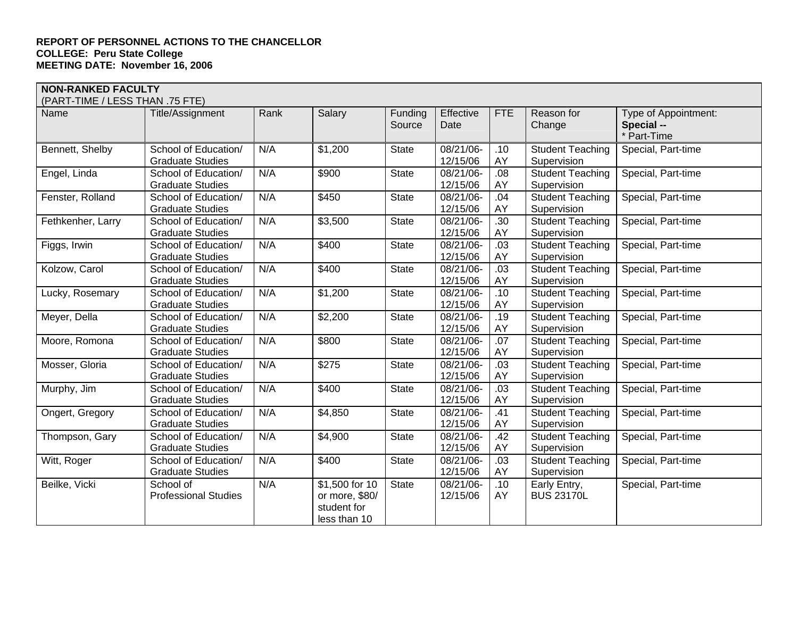| (PART-TIME / LESS THAN .75 FTE)<br>Name | Title/Assignment                                | Rank | Salary                                                          | Funding      | Effective             | <b>FTE</b> | Reason for                             | Type of Appointment:    |
|-----------------------------------------|-------------------------------------------------|------|-----------------------------------------------------------------|--------------|-----------------------|------------|----------------------------------------|-------------------------|
|                                         |                                                 |      |                                                                 | Source       | Date                  |            | Change                                 | Special --<br>Part-Time |
| Bennett, Shelby                         | School of Education/<br><b>Graduate Studies</b> | N/A  | \$1,200                                                         | <b>State</b> | 08/21/06-<br>12/15/06 | .10<br>AY  | <b>Student Teaching</b><br>Supervision | Special, Part-time      |
| Engel, Linda                            | School of Education/<br><b>Graduate Studies</b> | N/A  | \$900                                                           | State        | 08/21/06-<br>12/15/06 | .08<br>AY  | <b>Student Teaching</b><br>Supervision | Special, Part-time      |
| Fenster, Rolland                        | School of Education/<br><b>Graduate Studies</b> | N/A  | \$450                                                           | <b>State</b> | 08/21/06-<br>12/15/06 | .04<br>AY  | <b>Student Teaching</b><br>Supervision | Special, Part-time      |
| Fethkenher, Larry                       | School of Education/<br><b>Graduate Studies</b> | N/A  | \$3,500                                                         | <b>State</b> | 08/21/06-<br>12/15/06 | .30<br>AY  | <b>Student Teaching</b><br>Supervision | Special, Part-time      |
| Figgs, Irwin                            | School of Education/<br><b>Graduate Studies</b> | N/A  | \$400                                                           | <b>State</b> | 08/21/06-<br>12/15/06 | .03<br>AY  | <b>Student Teaching</b><br>Supervision | Special, Part-time      |
| Kolzow, Carol                           | School of Education/<br><b>Graduate Studies</b> | N/A  | \$400                                                           | <b>State</b> | 08/21/06-<br>12/15/06 | .03<br>AY  | <b>Student Teaching</b><br>Supervision | Special, Part-time      |
| Lucky, Rosemary                         | School of Education/<br><b>Graduate Studies</b> | N/A  | \$1,200                                                         | <b>State</b> | 08/21/06-<br>12/15/06 | .10<br>AY  | <b>Student Teaching</b><br>Supervision | Special, Part-time      |
| Meyer, Della                            | School of Education/<br><b>Graduate Studies</b> | N/A  | \$2,200                                                         | State        | 08/21/06-<br>12/15/06 | .19<br>AY  | <b>Student Teaching</b><br>Supervision | Special, Part-time      |
| Moore, Romona                           | School of Education/<br><b>Graduate Studies</b> | N/A  | \$800                                                           | State        | 08/21/06-<br>12/15/06 | .07<br>AY  | <b>Student Teaching</b><br>Supervision | Special, Part-time      |
| Mosser, Gloria                          | School of Education/<br><b>Graduate Studies</b> | N/A  | \$275                                                           | State        | 08/21/06-<br>12/15/06 | .03<br>AY  | <b>Student Teaching</b><br>Supervision | Special, Part-time      |
| Murphy, Jim                             | School of Education/<br><b>Graduate Studies</b> | N/A  | \$400                                                           | <b>State</b> | 08/21/06-<br>12/15/06 | .03<br>AY  | <b>Student Teaching</b><br>Supervision | Special, Part-time      |
| Ongert, Gregory                         | School of Education/<br><b>Graduate Studies</b> | N/A  | \$4,850                                                         | <b>State</b> | 08/21/06-<br>12/15/06 | .41<br>AY  | <b>Student Teaching</b><br>Supervision | Special, Part-time      |
| Thompson, Gary                          | School of Education/<br><b>Graduate Studies</b> | N/A  | \$4,900                                                         | State        | 08/21/06-<br>12/15/06 | .42<br>AY  | <b>Student Teaching</b><br>Supervision | Special, Part-time      |
| Witt, Roger                             | School of Education/<br><b>Graduate Studies</b> | N/A  | \$400                                                           | <b>State</b> | 08/21/06-<br>12/15/06 | .03<br>AY  | <b>Student Teaching</b><br>Supervision | Special, Part-time      |
| Beilke, Vicki                           | School of<br><b>Professional Studies</b>        | N/A  | \$1,500 for 10<br>or more, \$80/<br>student for<br>less than 10 | <b>State</b> | 08/21/06-<br>12/15/06 | .10<br>AY  | Early Entry,<br><b>BUS 23170L</b>      | Special, Part-time      |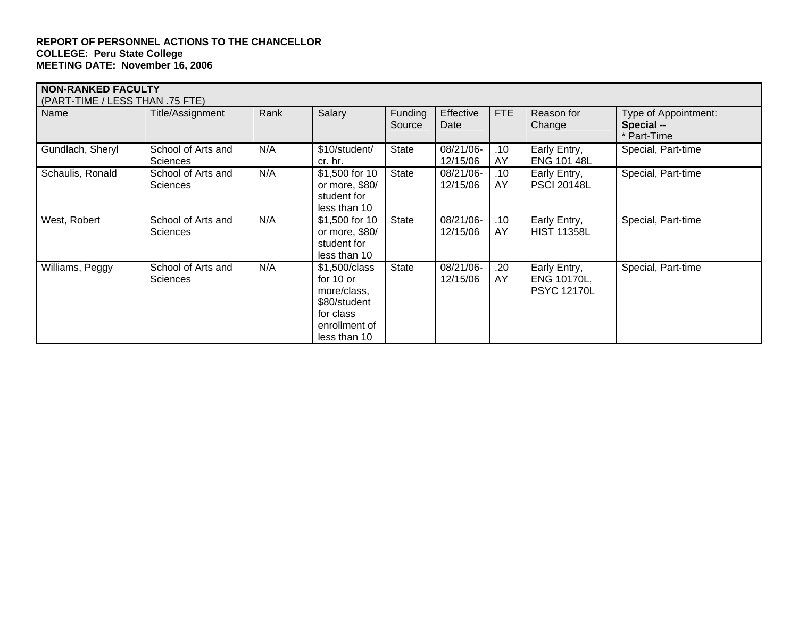| <b>NON-RANKED FACULTY</b><br>(PART-TIME / LESS THAN .75 FTE) |                                       |      |                                                                                                           |                   |                       |           |                                                   |                                                   |  |
|--------------------------------------------------------------|---------------------------------------|------|-----------------------------------------------------------------------------------------------------------|-------------------|-----------------------|-----------|---------------------------------------------------|---------------------------------------------------|--|
| Name                                                         | Title/Assignment                      | Rank | Salary                                                                                                    | Funding<br>Source | Effective<br>Date     | FTE       | Reason for<br>Change                              | Type of Appointment:<br>Special --<br>* Part-Time |  |
| Gundlach, Sheryl                                             | School of Arts and<br><b>Sciences</b> | N/A  | \$10/student/<br>cr. hr.                                                                                  | <b>State</b>      | 08/21/06-<br>12/15/06 | .10<br>AY | Early Entry,<br><b>ENG 101 48L</b>                | Special, Part-time                                |  |
| Schaulis, Ronald                                             | School of Arts and<br><b>Sciences</b> | N/A  | \$1,500 for 10<br>or more, \$80/<br>student for<br>less than 10                                           | State             | 08/21/06-<br>12/15/06 | .10<br>AY | Early Entry,<br><b>PSCI 20148L</b>                | Special, Part-time                                |  |
| West, Robert                                                 | School of Arts and<br><b>Sciences</b> | N/A  | \$1,500 for 10<br>or more, \$80/<br>student for<br>less than 10                                           | State             | 08/21/06-<br>12/15/06 | .10<br>AY | Early Entry,<br><b>HIST 11358L</b>                | Special, Part-time                                |  |
| Williams, Peggy                                              | School of Arts and<br><b>Sciences</b> | N/A  | \$1,500/class<br>for $10$ or<br>more/class.<br>\$80/student<br>for class<br>enrollment of<br>less than 10 | <b>State</b>      | 08/21/06-<br>12/15/06 | .20<br>AY | Early Entry,<br>ENG 10170L,<br><b>PSYC 12170L</b> | Special, Part-time                                |  |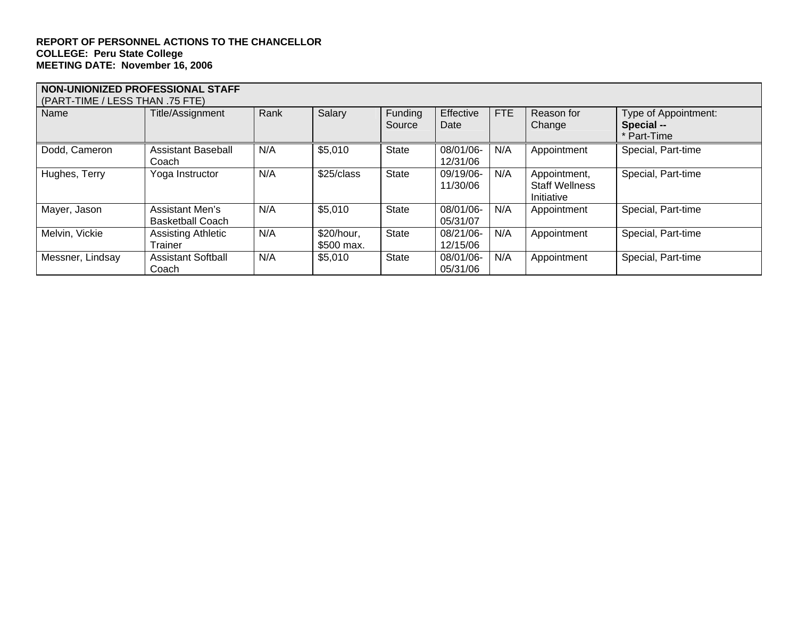| NON-UNIONIZED PROFESSIONAL STAFF<br>(PART-TIME / LESS THAN .75 FTE) |                                            |      |                          |                   |                       |     |                                                     |                                                   |  |  |
|---------------------------------------------------------------------|--------------------------------------------|------|--------------------------|-------------------|-----------------------|-----|-----------------------------------------------------|---------------------------------------------------|--|--|
| Name                                                                | Title/Assignment                           | Rank | Salary                   | Funding<br>Source | Effective<br>Date     | FTE | Reason for<br>Change                                | Type of Appointment:<br>Special --<br>* Part-Time |  |  |
| Dodd, Cameron                                                       | <b>Assistant Baseball</b><br>Coach         | N/A  | \$5,010                  | <b>State</b>      | 08/01/06-<br>12/31/06 | N/A | Appointment                                         | Special, Part-time                                |  |  |
| Hughes, Terry                                                       | Yoga Instructor                            | N/A  | \$25/class               | <b>State</b>      | 09/19/06-<br>11/30/06 | N/A | Appointment,<br><b>Staff Wellness</b><br>Initiative | Special, Part-time                                |  |  |
| Mayer, Jason                                                        | Assistant Men's<br><b>Basketball Coach</b> | N/A  | \$5,010                  | <b>State</b>      | 08/01/06-<br>05/31/07 | N/A | Appointment                                         | Special, Part-time                                |  |  |
| Melvin, Vickie                                                      | <b>Assisting Athletic</b><br>Trainer       | N/A  | \$20/hour,<br>\$500 max. | <b>State</b>      | 08/21/06-<br>12/15/06 | N/A | Appointment                                         | Special, Part-time                                |  |  |
| Messner, Lindsay                                                    | <b>Assistant Softball</b><br>Coach         | N/A  | \$5,010                  | <b>State</b>      | 08/01/06-<br>05/31/06 | N/A | Appointment                                         | Special, Part-time                                |  |  |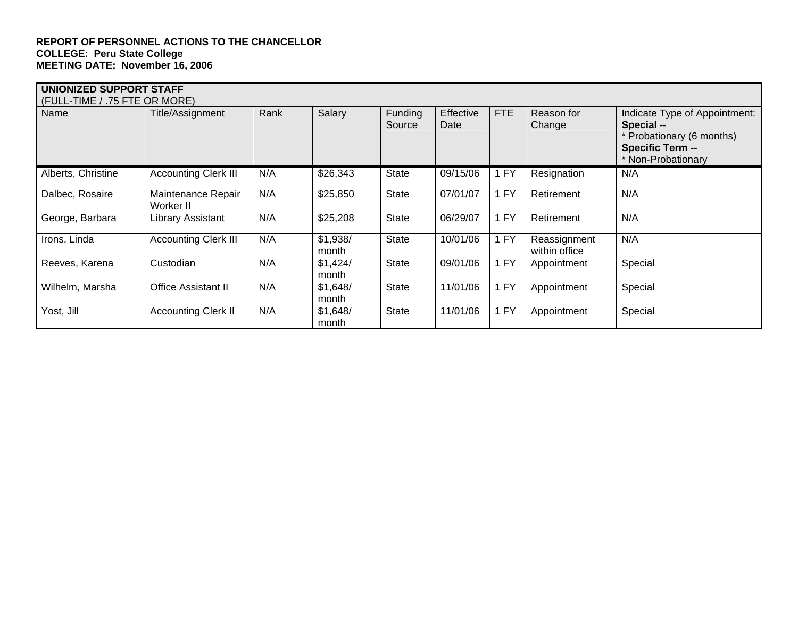| <b>UNIONIZED SUPPORT STAFF</b><br>(FULL-TIME / .75 FTE OR MORE) |                                 |      |                   |                   |                          |      |                               |                                                                                                                      |
|-----------------------------------------------------------------|---------------------------------|------|-------------------|-------------------|--------------------------|------|-------------------------------|----------------------------------------------------------------------------------------------------------------------|
| Name                                                            | Title/Assignment                | Rank | Salary            | Funding<br>Source | <b>Effective</b><br>Date | FTE  | Reason for<br>Change          | Indicate Type of Appointment:<br>Special --<br>Probationary (6 months)<br><b>Specific Term--</b><br>Non-Probationary |
| Alberts, Christine                                              | <b>Accounting Clerk III</b>     | N/A  | \$26,343          | <b>State</b>      | 09/15/06                 | 1 FY | Resignation                   | N/A                                                                                                                  |
| Dalbec, Rosaire                                                 | Maintenance Repair<br>Worker II | N/A  | \$25,850          | <b>State</b>      | 07/01/07                 | 1 FY | Retirement                    | N/A                                                                                                                  |
| George, Barbara                                                 | Library Assistant               | N/A  | \$25,208          | State             | 06/29/07                 | 1 FY | Retirement                    | N/A                                                                                                                  |
| Irons, Linda                                                    | <b>Accounting Clerk III</b>     | N/A  | \$1,938/<br>month | <b>State</b>      | 10/01/06                 | 1 FY | Reassignment<br>within office | N/A                                                                                                                  |
| Reeves, Karena                                                  | Custodian                       | N/A  | \$1,424/<br>month | State             | 09/01/06                 | 1 FY | Appointment                   | Special                                                                                                              |
| Wilhelm, Marsha                                                 | <b>Office Assistant II</b>      | N/A  | \$1,648/<br>month | <b>State</b>      | 11/01/06                 | 1 FY | Appointment                   | Special                                                                                                              |
| Yost, Jill                                                      | <b>Accounting Clerk II</b>      | N/A  | \$1,648/<br>month | <b>State</b>      | 11/01/06                 | 1 FY | Appointment                   | Special                                                                                                              |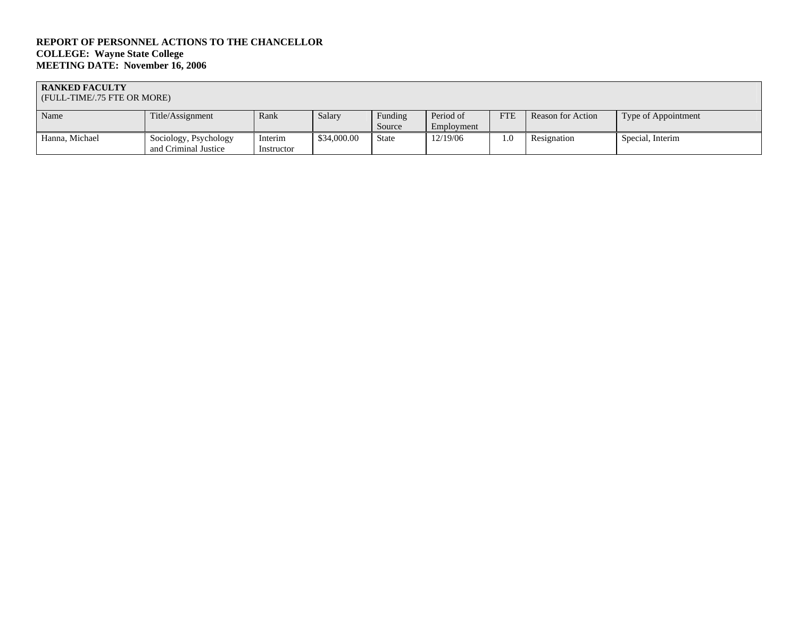#### **RANKED FACULTY**

#### (FULL-TIME/.75 FTE OR MORE)

| Name           | Title/Assignment                              | Rank                  | Salary      | Funding<br>Source | Period of<br>Employment | <b>FTE</b> | <b>Reason for Action</b> | Type of Appointment |
|----------------|-----------------------------------------------|-----------------------|-------------|-------------------|-------------------------|------------|--------------------------|---------------------|
| Hanna, Michael | Sociology, Psychology<br>and Criminal Justice | Interim<br>Instructor | \$34,000.00 | <b>State</b>      | 12/19/06                | 0.1        | Resignation              | Special, Interim    |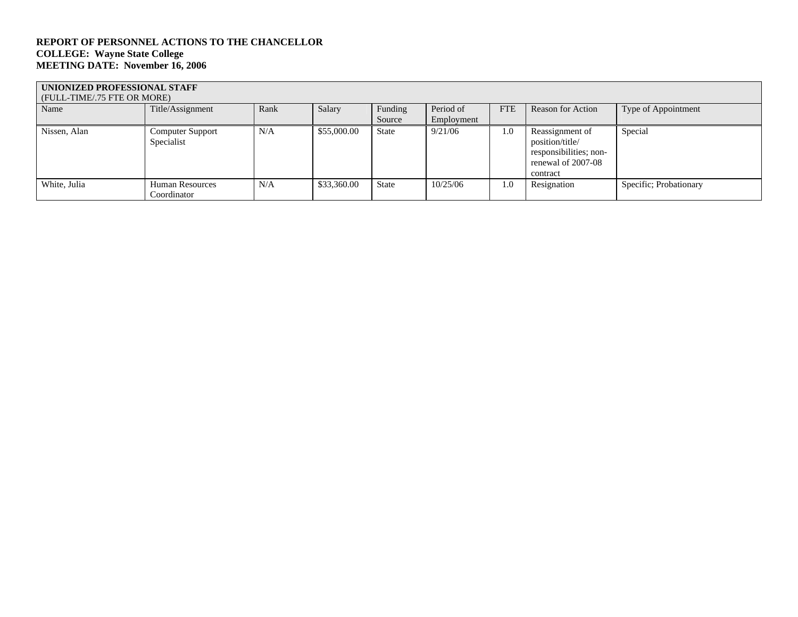#### **UNIONIZED PROFESSIONAL STAFF**

| $\mid$ (FULL-TIME/.75 FTE OR MORE) |                                       |      |             |                   |                         |            |                                                                                                |                        |
|------------------------------------|---------------------------------------|------|-------------|-------------------|-------------------------|------------|------------------------------------------------------------------------------------------------|------------------------|
| Name                               | Title/Assignment                      | Rank | Salary      | Funding<br>Source | Period of<br>Employment | <b>FTE</b> | <b>Reason for Action</b>                                                                       | Type of Appointment    |
| Nissen, Alan                       | Computer Support<br>Specialist        | N/A  | \$55,000.00 | State             | 9/21/06                 | 1.0        | Reassignment of<br>position/title/<br>responsibilities; non-<br>renewal of 2007-08<br>contract | Special                |
| White, Julia                       | <b>Human Resources</b><br>Coordinator | N/A  | \$33,360.00 | <b>State</b>      | 10/25/06                | 1.0        | Resignation                                                                                    | Specific; Probationary |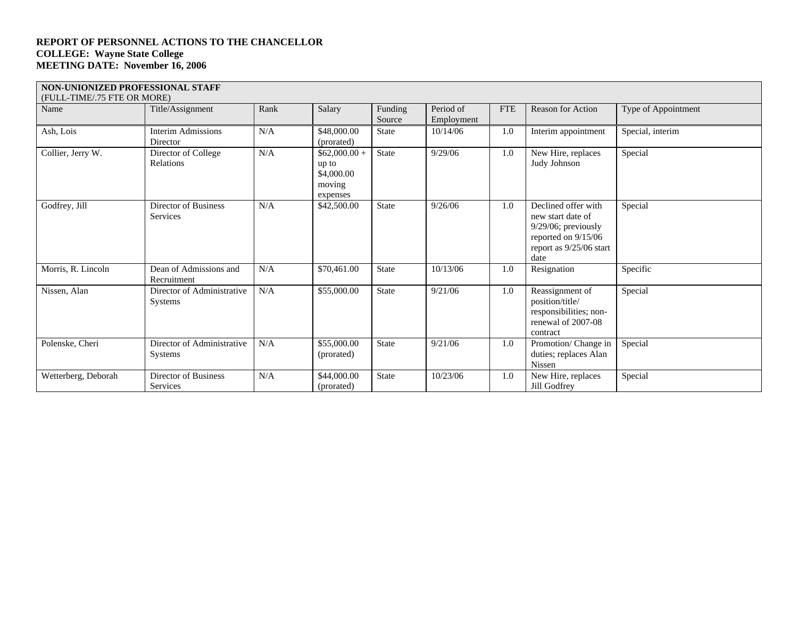| Name                | Title/Assignment                             | Rank      | Salary                                                      | Funding<br>Source | Period of<br>Employment | <b>FTE</b> | Reason for Action                                                                                                            | Type of Appointment |
|---------------------|----------------------------------------------|-----------|-------------------------------------------------------------|-------------------|-------------------------|------------|------------------------------------------------------------------------------------------------------------------------------|---------------------|
| Ash, Lois           | <b>Interim Admissions</b><br>Director        | N/A       | \$48,000.00<br>(prorated)                                   | <b>State</b>      | 10/14/06                | 1.0        | Interim appointment                                                                                                          | Special, interim    |
| Collier, Jerry W.   | Director of College<br>Relations             | N/A       | $$62,000.00 +$<br>up to<br>\$4,000.00<br>moving<br>expenses | <b>State</b>      | 9/29/06                 | 1.0        | New Hire, replaces<br>Judy Johnson                                                                                           | Special             |
| Godfrey, Jill       | Director of Business<br>Services             | N/A       | \$42,500.00                                                 | <b>State</b>      | 9/26/06                 | 1.0        | Declined offer with<br>new start date of<br>$9/29/06$ ; previously<br>reported on 9/15/06<br>report as 9/25/06 start<br>date | Special             |
| Morris, R. Lincoln  | Dean of Admissions and<br>Recruitment        | N/A       | \$70,461.00                                                 | <b>State</b>      | 10/13/06                | 1.0        | Resignation                                                                                                                  | Specific            |
| Nissen, Alan        | Director of Administrative<br><b>Systems</b> | $\rm N/A$ | \$55,000.00                                                 | <b>State</b>      | 9/21/06                 | 1.0        | Reassignment of<br>position/title/<br>responsibilities; non-<br>renewal of 2007-08<br>contract                               | Special             |
| Polenske, Cheri     | Director of Administrative<br>Systems        | N/A       | \$55,000.00<br>(prorated)                                   | <b>State</b>      | 9/21/06                 | 1.0        | Promotion/Change in<br>duties; replaces Alan<br>Nissen                                                                       | Special             |
| Wetterberg, Deborah | Director of Business<br>Services             | N/A       | \$44,000.00<br>(prorated)                                   | <b>State</b>      | 10/23/06                | 1.0        | New Hire, replaces<br>Jill Godfrey                                                                                           | Special             |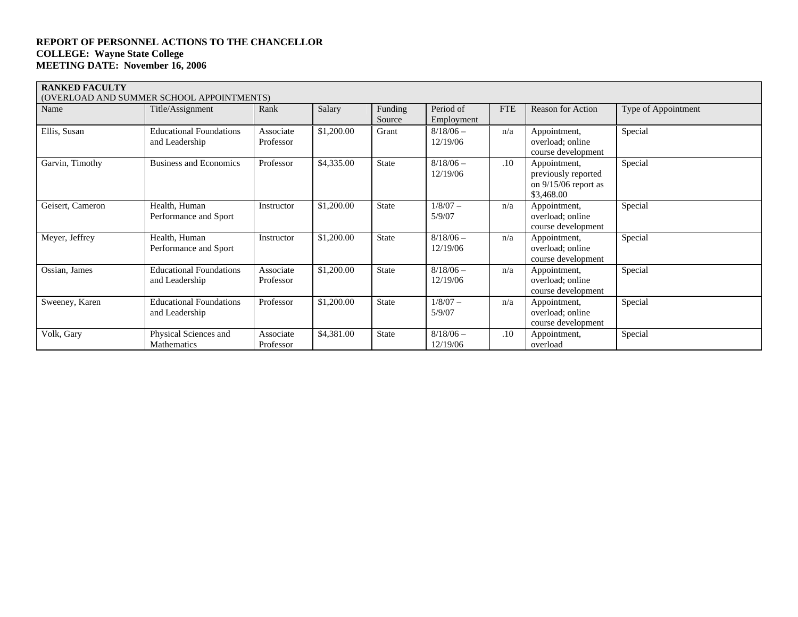# **RANKED FACULTY**  (OVERLOAD AND SUMMER SCHOOL APPOINTMENTS)

|                  | (OVERLOAD AND SUMMER SCHOOL APPOINTMENTS)        |                        |            |                   |                         |            |                                                                             |                     |
|------------------|--------------------------------------------------|------------------------|------------|-------------------|-------------------------|------------|-----------------------------------------------------------------------------|---------------------|
| Name             | Title/Assignment                                 | Rank                   | Salary     | Funding<br>Source | Period of<br>Employment | <b>FTE</b> | <b>Reason for Action</b>                                                    | Type of Appointment |
| Ellis, Susan     | <b>Educational Foundations</b><br>and Leadership | Associate<br>Professor | \$1,200.00 | Grant             | $8/18/06$ -<br>12/19/06 | n/a        | Appointment,<br>overload; online<br>course development                      | Special             |
| Garvin, Timothy  | <b>Business and Economics</b>                    | Professor              | \$4,335.00 | State             | $8/18/06$ -<br>12/19/06 | .10        | Appointment,<br>previously reported<br>on $9/15/06$ report as<br>\$3,468.00 | Special             |
| Geisert, Cameron | Health, Human<br>Performance and Sport           | Instructor             | \$1,200.00 | <b>State</b>      | $1/8/07 -$<br>5/9/07    | n/a        | Appointment,<br>overload; online<br>course development                      | Special             |
| Meyer, Jeffrey   | Health, Human<br>Performance and Sport           | Instructor             | \$1,200.00 | <b>State</b>      | $8/18/06$ -<br>12/19/06 | n/a        | Appointment,<br>overload; online<br>course development                      | Special             |
| Ossian, James    | <b>Educational Foundations</b><br>and Leadership | Associate<br>Professor | \$1,200.00 | <b>State</b>      | $8/18/06$ -<br>12/19/06 | n/a        | Appointment,<br>overload; online<br>course development                      | Special             |
| Sweeney, Karen   | <b>Educational Foundations</b><br>and Leadership | Professor              | \$1,200.00 | <b>State</b>      | $1/8/07 -$<br>5/9/07    | n/a        | Appointment,<br>overload; online<br>course development                      | Special             |
| Volk, Gary       | Physical Sciences and<br>Mathematics             | Associate<br>Professor | \$4,381.00 | <b>State</b>      | $8/18/06 -$<br>12/19/06 | .10        | Appointment,<br>overload                                                    | Special             |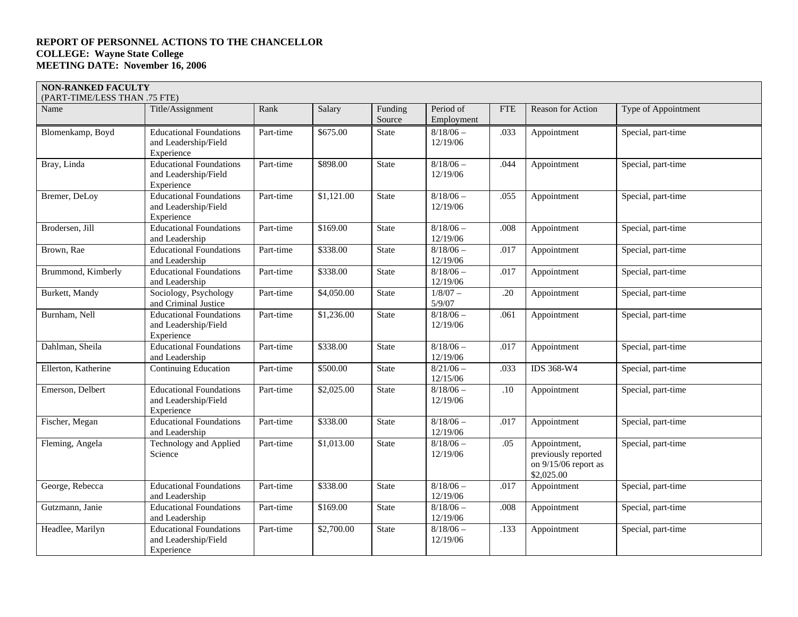#### **NON-RANKED FACULTY**

| (PART-TIME/LESS THAN .75 FTE) |                                                                      |           |            |                   |                         |            |                                                                             |                     |
|-------------------------------|----------------------------------------------------------------------|-----------|------------|-------------------|-------------------------|------------|-----------------------------------------------------------------------------|---------------------|
| Name                          | Title/Assignment                                                     | Rank      | Salary     | Funding<br>Source | Period of<br>Employment | <b>FTE</b> | Reason for Action                                                           | Type of Appointment |
| Blomenkamp, Boyd              | <b>Educational Foundations</b><br>and Leadership/Field<br>Experience | Part-time | \$675.00   | <b>State</b>      | $8/18/06$ -<br>12/19/06 | .033       | Appointment                                                                 | Special, part-time  |
| Bray, Linda                   | <b>Educational Foundations</b><br>and Leadership/Field<br>Experience | Part-time | \$898.00   | State             | $8/18/06$ -<br>12/19/06 | .044       | Appointment                                                                 | Special, part-time  |
| Bremer, DeLoy                 | <b>Educational Foundations</b><br>and Leadership/Field<br>Experience | Part-time | \$1,121.00 | <b>State</b>      | $8/18/06$ -<br>12/19/06 | .055       | Appointment                                                                 | Special, part-time  |
| Brodersen, Jill               | <b>Educational Foundations</b><br>and Leadership                     | Part-time | \$169.00   | <b>State</b>      | $8/18/06$ -<br>12/19/06 | .008       | Appointment                                                                 | Special, part-time  |
| Brown, Rae                    | <b>Educational Foundations</b><br>and Leadership                     | Part-time | \$338.00   | <b>State</b>      | $8/18/06$ -<br>12/19/06 | .017       | Appointment                                                                 | Special, part-time  |
| Brummond, Kimberly            | <b>Educational Foundations</b><br>and Leadership                     | Part-time | \$338.00   | <b>State</b>      | $8/18/06 -$<br>12/19/06 | .017       | Appointment                                                                 | Special, part-time  |
| Burkett, Mandy                | Sociology, Psychology<br>and Criminal Justice                        | Part-time | \$4,050.00 | <b>State</b>      | $1/8/07 -$<br>5/9/07    | .20        | Appointment                                                                 | Special, part-time  |
| Burnham, Nell                 | <b>Educational Foundations</b><br>and Leadership/Field<br>Experience | Part-time | \$1,236.00 | State             | $8/18/06 -$<br>12/19/06 | .061       | Appointment                                                                 | Special, part-time  |
| Dahlman, Sheila               | <b>Educational Foundations</b><br>and Leadership                     | Part-time | \$338.00   | <b>State</b>      | $8/18/06$ -<br>12/19/06 | .017       | Appointment                                                                 | Special, part-time  |
| Ellerton, Katherine           | Continuing Education                                                 | Part-time | \$500.00   | <b>State</b>      | $8/21/06 -$<br>12/15/06 | .033       | IDS 368-W4                                                                  | Special, part-time  |
| Emerson, Delbert              | <b>Educational Foundations</b><br>and Leadership/Field<br>Experience | Part-time | \$2,025.00 | <b>State</b>      | $8/18/06$ -<br>12/19/06 | $.10\,$    | Appointment                                                                 | Special, part-time  |
| Fischer, Megan                | <b>Educational Foundations</b><br>and Leadership                     | Part-time | \$338.00   | <b>State</b>      | $8/18/06$ –<br>12/19/06 | .017       | Appointment                                                                 | Special, part-time  |
| Fleming, Angela               | Technology and Applied<br>Science                                    | Part-time | \$1,013.00 | <b>State</b>      | $8/18/06$ -<br>12/19/06 | .05        | Appointment,<br>previously reported<br>on $9/15/06$ report as<br>\$2,025.00 | Special, part-time  |
| George, Rebecca               | <b>Educational Foundations</b><br>and Leadership                     | Part-time | \$338.00   | <b>State</b>      | $8/18/06$ -<br>12/19/06 | .017       | Appointment                                                                 | Special, part-time  |
| Gutzmann, Janie               | <b>Educational Foundations</b><br>and Leadership                     | Part-time | \$169.00   | <b>State</b>      | $8/18/06$ -<br>12/19/06 | .008       | Appointment                                                                 | Special, part-time  |
| Headlee, Marilyn              | <b>Educational Foundations</b><br>and Leadership/Field<br>Experience | Part-time | \$2,700.00 | <b>State</b>      | $8/18/06 -$<br>12/19/06 | .133       | Appointment                                                                 | Special, part-time  |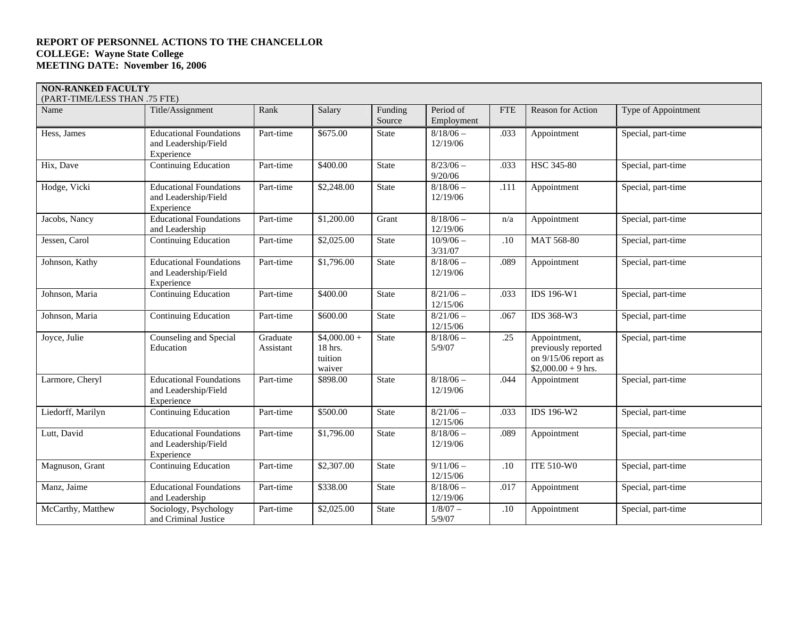| <b>NON-RANKED FACULTY</b><br>(PART-TIME/LESS THAN .75 FTE) |                                                                      |                       |                                              |                   |                         |            |                                                                                       |                     |
|------------------------------------------------------------|----------------------------------------------------------------------|-----------------------|----------------------------------------------|-------------------|-------------------------|------------|---------------------------------------------------------------------------------------|---------------------|
| Name                                                       | Title/Assignment                                                     | Rank                  | Salary                                       | Funding<br>Source | Period of<br>Employment | <b>FTE</b> | <b>Reason for Action</b>                                                              | Type of Appointment |
| Hess, James                                                | <b>Educational Foundations</b><br>and Leadership/Field<br>Experience | Part-time             | \$675.00                                     | State             | $8/18/06 -$<br>12/19/06 | .033       | Appointment                                                                           | Special, part-time  |
| Hix, Dave                                                  | Continuing Education                                                 | Part-time             | \$400.00                                     | <b>State</b>      | $8/23/06 -$<br>9/20/06  | .033       | HSC 345-80                                                                            | Special, part-time  |
| Hodge, Vicki                                               | <b>Educational Foundations</b><br>and Leadership/Field<br>Experience | Part-time             | \$2,248.00                                   | <b>State</b>      | $8/18/06 -$<br>12/19/06 | .111       | Appointment                                                                           | Special, part-time  |
| Jacobs, Nancy                                              | <b>Educational Foundations</b><br>and Leadership                     | Part-time             | \$1,200.00                                   | Grant             | $8/18/06$ -<br>12/19/06 | n/a        | Appointment                                                                           | Special, part-time  |
| Jessen, Carol                                              | Continuing Education                                                 | Part-time             | \$2,025.00                                   | <b>State</b>      | $10/9/06 -$<br>3/31/07  | .10        | MAT 568-80                                                                            | Special, part-time  |
| Johnson, Kathy                                             | <b>Educational Foundations</b><br>and Leadership/Field<br>Experience | Part-time             | \$1,796.00                                   | State             | $8/18/06 -$<br>12/19/06 | .089       | Appointment                                                                           | Special, part-time  |
| Johnson, Maria                                             | Continuing Education                                                 | Part-time             | \$400.00                                     | <b>State</b>      | $8/21/06$ –<br>12/15/06 | .033       | <b>IDS 196-W1</b>                                                                     | Special, part-time  |
| Johnson, Maria                                             | Continuing Education                                                 | Part-time             | \$600.00                                     | State             | $8/21/06 -$<br>12/15/06 | .067       | IDS 368-W3                                                                            | Special, part-time  |
| Joyce, Julie                                               | Counseling and Special<br>Education                                  | Graduate<br>Assistant | $$4,000.00+$<br>18 hrs.<br>tuition<br>waiver | <b>State</b>      | $8/18/06 -$<br>5/9/07   | .25        | Appointment,<br>previously reported<br>on $9/15/06$ report as<br>$$2,000.00 + 9$ hrs. | Special, part-time  |
| Larmore, Cheryl                                            | <b>Educational Foundations</b><br>and Leadership/Field<br>Experience | Part-time             | \$898.00                                     | <b>State</b>      | $8/18/06 -$<br>12/19/06 | .044       | Appointment                                                                           | Special, part-time  |
| Liedorff, Marilyn                                          | Continuing Education                                                 | Part-time             | \$500.00                                     | <b>State</b>      | $8/21/06$ -<br>12/15/06 | .033       | IDS $196-\overline{W2}$                                                               | Special, part-time  |
| Lutt, David                                                | <b>Educational Foundations</b><br>and Leadership/Field<br>Experience | Part-time             | \$1,796.00                                   | State             | $8/18/06 -$<br>12/19/06 | .089       | Appointment                                                                           | Special, part-time  |
| Magnuson, Grant                                            | Continuing Education                                                 | Part-time             | \$2,307.00                                   | State             | $9/11/06 -$<br>12/15/06 | .10        | <b>ITE 510-W0</b>                                                                     | Special, part-time  |
| Manz, Jaime                                                | <b>Educational Foundations</b><br>and Leadership                     | Part-time             | \$338.00                                     | State             | $8/18/06 -$<br>12/19/06 | .017       | Appointment                                                                           | Special, part-time  |
| McCarthy, Matthew                                          | Sociology, Psychology<br>and Criminal Justice                        | Part-time             | \$2,025.00                                   | <b>State</b>      | $1/8/07 -$<br>5/9/07    | .10        | Appointment                                                                           | Special, part-time  |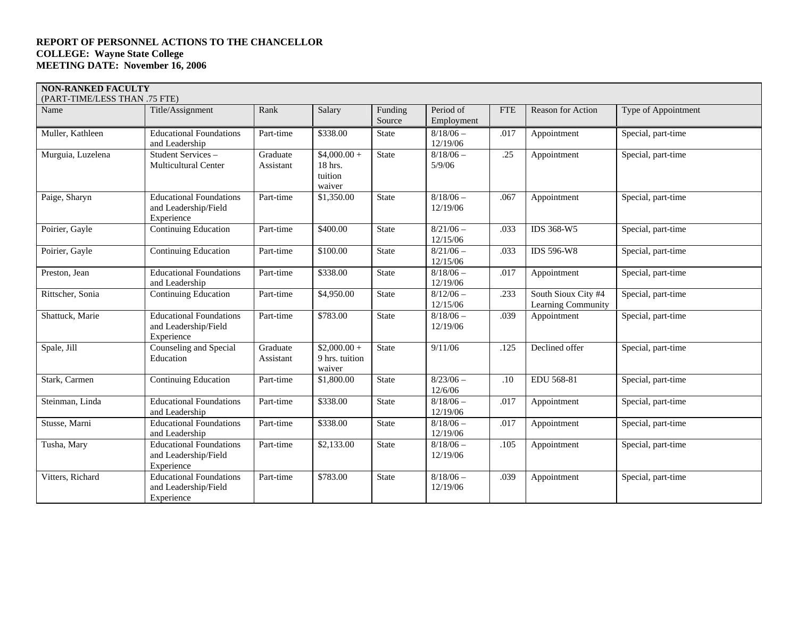| <b>NON-RANKED FACULTY</b><br>(PART-TIME/LESS THAN .75 FTE) |                                                                      |                       |                                              |                   |                         |            |                                           |                     |
|------------------------------------------------------------|----------------------------------------------------------------------|-----------------------|----------------------------------------------|-------------------|-------------------------|------------|-------------------------------------------|---------------------|
| Name                                                       | Title/Assignment                                                     | Rank                  | Salary                                       | Funding<br>Source | Period of<br>Employment | <b>FTE</b> | Reason for Action                         | Type of Appointment |
| Muller, Kathleen                                           | <b>Educational Foundations</b><br>and Leadership                     | Part-time             | \$338.00                                     | <b>State</b>      | $8/18/06$ -<br>12/19/06 | .017       | Appointment                               | Special, part-time  |
| Murguia, Luzelena                                          | Student Services -<br><b>Multicultural Center</b>                    | Graduate<br>Assistant | $$4,000.00+$<br>18 hrs.<br>tuition<br>waiver | State             | $8/18/06 -$<br>5/9/06   | .25        | Appointment                               | Special, part-time  |
| Paige, Sharyn                                              | <b>Educational Foundations</b><br>and Leadership/Field<br>Experience | Part-time             | \$1,350.00                                   | <b>State</b>      | $8/18/06 -$<br>12/19/06 | .067       | Appointment                               | Special, part-time  |
| Poirier, Gayle                                             | <b>Continuing Education</b>                                          | Part-time             | \$400.00                                     | <b>State</b>      | $8/21/06 -$<br>12/15/06 | .033       | IDS 368-W5                                | Special, part-time  |
| Poirier, Gayle                                             | Continuing Education                                                 | Part-time             | \$100.00                                     | <b>State</b>      | $8/21/06 -$<br>12/15/06 | .033       | <b>IDS 596-W8</b>                         | Special, part-time  |
| Preston, Jean                                              | <b>Educational Foundations</b><br>and Leadership                     | Part-time             | \$338.00                                     | State             | $8/18/06 -$<br>12/19/06 | .017       | Appointment                               | Special, part-time  |
| Rittscher, Sonia                                           | <b>Continuing Education</b>                                          | Part-time             | \$4,950.00                                   | <b>State</b>      | $8/12/06 -$<br>12/15/06 | .233       | South Sioux City #4<br>Learning Community | Special, part-time  |
| Shattuck, Marie                                            | <b>Educational Foundations</b><br>and Leadership/Field<br>Experience | Part-time             | \$783.00                                     | <b>State</b>      | $8/18/06 -$<br>12/19/06 | .039       | Appointment                               | Special, part-time  |
| Spale, Jill                                                | Counseling and Special<br>Education                                  | Graduate<br>Assistant | $$2,000.00 +$<br>9 hrs. tuition<br>waiver    | <b>State</b>      | 9/11/06                 | .125       | Declined offer                            | Special, part-time  |
| Stark, Carmen                                              | Continuing Education                                                 | Part-time             | \$1,800.00                                   | <b>State</b>      | $8/23/06 -$<br>12/6/06  | .10        | EDU 568-81                                | Special, part-time  |
| Steinman, Linda                                            | <b>Educational Foundations</b><br>and Leadership                     | Part-time             | \$338.00                                     | State             | $8/18/06 -$<br>12/19/06 | .017       | Appointment                               | Special, part-time  |
| Stusse, Marni                                              | <b>Educational Foundations</b><br>and Leadership                     | Part-time             | \$338.00                                     | <b>State</b>      | $8/18/06$ -<br>12/19/06 | .017       | Appointment                               | Special, part-time  |
| Tusha, Mary                                                | <b>Educational Foundations</b><br>and Leadership/Field<br>Experience | Part-time             | \$2,133.00                                   | State             | $8/18/06 -$<br>12/19/06 | .105       | Appointment                               | Special, part-time  |
| Vitters, Richard                                           | <b>Educational Foundations</b><br>and Leadership/Field<br>Experience | Part-time             | \$783.00                                     | <b>State</b>      | $8/18/06$ -<br>12/19/06 | .039       | Appointment                               | Special, part-time  |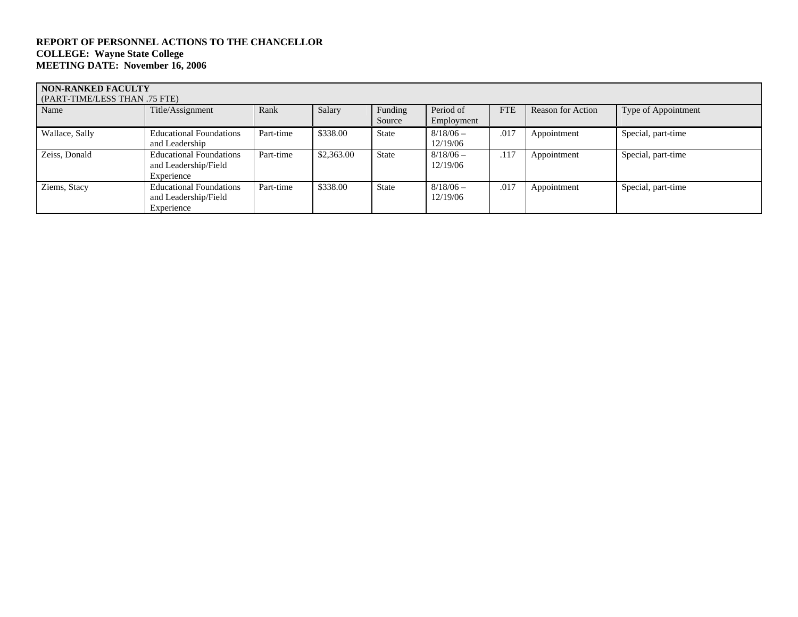| <b>NON-RANKED FACULTY</b><br>(PART-TIME/LESS THAN .75 FTE) |                                                                      |           |            |                   |                         |            |                   |                     |
|------------------------------------------------------------|----------------------------------------------------------------------|-----------|------------|-------------------|-------------------------|------------|-------------------|---------------------|
| Name                                                       | Title/Assignment                                                     | Rank      | Salary     | Funding<br>Source | Period of<br>Employment | <b>FTE</b> | Reason for Action | Type of Appointment |
| Wallace, Sally                                             | <b>Educational Foundations</b><br>and Leadership                     | Part-time | \$338.00   | <b>State</b>      | $8/18/06$ –<br>12/19/06 | .017       | Appointment       | Special, part-time  |
| Zeiss, Donald                                              | <b>Educational Foundations</b><br>and Leadership/Field<br>Experience | Part-time | \$2,363.00 | <b>State</b>      | $8/18/06$ –<br>12/19/06 | .117       | Appointment       | Special, part-time  |
| Ziems, Stacy                                               | <b>Educational Foundations</b><br>and Leadership/Field<br>Experience | Part-time | \$338.00   | <b>State</b>      | $8/18/06$ –<br>12/19/06 | .017       | Appointment       | Special, part-time  |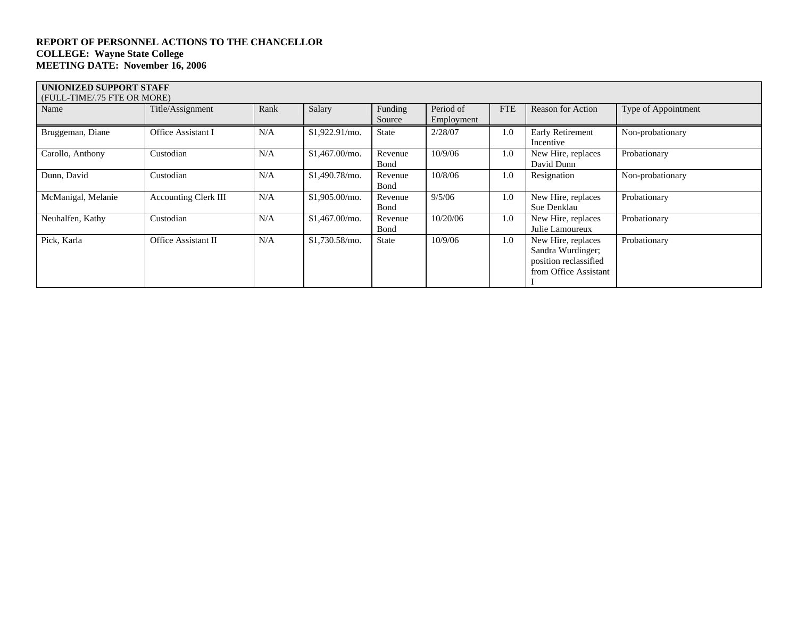#### **UNIONIZED SUPPORT STAFF**

| (FULL-TIME/.75 FTE OR MORE) |                             |      |                  |                   |                         |            |                                                                                           |                     |
|-----------------------------|-----------------------------|------|------------------|-------------------|-------------------------|------------|-------------------------------------------------------------------------------------------|---------------------|
| Name                        | Title/Assignment            | Rank | Salary           | Funding<br>Source | Period of<br>Employment | <b>FTE</b> | <b>Reason for Action</b>                                                                  | Type of Appointment |
| Bruggeman, Diane            | Office Assistant I          | N/A  | \$1,922.91/mo.   | State             | 2/28/07                 | 1.0        | <b>Early Retirement</b><br>Incentive                                                      | Non-probationary    |
| Carollo, Anthony            | Custodian                   | N/A  | $$1.467.00/m$ o. | Revenue<br>Bond   | 10/9/06                 | 1.0        | New Hire, replaces<br>David Dunn                                                          | Probationary        |
| Dunn, David                 | Custodian                   | N/A  | $$1,490.78$ /mo. | Revenue<br>Bond   | 10/8/06                 | 1.0        | Resignation                                                                               | Non-probationary    |
| McManigal, Melanie          | <b>Accounting Clerk III</b> | N/A  | $$1,905.00/m$ o. | Revenue<br>Bond   | 9/5/06                  | 1.0        | New Hire, replaces<br>Sue Denklau                                                         | Probationary        |
| Neuhalfen, Kathy            | Custodian                   | N/A  | \$1,467.00/mo.   | Revenue<br>Bond   | 10/20/06                | 1.0        | New Hire, replaces<br>Julie Lamoureux                                                     | Probationary        |
| Pick, Karla                 | Office Assistant II         | N/A  | \$1,730.58/mo.   | State             | 10/9/06                 | 1.0        | New Hire, replaces<br>Sandra Wurdinger;<br>position reclassified<br>from Office Assistant | Probationary        |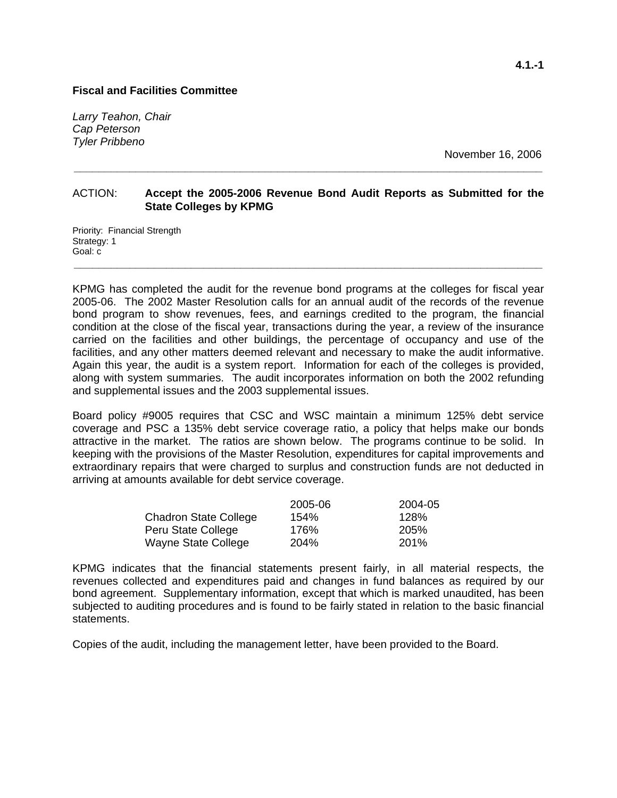*Larry Teahon, Chair Cap Peterson Tyler Pribbeno* 

November 16, 2006

#### ACTION: **Accept the 2005-2006 Revenue Bond Audit Reports as Submitted for the State Colleges by KPMG**

**\_\_\_\_\_\_\_\_\_\_\_\_\_\_\_\_\_\_\_\_\_\_\_\_\_\_\_\_\_\_\_\_\_\_\_\_\_\_\_\_\_\_\_\_\_\_\_\_\_\_\_\_\_\_\_\_\_\_\_\_\_\_\_\_\_\_\_\_\_\_\_\_\_\_\_\_** 

**\_\_\_\_\_\_\_\_\_\_\_\_\_\_\_\_\_\_\_\_\_\_\_\_\_\_\_\_\_\_\_\_\_\_\_\_\_\_\_\_\_\_\_\_\_\_\_\_\_\_\_\_\_\_\_\_\_\_\_\_\_\_\_\_\_\_\_\_\_\_\_\_\_\_\_\_** 

Priority: Financial Strength Strategy: 1 Goal: c

KPMG has completed the audit for the revenue bond programs at the colleges for fiscal year 2005-06. The 2002 Master Resolution calls for an annual audit of the records of the revenue bond program to show revenues, fees, and earnings credited to the program, the financial condition at the close of the fiscal year, transactions during the year, a review of the insurance carried on the facilities and other buildings, the percentage of occupancy and use of the facilities, and any other matters deemed relevant and necessary to make the audit informative. Again this year, the audit is a system report. Information for each of the colleges is provided, along with system summaries. The audit incorporates information on both the 2002 refunding and supplemental issues and the 2003 supplemental issues.

Board policy #9005 requires that CSC and WSC maintain a minimum 125% debt service coverage and PSC a 135% debt service coverage ratio, a policy that helps make our bonds attractive in the market. The ratios are shown below. The programs continue to be solid. In keeping with the provisions of the Master Resolution, expenditures for capital improvements and extraordinary repairs that were charged to surplus and construction funds are not deducted in arriving at amounts available for debt service coverage.

|                              | 2005-06 | 2004-05 |
|------------------------------|---------|---------|
| <b>Chadron State College</b> | 154%    | 128%    |
| Peru State College           | 176%    | 205%    |
| Wayne State College          | 204%    | 201%    |

KPMG indicates that the financial statements present fairly, in all material respects, the revenues collected and expenditures paid and changes in fund balances as required by our bond agreement. Supplementary information, except that which is marked unaudited, has been subjected to auditing procedures and is found to be fairly stated in relation to the basic financial statements.

Copies of the audit, including the management letter, have been provided to the Board.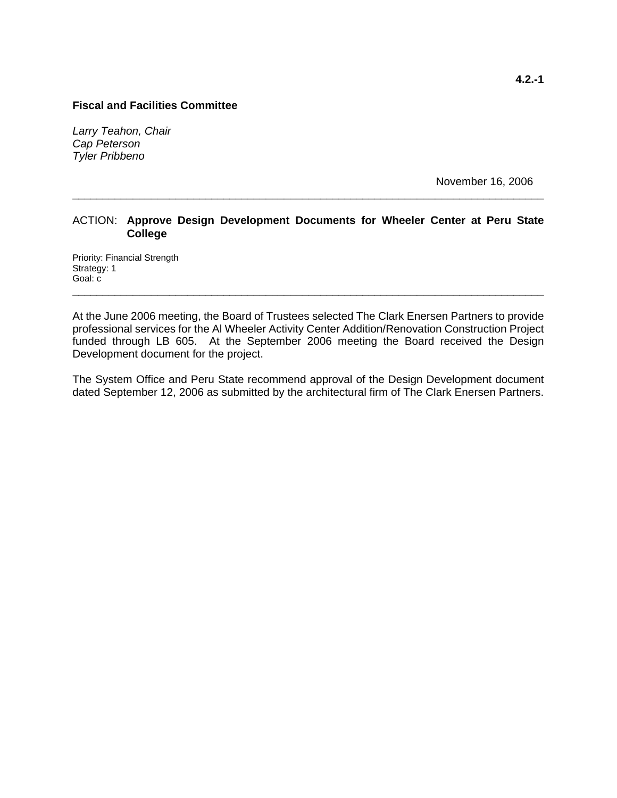*Larry Teahon, Chair Cap Peterson Tyler Pribbeno* 

November 16, 2006

#### ACTION: **Approve Design Development Documents for Wheeler Center at Peru State College**

**\_\_\_\_\_\_\_\_\_\_\_\_\_\_\_\_\_\_\_\_\_\_\_\_\_\_\_\_\_\_\_\_\_\_\_\_\_\_\_\_\_\_\_\_\_\_\_\_\_\_\_\_\_\_\_\_\_\_\_\_\_\_\_\_\_\_\_\_\_\_\_\_\_\_\_\_\_\_** 

Priority: Financial Strength Strategy: 1 Goal: c

At the June 2006 meeting, the Board of Trustees selected The Clark Enersen Partners to provide professional services for the Al Wheeler Activity Center Addition/Renovation Construction Project funded through LB 605. At the September 2006 meeting the Board received the Design Development document for the project.

**\_\_\_\_\_\_\_\_\_\_\_\_\_\_\_\_\_\_\_\_\_\_\_\_\_\_\_\_\_\_\_\_\_\_\_\_\_\_\_\_\_\_\_\_\_\_\_\_\_\_\_\_\_\_\_\_\_\_\_\_\_\_\_\_\_\_\_\_\_\_\_\_\_\_\_\_\_\_** 

The System Office and Peru State recommend approval of the Design Development document dated September 12, 2006 as submitted by the architectural firm of The Clark Enersen Partners.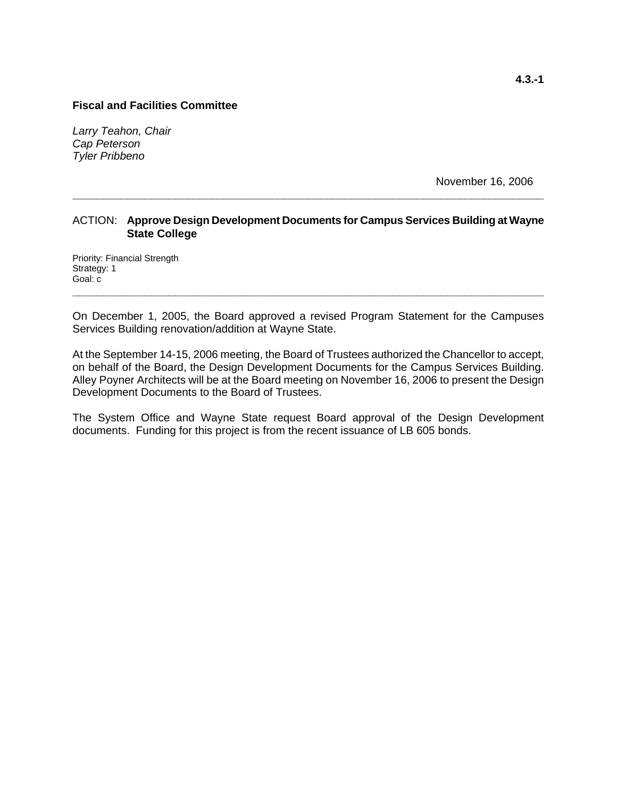*Larry Teahon, Chair Cap Peterson Tyler Pribbeno* 

November 16, 2006

#### ACTION: **Approve Design Development Documents for Campus Services Building at Wayne State College**

**\_\_\_\_\_\_\_\_\_\_\_\_\_\_\_\_\_\_\_\_\_\_\_\_\_\_\_\_\_\_\_\_\_\_\_\_\_\_\_\_\_\_\_\_\_\_\_\_\_\_\_\_\_\_\_\_\_\_\_\_\_\_\_\_\_\_\_\_\_\_\_\_\_\_\_\_\_\_** 

Priority: Financial Strength Strategy: 1 Goal: c

On December 1, 2005, the Board approved a revised Program Statement for the Campuses Services Building renovation/addition at Wayne State.

**\_\_\_\_\_\_\_\_\_\_\_\_\_\_\_\_\_\_\_\_\_\_\_\_\_\_\_\_\_\_\_\_\_\_\_\_\_\_\_\_\_\_\_\_\_\_\_\_\_\_\_\_\_\_\_\_\_\_\_\_\_\_\_\_\_\_\_\_\_\_\_\_\_\_\_\_\_\_** 

At the September 14-15, 2006 meeting, the Board of Trustees authorized the Chancellor to accept, on behalf of the Board, the Design Development Documents for the Campus Services Building. Alley Poyner Architects will be at the Board meeting on November 16, 2006 to present the Design Development Documents to the Board of Trustees.

The System Office and Wayne State request Board approval of the Design Development documents. Funding for this project is from the recent issuance of LB 605 bonds.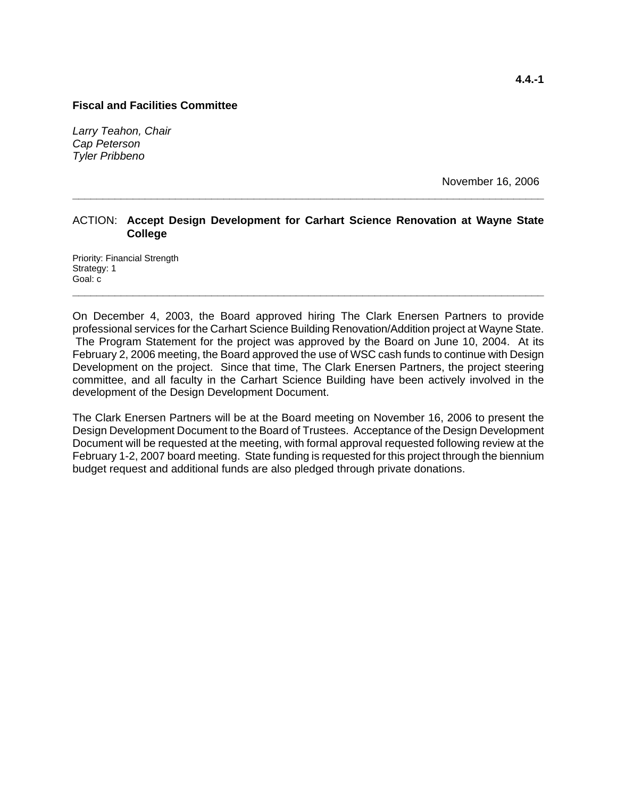*Larry Teahon, Chair Cap Peterson Tyler Pribbeno* 

November 16, 2006

#### ACTION: **Accept Design Development for Carhart Science Renovation at Wayne State College**

**\_\_\_\_\_\_\_\_\_\_\_\_\_\_\_\_\_\_\_\_\_\_\_\_\_\_\_\_\_\_\_\_\_\_\_\_\_\_\_\_\_\_\_\_\_\_\_\_\_\_\_\_\_\_\_\_\_\_\_\_\_\_\_\_\_\_\_\_\_\_\_\_\_\_\_\_\_\_** 

Priority: Financial Strength Strategy: 1 Goal: c

On December 4, 2003, the Board approved hiring The Clark Enersen Partners to provide professional services for the Carhart Science Building Renovation/Addition project at Wayne State. The Program Statement for the project was approved by the Board on June 10, 2004. At its February 2, 2006 meeting, the Board approved the use of WSC cash funds to continue with Design Development on the project. Since that time, The Clark Enersen Partners, the project steering committee, and all faculty in the Carhart Science Building have been actively involved in the development of the Design Development Document.

**\_\_\_\_\_\_\_\_\_\_\_\_\_\_\_\_\_\_\_\_\_\_\_\_\_\_\_\_\_\_\_\_\_\_\_\_\_\_\_\_\_\_\_\_\_\_\_\_\_\_\_\_\_\_\_\_\_\_\_\_\_\_\_\_\_\_\_\_\_\_\_\_\_\_\_\_\_\_** 

The Clark Enersen Partners will be at the Board meeting on November 16, 2006 to present the Design Development Document to the Board of Trustees. Acceptance of the Design Development Document will be requested at the meeting, with formal approval requested following review at the February 1-2, 2007 board meeting. State funding is requested for this project through the biennium budget request and additional funds are also pledged through private donations.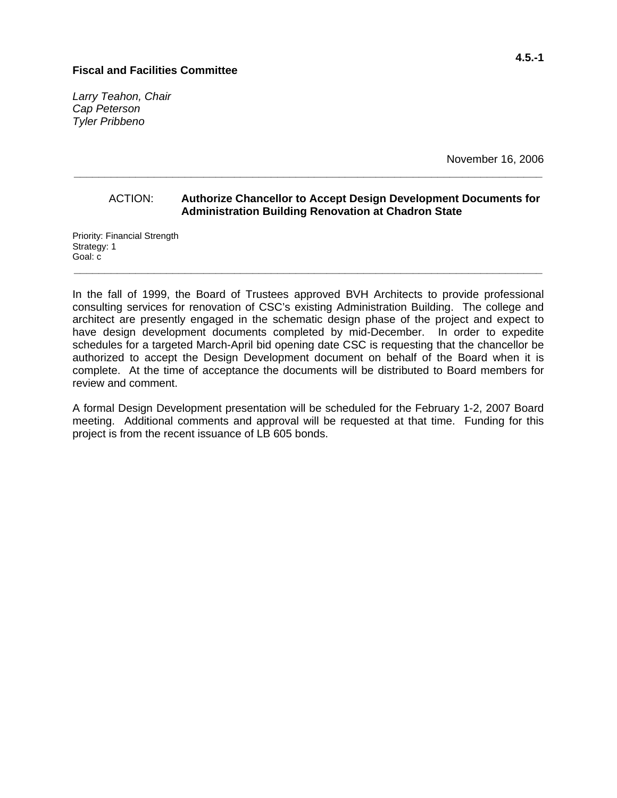*Larry Teahon, Chair Cap Peterson Tyler Pribbeno* 

November 16, 2006

#### ACTION: **Authorize Chancellor to Accept Design Development Documents for Administration Building Renovation at Chadron State**

**\_\_\_\_\_\_\_\_\_\_\_\_\_\_\_\_\_\_\_\_\_\_\_\_\_\_\_\_\_\_\_\_\_\_\_\_\_\_\_\_\_\_\_\_\_\_\_\_\_\_\_\_\_\_\_\_\_\_\_\_\_\_\_\_\_\_\_\_\_\_\_\_\_\_\_\_** 

Priority: Financial Strength Strategy: 1 Goal: c

In the fall of 1999, the Board of Trustees approved BVH Architects to provide professional consulting services for renovation of CSC's existing Administration Building. The college and architect are presently engaged in the schematic design phase of the project and expect to have design development documents completed by mid-December. In order to expedite schedules for a targeted March-April bid opening date CSC is requesting that the chancellor be authorized to accept the Design Development document on behalf of the Board when it is complete. At the time of acceptance the documents will be distributed to Board members for review and comment.

**\_\_\_\_\_\_\_\_\_\_\_\_\_\_\_\_\_\_\_\_\_\_\_\_\_\_\_\_\_\_\_\_\_\_\_\_\_\_\_\_\_\_\_\_\_\_\_\_\_\_\_\_\_\_\_\_\_\_\_\_\_\_\_\_\_\_\_\_\_\_\_\_\_\_\_\_** 

A formal Design Development presentation will be scheduled for the February 1-2, 2007 Board meeting. Additional comments and approval will be requested at that time. Funding for this project is from the recent issuance of LB 605 bonds.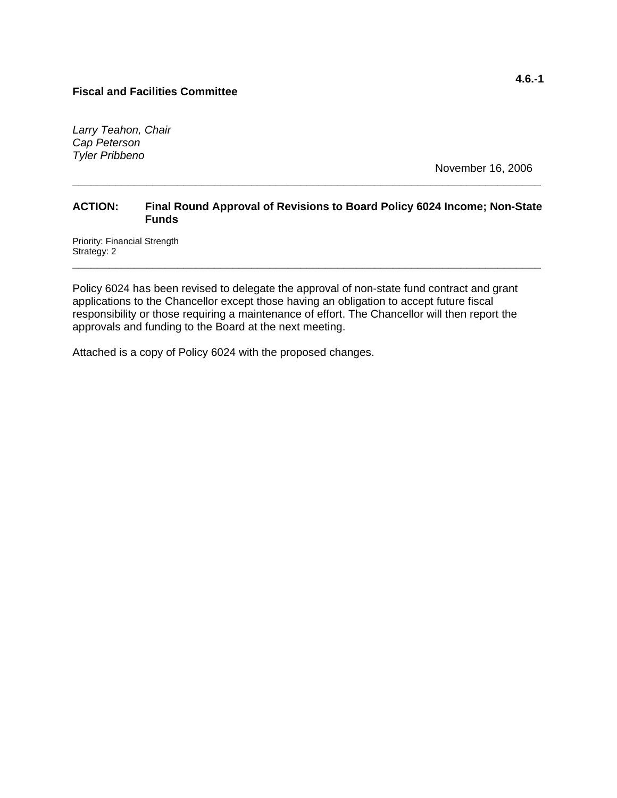*Larry Teahon, Chair Cap Peterson Tyler Pribbeno* 

November 16, 2006

#### **ACTION: Final Round Approval of Revisions to Board Policy 6024 Income; Non-State Funds**

**\_\_\_\_\_\_\_\_\_\_\_\_\_\_\_\_\_\_\_\_\_\_\_\_\_\_\_\_\_\_\_\_\_\_\_\_\_\_\_\_\_\_\_\_\_\_\_\_\_\_\_\_\_\_\_\_\_\_\_\_\_\_\_\_\_\_\_\_\_\_\_\_\_\_\_\_** 

**\_\_\_\_\_\_\_\_\_\_\_\_\_\_\_\_\_\_\_\_\_\_\_\_\_\_\_\_\_\_\_\_\_\_\_\_\_\_\_\_\_\_\_\_\_\_\_\_\_\_\_\_\_\_\_\_\_\_\_\_\_\_\_\_\_\_\_\_\_\_\_\_\_\_\_\_** 

Priority: Financial Strength Strategy: 2

Policy 6024 has been revised to delegate the approval of non-state fund contract and grant applications to the Chancellor except those having an obligation to accept future fiscal responsibility or those requiring a maintenance of effort. The Chancellor will then report the approvals and funding to the Board at the next meeting.

Attached is a copy of Policy 6024 with the proposed changes.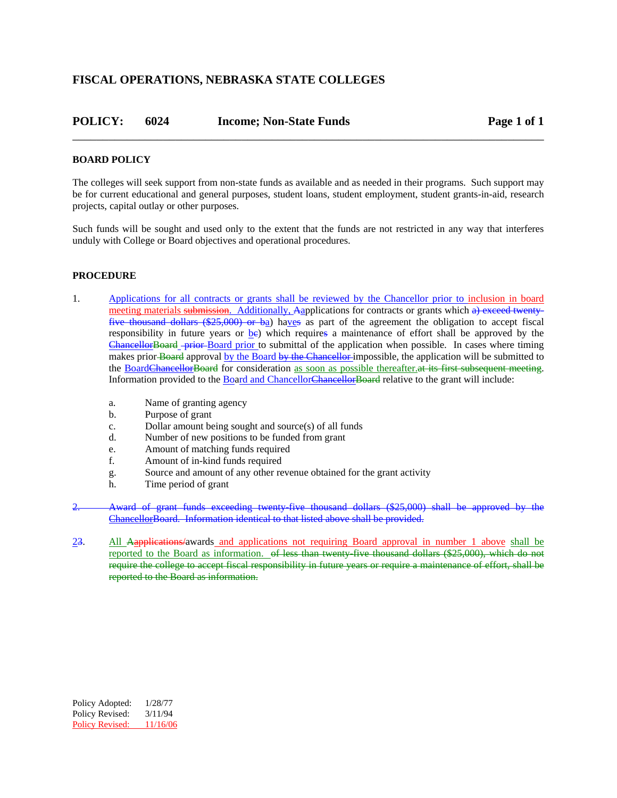#### **FISCAL OPERATIONS, NEBRASKA STATE COLLEGES**

### POLICY: 6024 Income; Non-State Funds Page 1 of 1 \_\_\_\_\_\_\_\_\_\_\_\_\_\_\_\_\_\_\_\_\_\_\_\_\_\_\_\_\_\_\_\_\_\_\_\_\_\_\_\_\_\_\_\_\_\_\_\_\_\_\_\_\_\_\_\_\_\_\_\_\_\_\_\_\_\_\_\_\_\_\_\_\_\_\_\_\_\_

#### **BOARD POLICY**

The colleges will seek support from non-state funds as available and as needed in their programs. Such support may be for current educational and general purposes, student loans, student employment, student grants-in-aid, research projects, capital outlay or other purposes.

Such funds will be sought and used only to the extent that the funds are not restricted in any way that interferes unduly with College or Board objectives and operational procedures.

#### **PROCEDURE**

- 1. Applications for all contracts or grants shall be reviewed by the Chancellor prior to inclusion in board meeting materials submission. Additionally, Aapplications for contracts or grants which a) exceed twentyfive thousand dollars (\$25,000) or ba) haves as part of the agreement the obligation to accept fiscal responsibility in future years or be) which requires a maintenance of effort shall be approved by the ChancellorBoard prior Board prior to submittal of the application when possible. In cases where timing makes prior Board approval by the Board by the Chancellor impossible, the application will be submitted to the BoardChancellorBoard for consideration as soon as possible thereafter at its first subsequent meeting. Information provided to the Board and ChancellorChancellorBoard relative to the grant will include:
	- a. Name of granting agency
	- b. Purpose of grant
	- c. Dollar amount being sought and source(s) of all funds
	- d. Number of new positions to be funded from grant
	- e. Amount of matching funds required
	- f. Amount of in-kind funds required
	- g. Source and amount of any other revenue obtained for the grant activity
	- h. Time period of grant
- 2. Award of grant funds exceeding twenty-five thousand dollars (\$25,000) shall be approved by the ChancellorBoard. Information identical to that listed above shall be provided.
- 23. All Aapplications/awards and applications not requiring Board approval in number 1 above shall be reported to the Board as information. of less than twenty five thousand dollars (\$25,000), which do not require the college to accept fiscal responsibility in future years or require a maintenance of effort, shall be reported to the Board as information.

Policy Adopted:  $1/28/77$ Policy Revised:  $3/11/94$ Policy Revised: 11/16/06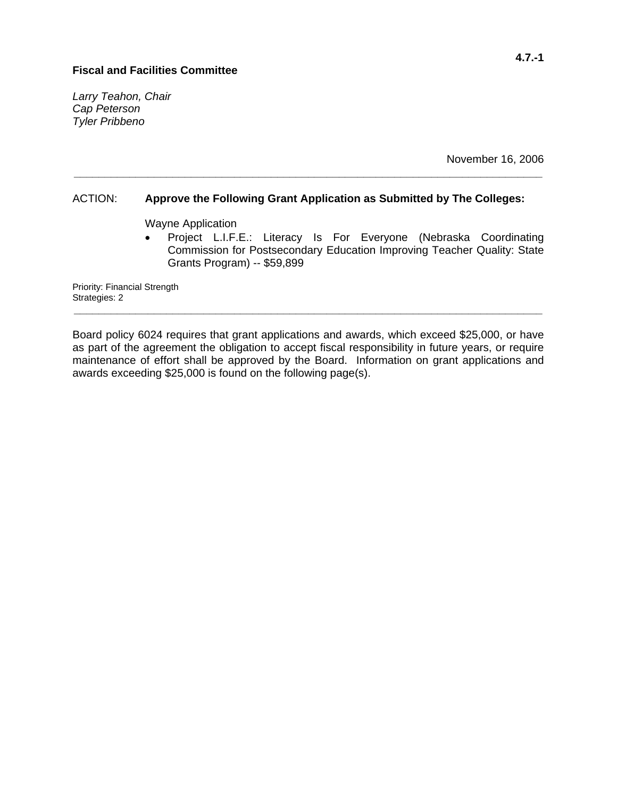*Larry Teahon, Chair Cap Peterson Tyler Pribbeno* 

November 16, 2006

#### ACTION: **Approve the Following Grant Application as Submitted by The Colleges:**

**\_\_\_\_\_\_\_\_\_\_\_\_\_\_\_\_\_\_\_\_\_\_\_\_\_\_\_\_\_\_\_\_\_\_\_\_\_\_\_\_\_\_\_\_\_\_\_\_\_\_\_\_\_\_\_\_\_\_\_\_\_\_\_\_\_\_\_\_\_\_\_\_\_\_\_\_** 

Wayne Application

• Project L.I.F.E.: Literacy Is For Everyone (Nebraska Coordinating Commission for Postsecondary Education Improving Teacher Quality: State Grants Program) -- \$59,899

Priority: Financial Strength Strategies: 2

Board policy 6024 requires that grant applications and awards, which exceed \$25,000, or have as part of the agreement the obligation to accept fiscal responsibility in future years, or require maintenance of effort shall be approved by the Board. Information on grant applications and awards exceeding \$25,000 is found on the following page(s).

**\_\_\_\_\_\_\_\_\_\_\_\_\_\_\_\_\_\_\_\_\_\_\_\_\_\_\_\_\_\_\_\_\_\_\_\_\_\_\_\_\_\_\_\_\_\_\_\_\_\_\_\_\_\_\_\_\_\_\_\_\_\_\_\_\_\_\_\_\_\_\_\_\_\_\_\_**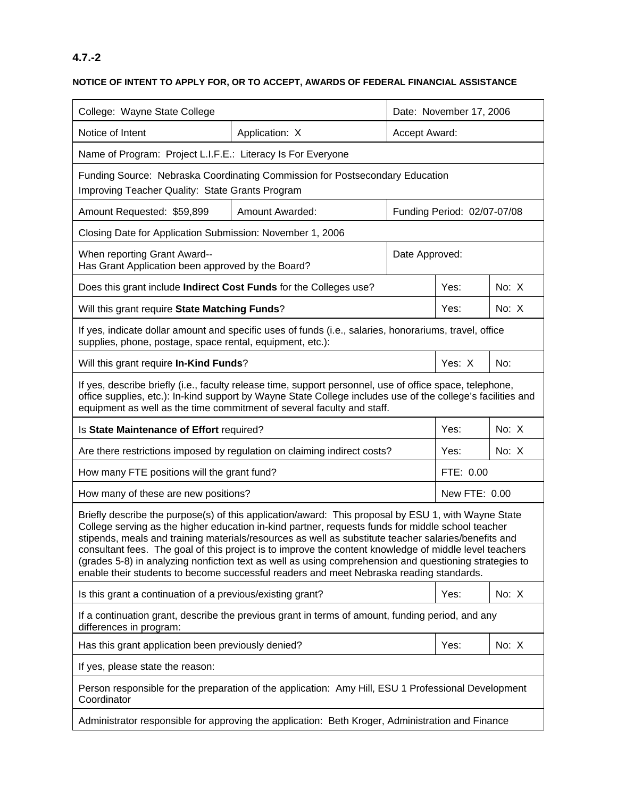# **4.7.-2**

## **NOTICE OF INTENT TO APPLY FOR, OR TO ACCEPT, AWARDS OF FEDERAL FINANCIAL ASSISTANCE**

| College: Wayne State College                                                                                                                                                                                                                                                                      | Date: November 17, 2006                                                                                                                                                                                                                                                                                                                                                                                                                                                                                                                                                                                                         |               |                             |       |  |  |  |  |
|---------------------------------------------------------------------------------------------------------------------------------------------------------------------------------------------------------------------------------------------------------------------------------------------------|---------------------------------------------------------------------------------------------------------------------------------------------------------------------------------------------------------------------------------------------------------------------------------------------------------------------------------------------------------------------------------------------------------------------------------------------------------------------------------------------------------------------------------------------------------------------------------------------------------------------------------|---------------|-----------------------------|-------|--|--|--|--|
| Notice of Intent                                                                                                                                                                                                                                                                                  | Application: X                                                                                                                                                                                                                                                                                                                                                                                                                                                                                                                                                                                                                  | Accept Award: |                             |       |  |  |  |  |
| Name of Program: Project L.I.F.E.: Literacy Is For Everyone                                                                                                                                                                                                                                       |                                                                                                                                                                                                                                                                                                                                                                                                                                                                                                                                                                                                                                 |               |                             |       |  |  |  |  |
| Funding Source: Nebraska Coordinating Commission for Postsecondary Education<br>Improving Teacher Quality: State Grants Program                                                                                                                                                                   |                                                                                                                                                                                                                                                                                                                                                                                                                                                                                                                                                                                                                                 |               |                             |       |  |  |  |  |
| Amount Requested: \$59,899                                                                                                                                                                                                                                                                        | <b>Amount Awarded:</b>                                                                                                                                                                                                                                                                                                                                                                                                                                                                                                                                                                                                          |               | Funding Period: 02/07-07/08 |       |  |  |  |  |
| Closing Date for Application Submission: November 1, 2006                                                                                                                                                                                                                                         |                                                                                                                                                                                                                                                                                                                                                                                                                                                                                                                                                                                                                                 |               |                             |       |  |  |  |  |
| When reporting Grant Award--<br>Has Grant Application been approved by the Board?                                                                                                                                                                                                                 | Date Approved:                                                                                                                                                                                                                                                                                                                                                                                                                                                                                                                                                                                                                  |               |                             |       |  |  |  |  |
| Does this grant include Indirect Cost Funds for the Colleges use?                                                                                                                                                                                                                                 |                                                                                                                                                                                                                                                                                                                                                                                                                                                                                                                                                                                                                                 | Yes:          | No: X                       |       |  |  |  |  |
| Will this grant require State Matching Funds?                                                                                                                                                                                                                                                     |                                                                                                                                                                                                                                                                                                                                                                                                                                                                                                                                                                                                                                 |               | Yes:                        | No: X |  |  |  |  |
| If yes, indicate dollar amount and specific uses of funds (i.e., salaries, honorariums, travel, office<br>supplies, phone, postage, space rental, equipment, etc.):                                                                                                                               |                                                                                                                                                                                                                                                                                                                                                                                                                                                                                                                                                                                                                                 |               |                             |       |  |  |  |  |
| Will this grant require In-Kind Funds?                                                                                                                                                                                                                                                            |                                                                                                                                                                                                                                                                                                                                                                                                                                                                                                                                                                                                                                 |               | Yes: X                      | No:   |  |  |  |  |
| If yes, describe briefly (i.e., faculty release time, support personnel, use of office space, telephone,<br>office supplies, etc.): In-kind support by Wayne State College includes use of the college's facilities and<br>equipment as well as the time commitment of several faculty and staff. |                                                                                                                                                                                                                                                                                                                                                                                                                                                                                                                                                                                                                                 |               |                             |       |  |  |  |  |
| Is State Maintenance of Effort required?                                                                                                                                                                                                                                                          |                                                                                                                                                                                                                                                                                                                                                                                                                                                                                                                                                                                                                                 |               | Yes:                        | No: X |  |  |  |  |
|                                                                                                                                                                                                                                                                                                   | Are there restrictions imposed by regulation on claiming indirect costs?                                                                                                                                                                                                                                                                                                                                                                                                                                                                                                                                                        |               | Yes:                        | No: X |  |  |  |  |
| How many FTE positions will the grant fund?                                                                                                                                                                                                                                                       |                                                                                                                                                                                                                                                                                                                                                                                                                                                                                                                                                                                                                                 |               | FTE: 0.00                   |       |  |  |  |  |
| How many of these are new positions?                                                                                                                                                                                                                                                              |                                                                                                                                                                                                                                                                                                                                                                                                                                                                                                                                                                                                                                 |               | New FTE: 0.00               |       |  |  |  |  |
|                                                                                                                                                                                                                                                                                                   | Briefly describe the purpose(s) of this application/award: This proposal by ESU 1, with Wayne State<br>College serving as the higher education in-kind partner, requests funds for middle school teacher<br>stipends, meals and training materials/resources as well as substitute teacher salaries/benefits and<br>consultant fees. The goal of this project is to improve the content knowledge of middle level teachers<br>(grades 5-8) in analyzing nonfiction text as well as using comprehension and questioning strategies to<br>enable their students to become successful readers and meet Nebraska reading standards. |               |                             |       |  |  |  |  |
| Is this grant a continuation of a previous/existing grant?                                                                                                                                                                                                                                        |                                                                                                                                                                                                                                                                                                                                                                                                                                                                                                                                                                                                                                 |               | Yes:                        | No: X |  |  |  |  |
| differences in program:                                                                                                                                                                                                                                                                           | If a continuation grant, describe the previous grant in terms of amount, funding period, and any                                                                                                                                                                                                                                                                                                                                                                                                                                                                                                                                |               |                             |       |  |  |  |  |
| Has this grant application been previously denied?                                                                                                                                                                                                                                                |                                                                                                                                                                                                                                                                                                                                                                                                                                                                                                                                                                                                                                 |               | Yes:                        | No: X |  |  |  |  |
| If yes, please state the reason:                                                                                                                                                                                                                                                                  |                                                                                                                                                                                                                                                                                                                                                                                                                                                                                                                                                                                                                                 |               |                             |       |  |  |  |  |
| Person responsible for the preparation of the application: Amy Hill, ESU 1 Professional Development<br>Coordinator                                                                                                                                                                                |                                                                                                                                                                                                                                                                                                                                                                                                                                                                                                                                                                                                                                 |               |                             |       |  |  |  |  |
| Administrator responsible for approving the application: Beth Kroger, Administration and Finance                                                                                                                                                                                                  |                                                                                                                                                                                                                                                                                                                                                                                                                                                                                                                                                                                                                                 |               |                             |       |  |  |  |  |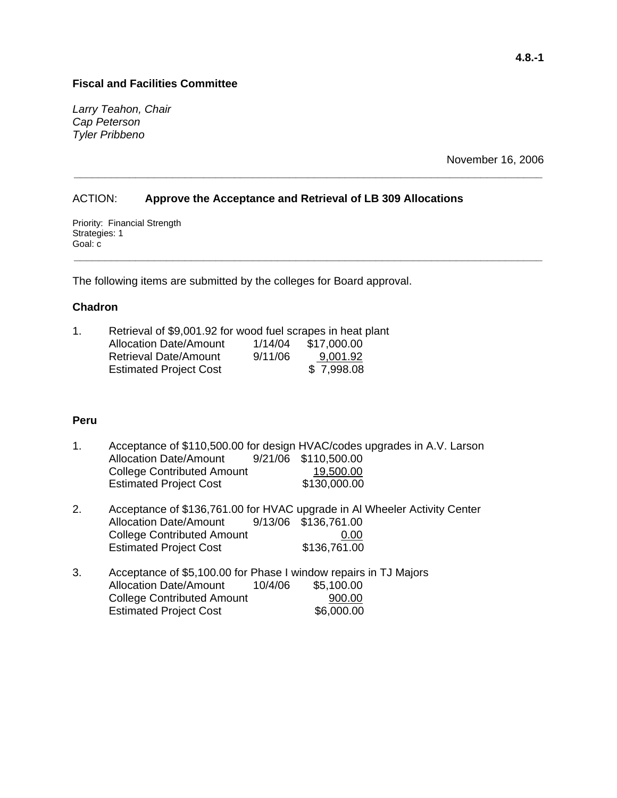*Larry Teahon, Chair Cap Peterson Tyler Pribbeno* 

November 16, 2006

#### ACTION: **Approve the Acceptance and Retrieval of LB 309 Allocations**

**\_\_\_\_\_\_\_\_\_\_\_\_\_\_\_\_\_\_\_\_\_\_\_\_\_\_\_\_\_\_\_\_\_\_\_\_\_\_\_\_\_\_\_\_\_\_\_\_\_\_\_\_\_\_\_\_\_\_\_\_\_\_\_\_\_\_\_\_\_\_\_\_\_\_\_\_** 

**\_\_\_\_\_\_\_\_\_\_\_\_\_\_\_\_\_\_\_\_\_\_\_\_\_\_\_\_\_\_\_\_\_\_\_\_\_\_\_\_\_\_\_\_\_\_\_\_\_\_\_\_\_\_\_\_\_\_\_\_\_\_\_\_\_\_\_\_\_\_\_\_\_\_\_\_** 

Priority: Financial Strength Strategies: 1 Goal: c

The following items are submitted by the colleges for Board approval.

#### **Chadron**

| 1. | Retrieval of \$9,001.92 for wood fuel scrapes in heat plant |         |             |  |
|----|-------------------------------------------------------------|---------|-------------|--|
|    | <b>Allocation Date/Amount</b>                               | 1/14/04 | \$17,000.00 |  |
|    | <b>Retrieval Date/Amount</b>                                | 9/11/06 | 9.001.92    |  |
|    | <b>Estimated Project Cost</b>                               |         | \$7,998.08  |  |

#### **Peru**

- 1. Acceptance of \$110,500.00 for design HVAC/codes upgrades in A.V. Larson Allocation Date/Amount 9/21/06 \$110,500.00 College Contributed Amount 19,500.00 Estimated Project Cost \$130,000.00
- 2. Acceptance of \$136,761.00 for HVAC upgrade in Al Wheeler Activity Center Allocation Date/Amount 9/13/06 \$136,761.00 College Contributed Amount 0.00 Estimated Project Cost \$136,761.00
- 3. Acceptance of \$5,100.00 for Phase I window repairs in TJ Majors Allocation Date/Amount 10/4/06 \$5,100.00 College Contributed Amount 900.00 Estimated Project Cost \$6,000.00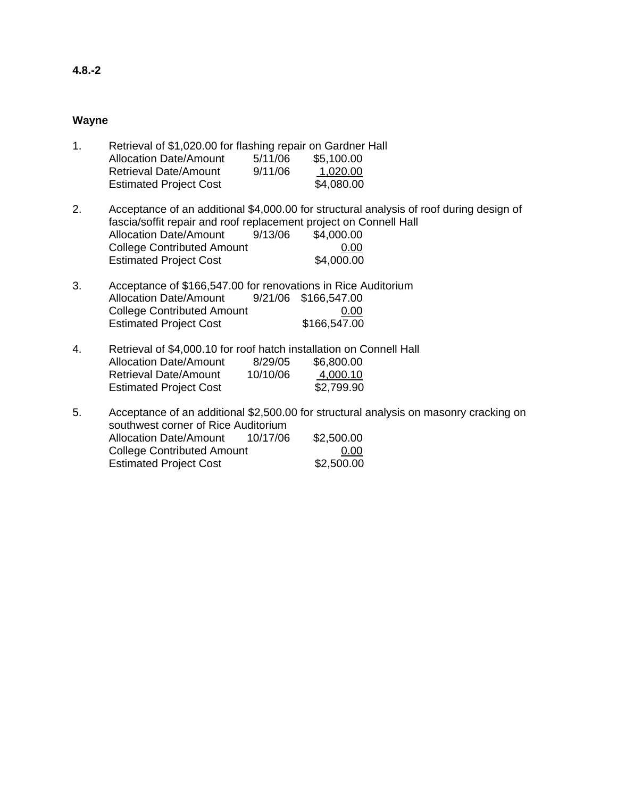#### **Wayne**

- 1. Retrieval of \$1,020.00 for flashing repair on Gardner Hall Allocation Date/Amount 5/11/06 \$5,100.00 Retrieval Date/Amount 9/11/06 1,020.00 Estimated Project Cost \$4,080.00
- 2. Acceptance of an additional \$4,000.00 for structural analysis of roof during design of fascia/soffit repair and roof replacement project on Connell Hall Allocation Date/Amount 9/13/06 \$4,000.00 College Contributed Amount 0.00 Estimated Project Cost \$4,000.00
- 3. Acceptance of \$166,547.00 for renovations in Rice Auditorium Allocation Date/Amount 9/21/06 \$166,547.00 College Contributed Amount 6160.000<br>Estimated Project Cost 5166,547.00 **Estimated Project Cost**
- 4. Retrieval of \$4,000.10 for roof hatch installation on Connell Hall Allocation Date/Amount 8/29/05 \$6,800.00 Retrieval Date/Amount 10/10/06 4,000.10<br>Estimated Project Cost \$2,799.90 **Estimated Project Cost**
- 5. Acceptance of an additional \$2,500.00 for structural analysis on masonry cracking on southwest corner of Rice Auditorium Allocation Date/Amount 10/17/06 \$2,500.00 College Contributed Amount 0.00<br>
Estimated Project Cost \$2,500.00 **Estimated Project Cost**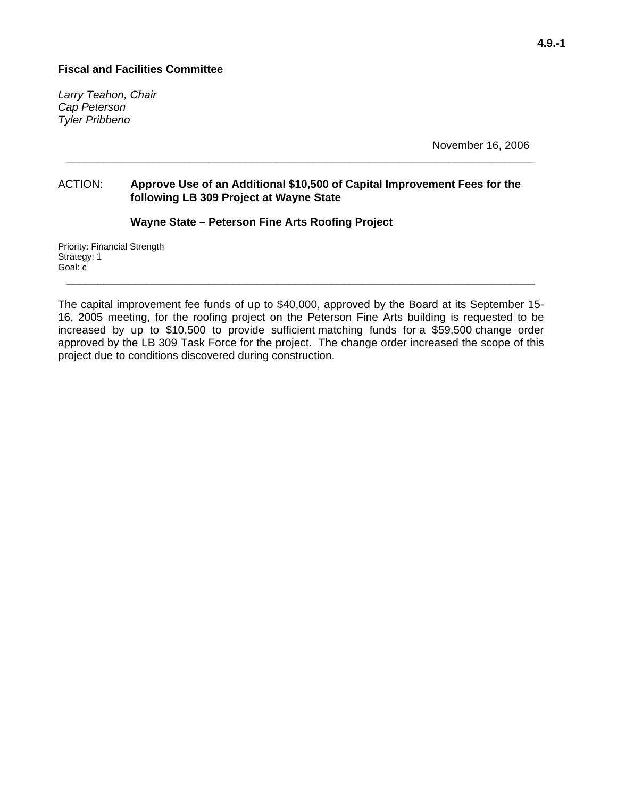*Larry Teahon, Chair Cap Peterson Tyler Pribbeno* 

November 16, 2006

#### ACTION: **Approve Use of an Additional \$10,500 of Capital Improvement Fees for the following LB 309 Project at Wayne State**

**\_\_\_\_\_\_\_\_\_\_\_\_\_\_\_\_\_\_\_\_\_\_\_\_\_\_\_\_\_\_\_\_\_\_\_\_\_\_\_\_\_\_\_\_\_\_\_\_\_\_\_\_\_\_\_\_\_\_\_\_\_\_\_\_\_\_\_\_\_\_\_\_\_\_\_\_** 

#### **Wayne State – Peterson Fine Arts Roofing Project**

Priority: Financial Strength Strategy: 1 Goal: c

The capital improvement fee funds of up to \$40,000, approved by the Board at its September 15- 16, 2005 meeting, for the roofing project on the Peterson Fine Arts building is requested to be increased by up to \$10,500 to provide sufficient matching funds for a \$59,500 change order approved by the LB 309 Task Force for the project. The change order increased the scope of this project due to conditions discovered during construction.

**\_\_\_\_\_\_\_\_\_\_\_\_\_\_\_\_\_\_\_\_\_\_\_\_\_\_\_\_\_\_\_\_\_\_\_\_\_\_\_\_\_\_\_\_\_\_\_\_\_\_\_\_\_\_\_\_\_\_\_\_\_\_\_\_\_\_\_\_\_\_\_\_\_\_\_\_**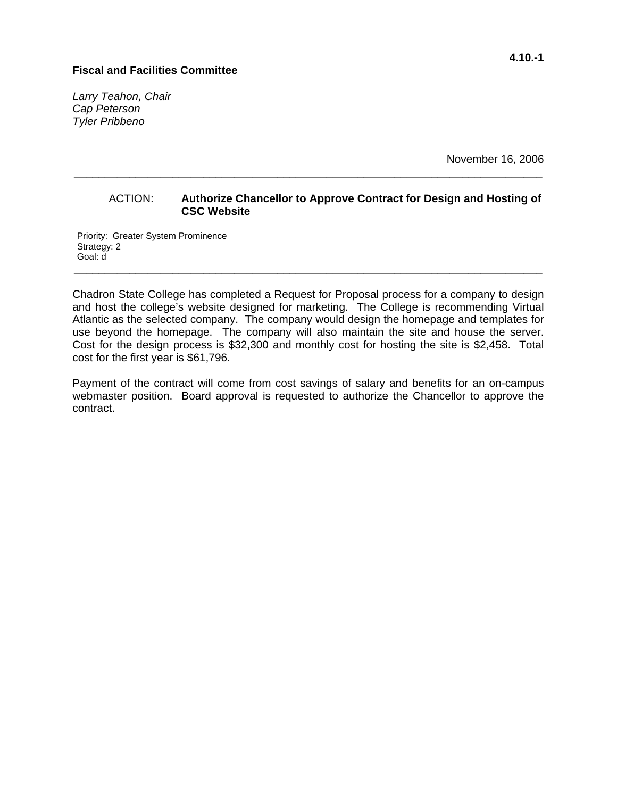*Larry Teahon, Chair Cap Peterson Tyler Pribbeno* 

November 16, 2006

#### ACTION: **Authorize Chancellor to Approve Contract for Design and Hosting of CSC Website**

**\_\_\_\_\_\_\_\_\_\_\_\_\_\_\_\_\_\_\_\_\_\_\_\_\_\_\_\_\_\_\_\_\_\_\_\_\_\_\_\_\_\_\_\_\_\_\_\_\_\_\_\_\_\_\_\_\_\_\_\_\_\_\_\_\_\_\_\_\_\_\_\_\_\_\_\_** 

Priority: Greater System Prominence Strategy: 2 Goal: d

Chadron State College has completed a Request for Proposal process for a company to design and host the college's website designed for marketing. The College is recommending Virtual Atlantic as the selected company. The company would design the homepage and templates for use beyond the homepage. The company will also maintain the site and house the server. Cost for the design process is \$32,300 and monthly cost for hosting the site is \$2,458. Total cost for the first year is \$61,796.

**\_\_\_\_\_\_\_\_\_\_\_\_\_\_\_\_\_\_\_\_\_\_\_\_\_\_\_\_\_\_\_\_\_\_\_\_\_\_\_\_\_\_\_\_\_\_\_\_\_\_\_\_\_\_\_\_\_\_\_\_\_\_\_\_\_\_\_\_\_\_\_\_\_\_\_\_** 

Payment of the contract will come from cost savings of salary and benefits for an on-campus webmaster position. Board approval is requested to authorize the Chancellor to approve the contract.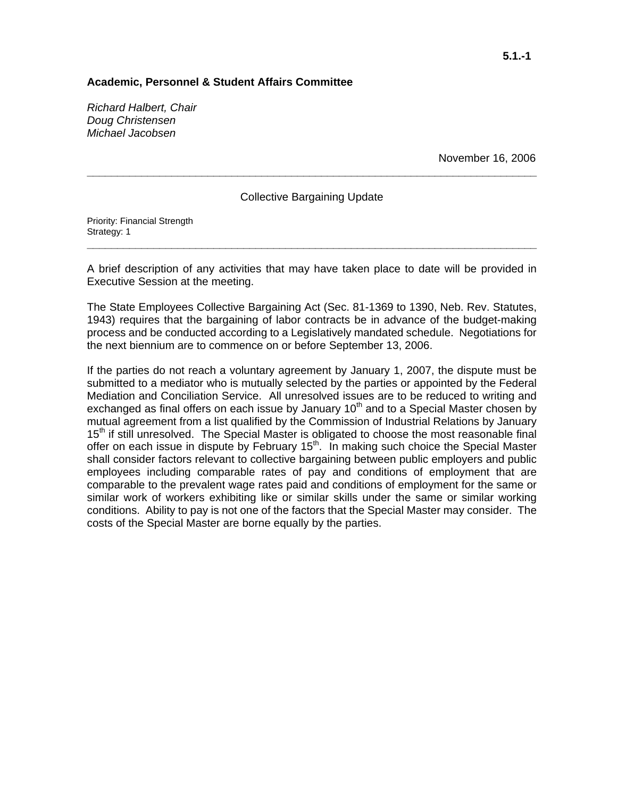#### **Academic, Personnel & Student Affairs Committee**

*Richard Halbert, Chair Doug Christensen Michael Jacobsen* 

November 16, 2006

Collective Bargaining Update

**\_\_\_\_\_\_\_\_\_\_\_\_\_\_\_\_\_\_\_\_\_\_\_\_\_\_\_\_\_\_\_\_\_\_\_\_\_\_\_\_\_\_\_\_\_\_\_\_\_\_\_\_\_\_\_\_\_\_\_\_\_\_\_\_\_\_\_\_\_\_\_\_\_\_\_** 

Priority: Financial Strength Strategy: 1

A brief description of any activities that may have taken place to date will be provided in Executive Session at the meeting.

**\_\_\_\_\_\_\_\_\_\_\_\_\_\_\_\_\_\_\_\_\_\_\_\_\_\_\_\_\_\_\_\_\_\_\_\_\_\_\_\_\_\_\_\_\_\_\_\_\_\_\_\_\_\_\_\_\_\_\_\_\_\_\_\_\_\_\_\_\_\_\_\_\_\_\_** 

The State Employees Collective Bargaining Act (Sec. 81-1369 to 1390, Neb. Rev. Statutes, 1943) requires that the bargaining of labor contracts be in advance of the budget-making process and be conducted according to a Legislatively mandated schedule. Negotiations for the next biennium are to commence on or before September 13, 2006.

If the parties do not reach a voluntary agreement by January 1, 2007, the dispute must be submitted to a mediator who is mutually selected by the parties or appointed by the Federal Mediation and Conciliation Service. All unresolved issues are to be reduced to writing and exchanged as final offers on each issue by January  $10<sup>th</sup>$  and to a Special Master chosen by mutual agreement from a list qualified by the Commission of Industrial Relations by January 15<sup>th</sup> if still unresolved. The Special Master is obligated to choose the most reasonable final offer on each issue in dispute by February 15<sup>th</sup>. In making such choice the Special Master shall consider factors relevant to collective bargaining between public employers and public employees including comparable rates of pay and conditions of employment that are comparable to the prevalent wage rates paid and conditions of employment for the same or similar work of workers exhibiting like or similar skills under the same or similar working conditions. Ability to pay is not one of the factors that the Special Master may consider. The costs of the Special Master are borne equally by the parties.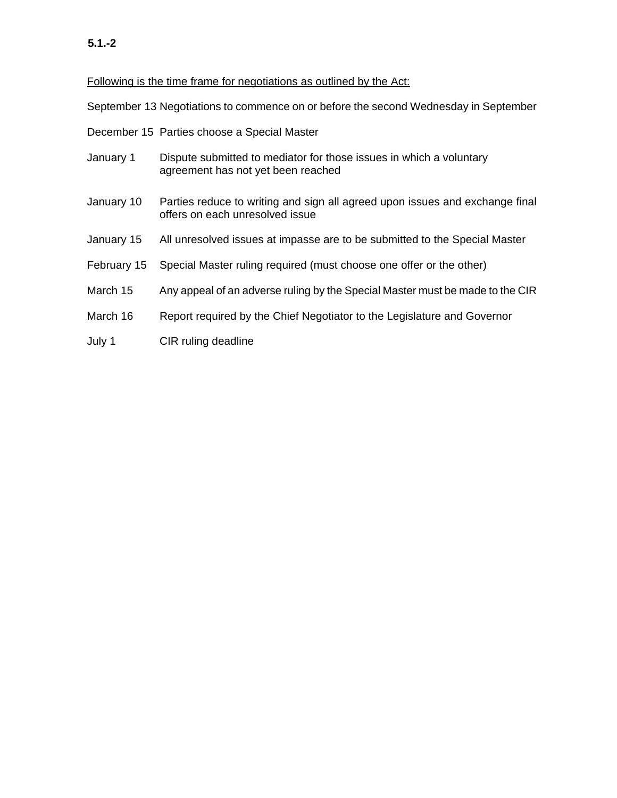#### **5.1.-2**

Following is the time frame for negotiations as outlined by the Act:

September 13 Negotiations to commence on or before the second Wednesday in September

December 15 Parties choose a Special Master

- January 1 Dispute submitted to mediator for those issues in which a voluntary agreement has not yet been reached
- January 10 Parties reduce to writing and sign all agreed upon issues and exchange final offers on each unresolved issue
- January 15 All unresolved issues at impasse are to be submitted to the Special Master
- February 15 Special Master ruling required (must choose one offer or the other)
- March 15 Any appeal of an adverse ruling by the Special Master must be made to the CIR
- March 16 Report required by the Chief Negotiator to the Legislature and Governor
- July 1 CIR ruling deadline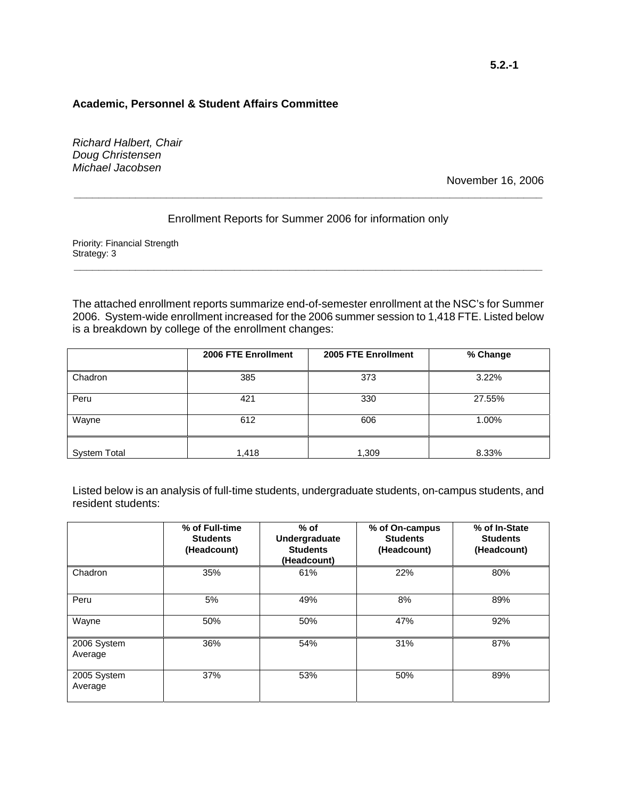#### **Academic, Personnel & Student Affairs Committee**

*Richard Halbert, Chair Doug Christensen Michael Jacobsen* 

November 16, 2006

#### Enrollment Reports for Summer 2006 for information only

**\_\_\_\_\_\_\_\_\_\_\_\_\_\_\_\_\_\_\_\_\_\_\_\_\_\_\_\_\_\_\_\_\_\_\_\_\_\_\_\_\_\_\_\_\_\_\_\_\_\_\_\_\_\_\_\_\_\_\_\_\_\_\_\_\_\_\_\_\_\_\_\_\_\_\_\_** 

**\_\_\_\_\_\_\_\_\_\_\_\_\_\_\_\_\_\_\_\_\_\_\_\_\_\_\_\_\_\_\_\_\_\_\_\_\_\_\_\_\_\_\_\_\_\_\_\_\_\_\_\_\_\_\_\_\_\_\_\_\_\_\_\_\_\_\_\_\_\_\_\_\_\_\_\_** 

Priority: Financial Strength Strategy: 3

The attached enrollment reports summarize end-of-semester enrollment at the NSC's for Summer 2006. System-wide enrollment increased for the 2006 summer session to 1,418 FTE. Listed below is a breakdown by college of the enrollment changes:

|                     | 2006 FTE Enrollment | 2005 FTE Enrollment | % Change |
|---------------------|---------------------|---------------------|----------|
| Chadron             | 385                 | 373                 | 3.22%    |
| Peru                | 421                 | 330                 | 27.55%   |
| Wayne               | 612                 | 606                 | 1.00%    |
| <b>System Total</b> | 1,418               | 1,309               | 8.33%    |

Listed below is an analysis of full-time students, undergraduate students, on-campus students, and resident students:

|                        | % of Full-time<br><b>Students</b><br>(Headcount) | $%$ of<br>Undergraduate<br><b>Students</b><br>(Headcount) | % of On-campus<br><b>Students</b><br>(Headcount) | % of In-State<br><b>Students</b><br>(Headcount) |
|------------------------|--------------------------------------------------|-----------------------------------------------------------|--------------------------------------------------|-------------------------------------------------|
| Chadron                | 35%                                              | 61%                                                       | 22%                                              | 80%                                             |
| Peru                   | 5%                                               | 49%                                                       | 8%                                               | 89%                                             |
| Wayne                  | 50%                                              | 50%                                                       | 47%                                              | 92%                                             |
| 2006 System<br>Average | 36%                                              | 54%                                                       | 31%                                              | 87%                                             |
| 2005 System<br>Average | 37%                                              | 53%                                                       | 50%                                              | 89%                                             |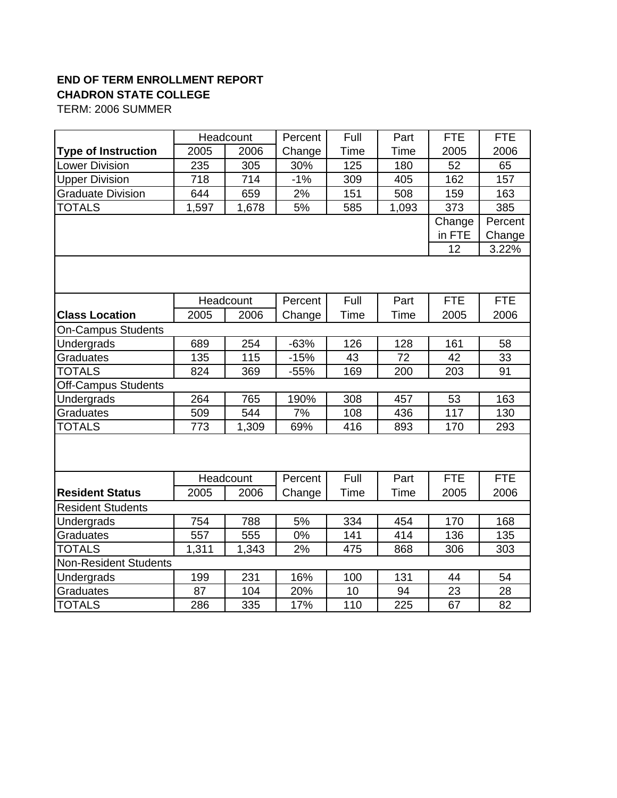# **END OF TERM ENROLLMENT REPORT CHADRON STATE COLLEGE**

TERM: 2006 SUMMER

|                              |       | Headcount | Percent | Full        | Part        | <b>FTE</b> | <b>FTE</b> |
|------------------------------|-------|-----------|---------|-------------|-------------|------------|------------|
| <b>Type of Instruction</b>   | 2005  | 2006      | Change  | <b>Time</b> | <b>Time</b> | 2005       | 2006       |
| <b>Lower Division</b>        | 235   | 305       | 30%     | 125         | 180         | 52         | 65         |
| <b>Upper Division</b>        | 718   | 714       | $-1%$   | 309         | 405         | 162        | 157        |
| <b>Graduate Division</b>     | 644   | 659       | 2%      | 151         | 508         | 159        | 163        |
| <b>TOTALS</b>                | 1,597 | 1,678     | 5%      | 585         | 1,093       | 373        | 385        |
|                              |       |           |         |             |             | Change     | Percent    |
|                              |       |           |         |             |             | in FTE     | Change     |
|                              |       |           |         |             |             | 12         | 3.22%      |
|                              |       | Headcount | Percent | Full        | Part        | FTE        | <b>FTE</b> |
|                              |       |           |         |             |             |            |            |
| <b>Class Location</b>        | 2005  | 2006      | Change  | <b>Time</b> | <b>Time</b> | 2005       | 2006       |
| <b>On-Campus Students</b>    |       |           |         |             |             |            |            |
| Undergrads                   | 689   | 254       | $-63%$  | 126         | 128         | 161        | 58         |
| <b>Graduates</b>             | 135   | 115       | $-15%$  | 43          | 72          | 42         | 33         |
| <b>TOTALS</b>                | 824   | 369       | $-55%$  | 169         | 200         | 203        | 91         |
| Off-Campus Students          |       |           |         |             |             |            |            |
| Undergrads                   | 264   | 765       | 190%    | 308         | 457         | 53         | 163        |
| Graduates                    | 509   | 544       | 7%      | 108         | 436         | 117        | 130        |
| <b>TOTALS</b>                | 773   | 1,309     | 69%     | 416         | 893         | 170        | 293        |
|                              |       |           |         |             |             |            |            |
|                              |       | Headcount | Percent | Full        | Part        | <b>FTE</b> | <b>FTE</b> |
| <b>Resident Status</b>       | 2005  | 2006      | Change  | <b>Time</b> | <b>Time</b> | 2005       | 2006       |
| <b>Resident Students</b>     |       |           |         |             |             |            |            |
| Undergrads                   | 754   | 788       | 5%      | 334         | 454         | 170        | 168        |
| <b>Graduates</b>             | 557   | 555       | 0%      | 141         | 414         | 136        | 135        |
| <b>TOTALS</b>                | 1,311 | 1,343     | 2%      | 475         | 868         | 306        | 303        |
| <b>Non-Resident Students</b> |       |           |         |             |             |            |            |
| Undergrads                   | 199   | 231       | 16%     | 100         | 131         | 44         | 54         |
| <b>Graduates</b>             | 87    | 104       | 20%     | 10          | 94          | 23         | 28         |
| <b>TOTALS</b>                | 286   | 335       | 17%     | 110         | 225         | 67         | 82         |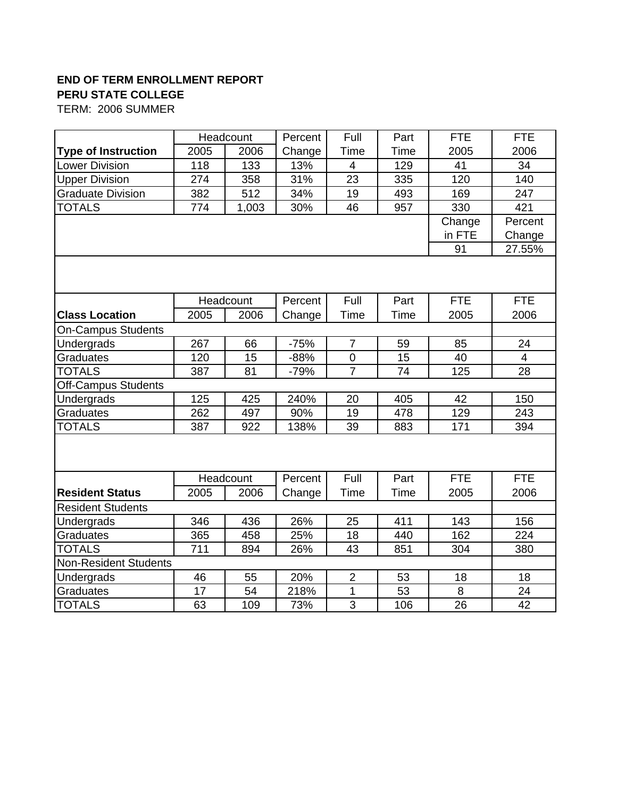# **END OF TERM ENROLLMENT REPORT PERU STATE COLLEGE**

TERM: 2006 SUMMER

|                              |      | Headcount | Percent | Full             | Part        | <b>FTE</b> | <b>FTE</b>     |
|------------------------------|------|-----------|---------|------------------|-------------|------------|----------------|
| <b>Type of Instruction</b>   | 2005 | 2006      | Change  | <b>Time</b>      | <b>Time</b> | 2005       | 2006           |
| <b>Lower Division</b>        | 118  | 133       | 13%     | $\overline{4}$   | 129         | 41         | 34             |
| <b>Upper Division</b>        | 274  | 358       | 31%     | 23               | 335         | 120        | 140            |
| <b>Graduate Division</b>     | 382  | 512       | 34%     | 19               | 493         | 169        | 247            |
| <b>TOTALS</b>                | 774  | 1,003     | 30%     | 46               | 957         | 330        | 421            |
|                              |      |           |         |                  |             | Change     | Percent        |
|                              |      |           |         |                  |             | in FTE     | Change         |
|                              |      |           |         |                  |             | 91         | 27.55%         |
|                              |      |           |         |                  |             |            |                |
|                              |      | Headcount | Percent | Full             | Part        | <b>FTE</b> | <b>FTE</b>     |
| <b>Class Location</b>        | 2005 | 2006      | Change  | <b>Time</b>      | <b>Time</b> | 2005       | 2006           |
| <b>On-Campus Students</b>    |      |           |         |                  |             |            |                |
| Undergrads                   | 267  | 66        | $-75%$  | $\overline{7}$   | 59          | 85         | 24             |
| <b>Graduates</b>             | 120  | 15        | $-88%$  | $\boldsymbol{0}$ | 15          | 40         | $\overline{4}$ |
| <b>TOTALS</b>                | 387  | 81        | $-79%$  | $\overline{7}$   | 74          | 125        | 28             |
| <b>Off-Campus Students</b>   |      |           |         |                  |             |            |                |
| Undergrads                   | 125  | 425       | 240%    | 20               | 405         | 42         | 150            |
| Graduates                    | 262  | 497       | 90%     | 19               | 478         | 129        | 243            |
| <b>TOTALS</b>                | 387  | 922       | 138%    | 39               | 883         | 171        | 394            |
|                              |      |           |         |                  |             |            |                |
|                              |      | Headcount | Percent | Full             | Part        | FTE        | <b>FTE</b>     |
| <b>Resident Status</b>       | 2005 | 2006      | Change  | <b>Time</b>      | <b>Time</b> | 2005       | 2006           |
| <b>Resident Students</b>     |      |           |         |                  |             |            |                |
| Undergrads                   | 346  | 436       | 26%     | 25               | 411         | 143        | 156            |
| <b>Graduates</b>             | 365  | 458       | 25%     | 18               | 440         | 162        | 224            |
| <b>TOTALS</b>                | 711  | 894       | 26%     | 43               | 851         | 304        | 380            |
| <b>Non-Resident Students</b> |      |           |         |                  |             |            |                |
| Undergrads                   | 46   | 55        | 20%     | $\overline{2}$   | 53          | 18         | 18             |
| <b>Graduates</b>             | 17   | 54        | 218%    | $\mathbf 1$      | 53          | 8          | 24             |
| <b>TOTALS</b>                | 63   | 109       | 73%     | $\overline{3}$   | 106         | 26         | 42             |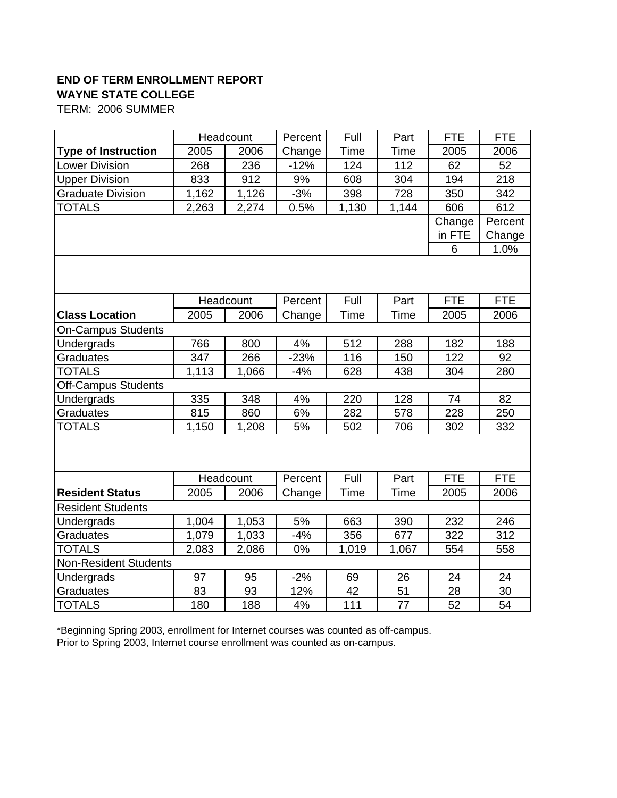# **END OF TERM ENROLLMENT REPORT WAYNE STATE COLLEGE**

TERM: 2006 SUMMER

|                              |       | Headcount | Percent | Full        | Part        | <b>FTE</b> | <b>FTE</b> |  |  |
|------------------------------|-------|-----------|---------|-------------|-------------|------------|------------|--|--|
| <b>Type of Instruction</b>   | 2005  | 2006      | Change  | <b>Time</b> | <b>Time</b> | 2005       | 2006       |  |  |
| <b>Lower Division</b>        | 268   | 236       | $-12%$  | 124         | 112         | 62         | 52         |  |  |
| <b>Upper Division</b>        | 833   | 912       | 9%      | 608         | 304         | 194        | 218        |  |  |
| <b>Graduate Division</b>     | 1,162 | 1,126     | $-3%$   | 398         | 728         | 350        | 342        |  |  |
| <b>TOTALS</b>                | 2,263 | 2,274     | 0.5%    | 1,130       | 1,144       | 606        | 612        |  |  |
|                              |       |           |         |             |             | Change     | Percent    |  |  |
|                              |       |           |         |             |             | in FTE     | Change     |  |  |
|                              |       |           |         |             |             | 6          | 1.0%       |  |  |
|                              |       |           |         |             |             |            |            |  |  |
|                              |       | Headcount | Percent | Full        | Part        | <b>FTE</b> | <b>FTE</b> |  |  |
| <b>Class Location</b>        | 2005  | 2006      | Change  | Time        | <b>Time</b> | 2005       | 2006       |  |  |
| <b>On-Campus Students</b>    |       |           |         |             |             |            |            |  |  |
| Undergrads                   | 766   | 800       | 4%      | 512         | 288         | 182        | 188        |  |  |
| <b>Graduates</b>             | 347   | 266       | $-23%$  | 116         | 150         | 122        | 92         |  |  |
| <b>TOTALS</b>                | 1,113 | 1,066     | $-4%$   | 628         | 438         | 304        | 280        |  |  |
| <b>Off-Campus Students</b>   |       |           |         |             |             |            |            |  |  |
| Undergrads                   | 335   | 348       | 4%      | 220         | 128         | 74         | 82         |  |  |
| <b>Graduates</b>             | 815   | 860       | 6%      | 282         | 578         | 228        | 250        |  |  |
| <b>TOTALS</b>                | 1,150 | 1,208     | 5%      | 502         | 706         | 302        | 332        |  |  |
|                              |       |           |         |             |             |            |            |  |  |
|                              |       | Headcount | Percent | Full        | Part        | <b>FTE</b> | <b>FTE</b> |  |  |
| <b>Resident Status</b>       | 2005  | 2006      | Change  | <b>Time</b> | <b>Time</b> | 2005       | 2006       |  |  |
| <b>Resident Students</b>     |       |           |         |             |             |            |            |  |  |
| Undergrads                   | 1,004 | 1,053     | 5%      | 663         | 390         | 232        | 246        |  |  |
| Graduates                    | 1,079 | 1,033     | $-4%$   | 356         | 677         | 322        | 312        |  |  |
| <b>TOTALS</b>                | 2,083 | 2,086     | $0\%$   | 1,019       | 1,067       | 554        | 558        |  |  |
| <b>Non-Resident Students</b> |       |           |         |             |             |            |            |  |  |
| Undergrads                   | 97    | 95        | $-2%$   | 69          | 26          | 24         | 24         |  |  |
| <b>Graduates</b>             | 83    | 93        | 12%     | 42          | 51          | 28         | 30         |  |  |
| <b>TOTALS</b>                | 180   | 188       | 4%      | 111         | 77          | 52         | 54         |  |  |

\*Beginning Spring 2003, enrollment for Internet courses was counted as off-campus. Prior to Spring 2003, Internet course enrollment was counted as on-campus.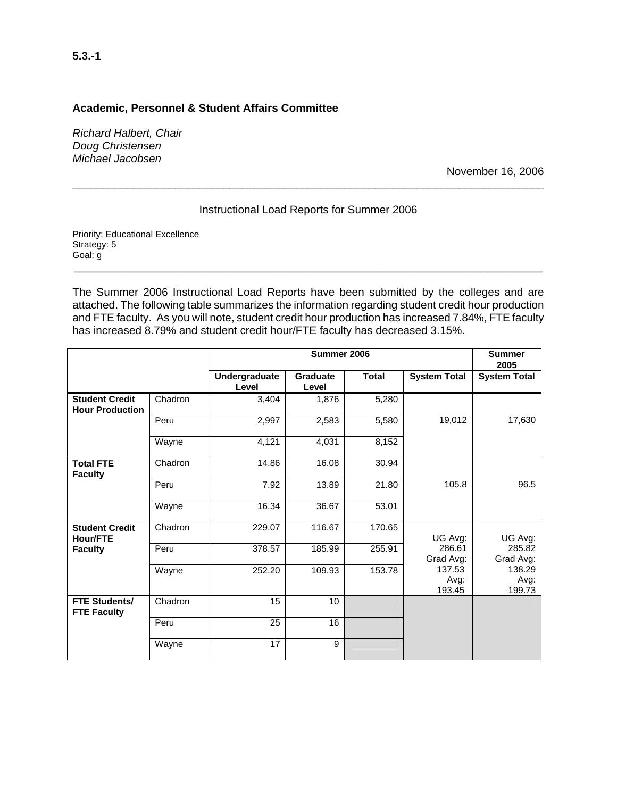# **Academic, Personnel & Student Affairs Committee**

*Richard Halbert, Chair Doug Christensen Michael Jacobsen* 

November 16, 2006

# Instructional Load Reports for Summer 2006

**\_\_\_\_\_\_\_\_\_\_\_\_\_\_\_\_\_\_\_\_\_\_\_\_\_\_\_\_\_\_\_\_\_\_\_\_\_\_\_\_\_\_\_\_\_\_\_\_\_\_\_\_\_\_\_\_\_\_\_\_\_\_\_\_\_\_\_\_\_\_\_\_\_\_\_\_\_\_** 

Priority: Educational Excellence Strategy: 5 Goal: g \_\_\_\_\_\_\_\_\_\_\_\_\_\_\_\_\_\_\_\_\_\_\_\_\_\_\_\_\_\_\_\_\_\_\_\_\_\_\_\_\_\_\_\_\_\_\_\_\_\_\_\_\_\_\_\_\_\_\_\_\_\_\_\_\_\_\_\_\_\_\_\_\_\_\_\_

The Summer 2006 Instructional Load Reports have been submitted by the colleges and are attached. The following table summarizes the information regarding student credit hour production and FTE faculty. As you will note, student credit hour production has increased 7.84%, FTE faculty has increased 8.79% and student credit hour/FTE faculty has decreased 3.15%.

|                                                 |         |                        |                          | <b>Summer</b><br>2005 |                          |                          |
|-------------------------------------------------|---------|------------------------|--------------------------|-----------------------|--------------------------|--------------------------|
|                                                 |         | Undergraduate<br>Level | <b>Graduate</b><br>Level | <b>Total</b>          | <b>System Total</b>      | <b>System Total</b>      |
| <b>Student Credit</b><br><b>Hour Production</b> | Chadron | 3,404                  | 1,876                    | 5,280                 |                          |                          |
|                                                 | Peru    | 2,997                  | 2,583                    | 5,580                 | 19,012                   | 17,630                   |
|                                                 | Wayne   | 4,121                  | 4,031                    | 8,152                 |                          |                          |
| <b>Total FTE</b><br><b>Faculty</b>              | Chadron | 14.86                  | 16.08                    | 30.94                 |                          |                          |
|                                                 | Peru    | 7.92                   | 13.89                    | 21.80                 | 105.8                    | 96.5                     |
|                                                 | Wayne   | 16.34                  | 36.67                    | 53.01                 |                          |                          |
| <b>Student Credit</b><br>Hour/FTE               | Chadron | 229.07                 | 116.67                   | 170.65                | UG Avg:                  | UG Avg:                  |
| <b>Faculty</b>                                  | Peru    | 378.57                 | 185.99                   | 255.91                | 286.61<br>Grad Avg:      | 285.82<br>Grad Avg:      |
|                                                 | Wayne   | 252.20                 | 109.93                   | 153.78                | 137.53<br>Avg:<br>193.45 | 138.29<br>Avg:<br>199.73 |
| <b>FTE Students/</b><br><b>FTE Faculty</b>      | Chadron | 15                     | 10                       |                       |                          |                          |
|                                                 | Peru    | 25                     | 16                       |                       |                          |                          |
|                                                 | Wayne   | $\overline{17}$        | 9                        |                       |                          |                          |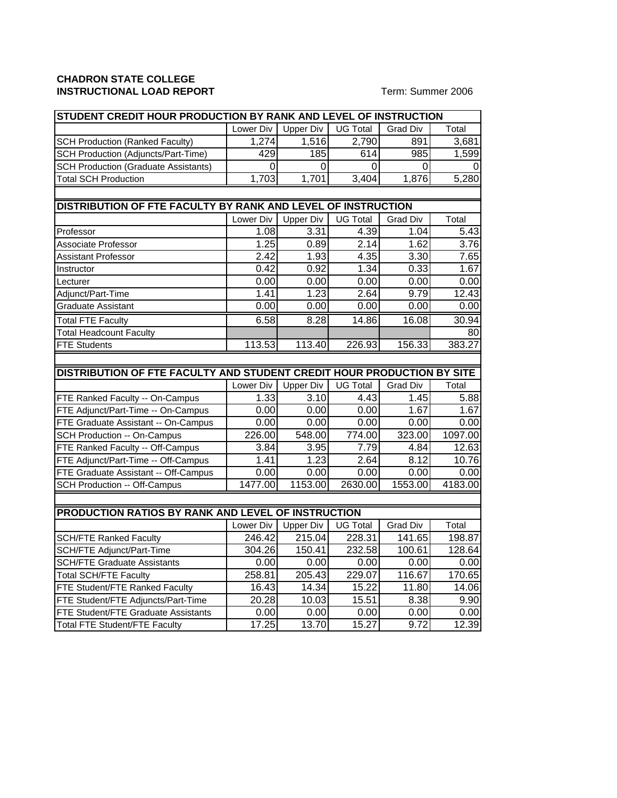# **CHADRON STATE COLLEGE INSTRUCTIONAL LOAD REPORT** Term: Summer 2006

| Lower Div<br>Upper Div<br><b>UG Total</b><br><b>Grad Div</b><br>Total<br><b>SCH Production (Ranked Faculty)</b><br>1,274<br>1,516<br>2,790<br>891<br>3,681<br>429<br>185<br>614<br>985<br>1,599<br>SCH Production (Adjuncts/Part-Time)<br>$\mathbf 0$<br>$\mathbf 0$<br><b>SCH Production (Graduate Assistants)</b><br>0<br>0<br>0<br>1,703<br>1,701<br>3,404<br>1,876<br>5,280<br><b>Total SCH Production</b><br>DISTRIBUTION OF FTE FACULTY BY RANK AND LEVEL OF INSTRUCTION<br><b>UG Total</b><br>Lower Div<br><b>Upper Div</b><br><b>Grad Div</b><br>Total<br>1.08<br>3.31<br>4.39<br>1.04<br>5.43<br>Professor<br>1.25<br>0.89<br>2.14<br>1.62<br>3.76<br>Associate Professor<br>1.93<br>4.35<br>3.30<br>2.42<br>7.65<br>Assistant Professor<br>1.34<br>0.33<br>0.42<br>0.92<br>Instructor<br>1.67<br>0.00<br>0.00<br>0.00<br>0.00<br>0.00<br>Lecturer<br>1.23<br>2.64<br>9.79<br>Adjunct/Part-Time<br>1.41<br>12.43<br>0.00<br>0.00<br>0.00<br>0.00<br>0.00<br>Graduate Assistant<br><b>Total FTE Faculty</b><br>6.58<br>8.28<br>14.86<br>16.08<br>30.94<br><b>Total Headcount Faculty</b><br>80<br>383.27<br><b>FTE Students</b><br>113.53<br>113.40<br>226.93<br>156.33<br>DISTRIBUTION OF FTE FACULTY AND STUDENT CREDIT HOUR PRODUCTION BY SITE<br><b>Upper Div</b><br><b>UG Total</b><br><b>Grad Div</b><br>Lower Div<br>Total<br>1.33<br>3.10<br>1.45<br>FTE Ranked Faculty -- On-Campus<br>4.43<br>5.88<br>FTE Adjunct/Part-Time -- On-Campus<br>0.00<br>1.67<br>1.67<br>0.00<br>0.00<br>FTE Graduate Assistant -- On-Campus<br>0.00<br>0.00<br>0.00<br>0.00<br>0.00<br>548.00<br>323.00<br>SCH Production -- On-Campus<br>226.00<br>774.00<br>1097.00<br>3.95<br>7.79<br>12.63<br>FTE Ranked Faculty -- Off-Campus<br>3.84<br>4.84<br>1.23<br>2.64<br>8.12<br>10.76<br>FTE Adjunct/Part-Time -- Off-Campus<br>1.41<br>FTE Graduate Assistant -- Off-Campus<br>0.00<br>0.00<br>0.00<br>0.00<br>0.00<br>1153.00<br>2630.00<br>1553.00<br>4183.00<br>SCH Production -- Off-Campus<br>1477.00<br>PRODUCTION RATIOS BY RANK AND LEVEL OF INSTRUCTION<br><b>UG Total</b><br>Grad Div<br>Total<br>Lower Div<br>Upper Div<br>246.42<br>215.04<br>228.31<br>141.65<br>198.87<br><b>SCH/FTE Ranked Faculty</b><br>150.41<br>232.58<br>100.61<br>304.26<br>128.64<br>SCH/FTE Adjunct/Part-Time<br><b>SCH/FTE Graduate Assistants</b><br>0.00<br>0.00<br>0.00<br>0.00<br>0.00<br>229.07<br>258.81<br>205.43<br>116.67<br><b>Total SCH/FTE Faculty</b><br>170.65<br>16.43<br>14.34<br>15.22<br>11.80<br>14.06<br>20.28<br>10.03<br>15.51<br>8.38<br>9.90 | STUDENT CREDIT HOUR PRODUCTION BY RANK AND LEVEL OF INSTRUCTION |      |      |      |      |      |
|-----------------------------------------------------------------------------------------------------------------------------------------------------------------------------------------------------------------------------------------------------------------------------------------------------------------------------------------------------------------------------------------------------------------------------------------------------------------------------------------------------------------------------------------------------------------------------------------------------------------------------------------------------------------------------------------------------------------------------------------------------------------------------------------------------------------------------------------------------------------------------------------------------------------------------------------------------------------------------------------------------------------------------------------------------------------------------------------------------------------------------------------------------------------------------------------------------------------------------------------------------------------------------------------------------------------------------------------------------------------------------------------------------------------------------------------------------------------------------------------------------------------------------------------------------------------------------------------------------------------------------------------------------------------------------------------------------------------------------------------------------------------------------------------------------------------------------------------------------------------------------------------------------------------------------------------------------------------------------------------------------------------------------------------------------------------------------------------------------------------------------------------------------------------------------------------------------------------------------------------------------------------------------------------------------------------------------------------------------------------------------------------------------------------------------------------------------------------------------------------------------------------------------------------------------------|-----------------------------------------------------------------|------|------|------|------|------|
|                                                                                                                                                                                                                                                                                                                                                                                                                                                                                                                                                                                                                                                                                                                                                                                                                                                                                                                                                                                                                                                                                                                                                                                                                                                                                                                                                                                                                                                                                                                                                                                                                                                                                                                                                                                                                                                                                                                                                                                                                                                                                                                                                                                                                                                                                                                                                                                                                                                                                                                                                           |                                                                 |      |      |      |      |      |
|                                                                                                                                                                                                                                                                                                                                                                                                                                                                                                                                                                                                                                                                                                                                                                                                                                                                                                                                                                                                                                                                                                                                                                                                                                                                                                                                                                                                                                                                                                                                                                                                                                                                                                                                                                                                                                                                                                                                                                                                                                                                                                                                                                                                                                                                                                                                                                                                                                                                                                                                                           |                                                                 |      |      |      |      |      |
|                                                                                                                                                                                                                                                                                                                                                                                                                                                                                                                                                                                                                                                                                                                                                                                                                                                                                                                                                                                                                                                                                                                                                                                                                                                                                                                                                                                                                                                                                                                                                                                                                                                                                                                                                                                                                                                                                                                                                                                                                                                                                                                                                                                                                                                                                                                                                                                                                                                                                                                                                           |                                                                 |      |      |      |      |      |
|                                                                                                                                                                                                                                                                                                                                                                                                                                                                                                                                                                                                                                                                                                                                                                                                                                                                                                                                                                                                                                                                                                                                                                                                                                                                                                                                                                                                                                                                                                                                                                                                                                                                                                                                                                                                                                                                                                                                                                                                                                                                                                                                                                                                                                                                                                                                                                                                                                                                                                                                                           |                                                                 |      |      |      |      |      |
|                                                                                                                                                                                                                                                                                                                                                                                                                                                                                                                                                                                                                                                                                                                                                                                                                                                                                                                                                                                                                                                                                                                                                                                                                                                                                                                                                                                                                                                                                                                                                                                                                                                                                                                                                                                                                                                                                                                                                                                                                                                                                                                                                                                                                                                                                                                                                                                                                                                                                                                                                           |                                                                 |      |      |      |      |      |
|                                                                                                                                                                                                                                                                                                                                                                                                                                                                                                                                                                                                                                                                                                                                                                                                                                                                                                                                                                                                                                                                                                                                                                                                                                                                                                                                                                                                                                                                                                                                                                                                                                                                                                                                                                                                                                                                                                                                                                                                                                                                                                                                                                                                                                                                                                                                                                                                                                                                                                                                                           |                                                                 |      |      |      |      |      |
|                                                                                                                                                                                                                                                                                                                                                                                                                                                                                                                                                                                                                                                                                                                                                                                                                                                                                                                                                                                                                                                                                                                                                                                                                                                                                                                                                                                                                                                                                                                                                                                                                                                                                                                                                                                                                                                                                                                                                                                                                                                                                                                                                                                                                                                                                                                                                                                                                                                                                                                                                           |                                                                 |      |      |      |      |      |
|                                                                                                                                                                                                                                                                                                                                                                                                                                                                                                                                                                                                                                                                                                                                                                                                                                                                                                                                                                                                                                                                                                                                                                                                                                                                                                                                                                                                                                                                                                                                                                                                                                                                                                                                                                                                                                                                                                                                                                                                                                                                                                                                                                                                                                                                                                                                                                                                                                                                                                                                                           |                                                                 |      |      |      |      |      |
|                                                                                                                                                                                                                                                                                                                                                                                                                                                                                                                                                                                                                                                                                                                                                                                                                                                                                                                                                                                                                                                                                                                                                                                                                                                                                                                                                                                                                                                                                                                                                                                                                                                                                                                                                                                                                                                                                                                                                                                                                                                                                                                                                                                                                                                                                                                                                                                                                                                                                                                                                           |                                                                 |      |      |      |      |      |
|                                                                                                                                                                                                                                                                                                                                                                                                                                                                                                                                                                                                                                                                                                                                                                                                                                                                                                                                                                                                                                                                                                                                                                                                                                                                                                                                                                                                                                                                                                                                                                                                                                                                                                                                                                                                                                                                                                                                                                                                                                                                                                                                                                                                                                                                                                                                                                                                                                                                                                                                                           |                                                                 |      |      |      |      |      |
|                                                                                                                                                                                                                                                                                                                                                                                                                                                                                                                                                                                                                                                                                                                                                                                                                                                                                                                                                                                                                                                                                                                                                                                                                                                                                                                                                                                                                                                                                                                                                                                                                                                                                                                                                                                                                                                                                                                                                                                                                                                                                                                                                                                                                                                                                                                                                                                                                                                                                                                                                           |                                                                 |      |      |      |      |      |
|                                                                                                                                                                                                                                                                                                                                                                                                                                                                                                                                                                                                                                                                                                                                                                                                                                                                                                                                                                                                                                                                                                                                                                                                                                                                                                                                                                                                                                                                                                                                                                                                                                                                                                                                                                                                                                                                                                                                                                                                                                                                                                                                                                                                                                                                                                                                                                                                                                                                                                                                                           |                                                                 |      |      |      |      |      |
|                                                                                                                                                                                                                                                                                                                                                                                                                                                                                                                                                                                                                                                                                                                                                                                                                                                                                                                                                                                                                                                                                                                                                                                                                                                                                                                                                                                                                                                                                                                                                                                                                                                                                                                                                                                                                                                                                                                                                                                                                                                                                                                                                                                                                                                                                                                                                                                                                                                                                                                                                           |                                                                 |      |      |      |      |      |
|                                                                                                                                                                                                                                                                                                                                                                                                                                                                                                                                                                                                                                                                                                                                                                                                                                                                                                                                                                                                                                                                                                                                                                                                                                                                                                                                                                                                                                                                                                                                                                                                                                                                                                                                                                                                                                                                                                                                                                                                                                                                                                                                                                                                                                                                                                                                                                                                                                                                                                                                                           |                                                                 |      |      |      |      |      |
|                                                                                                                                                                                                                                                                                                                                                                                                                                                                                                                                                                                                                                                                                                                                                                                                                                                                                                                                                                                                                                                                                                                                                                                                                                                                                                                                                                                                                                                                                                                                                                                                                                                                                                                                                                                                                                                                                                                                                                                                                                                                                                                                                                                                                                                                                                                                                                                                                                                                                                                                                           |                                                                 |      |      |      |      |      |
|                                                                                                                                                                                                                                                                                                                                                                                                                                                                                                                                                                                                                                                                                                                                                                                                                                                                                                                                                                                                                                                                                                                                                                                                                                                                                                                                                                                                                                                                                                                                                                                                                                                                                                                                                                                                                                                                                                                                                                                                                                                                                                                                                                                                                                                                                                                                                                                                                                                                                                                                                           |                                                                 |      |      |      |      |      |
|                                                                                                                                                                                                                                                                                                                                                                                                                                                                                                                                                                                                                                                                                                                                                                                                                                                                                                                                                                                                                                                                                                                                                                                                                                                                                                                                                                                                                                                                                                                                                                                                                                                                                                                                                                                                                                                                                                                                                                                                                                                                                                                                                                                                                                                                                                                                                                                                                                                                                                                                                           |                                                                 |      |      |      |      |      |
|                                                                                                                                                                                                                                                                                                                                                                                                                                                                                                                                                                                                                                                                                                                                                                                                                                                                                                                                                                                                                                                                                                                                                                                                                                                                                                                                                                                                                                                                                                                                                                                                                                                                                                                                                                                                                                                                                                                                                                                                                                                                                                                                                                                                                                                                                                                                                                                                                                                                                                                                                           |                                                                 |      |      |      |      |      |
|                                                                                                                                                                                                                                                                                                                                                                                                                                                                                                                                                                                                                                                                                                                                                                                                                                                                                                                                                                                                                                                                                                                                                                                                                                                                                                                                                                                                                                                                                                                                                                                                                                                                                                                                                                                                                                                                                                                                                                                                                                                                                                                                                                                                                                                                                                                                                                                                                                                                                                                                                           |                                                                 |      |      |      |      |      |
|                                                                                                                                                                                                                                                                                                                                                                                                                                                                                                                                                                                                                                                                                                                                                                                                                                                                                                                                                                                                                                                                                                                                                                                                                                                                                                                                                                                                                                                                                                                                                                                                                                                                                                                                                                                                                                                                                                                                                                                                                                                                                                                                                                                                                                                                                                                                                                                                                                                                                                                                                           |                                                                 |      |      |      |      |      |
|                                                                                                                                                                                                                                                                                                                                                                                                                                                                                                                                                                                                                                                                                                                                                                                                                                                                                                                                                                                                                                                                                                                                                                                                                                                                                                                                                                                                                                                                                                                                                                                                                                                                                                                                                                                                                                                                                                                                                                                                                                                                                                                                                                                                                                                                                                                                                                                                                                                                                                                                                           |                                                                 |      |      |      |      |      |
|                                                                                                                                                                                                                                                                                                                                                                                                                                                                                                                                                                                                                                                                                                                                                                                                                                                                                                                                                                                                                                                                                                                                                                                                                                                                                                                                                                                                                                                                                                                                                                                                                                                                                                                                                                                                                                                                                                                                                                                                                                                                                                                                                                                                                                                                                                                                                                                                                                                                                                                                                           |                                                                 |      |      |      |      |      |
|                                                                                                                                                                                                                                                                                                                                                                                                                                                                                                                                                                                                                                                                                                                                                                                                                                                                                                                                                                                                                                                                                                                                                                                                                                                                                                                                                                                                                                                                                                                                                                                                                                                                                                                                                                                                                                                                                                                                                                                                                                                                                                                                                                                                                                                                                                                                                                                                                                                                                                                                                           |                                                                 |      |      |      |      |      |
|                                                                                                                                                                                                                                                                                                                                                                                                                                                                                                                                                                                                                                                                                                                                                                                                                                                                                                                                                                                                                                                                                                                                                                                                                                                                                                                                                                                                                                                                                                                                                                                                                                                                                                                                                                                                                                                                                                                                                                                                                                                                                                                                                                                                                                                                                                                                                                                                                                                                                                                                                           |                                                                 |      |      |      |      |      |
|                                                                                                                                                                                                                                                                                                                                                                                                                                                                                                                                                                                                                                                                                                                                                                                                                                                                                                                                                                                                                                                                                                                                                                                                                                                                                                                                                                                                                                                                                                                                                                                                                                                                                                                                                                                                                                                                                                                                                                                                                                                                                                                                                                                                                                                                                                                                                                                                                                                                                                                                                           |                                                                 |      |      |      |      |      |
|                                                                                                                                                                                                                                                                                                                                                                                                                                                                                                                                                                                                                                                                                                                                                                                                                                                                                                                                                                                                                                                                                                                                                                                                                                                                                                                                                                                                                                                                                                                                                                                                                                                                                                                                                                                                                                                                                                                                                                                                                                                                                                                                                                                                                                                                                                                                                                                                                                                                                                                                                           |                                                                 |      |      |      |      |      |
|                                                                                                                                                                                                                                                                                                                                                                                                                                                                                                                                                                                                                                                                                                                                                                                                                                                                                                                                                                                                                                                                                                                                                                                                                                                                                                                                                                                                                                                                                                                                                                                                                                                                                                                                                                                                                                                                                                                                                                                                                                                                                                                                                                                                                                                                                                                                                                                                                                                                                                                                                           |                                                                 |      |      |      |      |      |
|                                                                                                                                                                                                                                                                                                                                                                                                                                                                                                                                                                                                                                                                                                                                                                                                                                                                                                                                                                                                                                                                                                                                                                                                                                                                                                                                                                                                                                                                                                                                                                                                                                                                                                                                                                                                                                                                                                                                                                                                                                                                                                                                                                                                                                                                                                                                                                                                                                                                                                                                                           |                                                                 |      |      |      |      |      |
|                                                                                                                                                                                                                                                                                                                                                                                                                                                                                                                                                                                                                                                                                                                                                                                                                                                                                                                                                                                                                                                                                                                                                                                                                                                                                                                                                                                                                                                                                                                                                                                                                                                                                                                                                                                                                                                                                                                                                                                                                                                                                                                                                                                                                                                                                                                                                                                                                                                                                                                                                           |                                                                 |      |      |      |      |      |
|                                                                                                                                                                                                                                                                                                                                                                                                                                                                                                                                                                                                                                                                                                                                                                                                                                                                                                                                                                                                                                                                                                                                                                                                                                                                                                                                                                                                                                                                                                                                                                                                                                                                                                                                                                                                                                                                                                                                                                                                                                                                                                                                                                                                                                                                                                                                                                                                                                                                                                                                                           |                                                                 |      |      |      |      |      |
|                                                                                                                                                                                                                                                                                                                                                                                                                                                                                                                                                                                                                                                                                                                                                                                                                                                                                                                                                                                                                                                                                                                                                                                                                                                                                                                                                                                                                                                                                                                                                                                                                                                                                                                                                                                                                                                                                                                                                                                                                                                                                                                                                                                                                                                                                                                                                                                                                                                                                                                                                           |                                                                 |      |      |      |      |      |
|                                                                                                                                                                                                                                                                                                                                                                                                                                                                                                                                                                                                                                                                                                                                                                                                                                                                                                                                                                                                                                                                                                                                                                                                                                                                                                                                                                                                                                                                                                                                                                                                                                                                                                                                                                                                                                                                                                                                                                                                                                                                                                                                                                                                                                                                                                                                                                                                                                                                                                                                                           |                                                                 |      |      |      |      |      |
|                                                                                                                                                                                                                                                                                                                                                                                                                                                                                                                                                                                                                                                                                                                                                                                                                                                                                                                                                                                                                                                                                                                                                                                                                                                                                                                                                                                                                                                                                                                                                                                                                                                                                                                                                                                                                                                                                                                                                                                                                                                                                                                                                                                                                                                                                                                                                                                                                                                                                                                                                           |                                                                 |      |      |      |      |      |
|                                                                                                                                                                                                                                                                                                                                                                                                                                                                                                                                                                                                                                                                                                                                                                                                                                                                                                                                                                                                                                                                                                                                                                                                                                                                                                                                                                                                                                                                                                                                                                                                                                                                                                                                                                                                                                                                                                                                                                                                                                                                                                                                                                                                                                                                                                                                                                                                                                                                                                                                                           |                                                                 |      |      |      |      |      |
|                                                                                                                                                                                                                                                                                                                                                                                                                                                                                                                                                                                                                                                                                                                                                                                                                                                                                                                                                                                                                                                                                                                                                                                                                                                                                                                                                                                                                                                                                                                                                                                                                                                                                                                                                                                                                                                                                                                                                                                                                                                                                                                                                                                                                                                                                                                                                                                                                                                                                                                                                           |                                                                 |      |      |      |      |      |
|                                                                                                                                                                                                                                                                                                                                                                                                                                                                                                                                                                                                                                                                                                                                                                                                                                                                                                                                                                                                                                                                                                                                                                                                                                                                                                                                                                                                                                                                                                                                                                                                                                                                                                                                                                                                                                                                                                                                                                                                                                                                                                                                                                                                                                                                                                                                                                                                                                                                                                                                                           |                                                                 |      |      |      |      |      |
|                                                                                                                                                                                                                                                                                                                                                                                                                                                                                                                                                                                                                                                                                                                                                                                                                                                                                                                                                                                                                                                                                                                                                                                                                                                                                                                                                                                                                                                                                                                                                                                                                                                                                                                                                                                                                                                                                                                                                                                                                                                                                                                                                                                                                                                                                                                                                                                                                                                                                                                                                           | FTE Student/FTE Ranked Faculty                                  |      |      |      |      |      |
|                                                                                                                                                                                                                                                                                                                                                                                                                                                                                                                                                                                                                                                                                                                                                                                                                                                                                                                                                                                                                                                                                                                                                                                                                                                                                                                                                                                                                                                                                                                                                                                                                                                                                                                                                                                                                                                                                                                                                                                                                                                                                                                                                                                                                                                                                                                                                                                                                                                                                                                                                           | FTE Student/FTE Adjuncts/Part-Time                              |      |      |      |      |      |
|                                                                                                                                                                                                                                                                                                                                                                                                                                                                                                                                                                                                                                                                                                                                                                                                                                                                                                                                                                                                                                                                                                                                                                                                                                                                                                                                                                                                                                                                                                                                                                                                                                                                                                                                                                                                                                                                                                                                                                                                                                                                                                                                                                                                                                                                                                                                                                                                                                                                                                                                                           | FTE Student/FTE Graduate Assistants                             | 0.00 | 0.00 | 0.00 | 0.00 | 0.00 |
| 17.25<br>13.70<br>15.27<br><b>Total FTE Student/FTE Faculty</b><br>9.72<br>12.39                                                                                                                                                                                                                                                                                                                                                                                                                                                                                                                                                                                                                                                                                                                                                                                                                                                                                                                                                                                                                                                                                                                                                                                                                                                                                                                                                                                                                                                                                                                                                                                                                                                                                                                                                                                                                                                                                                                                                                                                                                                                                                                                                                                                                                                                                                                                                                                                                                                                          |                                                                 |      |      |      |      |      |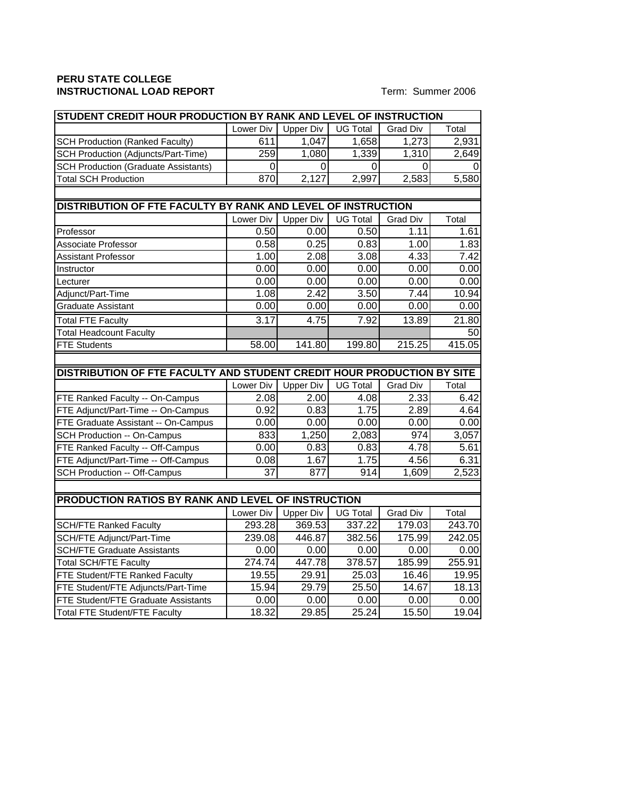# **PERU STATE COLLEGE INSTRUCTIONAL LOAD REPORT** Term: Summer 2006

| STUDENT CREDIT HOUR PRODUCTION BY RANK AND LEVEL OF INSTRUCTION        |                 |                  |                 |                 |        |  |  |  |  |
|------------------------------------------------------------------------|-----------------|------------------|-----------------|-----------------|--------|--|--|--|--|
|                                                                        | Lower Div       | <b>Upper Div</b> | <b>UG Total</b> | Grad Div        | Total  |  |  |  |  |
| <b>SCH Production (Ranked Faculty)</b>                                 | 611             | 1,047            | 1,658           | 1,273           | 2,931  |  |  |  |  |
| <b>SCH Production (Adjuncts/Part-Time)</b>                             | 259             | 1,080            | 1,339           | 1,310           | 2,649  |  |  |  |  |
| <b>SCH Production (Graduate Assistants)</b>                            | $\Omega$        | 0                | 0               | 0               | 0      |  |  |  |  |
| <b>Total SCH Production</b>                                            | 870             | 2,127            | 2,997           | 2,583           | 5,580  |  |  |  |  |
|                                                                        |                 |                  |                 |                 |        |  |  |  |  |
| DISTRIBUTION OF FTE FACULTY BY RANK AND LEVEL OF INSTRUCTION           |                 |                  |                 |                 |        |  |  |  |  |
|                                                                        | Lower Div       | <b>Upper Div</b> | <b>UG Total</b> | <b>Grad Div</b> | Total  |  |  |  |  |
| Professor                                                              | 0.50            | 0.00             | 0.50            | 1.11            | 1.61   |  |  |  |  |
| Associate Professor                                                    | 0.58            | 0.25             | 0.83            | 1.00            | 1.83   |  |  |  |  |
| Assistant Professor                                                    | 1.00            | 2.08             | 3.08            | 4.33            | 7.42   |  |  |  |  |
| Instructor                                                             | 0.00            | 0.00             | 0.00            | 0.00            | 0.00   |  |  |  |  |
| Lecturer                                                               | 0.00            | 0.00             | 0.00            | 0.00            | 0.00   |  |  |  |  |
| Adjunct/Part-Time                                                      | 1.08            | 2.42             | 3.50            | 7.44            | 10.94  |  |  |  |  |
| <b>Graduate Assistant</b>                                              | 0.00            | 0.00             | 0.00            | 0.00            | 0.00   |  |  |  |  |
| <b>Total FTE Faculty</b>                                               | 3.17            | 4.75             | 7.92            | 13.89           | 21.80  |  |  |  |  |
| <b>Total Headcount Faculty</b>                                         |                 |                  |                 |                 | 50     |  |  |  |  |
| <b>FTE Students</b>                                                    | 58.00           | 141.80           | 199.80          | 215.25          | 415.05 |  |  |  |  |
|                                                                        |                 |                  |                 |                 |        |  |  |  |  |
| DISTRIBUTION OF FTE FACULTY AND STUDENT CREDIT HOUR PRODUCTION BY SITE |                 |                  |                 |                 |        |  |  |  |  |
|                                                                        | Lower Div       | <b>Upper Div</b> | <b>UG Total</b> | <b>Grad Div</b> | Total  |  |  |  |  |
| FTE Ranked Faculty -- On-Campus                                        | 2.08            | 2.00             | 4.08            | 2.33            | 6.42   |  |  |  |  |
| FTE Adjunct/Part-Time -- On-Campus                                     | 0.92            | 0.83             | 1.75            | 2.89            | 4.64   |  |  |  |  |
| FTE Graduate Assistant -- On-Campus                                    | 0.00            | 0.00             | 0.00            | 0.00            | 0.00   |  |  |  |  |
| <b>SCH Production -- On-Campus</b>                                     | 833             | 1,250            | 2,083           | 974             | 3,057  |  |  |  |  |
| FTE Ranked Faculty -- Off-Campus                                       | 0.00            | 0.83             | 0.83            | 4.78            | 5.61   |  |  |  |  |
| FTE Adjunct/Part-Time -- Off-Campus                                    | 0.08            | 1.67             | 1.75            | 4.56            | 6.31   |  |  |  |  |
| SCH Production -- Off-Campus                                           | $\overline{37}$ | 877              | 914             | 1,609           | 2,523  |  |  |  |  |
|                                                                        |                 |                  |                 |                 |        |  |  |  |  |
| PRODUCTION RATIOS BY RANK AND LEVEL OF INSTRUCTION                     |                 |                  |                 |                 |        |  |  |  |  |
|                                                                        | Lower Div       | <b>Upper Div</b> | <b>UG Total</b> | <b>Grad Div</b> | Total  |  |  |  |  |
| <b>SCH/FTE Ranked Faculty</b>                                          |                 |                  |                 |                 |        |  |  |  |  |
|                                                                        | 293.28          | 369.53           | 337.22          | 179.03          | 243.70 |  |  |  |  |
| SCH/FTE Adjunct/Part-Time                                              | 239.08          | 446.87           | 382.56          | 175.99          | 242.05 |  |  |  |  |
| <b>SCH/FTE Graduate Assistants</b>                                     | 0.00            | 0.00             | 0.00            | 0.00            | 0.00   |  |  |  |  |
| <b>Total SCH/FTE Faculty</b>                                           | 274.74          | 447.78           | 378.57          | 185.99          | 255.91 |  |  |  |  |
| FTE Student/FTE Ranked Faculty                                         | 19.55           | 29.91            | 25.03           | 16.46           | 19.95  |  |  |  |  |
| FTE Student/FTE Adjuncts/Part-Time                                     | 15.94           | 29.79            | 25.50           | 14.67           | 18.13  |  |  |  |  |
| FTE Student/FTE Graduate Assistants                                    | 0.00            | 0.00             | 0.00            | 0.00            | 0.00   |  |  |  |  |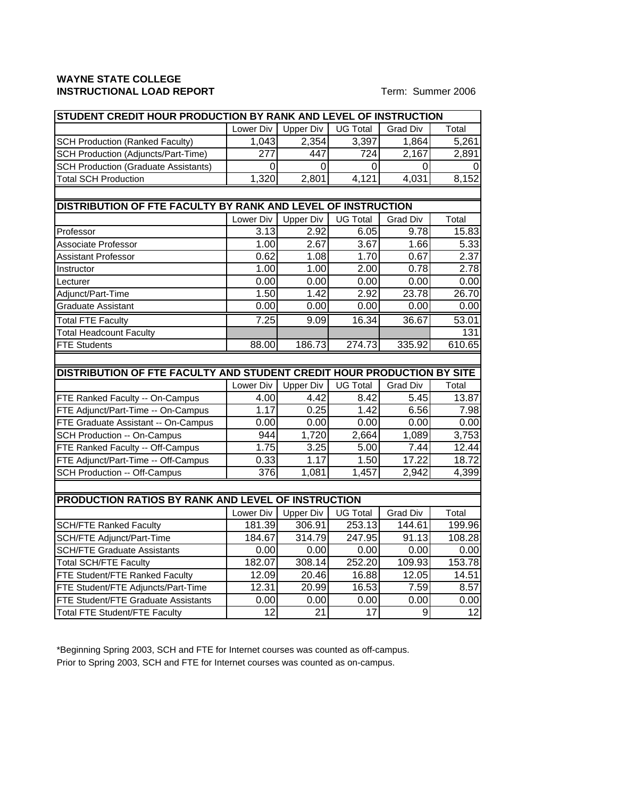### **WAYNE STATE COLLEGE INSTRUCTIONAL LOAD REPORT** Term: Summer 2006

| STUDENT CREDIT HOUR PRODUCTION BY RANK AND LEVEL OF INSTRUCTION        |                  |                    |                         |                 |            |  |  |  |
|------------------------------------------------------------------------|------------------|--------------------|-------------------------|-----------------|------------|--|--|--|
|                                                                        | Lower Div        | Upper Div          | <b>UG Total</b>         | <b>Grad Div</b> | Total      |  |  |  |
| <b>SCH Production (Ranked Faculty)</b>                                 | 1,043            | 2,354              | 3,397                   | 1,864           | 5,261      |  |  |  |
| SCH Production (Adjuncts/Part-Time)                                    | $\overline{277}$ | 447                | $\overline{724}$        | 2,167           | 2,891      |  |  |  |
| <b>SCH Production (Graduate Assistants)</b>                            | 0                | 0                  | 0                       | 0               | 0          |  |  |  |
| <b>Total SCH Production</b>                                            | 1,320            | 2,801              | 4,121                   | 4,031           | 8,152      |  |  |  |
|                                                                        |                  |                    |                         |                 |            |  |  |  |
| DISTRIBUTION OF FTE FACULTY BY RANK AND LEVEL OF INSTRUCTION           |                  |                    |                         |                 |            |  |  |  |
|                                                                        | Lower Div        | <b>Upper Div</b>   | <b>UG Total</b>         | <b>Grad Div</b> | Total      |  |  |  |
| Professor                                                              | 3.13             | 2.92               | 6.05                    | 9.78            | 15.83      |  |  |  |
| Associate Professor                                                    | 1.00             | 2.67               | 3.67                    | 1.66            | 5.33       |  |  |  |
| Assistant Professor                                                    | 0.62             | 1.08               | 1.70                    | 0.67            | 2.37       |  |  |  |
| Instructor                                                             | 1.00             | 1.00               | 2.00                    | 0.78            | 2.78       |  |  |  |
| Lecturer                                                               | 0.00             | 0.00               | 0.00                    | 0.00            | 0.00       |  |  |  |
| Adjunct/Part-Time                                                      | 1.50             | 1.42               | 2.92                    | 23.78           | 26.70      |  |  |  |
| <b>Graduate Assistant</b>                                              | 0.00             | 0.00               | 0.00                    | 0.00            | 0.00       |  |  |  |
| <b>Total FTE Faculty</b>                                               | 7.25             | 9.09               | 16.34                   | 36.67           | 53.01      |  |  |  |
| <b>Total Headcount Faculty</b>                                         |                  |                    |                         |                 | 131        |  |  |  |
| <b>FTE Students</b>                                                    | 88.00            | 186.73             | 274.73                  | 335.92          | 610.65     |  |  |  |
|                                                                        |                  |                    |                         |                 |            |  |  |  |
| DISTRIBUTION OF FTE FACULTY AND STUDENT CREDIT HOUR PRODUCTION BY SITE |                  |                    |                         |                 |            |  |  |  |
|                                                                        |                  |                    |                         |                 |            |  |  |  |
|                                                                        | Lower Div        | <b>Upper Div</b>   | <b>UG Total</b>         | Grad Div        | Total      |  |  |  |
| FTE Ranked Faculty -- On-Campus                                        | 4.00             | 4.42               | 8.42                    | 5.45            | 13.87      |  |  |  |
| FTE Adjunct/Part-Time -- On-Campus                                     | 1.17             | 0.25               | 1.42                    | 6.56            | 7.98       |  |  |  |
| FTE Graduate Assistant -- On-Campus                                    | 0.00             | 0.00               | 0.00                    | 0.00            | 0.00       |  |  |  |
| SCH Production -- On-Campus                                            | 944              | $\overline{1,720}$ | 2,664                   | 1,089           | 3,753      |  |  |  |
| FTE Ranked Faculty -- Off-Campus                                       | 1.75             | 3.25               | 5.00                    | 7.44            | 12.44      |  |  |  |
| FTE Adjunct/Part-Time -- Off-Campus                                    | 0.33             | 1.17               | 1.50                    | 17.22           | 18.72      |  |  |  |
| SCH Production -- Off-Campus                                           | 376              | 1,081              | 1,457                   | 2,942           | 4,399      |  |  |  |
|                                                                        |                  |                    |                         |                 |            |  |  |  |
| PRODUCTION RATIOS BY RANK AND LEVEL OF INSTRUCTION                     |                  |                    |                         |                 |            |  |  |  |
|                                                                        | Lower Div        | <b>Upper Div</b>   | <b>UG Total</b>         | Grad Div        | Total      |  |  |  |
| <b>SCH/FTE Ranked Faculty</b>                                          | 181.39           | 306.91             | 253.13                  | 144.61          | 199.96     |  |  |  |
| SCH/FTE Adjunct/Part-Time                                              | 184.67           | 314.79             | 247.95                  | 91.13           | 108.28     |  |  |  |
| <b>SCH/FTE Graduate Assistants</b>                                     | 0.00             | 0.00               | 0.00                    | 0.00            | 0.00       |  |  |  |
| <b>Total SCH/FTE Faculty</b>                                           | 182.07           | 308.14             | 252.20                  | 109.93          | 153.78     |  |  |  |
| FTE Student/FTE Ranked Faculty                                         | 12.09            | 20.46              | 16.88                   | 12.05           | 14.51      |  |  |  |
| FTE Student/FTE Adjuncts/Part-Time                                     | 12.31            | 20.99              | 16.53                   | 7.59            | 8.57       |  |  |  |
| FTE Student/FTE Graduate Assistants                                    | 0.00<br>12       | 0.00<br>21         | 0.00<br>$\overline{17}$ | 0.00<br>9       | 0.00<br>12 |  |  |  |

\*Beginning Spring 2003, SCH and FTE for Internet courses was counted as off-campus. Prior to Spring 2003, SCH and FTE for Internet courses was counted as on-campus.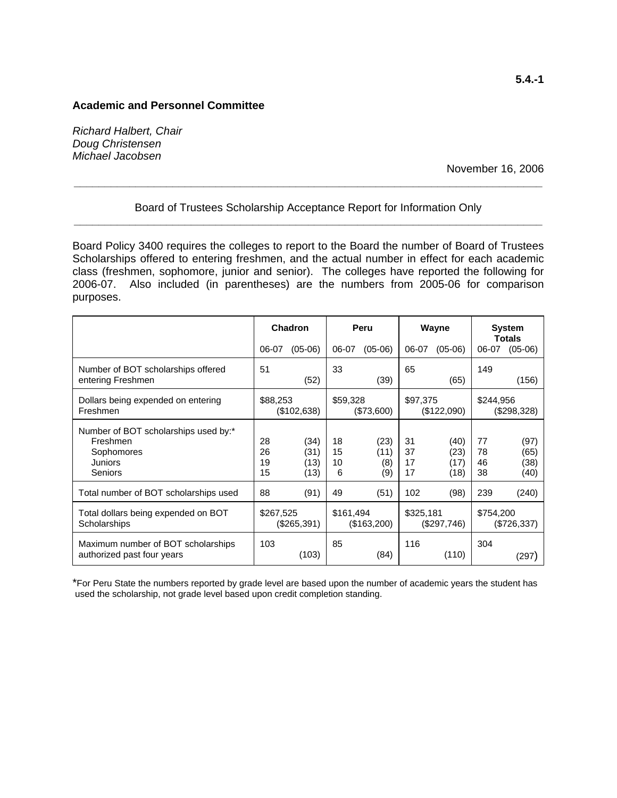# **Academic and Personnel Committee**

*Richard Halbert, Chair Doug Christensen Michael Jacobsen*

November 16, 2006

# Board of Trustees Scholarship Acceptance Report for Information Only **\_\_\_\_\_\_\_\_\_\_\_\_\_\_\_\_\_\_\_\_\_\_\_\_\_\_\_\_\_\_\_\_\_\_\_\_\_\_\_\_\_\_\_\_\_\_\_\_\_\_\_\_\_\_\_\_\_\_\_\_\_\_\_\_\_\_\_\_\_\_\_\_\_\_\_\_**

**\_\_\_\_\_\_\_\_\_\_\_\_\_\_\_\_\_\_\_\_\_\_\_\_\_\_\_\_\_\_\_\_\_\_\_\_\_\_\_\_\_\_\_\_\_\_\_\_\_\_\_\_\_\_\_\_\_\_\_\_\_\_\_\_\_\_\_\_\_\_\_\_\_\_\_\_** 

Board Policy 3400 requires the colleges to report to the Board the number of Board of Trustees Scholarships offered to entering freshmen, and the actual number in effect for each academic class (freshmen, sophomore, junior and senior). The colleges have reported the following for 2006-07. Also included (in parentheses) are the numbers from 2005-06 for comparison purposes.

|                                                                                             | Chadron              |                              |                     | Peru                       | Wayne                |                              | <b>System</b><br><b>Totals</b> |                              |
|---------------------------------------------------------------------------------------------|----------------------|------------------------------|---------------------|----------------------------|----------------------|------------------------------|--------------------------------|------------------------------|
|                                                                                             | 06-07                | $(05-06)$                    | 06-07               | $(05-06)$                  | 06-07                | $(05-06)$                    | 06-07                          | $(05-06)$                    |
| Number of BOT scholarships offered<br>entering Freshmen                                     | 51                   | (52)                         | 33                  | (39)                       | 65                   | (65)                         | 149                            | (156)                        |
| Dollars being expended on entering<br>Freshmen                                              | \$88,253             | (\$102,638)                  | \$59,328            | (\$73,600)                 | \$97,375             | (\$122,090)                  | \$244,956                      | (\$298,328)                  |
| Number of BOT scholarships used by:*<br>Freshmen<br>Sophomores<br><b>Juniors</b><br>Seniors | 28<br>26<br>19<br>15 | (34)<br>(31)<br>(13)<br>(13) | 18<br>15<br>10<br>6 | (23)<br>(11)<br>(8)<br>(9) | 31<br>37<br>17<br>17 | (40)<br>(23)<br>(17)<br>(18) | 77<br>78<br>46<br>38           | (97)<br>(65)<br>(38)<br>(40) |
| Total number of BOT scholarships used                                                       | 88                   | (91)                         | 49                  | (51)                       | 102                  | (98)                         | 239                            | (240)                        |
| Total dollars being expended on BOT<br>Scholarships                                         | \$267,525            | (\$265,391)                  | \$161,494           | (\$163,200)                | \$325,181            | (\$297,746)                  | \$754,200                      | (\$726,337)                  |
| Maximum number of BOT scholarships<br>authorized past four years                            | 103                  | (103)                        | 85                  | (84)                       | 116                  | (110)                        | 304                            | (297)                        |

\*For Peru State the numbers reported by grade level are based upon the number of academic years the student has used the scholarship, not grade level based upon credit completion standing.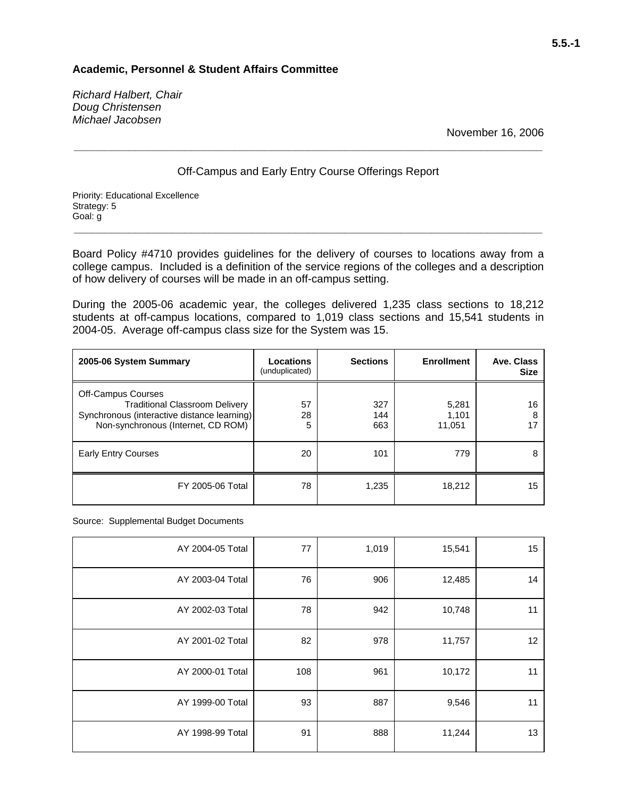# **Academic, Personnel & Student Affairs Committee**

*Richard Halbert, Chair Doug Christensen Michael Jacobsen* 

November 16, 2006

# Off-Campus and Early Entry Course Offerings Report

**\_\_\_\_\_\_\_\_\_\_\_\_\_\_\_\_\_\_\_\_\_\_\_\_\_\_\_\_\_\_\_\_\_\_\_\_\_\_\_\_\_\_\_\_\_\_\_\_\_\_\_\_\_\_\_\_\_\_\_\_\_\_\_\_\_\_\_\_\_\_\_\_\_\_\_\_** 

Priority: Educational Excellence Strategy: 5 Goal: g

Board Policy #4710 provides guidelines for the delivery of courses to locations away from a college campus. Included is a definition of the service regions of the colleges and a description of how delivery of courses will be made in an off-campus setting.

**\_\_\_\_\_\_\_\_\_\_\_\_\_\_\_\_\_\_\_\_\_\_\_\_\_\_\_\_\_\_\_\_\_\_\_\_\_\_\_\_\_\_\_\_\_\_\_\_\_\_\_\_\_\_\_\_\_\_\_\_\_\_\_\_\_\_\_\_\_\_\_\_\_\_\_\_** 

During the 2005-06 academic year, the colleges delivered 1,235 class sections to 18,212 students at off-campus locations, compared to 1,019 class sections and 15,541 students in 2004-05. Average off-campus class size for the System was 15.

| 2005-06 System Summary                                                                                                                           | Locations<br>(unduplicated) | <b>Sections</b>   | <b>Enrollment</b>        | Ave. Class<br><b>Size</b> |
|--------------------------------------------------------------------------------------------------------------------------------------------------|-----------------------------|-------------------|--------------------------|---------------------------|
| Off-Campus Courses<br><b>Traditional Classroom Delivery</b><br>Synchronous (interactive distance learning)<br>Non-synchronous (Internet, CD ROM) | 57<br>28<br>5               | 327<br>144<br>663 | 5,281<br>1,101<br>11,051 | 16<br>8<br>17             |
| <b>Early Entry Courses</b>                                                                                                                       | 20                          | 101               | 779                      | 8                         |
| FY 2005-06 Total                                                                                                                                 | 78                          | 1,235             | 18,212                   | 15                        |

Source: Supplemental Budget Documents

| AY 2004-05 Total | 77  | 1,019 | 15,541 | 15 |
|------------------|-----|-------|--------|----|
| AY 2003-04 Total | 76  | 906   | 12,485 | 14 |
| AY 2002-03 Total | 78  | 942   | 10,748 | 11 |
| AY 2001-02 Total | 82  | 978   | 11,757 | 12 |
| AY 2000-01 Total | 108 | 961   | 10,172 | 11 |
| AY 1999-00 Total | 93  | 887   | 9,546  | 11 |
| AY 1998-99 Total | 91  | 888   | 11,244 | 13 |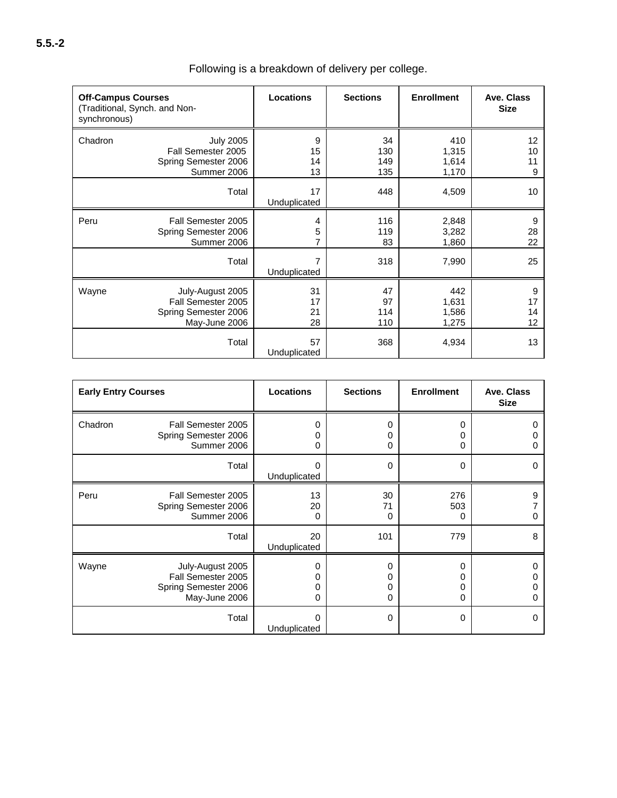| <b>Off-Campus Courses</b><br>(Traditional, Synch. and Non-<br>synchronous) |                                                                                 | Locations            | <b>Sections</b>         | <b>Enrollment</b>              | Ave. Class<br><b>Size</b> |
|----------------------------------------------------------------------------|---------------------------------------------------------------------------------|----------------------|-------------------------|--------------------------------|---------------------------|
| Chadron                                                                    | <b>July 2005</b><br>Fall Semester 2005<br>Spring Semester 2006<br>Summer 2006   | 9<br>15<br>14<br>13  | 34<br>130<br>149<br>135 | 410<br>1,315<br>1,614<br>1,170 | 12<br>10<br>11<br>9       |
|                                                                            | Total                                                                           | 17<br>Unduplicated   | 448                     | 4,509                          | 10                        |
| Peru                                                                       | Fall Semester 2005<br>Spring Semester 2006<br>Summer 2006                       | 4<br>5<br>7          | 116<br>119<br>83        | 2,848<br>3,282<br>1,860        | 9<br>28<br>22             |
|                                                                            | Total                                                                           | 7<br>Unduplicated    | 318                     | 7,990                          | 25                        |
| Wayne                                                                      | July-August 2005<br>Fall Semester 2005<br>Spring Semester 2006<br>May-June 2006 | 31<br>17<br>21<br>28 | 47<br>97<br>114<br>110  | 442<br>1,631<br>1,586<br>1,275 | 9<br>17<br>14<br>12       |
|                                                                            | Total                                                                           | 57<br>Unduplicated   | 368                     | 4,934                          | 13                        |

# Following is a breakdown of delivery per college.

| <b>Early Entry Courses</b> |                                                                                 | <b>Locations</b>               | <b>Sections</b>  | <b>Enrollment</b> | Ave. Class<br><b>Size</b> |
|----------------------------|---------------------------------------------------------------------------------|--------------------------------|------------------|-------------------|---------------------------|
| Chadron                    | Fall Semester 2005<br>Spring Semester 2006<br>Summer 2006                       | 0<br>0<br>0                    | 0<br>0<br>0      | 0<br>0<br>0       | 0                         |
|                            | Total                                                                           | $\Omega$<br>Unduplicated       | 0                | 0                 | 0                         |
| Peru                       | Fall Semester 2005<br>Spring Semester 2006<br>Summer 2006                       | 13<br>20<br>$\Omega$           | 30<br>71<br>0    | 276<br>503<br>0   | 9<br>0                    |
|                            | Total                                                                           | 20<br>Unduplicated             | 101              | 779               | 8                         |
| Wayne                      | July-August 2005<br>Fall Semester 2005<br>Spring Semester 2006<br>May-June 2006 | $\Omega$<br>0<br>0<br>$\Omega$ | 0<br>0<br>0<br>0 | 0<br>0<br>0<br>0  | 0<br>0                    |
|                            | Total                                                                           | $\Omega$<br>Unduplicated       | 0                | 0                 | 0                         |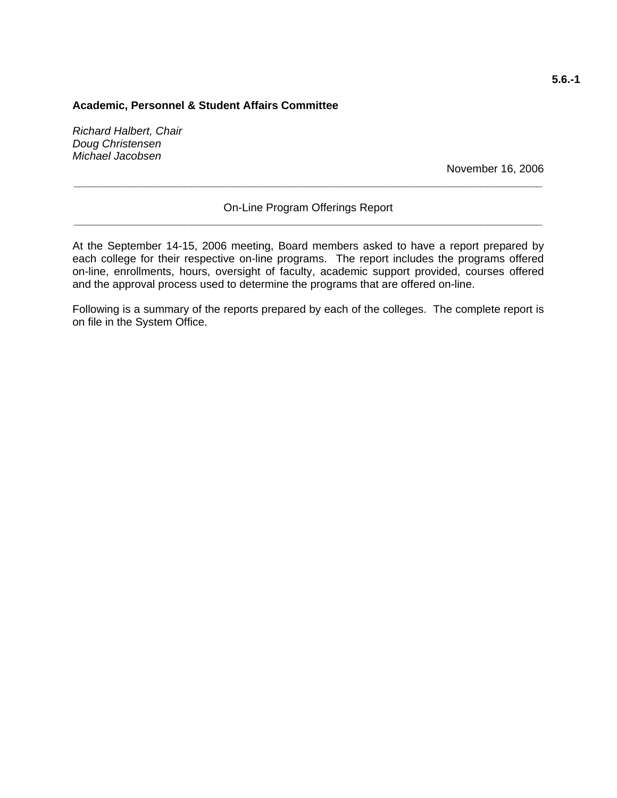#### **Academic, Personnel & Student Affairs Committee**

*Richard Halbert, Chair Doug Christensen Michael Jacobsen* 

November 16, 2006

# On-Line Program Offerings Report **\_\_\_\_\_\_\_\_\_\_\_\_\_\_\_\_\_\_\_\_\_\_\_\_\_\_\_\_\_\_\_\_\_\_\_\_\_\_\_\_\_\_\_\_\_\_\_\_\_\_\_\_\_\_\_\_\_\_\_\_\_\_\_\_\_\_\_\_\_\_\_\_\_\_\_\_**

**\_\_\_\_\_\_\_\_\_\_\_\_\_\_\_\_\_\_\_\_\_\_\_\_\_\_\_\_\_\_\_\_\_\_\_\_\_\_\_\_\_\_\_\_\_\_\_\_\_\_\_\_\_\_\_\_\_\_\_\_\_\_\_\_\_\_\_\_\_\_\_\_\_\_\_\_** 

At the September 14-15, 2006 meeting, Board members asked to have a report prepared by each college for their respective on-line programs. The report includes the programs offered on-line, enrollments, hours, oversight of faculty, academic support provided, courses offered and the approval process used to determine the programs that are offered on-line.

Following is a summary of the reports prepared by each of the colleges. The complete report is on file in the System Office.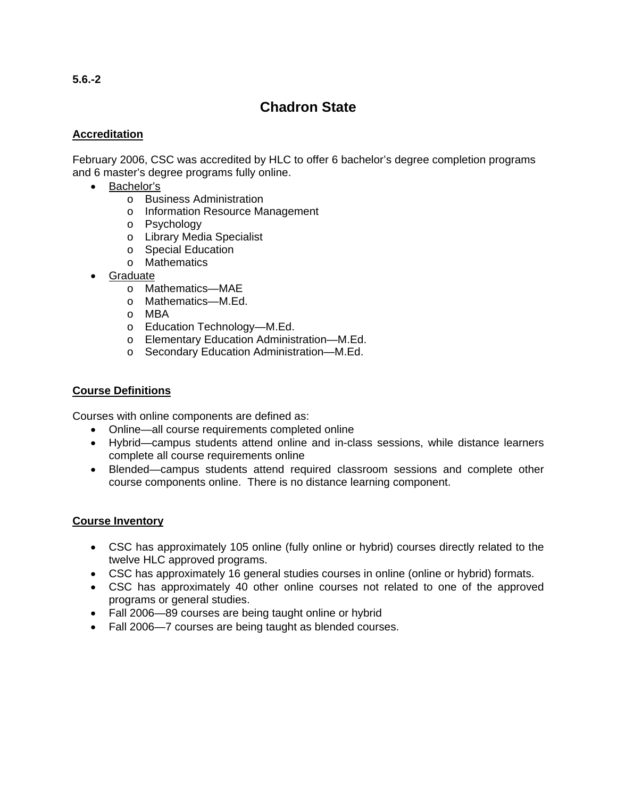# **Chadron State**

# **Accreditation**

February 2006, CSC was accredited by HLC to offer 6 bachelor's degree completion programs and 6 master's degree programs fully online.

- Bachelor's
	- o Business Administration
	- o Information Resource Management
	- o Psychology
	- o Library Media Specialist
	- o Special Education
	- o Mathematics
- Graduate
	- o Mathematics—MAE
	- o Mathematics—M.Ed.
	- o MBA
	- o Education Technology—M.Ed.
	- o Elementary Education Administration—M.Ed.
	- o Secondary Education Administration—M.Ed.

# **Course Definitions**

Courses with online components are defined as:

- Online—all course requirements completed online
- Hybrid—campus students attend online and in-class sessions, while distance learners complete all course requirements online
- Blended—campus students attend required classroom sessions and complete other course components online. There is no distance learning component.

# **Course Inventory**

- CSC has approximately 105 online (fully online or hybrid) courses directly related to the twelve HLC approved programs.
- CSC has approximately 16 general studies courses in online (online or hybrid) formats.
- CSC has approximately 40 other online courses not related to one of the approved programs or general studies.
- Fall 2006—89 courses are being taught online or hybrid
- Fall 2006—7 courses are being taught as blended courses.

# **5.6.-2**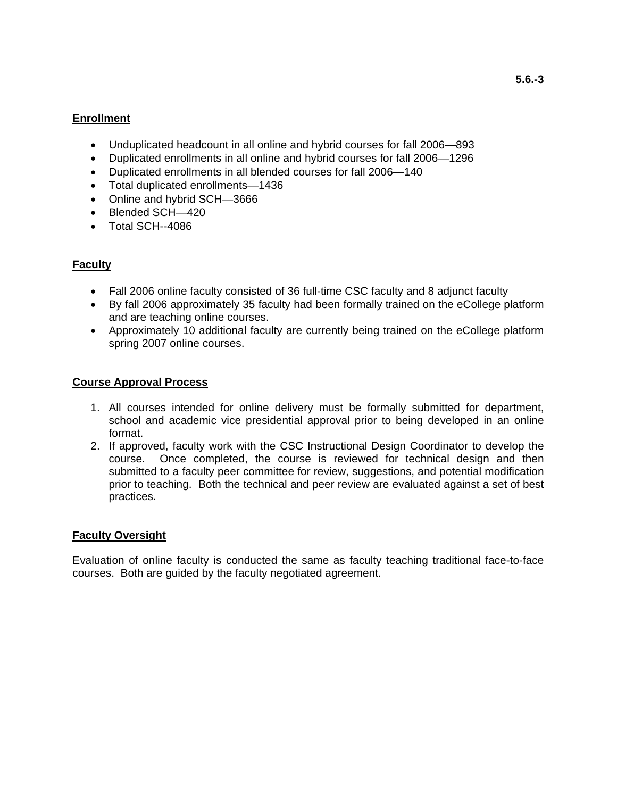# **Enrollment**

- Unduplicated headcount in all online and hybrid courses for fall 2006—893
- Duplicated enrollments in all online and hybrid courses for fall 2006—1296
- Duplicated enrollments in all blended courses for fall 2006—140
- Total duplicated enrollments—1436
- Online and hybrid SCH—3666
- Blended SCH-420
- Total SCH--4086

# **Faculty**

- Fall 2006 online faculty consisted of 36 full-time CSC faculty and 8 adjunct faculty
- By fall 2006 approximately 35 faculty had been formally trained on the eCollege platform and are teaching online courses.
- Approximately 10 additional faculty are currently being trained on the eCollege platform spring 2007 online courses.

# **Course Approval Process**

- 1. All courses intended for online delivery must be formally submitted for department, school and academic vice presidential approval prior to being developed in an online format.
- 2. If approved, faculty work with the CSC Instructional Design Coordinator to develop the course. Once completed, the course is reviewed for technical design and then submitted to a faculty peer committee for review, suggestions, and potential modification prior to teaching. Both the technical and peer review are evaluated against a set of best practices.

# **Faculty Oversight**

Evaluation of online faculty is conducted the same as faculty teaching traditional face-to-face courses. Both are guided by the faculty negotiated agreement.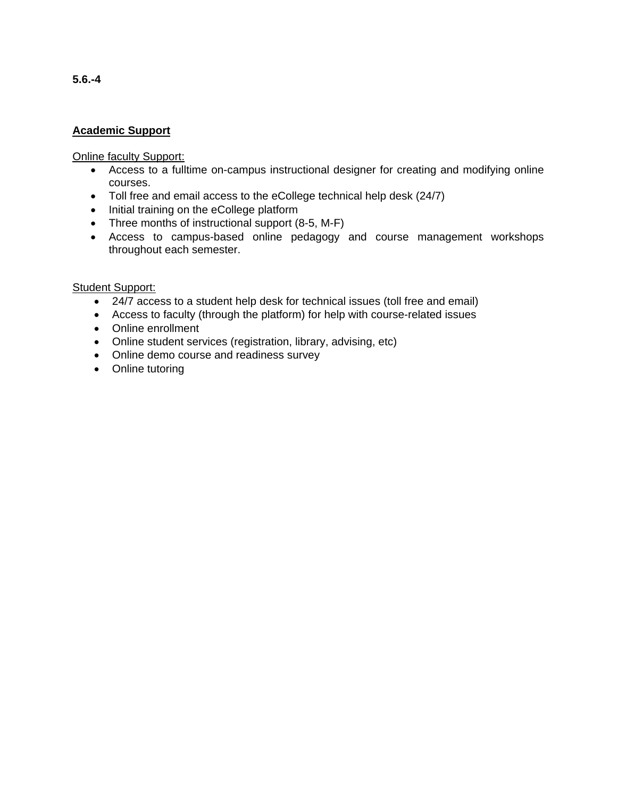# **Academic Support**

# Online faculty Support:

- Access to a fulltime on-campus instructional designer for creating and modifying online courses.
- Toll free and email access to the eCollege technical help desk (24/7)
- Initial training on the eCollege platform
- Three months of instructional support (8-5, M-F)
- Access to campus-based online pedagogy and course management workshops throughout each semester.

# Student Support:

- 24/7 access to a student help desk for technical issues (toll free and email)
- Access to faculty (through the platform) for help with course-related issues
- Online enrollment
- Online student services (registration, library, advising, etc)
- Online demo course and readiness survey
- Online tutoring

# **5.6.-4**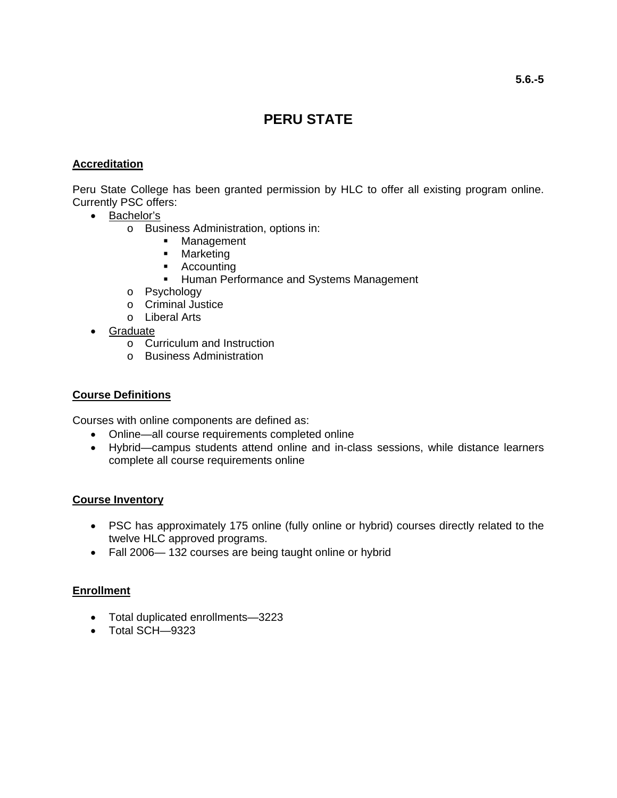# **PERU STATE**

# **Accreditation**

Peru State College has been granted permission by HLC to offer all existing program online. Currently PSC offers:

- Bachelor's
	- o Business Administration, options in:
		- **Management**
		- **•** Marketing
		- **-** Accounting
		- **Human Performance and Systems Management**
	- o Psychology
	- o Criminal Justice
	- o Liberal Arts
- Graduate
	- o Curriculum and Instruction
	- o Business Administration

# **Course Definitions**

Courses with online components are defined as:

- Online—all course requirements completed online
- Hybrid—campus students attend online and in-class sessions, while distance learners complete all course requirements online

# **Course Inventory**

- PSC has approximately 175 online (fully online or hybrid) courses directly related to the twelve HLC approved programs.
- Fall 2006— 132 courses are being taught online or hybrid

#### **Enrollment**

- Total duplicated enrollments—3223
- Total SCH-9323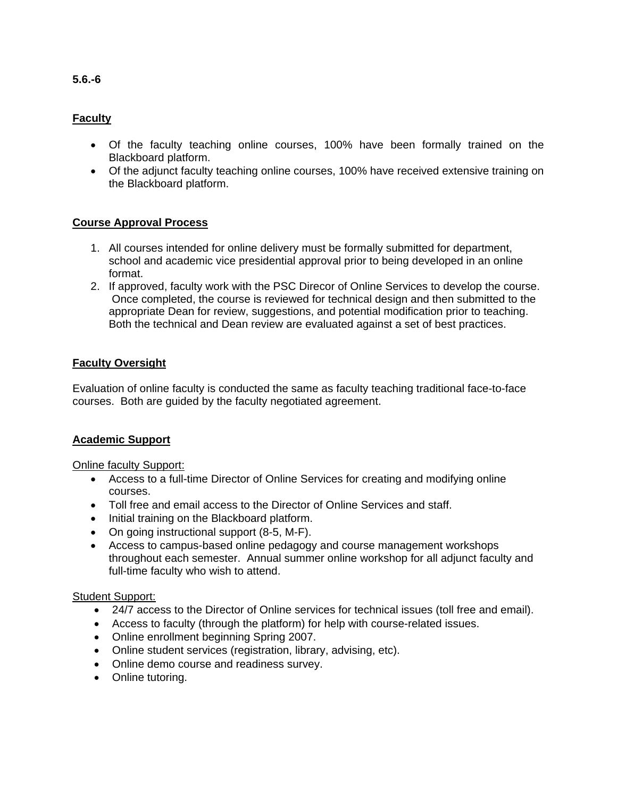# **Faculty**

- Of the faculty teaching online courses, 100% have been formally trained on the Blackboard platform.
- Of the adjunct faculty teaching online courses, 100% have received extensive training on the Blackboard platform.

# **Course Approval Process**

- 1. All courses intended for online delivery must be formally submitted for department, school and academic vice presidential approval prior to being developed in an online format.
- 2. If approved, faculty work with the PSC Direcor of Online Services to develop the course. Once completed, the course is reviewed for technical design and then submitted to the appropriate Dean for review, suggestions, and potential modification prior to teaching. Both the technical and Dean review are evaluated against a set of best practices.

# **Faculty Oversight**

Evaluation of online faculty is conducted the same as faculty teaching traditional face-to-face courses. Both are guided by the faculty negotiated agreement.

# **Academic Support**

Online faculty Support:

- Access to a full-time Director of Online Services for creating and modifying online courses.
- Toll free and email access to the Director of Online Services and staff.
- Initial training on the Blackboard platform.
- On going instructional support (8-5, M-F).
- Access to campus-based online pedagogy and course management workshops throughout each semester. Annual summer online workshop for all adjunct faculty and full-time faculty who wish to attend.

# Student Support:

- 24/7 access to the Director of Online services for technical issues (toll free and email).
- Access to faculty (through the platform) for help with course-related issues.
- Online enrollment beginning Spring 2007.
- Online student services (registration, library, advising, etc).
- Online demo course and readiness survey.
- Online tutoring.

# **5.6.-6**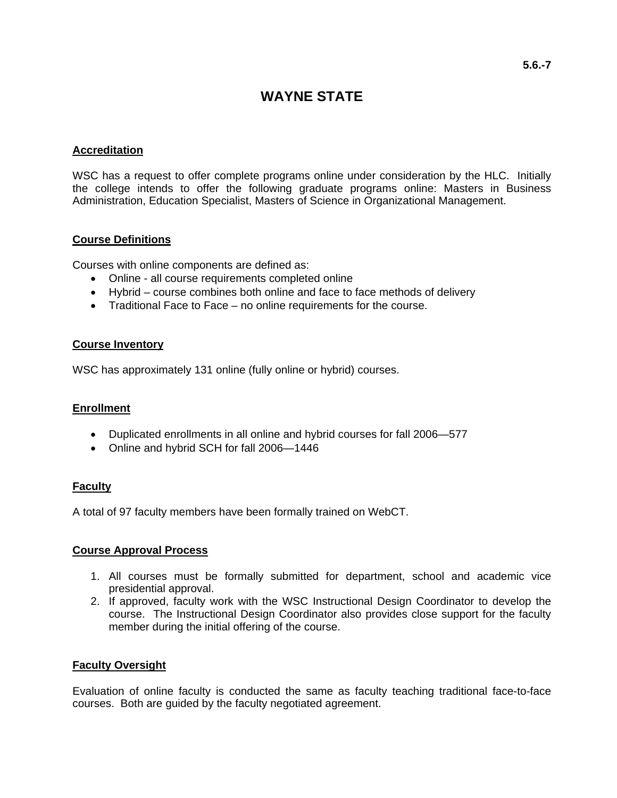# **WAYNE STATE**

## **Accreditation**

WSC has a request to offer complete programs online under consideration by the HLC. Initially the college intends to offer the following graduate programs online: Masters in Business Administration, Education Specialist, Masters of Science in Organizational Management.

# **Course Definitions**

Courses with online components are defined as:

- Online all course requirements completed online
- Hybrid course combines both online and face to face methods of delivery
- Traditional Face to Face no online requirements for the course.

# **Course Inventory**

WSC has approximately 131 online (fully online or hybrid) courses.

#### **Enrollment**

- Duplicated enrollments in all online and hybrid courses for fall 2006—577
- Online and hybrid SCH for fall 2006—1446

#### **Faculty**

A total of 97 faculty members have been formally trained on WebCT.

#### **Course Approval Process**

- 1. All courses must be formally submitted for department, school and academic vice presidential approval.
- 2. If approved, faculty work with the WSC Instructional Design Coordinator to develop the course. The Instructional Design Coordinator also provides close support for the faculty member during the initial offering of the course.

#### **Faculty Oversight**

Evaluation of online faculty is conducted the same as faculty teaching traditional face-to-face courses. Both are guided by the faculty negotiated agreement.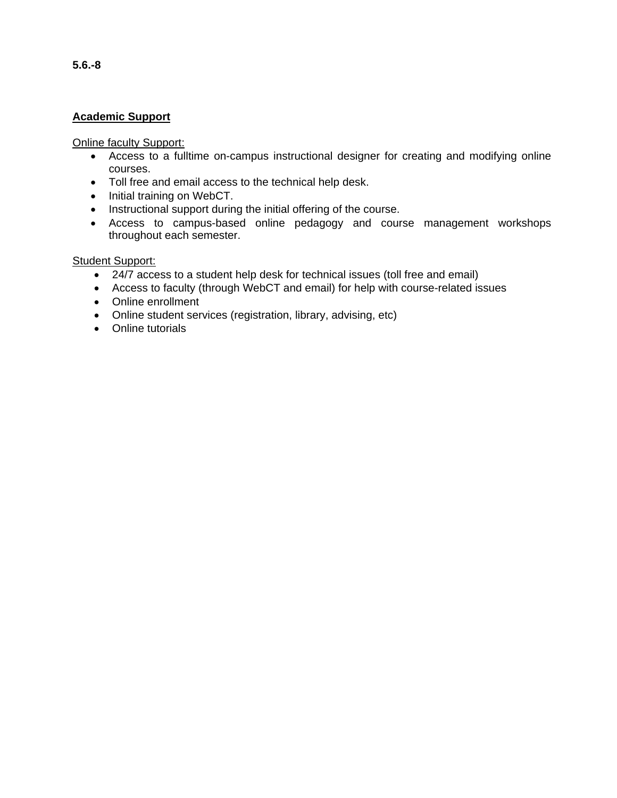# **Academic Support**

Online faculty Support:

- Access to a fulltime on-campus instructional designer for creating and modifying online courses.
- Toll free and email access to the technical help desk.
- Initial training on WebCT.
- Instructional support during the initial offering of the course.
- Access to campus-based online pedagogy and course management workshops throughout each semester.

# Student Support:

- 24/7 access to a student help desk for technical issues (toll free and email)
- Access to faculty (through WebCT and email) for help with course-related issues
- Online enrollment
- Online student services (registration, library, advising, etc)
- Online tutorials

# **5.6.-8**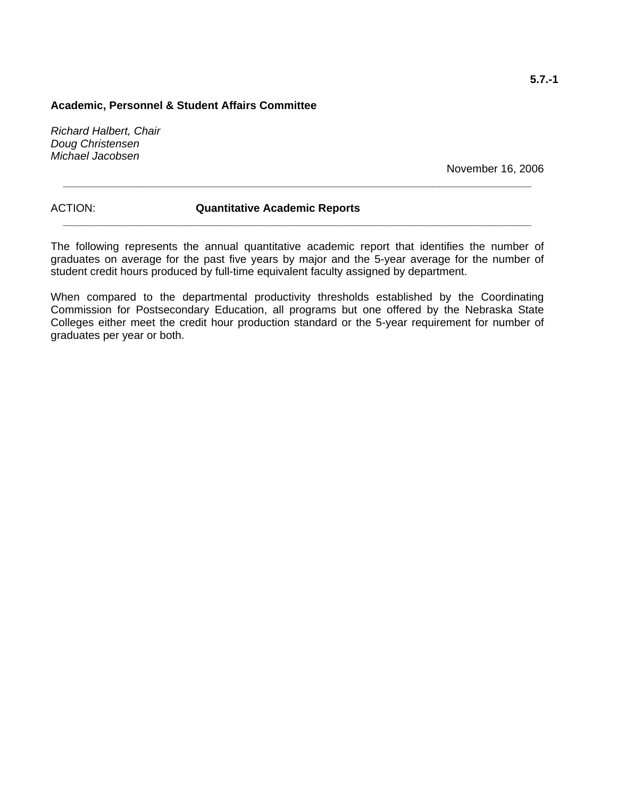# **Academic, Personnel & Student Affairs Committee**

*Richard Halbert, Chair Doug Christensen Michael Jacobsen*

November 16, 2006

# ACTION: **Quantitative Academic Reports**

The following represents the annual quantitative academic report that identifies the number of graduates on average for the past five years by major and the 5-year average for the number of student credit hours produced by full-time equivalent faculty assigned by department.

**\_\_\_\_\_\_\_\_\_\_\_\_\_\_\_\_\_\_\_\_\_\_\_\_\_\_\_\_\_\_\_\_\_\_\_\_\_\_\_\_\_\_\_\_\_\_\_\_\_\_\_\_\_\_\_\_\_\_\_\_\_\_\_\_\_\_\_\_\_\_\_\_\_\_\_\_** 

**\_\_\_\_\_\_\_\_\_\_\_\_\_\_\_\_\_\_\_\_\_\_\_\_\_\_\_\_\_\_\_\_\_\_\_\_\_\_\_\_\_\_\_\_\_\_\_\_\_\_\_\_\_\_\_\_\_\_\_\_\_\_\_\_\_\_\_\_\_\_\_\_\_\_\_\_** 

When compared to the departmental productivity thresholds established by the Coordinating Commission for Postsecondary Education, all programs but one offered by the Nebraska State Colleges either meet the credit hour production standard or the 5-year requirement for number of graduates per year or both.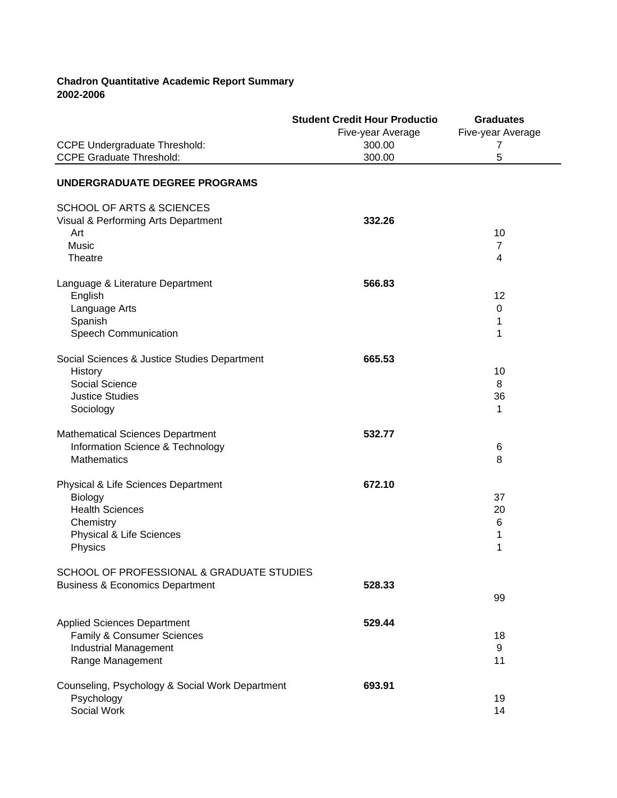# **Chadron Quantitative Academic Report Summary 2002-2006**

|                                                        | <b>Student Credit Hour Productio</b> | <b>Graduates</b>  |
|--------------------------------------------------------|--------------------------------------|-------------------|
|                                                        | Five-year Average                    | Five-year Average |
| <b>CCPE Undergraduate Threshold:</b>                   | 300.00                               | 7                 |
| <b>CCPE Graduate Threshold:</b>                        | 300.00                               | 5                 |
| <b>UNDERGRADUATE DEGREE PROGRAMS</b>                   |                                      |                   |
| <b>SCHOOL OF ARTS &amp; SCIENCES</b>                   |                                      |                   |
| Visual & Performing Arts Department                    | 332.26                               |                   |
| Art                                                    |                                      | 10                |
| Music                                                  |                                      | $\overline{7}$    |
| Theatre                                                |                                      | 4                 |
| Language & Literature Department                       | 566.83                               |                   |
| English                                                |                                      | 12                |
| Language Arts                                          |                                      | 0                 |
| Spanish                                                |                                      | 1                 |
| Speech Communication                                   |                                      | 1                 |
| Social Sciences & Justice Studies Department           | 665.53                               |                   |
| History                                                |                                      | 10                |
| Social Science                                         |                                      | 8                 |
| <b>Justice Studies</b>                                 |                                      | 36                |
| Sociology                                              |                                      | 1                 |
|                                                        |                                      |                   |
| <b>Mathematical Sciences Department</b>                | 532.77                               |                   |
| Information Science & Technology<br><b>Mathematics</b> |                                      | 6<br>8            |
|                                                        |                                      |                   |
| Physical & Life Sciences Department                    | 672.10                               |                   |
| <b>Biology</b>                                         |                                      | 37                |
| <b>Health Sciences</b>                                 |                                      | 20                |
| Chemistry                                              |                                      | 6                 |
| Physical & Life Sciences                               |                                      | 1                 |
| Physics                                                |                                      | 1                 |
| SCHOOL OF PROFESSIONAL & GRADUATE STUDIES              |                                      |                   |
| <b>Business &amp; Economics Department</b>             | 528.33                               |                   |
|                                                        |                                      | 99                |
| <b>Applied Sciences Department</b>                     | 529.44                               |                   |
| Family & Consumer Sciences                             |                                      | 18                |
| Industrial Management                                  |                                      | 9                 |
| Range Management                                       |                                      | 11                |
|                                                        |                                      |                   |
| Counseling, Psychology & Social Work Department        | 693.91                               |                   |
| Psychology                                             |                                      | 19                |
| Social Work                                            |                                      | 14                |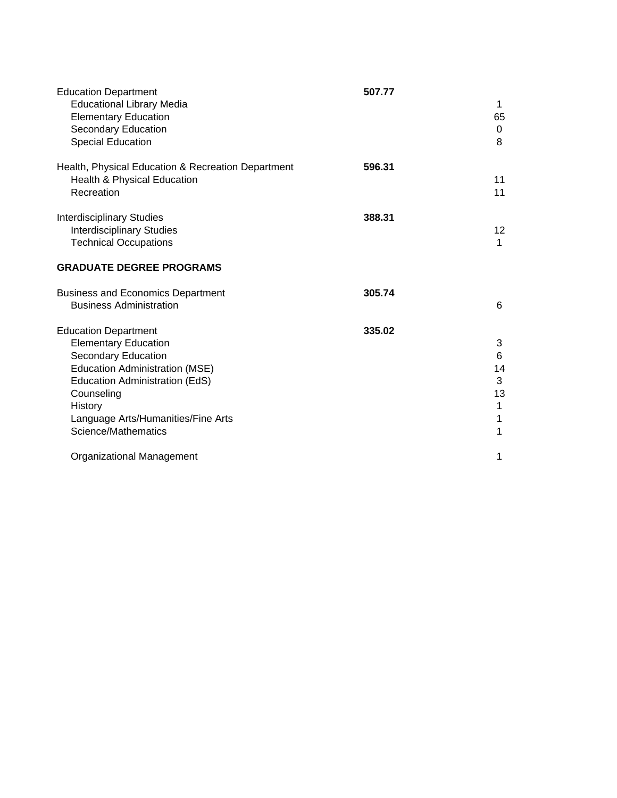| <b>Education Department</b><br><b>Educational Library Media</b><br><b>Elementary Education</b><br>Secondary Education<br><b>Special Education</b>                                                                                                                | 507.77 | $\mathbf{1}$<br>65<br>0<br>8           |
|------------------------------------------------------------------------------------------------------------------------------------------------------------------------------------------------------------------------------------------------------------------|--------|----------------------------------------|
| Health, Physical Education & Recreation Department<br><b>Health &amp; Physical Education</b><br>Recreation                                                                                                                                                       | 596.31 | 11<br>11                               |
| <b>Interdisciplinary Studies</b><br><b>Interdisciplinary Studies</b><br><b>Technical Occupations</b>                                                                                                                                                             | 388.31 | 12<br>1                                |
| <b>GRADUATE DEGREE PROGRAMS</b>                                                                                                                                                                                                                                  |        |                                        |
| <b>Business and Economics Department</b><br><b>Business Administration</b>                                                                                                                                                                                       | 305.74 | 6                                      |
| <b>Education Department</b><br><b>Elementary Education</b><br><b>Secondary Education</b><br><b>Education Administration (MSE)</b><br><b>Education Administration (EdS)</b><br>Counseling<br>History<br>Language Arts/Humanities/Fine Arts<br>Science/Mathematics | 335.02 | 3<br>6<br>14<br>3<br>13<br>1<br>1<br>1 |
| Organizational Management                                                                                                                                                                                                                                        |        | 1                                      |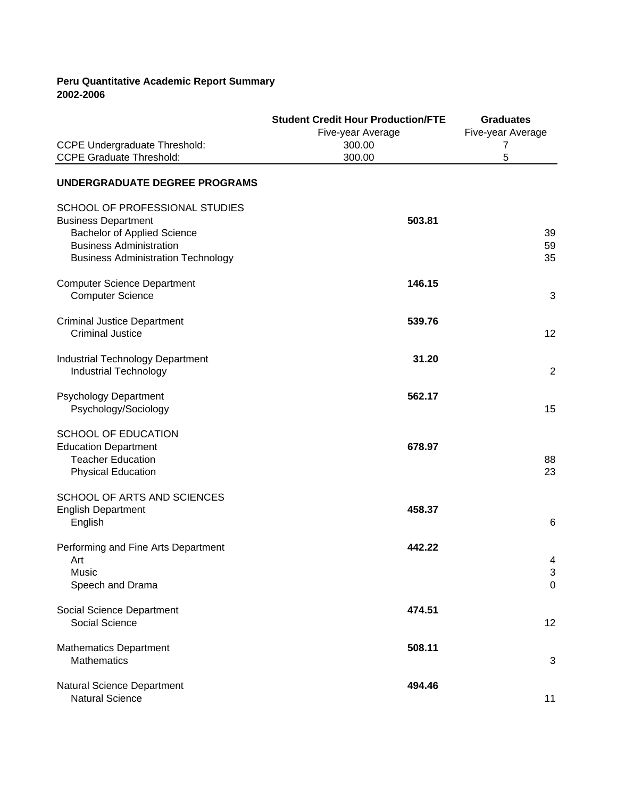# **Peru Quantitative Academic Report Summary 2002-2006**

|                                                                                                                                                                                   | <b>Student Credit Hour Production/FTE</b><br>Five-year Average | <b>Graduates</b><br>Five-year Average |
|-----------------------------------------------------------------------------------------------------------------------------------------------------------------------------------|----------------------------------------------------------------|---------------------------------------|
| <b>CCPE Undergraduate Threshold:</b><br><b>CCPE Graduate Threshold:</b>                                                                                                           | 300.00<br>300.00                                               | $\prime$<br>5                         |
| UNDERGRADUATE DEGREE PROGRAMS                                                                                                                                                     |                                                                |                                       |
| SCHOOL OF PROFESSIONAL STUDIES<br><b>Business Department</b><br><b>Bachelor of Applied Science</b><br><b>Business Administration</b><br><b>Business Administration Technology</b> | 503.81                                                         | 39<br>59<br>35                        |
| <b>Computer Science Department</b><br><b>Computer Science</b>                                                                                                                     | 146.15                                                         | 3                                     |
| <b>Criminal Justice Department</b><br><b>Criminal Justice</b>                                                                                                                     | 539.76                                                         | 12                                    |
| Industrial Technology Department<br><b>Industrial Technology</b>                                                                                                                  | 31.20                                                          | $\overline{2}$                        |
| <b>Psychology Department</b><br>Psychology/Sociology                                                                                                                              | 562.17                                                         | 15                                    |
| SCHOOL OF EDUCATION<br><b>Education Department</b><br><b>Teacher Education</b><br><b>Physical Education</b>                                                                       | 678.97                                                         | 88<br>23                              |
| SCHOOL OF ARTS AND SCIENCES<br><b>English Department</b><br>English                                                                                                               | 458.37                                                         | 6                                     |
| Performing and Fine Arts Department<br>Art<br>Music<br>Speech and Drama                                                                                                           | 442.22                                                         | 4<br>$\sqrt{3}$<br>$\mathbf 0$        |
| Social Science Department<br>Social Science                                                                                                                                       | 474.51                                                         | 12                                    |
| <b>Mathematics Department</b><br><b>Mathematics</b>                                                                                                                               | 508.11                                                         | 3                                     |
| Natural Science Department<br><b>Natural Science</b>                                                                                                                              | 494.46                                                         | 11                                    |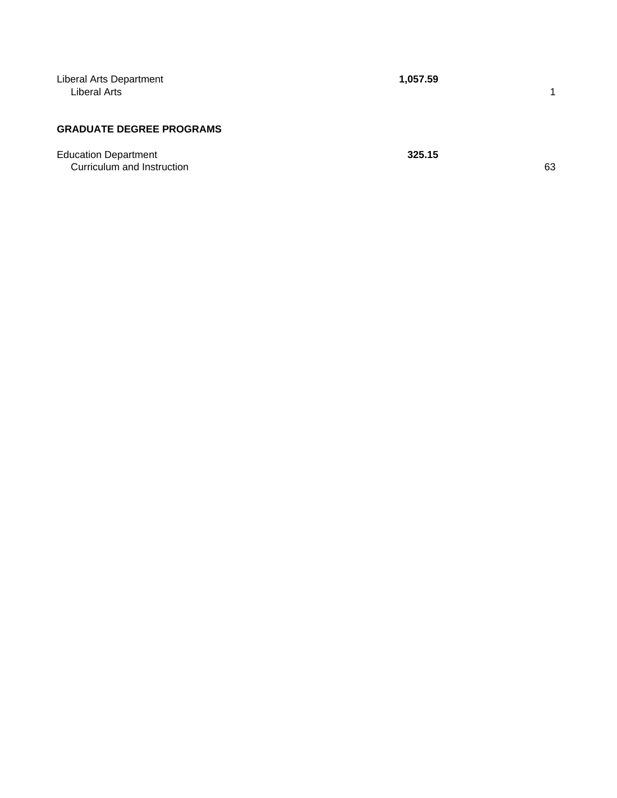| Liberal Arts Department<br>Liberal Arts                   | 1,057.59 |    |
|-----------------------------------------------------------|----------|----|
| <b>GRADUATE DEGREE PROGRAMS</b>                           |          |    |
| <b>Education Department</b><br>Curriculum and Instruction | 325.15   | 63 |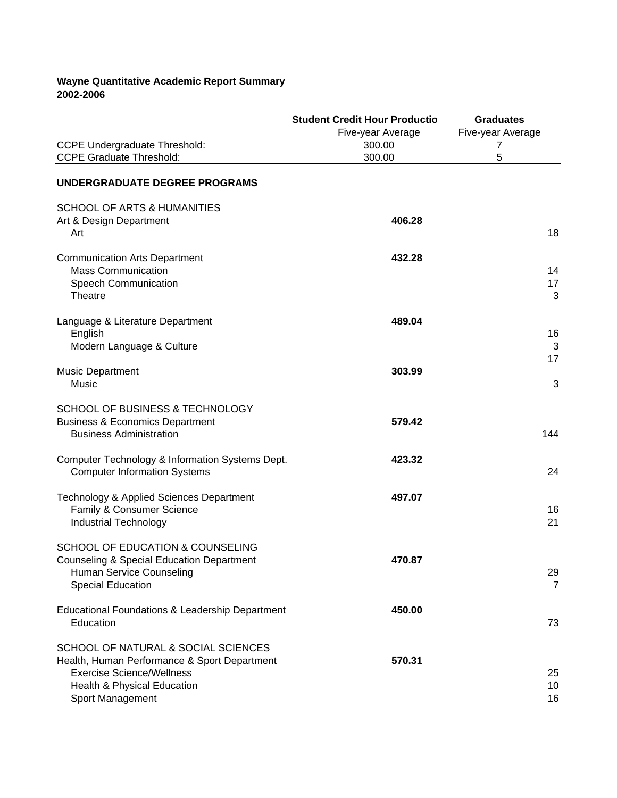# **Wayne Quantitative Academic Report Summary 2002-2006**

|                                                                                        | <b>Student Credit Hour Productio</b> | <b>Graduates</b>  |
|----------------------------------------------------------------------------------------|--------------------------------------|-------------------|
|                                                                                        | Five-year Average                    | Five-year Average |
| <b>CCPE Undergraduate Threshold:</b>                                                   | 300.00                               | 7                 |
| <b>CCPE Graduate Threshold:</b>                                                        | 300.00                               | 5                 |
| UNDERGRADUATE DEGREE PROGRAMS                                                          |                                      |                   |
| <b>SCHOOL OF ARTS &amp; HUMANITIES</b>                                                 |                                      |                   |
| Art & Design Department                                                                | 406.28                               |                   |
| Art                                                                                    |                                      | 18                |
| <b>Communication Arts Department</b>                                                   | 432.28                               |                   |
| <b>Mass Communication</b>                                                              |                                      | 14                |
| Speech Communication                                                                   |                                      | 17                |
| Theatre                                                                                |                                      | 3                 |
| Language & Literature Department                                                       | 489.04                               |                   |
| English                                                                                |                                      | 16                |
| Modern Language & Culture                                                              |                                      | 3                 |
|                                                                                        |                                      | 17                |
| <b>Music Department</b>                                                                | 303.99                               |                   |
| Music                                                                                  |                                      | 3                 |
| SCHOOL OF BUSINESS & TECHNOLOGY                                                        |                                      |                   |
| <b>Business &amp; Economics Department</b>                                             | 579.42                               |                   |
| <b>Business Administration</b>                                                         |                                      | 144               |
|                                                                                        |                                      |                   |
| Computer Technology & Information Systems Dept.<br><b>Computer Information Systems</b> | 423.32                               | 24                |
|                                                                                        |                                      |                   |
| Technology & Applied Sciences Department                                               | 497.07                               |                   |
| Family & Consumer Science                                                              |                                      | 16                |
| <b>Industrial Technology</b>                                                           |                                      | 21                |
| <b>SCHOOL OF EDUCATION &amp; COUNSELING</b>                                            |                                      |                   |
| <b>Counseling &amp; Special Education Department</b>                                   | 470.87                               |                   |
| Human Service Counseling                                                               |                                      | 29                |
| <b>Special Education</b>                                                               |                                      | $\overline{7}$    |
| Educational Foundations & Leadership Department                                        | 450.00                               |                   |
| Education                                                                              |                                      | 73                |
|                                                                                        |                                      |                   |
| SCHOOL OF NATURAL & SOCIAL SCIENCES                                                    |                                      |                   |
| Health, Human Performance & Sport Department                                           | 570.31                               |                   |
| <b>Exercise Science/Wellness</b>                                                       |                                      | 25                |
| Health & Physical Education                                                            |                                      | 10 <sup>°</sup>   |
| Sport Management                                                                       |                                      | 16                |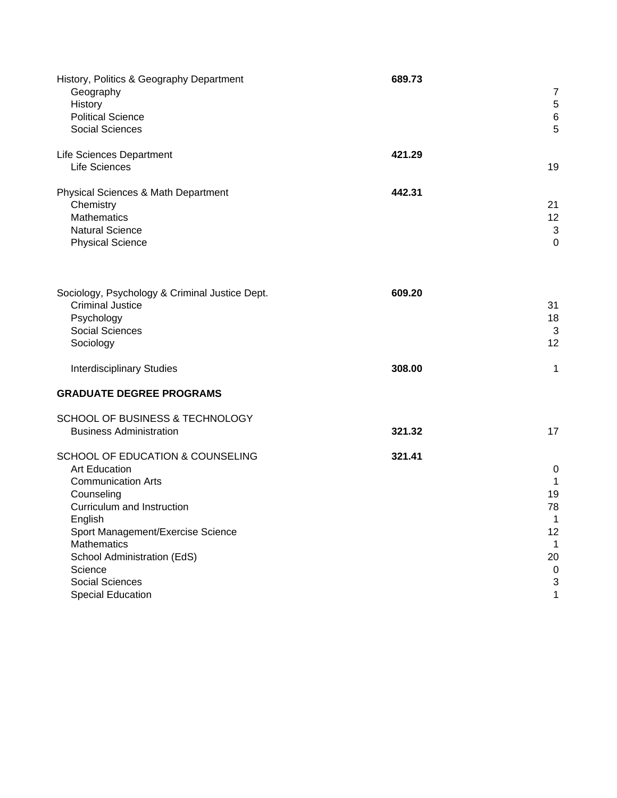| History, Politics & Geography Department<br>Geography<br>History<br><b>Political Science</b><br><b>Social Sciences</b>                                                                                                                                                                                  | 689.73 | $\overline{7}$<br>5<br>6<br>5                                                          |
|---------------------------------------------------------------------------------------------------------------------------------------------------------------------------------------------------------------------------------------------------------------------------------------------------------|--------|----------------------------------------------------------------------------------------|
| Life Sciences Department<br>Life Sciences                                                                                                                                                                                                                                                               | 421.29 | 19                                                                                     |
| <b>Physical Sciences &amp; Math Department</b><br>Chemistry<br><b>Mathematics</b><br><b>Natural Science</b><br><b>Physical Science</b>                                                                                                                                                                  | 442.31 | 21<br>12<br>3<br>$\overline{0}$                                                        |
| Sociology, Psychology & Criminal Justice Dept.<br><b>Criminal Justice</b><br>Psychology<br><b>Social Sciences</b><br>Sociology                                                                                                                                                                          | 609.20 | 31<br>18<br>3<br>12                                                                    |
| <b>Interdisciplinary Studies</b>                                                                                                                                                                                                                                                                        | 308.00 | 1                                                                                      |
| <b>GRADUATE DEGREE PROGRAMS</b>                                                                                                                                                                                                                                                                         |        |                                                                                        |
| SCHOOL OF BUSINESS & TECHNOLOGY<br><b>Business Administration</b>                                                                                                                                                                                                                                       | 321.32 | 17                                                                                     |
| SCHOOL OF EDUCATION & COUNSELING<br><b>Art Education</b><br><b>Communication Arts</b><br>Counseling<br>Curriculum and Instruction<br>English<br>Sport Management/Exercise Science<br><b>Mathematics</b><br>School Administration (EdS)<br>Science<br><b>Social Sciences</b><br><b>Special Education</b> | 321.41 | $\mathbf 0$<br>$\mathbf{1}$<br>19<br>78<br>1<br>12<br>1<br>20<br>$\mathbf 0$<br>3<br>1 |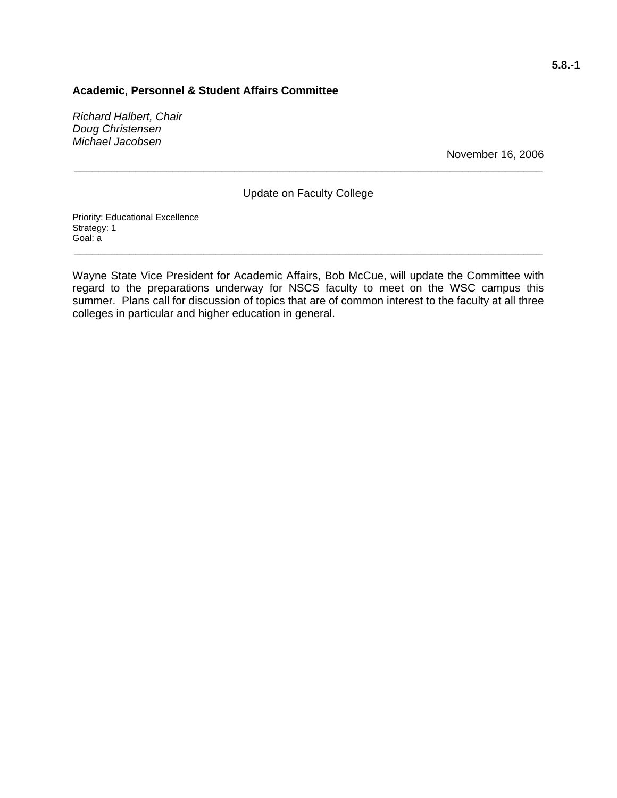## **Academic, Personnel & Student Affairs Committee**

*Richard Halbert, Chair Doug Christensen Michael Jacobsen* 

November 16, 2006

#### Update on Faculty College

**\_\_\_\_\_\_\_\_\_\_\_\_\_\_\_\_\_\_\_\_\_\_\_\_\_\_\_\_\_\_\_\_\_\_\_\_\_\_\_\_\_\_\_\_\_\_\_\_\_\_\_\_\_\_\_\_\_\_\_\_\_\_\_\_\_\_\_\_\_\_\_\_\_\_\_\_** 

Priority: Educational Excellence Strategy: 1 Goal: a

Wayne State Vice President for Academic Affairs, Bob McCue, will update the Committee with regard to the preparations underway for NSCS faculty to meet on the WSC campus this summer. Plans call for discussion of topics that are of common interest to the faculty at all three colleges in particular and higher education in general.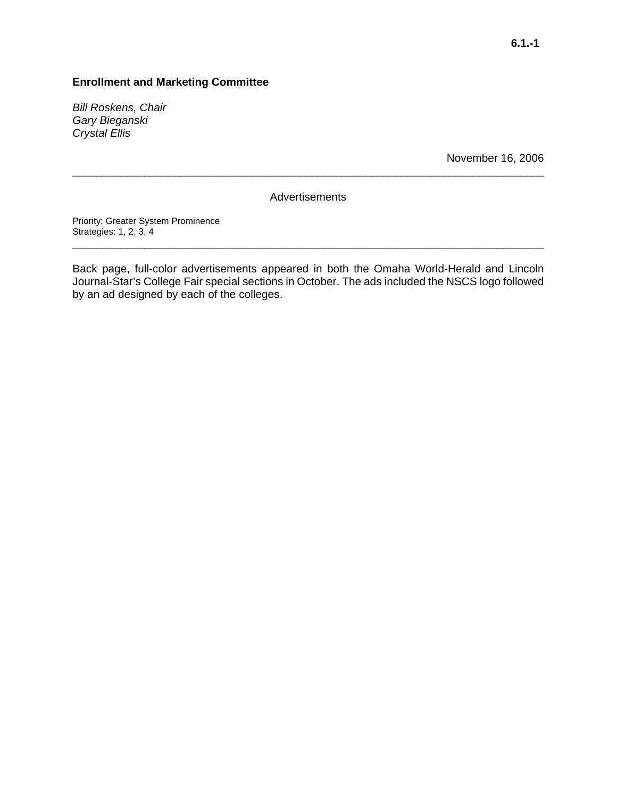*Bill Roskens, Chair Gary Bieganski Crystal Ellis* 

November 16, 2006

**Advertisements** 

**\_\_\_\_\_\_\_\_\_\_\_\_\_\_\_\_\_\_\_\_\_\_\_\_\_\_\_\_\_\_\_\_\_\_\_\_\_\_\_\_\_\_\_\_\_\_\_\_\_\_\_\_\_\_\_\_\_\_\_\_\_\_\_\_\_\_\_\_\_\_\_\_\_\_\_\_\_\_\_** 

Priority: Greater System Prominence Strategies: 1, 2, 3, 4

Back page, full-color advertisements appeared in both the Omaha World-Herald and Lincoln Journal-Star's College Fair special sections in October. The ads included the NSCS logo followed by an ad designed by each of the colleges.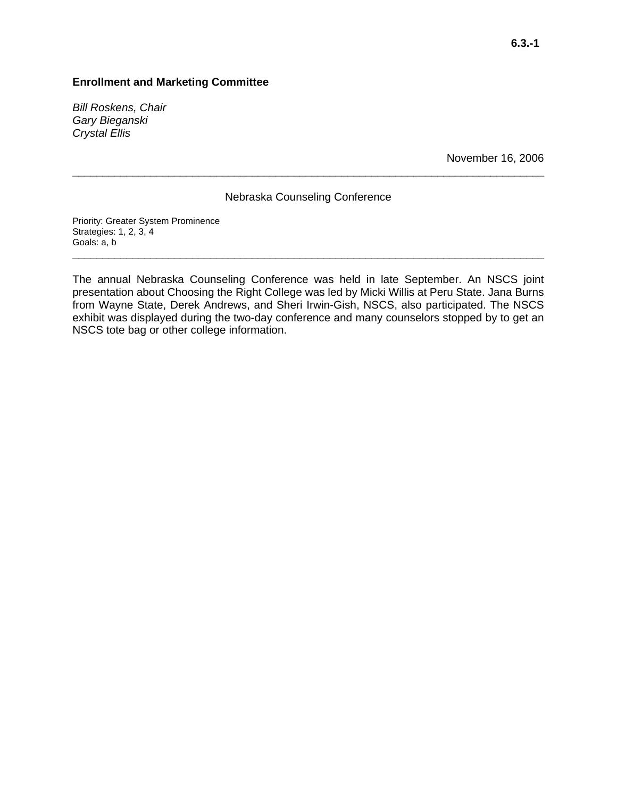*Bill Roskens, Chair Gary Bieganski Crystal Ellis* 

November 16, 2006

### Nebraska Counseling Conference

**\_\_\_\_\_\_\_\_\_\_\_\_\_\_\_\_\_\_\_\_\_\_\_\_\_\_\_\_\_\_\_\_\_\_\_\_\_\_\_\_\_\_\_\_\_\_\_\_\_\_\_\_\_\_\_\_\_\_\_\_\_\_\_\_\_\_\_\_\_\_\_\_\_\_\_\_\_\_\_** 

Priority: Greater System Prominence Strategies: 1, 2, 3, 4 Goals: a, b

The annual Nebraska Counseling Conference was held in late September. An NSCS joint presentation about Choosing the Right College was led by Micki Willis at Peru State. Jana Burns from Wayne State, Derek Andrews, and Sheri Irwin-Gish, NSCS, also participated. The NSCS exhibit was displayed during the two-day conference and many counselors stopped by to get an NSCS tote bag or other college information.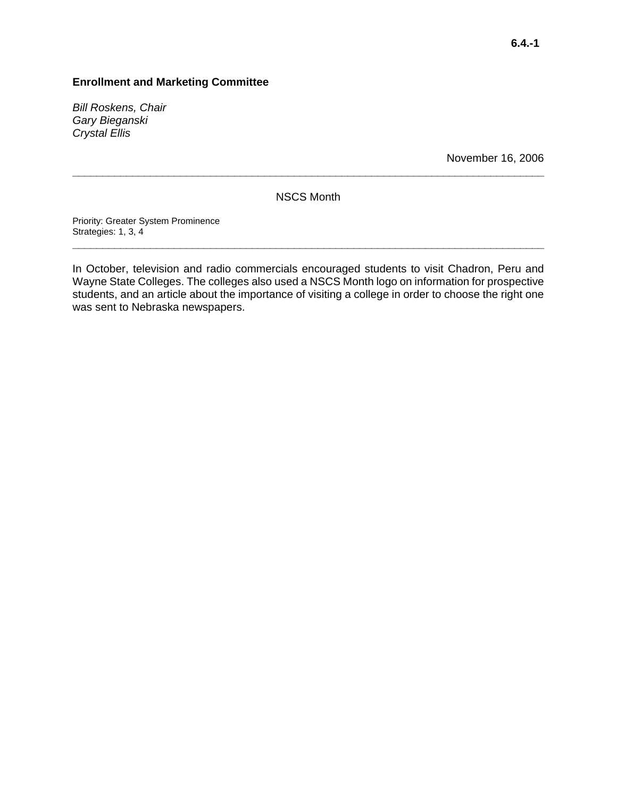*Bill Roskens, Chair Gary Bieganski Crystal Ellis* 

November 16, 2006

NSCS Month

**\_\_\_\_\_\_\_\_\_\_\_\_\_\_\_\_\_\_\_\_\_\_\_\_\_\_\_\_\_\_\_\_\_\_\_\_\_\_\_\_\_\_\_\_\_\_\_\_\_\_\_\_\_\_\_\_\_\_\_\_\_\_\_\_\_\_\_\_\_\_\_\_\_\_\_\_\_\_\_** 

Priority: Greater System Prominence Strategies: 1, 3, 4

In October, television and radio commercials encouraged students to visit Chadron, Peru and Wayne State Colleges. The colleges also used a NSCS Month logo on information for prospective students, and an article about the importance of visiting a college in order to choose the right one was sent to Nebraska newspapers.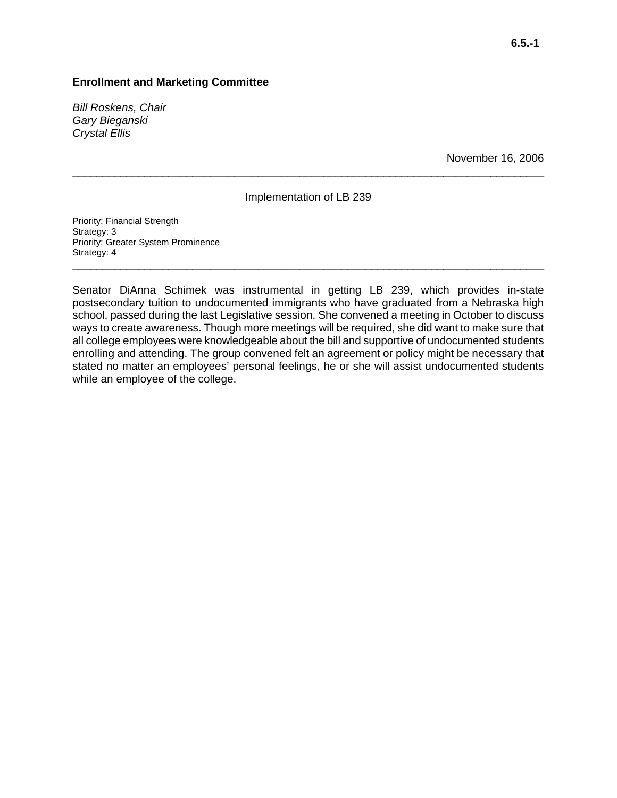*Bill Roskens, Chair Gary Bieganski Crystal Ellis* 

November 16, 2006

Implementation of LB 239

**\_\_\_\_\_\_\_\_\_\_\_\_\_\_\_\_\_\_\_\_\_\_\_\_\_\_\_\_\_\_\_\_\_\_\_\_\_\_\_\_\_\_\_\_\_\_\_\_\_\_\_\_\_\_\_\_\_\_\_\_\_\_\_\_\_\_\_\_\_\_\_\_\_\_\_\_\_\_\_** 

Priority: Financial Strength Strategy: 3 Priority: Greater System Prominence Strategy: 4

Senator DiAnna Schimek was instrumental in getting LB 239, which provides in-state postsecondary tuition to undocumented immigrants who have graduated from a Nebraska high school, passed during the last Legislative session. She convened a meeting in October to discuss ways to create awareness. Though more meetings will be required, she did want to make sure that all college employees were knowledgeable about the bill and supportive of undocumented students enrolling and attending. The group convened felt an agreement or policy might be necessary that stated no matter an employees' personal feelings, he or she will assist undocumented students while an employee of the college.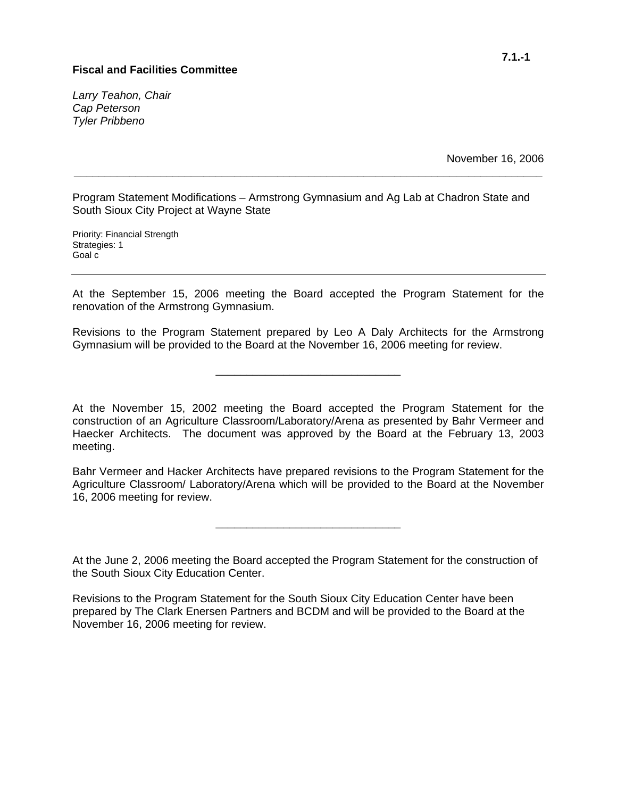## **Fiscal and Facilities Committee**

*Larry Teahon, Chair Cap Peterson Tyler Pribbeno* 

November 16, 2006

Program Statement Modifications – Armstrong Gymnasium and Ag Lab at Chadron State and South Sioux City Project at Wayne State

**\_\_\_\_\_\_\_\_\_\_\_\_\_\_\_\_\_\_\_\_\_\_\_\_\_\_\_\_\_\_\_\_\_\_\_\_\_\_\_\_\_\_\_\_\_\_\_\_\_\_\_\_\_\_\_\_\_\_\_\_\_\_\_\_\_\_\_\_\_\_\_\_\_\_\_\_** 

Priority: Financial Strength Strategies: 1 Goal c

At the September 15, 2006 meeting the Board accepted the Program Statement for the renovation of the Armstrong Gymnasium.

Revisions to the Program Statement prepared by Leo A Daly Architects for the Armstrong Gymnasium will be provided to the Board at the November 16, 2006 meeting for review.

\_\_\_\_\_\_\_\_\_\_\_\_\_\_\_\_\_\_\_\_\_\_\_\_\_\_\_\_\_\_

At the November 15, 2002 meeting the Board accepted the Program Statement for the construction of an Agriculture Classroom/Laboratory/Arena as presented by Bahr Vermeer and Haecker Architects. The document was approved by the Board at the February 13, 2003 meeting.

Bahr Vermeer and Hacker Architects have prepared revisions to the Program Statement for the Agriculture Classroom/ Laboratory/Arena which will be provided to the Board at the November 16, 2006 meeting for review.

\_\_\_\_\_\_\_\_\_\_\_\_\_\_\_\_\_\_\_\_\_\_\_\_\_\_\_\_\_\_

At the June 2, 2006 meeting the Board accepted the Program Statement for the construction of the South Sioux City Education Center.

Revisions to the Program Statement for the South Sioux City Education Center have been prepared by The Clark Enersen Partners and BCDM and will be provided to the Board at the November 16, 2006 meeting for review.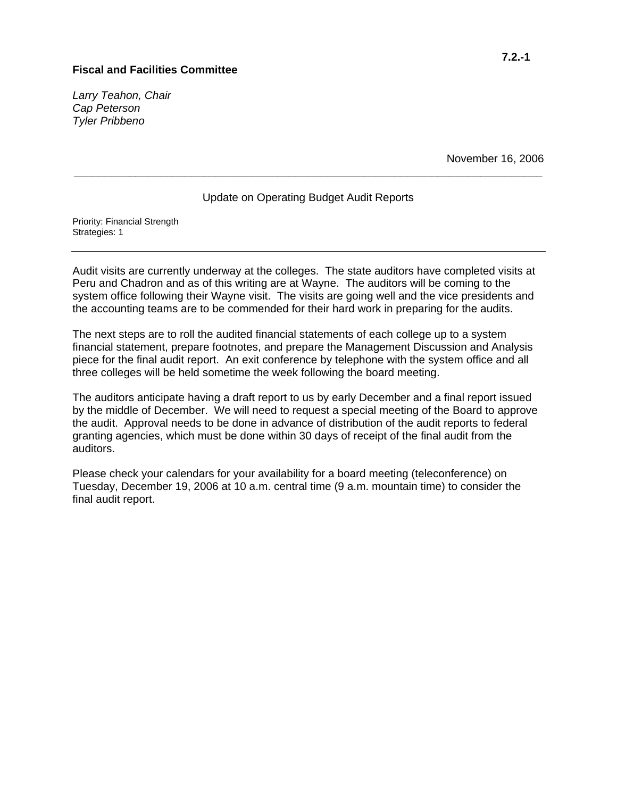## **Fiscal and Facilities Committee**

*Larry Teahon, Chair Cap Peterson Tyler Pribbeno* 

November 16, 2006

## Update on Operating Budget Audit Reports

**\_\_\_\_\_\_\_\_\_\_\_\_\_\_\_\_\_\_\_\_\_\_\_\_\_\_\_\_\_\_\_\_\_\_\_\_\_\_\_\_\_\_\_\_\_\_\_\_\_\_\_\_\_\_\_\_\_\_\_\_\_\_\_\_\_\_\_\_\_\_\_\_\_\_\_\_** 

Priority: Financial Strength Strategies: 1

Audit visits are currently underway at the colleges. The state auditors have completed visits at Peru and Chadron and as of this writing are at Wayne. The auditors will be coming to the system office following their Wayne visit. The visits are going well and the vice presidents and the accounting teams are to be commended for their hard work in preparing for the audits.

The next steps are to roll the audited financial statements of each college up to a system financial statement, prepare footnotes, and prepare the Management Discussion and Analysis piece for the final audit report. An exit conference by telephone with the system office and all three colleges will be held sometime the week following the board meeting.

The auditors anticipate having a draft report to us by early December and a final report issued by the middle of December. We will need to request a special meeting of the Board to approve the audit. Approval needs to be done in advance of distribution of the audit reports to federal granting agencies, which must be done within 30 days of receipt of the final audit from the auditors.

Please check your calendars for your availability for a board meeting (teleconference) on Tuesday, December 19, 2006 at 10 a.m. central time (9 a.m. mountain time) to consider the final audit report.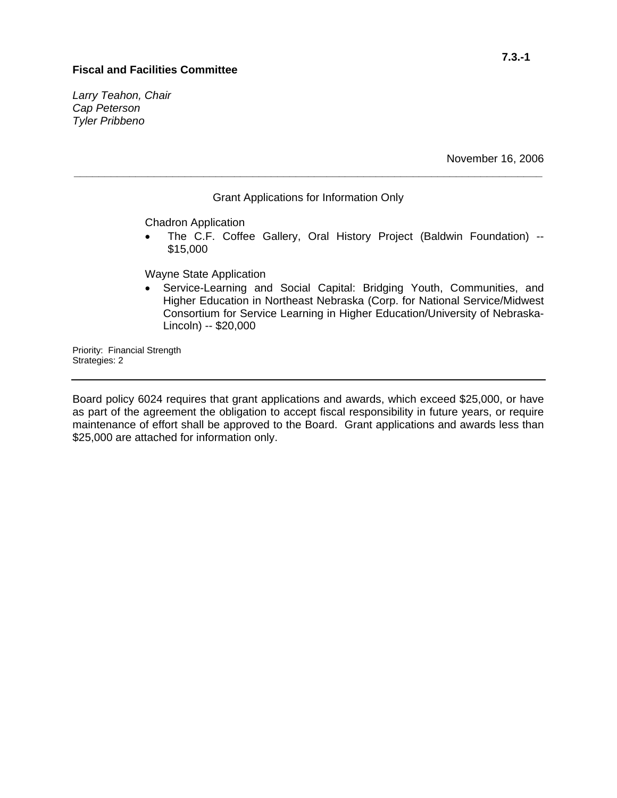# **Fiscal and Facilities Committee**

*Larry Teahon, Chair Cap Peterson Tyler Pribbeno* 

November 16, 2006

## Grant Applications for Information Only

**\_\_\_\_\_\_\_\_\_\_\_\_\_\_\_\_\_\_\_\_\_\_\_\_\_\_\_\_\_\_\_\_\_\_\_\_\_\_\_\_\_\_\_\_\_\_\_\_\_\_\_\_\_\_\_\_\_\_\_\_\_\_\_\_\_\_\_\_\_\_\_\_\_\_\_\_** 

Chadron Application

• The C.F. Coffee Gallery, Oral History Project (Baldwin Foundation) -- \$15,000

Wayne State Application

• Service-Learning and Social Capital: Bridging Youth, Communities, and Higher Education in Northeast Nebraska (Corp. for National Service/Midwest Consortium for Service Learning in Higher Education/University of Nebraska-Lincoln) -- \$20,000

Priority: Financial Strength Strategies: 2

Board policy 6024 requires that grant applications and awards, which exceed \$25,000, or have as part of the agreement the obligation to accept fiscal responsibility in future years, or require maintenance of effort shall be approved to the Board. Grant applications and awards less than \$25,000 are attached for information only.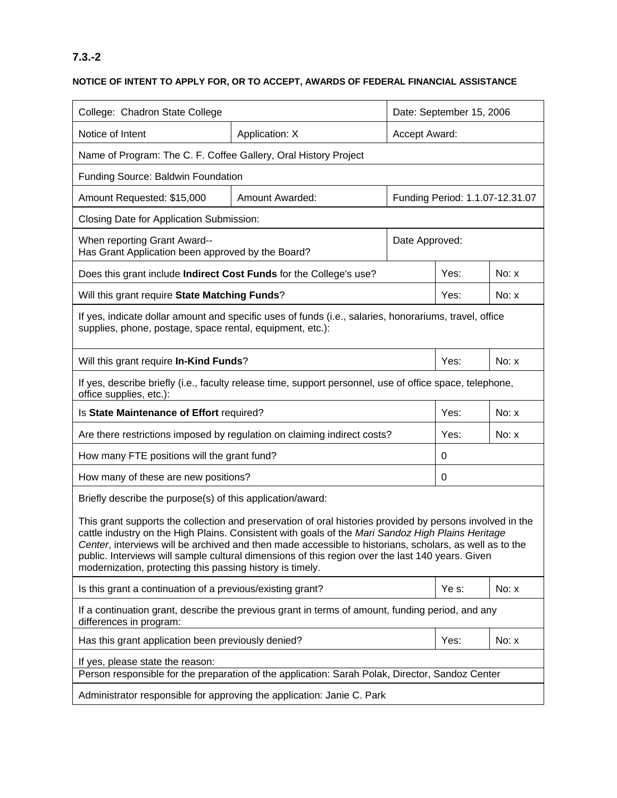# **7.3.-2**

# **NOTICE OF INTENT TO APPLY FOR, OR TO ACCEPT, AWARDS OF FEDERAL FINANCIAL ASSISTANCE**

| College: Chadron State College                                                                                                      |                                                                                                                                                                                                                                                                                                                                                                                                                               |                                 | Date: September 15, 2006 |       |
|-------------------------------------------------------------------------------------------------------------------------------------|-------------------------------------------------------------------------------------------------------------------------------------------------------------------------------------------------------------------------------------------------------------------------------------------------------------------------------------------------------------------------------------------------------------------------------|---------------------------------|--------------------------|-------|
| Notice of Intent                                                                                                                    | Application: X                                                                                                                                                                                                                                                                                                                                                                                                                | Accept Award:                   |                          |       |
| Name of Program: The C. F. Coffee Gallery, Oral History Project                                                                     |                                                                                                                                                                                                                                                                                                                                                                                                                               |                                 |                          |       |
| Funding Source: Baldwin Foundation                                                                                                  |                                                                                                                                                                                                                                                                                                                                                                                                                               |                                 |                          |       |
| Amount Requested: \$15,000                                                                                                          | <b>Amount Awarded:</b>                                                                                                                                                                                                                                                                                                                                                                                                        | Funding Period: 1.1.07-12.31.07 |                          |       |
| Closing Date for Application Submission:                                                                                            |                                                                                                                                                                                                                                                                                                                                                                                                                               |                                 |                          |       |
| When reporting Grant Award--<br>Has Grant Application been approved by the Board?                                                   |                                                                                                                                                                                                                                                                                                                                                                                                                               | Date Approved:                  |                          |       |
| Does this grant include Indirect Cost Funds for the College's use?                                                                  |                                                                                                                                                                                                                                                                                                                                                                                                                               |                                 | Yes:                     | No: x |
| Will this grant require State Matching Funds?                                                                                       |                                                                                                                                                                                                                                                                                                                                                                                                                               |                                 | Yes:                     | No: x |
| supplies, phone, postage, space rental, equipment, etc.):                                                                           | If yes, indicate dollar amount and specific uses of funds (i.e., salaries, honorariums, travel, office                                                                                                                                                                                                                                                                                                                        |                                 |                          |       |
| Yes:<br>No: x<br>Will this grant require In-Kind Funds?                                                                             |                                                                                                                                                                                                                                                                                                                                                                                                                               |                                 |                          |       |
| If yes, describe briefly (i.e., faculty release time, support personnel, use of office space, telephone,<br>office supplies, etc.): |                                                                                                                                                                                                                                                                                                                                                                                                                               |                                 |                          |       |
|                                                                                                                                     |                                                                                                                                                                                                                                                                                                                                                                                                                               |                                 |                          |       |
| Is State Maintenance of Effort required?                                                                                            |                                                                                                                                                                                                                                                                                                                                                                                                                               |                                 | Yes:                     | No: x |
|                                                                                                                                     | Are there restrictions imposed by regulation on claiming indirect costs?                                                                                                                                                                                                                                                                                                                                                      |                                 | Yes:                     | No: x |
| How many FTE positions will the grant fund?                                                                                         |                                                                                                                                                                                                                                                                                                                                                                                                                               |                                 | 0                        |       |
| How many of these are new positions?                                                                                                |                                                                                                                                                                                                                                                                                                                                                                                                                               |                                 | 0                        |       |
| Briefly describe the purpose(s) of this application/award:                                                                          |                                                                                                                                                                                                                                                                                                                                                                                                                               |                                 |                          |       |
| modernization, protecting this passing history is timely.                                                                           | This grant supports the collection and preservation of oral histories provided by persons involved in the<br>cattle industry on the High Plains. Consistent with goals of the Mari Sandoz High Plains Heritage<br>Center, interviews will be archived and then made accessible to historians, scholars, as well as to the<br>public. Interviews will sample cultural dimensions of this region over the last 140 years. Given |                                 |                          |       |
| Is this grant a continuation of a previous/existing grant?                                                                          |                                                                                                                                                                                                                                                                                                                                                                                                                               |                                 | Ye s:                    | No: x |
| differences in program:                                                                                                             | If a continuation grant, describe the previous grant in terms of amount, funding period, and any                                                                                                                                                                                                                                                                                                                              |                                 |                          |       |
| Has this grant application been previously denied?                                                                                  |                                                                                                                                                                                                                                                                                                                                                                                                                               |                                 | Yes:                     | No: x |
| If yes, please state the reason:                                                                                                    | Person responsible for the preparation of the application: Sarah Polak, Director, Sandoz Center                                                                                                                                                                                                                                                                                                                               |                                 |                          |       |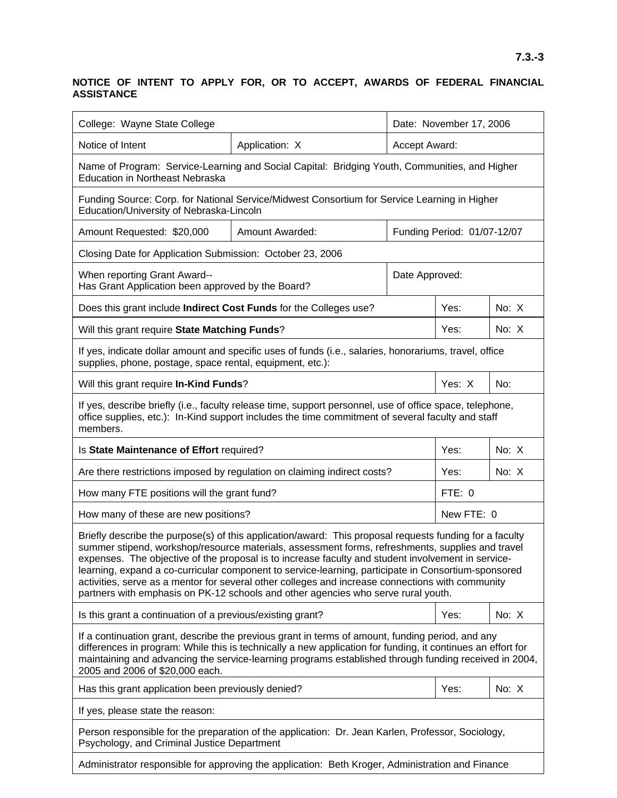# **NOTICE OF INTENT TO APPLY FOR, OR TO ACCEPT, AWARDS OF FEDERAL FINANCIAL ASSISTANCE**

| College: Wayne State College                                                      |                                                                                                                                                                                                                                                                                                                                                                                                                                                                                                                                                                                                                   |                             | Date: November 17, 2006 |       |
|-----------------------------------------------------------------------------------|-------------------------------------------------------------------------------------------------------------------------------------------------------------------------------------------------------------------------------------------------------------------------------------------------------------------------------------------------------------------------------------------------------------------------------------------------------------------------------------------------------------------------------------------------------------------------------------------------------------------|-----------------------------|-------------------------|-------|
| Notice of Intent                                                                  | Application: X                                                                                                                                                                                                                                                                                                                                                                                                                                                                                                                                                                                                    | Accept Award:               |                         |       |
| <b>Education in Northeast Nebraska</b>                                            | Name of Program: Service-Learning and Social Capital: Bridging Youth, Communities, and Higher                                                                                                                                                                                                                                                                                                                                                                                                                                                                                                                     |                             |                         |       |
| Education/University of Nebraska-Lincoln                                          | Funding Source: Corp. for National Service/Midwest Consortium for Service Learning in Higher                                                                                                                                                                                                                                                                                                                                                                                                                                                                                                                      |                             |                         |       |
| Amount Requested: \$20,000                                                        | <b>Amount Awarded:</b>                                                                                                                                                                                                                                                                                                                                                                                                                                                                                                                                                                                            | Funding Period: 01/07-12/07 |                         |       |
| Closing Date for Application Submission: October 23, 2006                         |                                                                                                                                                                                                                                                                                                                                                                                                                                                                                                                                                                                                                   |                             |                         |       |
| When reporting Grant Award--<br>Has Grant Application been approved by the Board? |                                                                                                                                                                                                                                                                                                                                                                                                                                                                                                                                                                                                                   | Date Approved:              |                         |       |
| Does this grant include Indirect Cost Funds for the Colleges use?                 |                                                                                                                                                                                                                                                                                                                                                                                                                                                                                                                                                                                                                   |                             | Yes:                    | No: X |
| Will this grant require State Matching Funds?                                     |                                                                                                                                                                                                                                                                                                                                                                                                                                                                                                                                                                                                                   |                             | Yes:                    | No: X |
| supplies, phone, postage, space rental, equipment, etc.):                         | If yes, indicate dollar amount and specific uses of funds (i.e., salaries, honorariums, travel, office                                                                                                                                                                                                                                                                                                                                                                                                                                                                                                            |                             |                         |       |
| Will this grant require In-Kind Funds?                                            |                                                                                                                                                                                                                                                                                                                                                                                                                                                                                                                                                                                                                   |                             | Yes: X                  | No:   |
| members.                                                                          | If yes, describe briefly (i.e., faculty release time, support personnel, use of office space, telephone,<br>office supplies, etc.): In-Kind support includes the time commitment of several faculty and staff                                                                                                                                                                                                                                                                                                                                                                                                     |                             |                         |       |
| No: X<br>Yes:<br>Is State Maintenance of Effort required?                         |                                                                                                                                                                                                                                                                                                                                                                                                                                                                                                                                                                                                                   |                             |                         |       |
| Are there restrictions imposed by regulation on claiming indirect costs?          |                                                                                                                                                                                                                                                                                                                                                                                                                                                                                                                                                                                                                   | Yes:                        | No: X                   |       |
| How many FTE positions will the grant fund?                                       |                                                                                                                                                                                                                                                                                                                                                                                                                                                                                                                                                                                                                   |                             | FTE: 0                  |       |
| How many of these are new positions?                                              |                                                                                                                                                                                                                                                                                                                                                                                                                                                                                                                                                                                                                   | New FTE: 0                  |                         |       |
|                                                                                   | Briefly describe the purpose(s) of this application/award: This proposal requests funding for a faculty<br>summer stipend, workshop/resource materials, assessment forms, refreshments, supplies and travel<br>expenses. The objective of the proposal is to increase faculty and student involvement in service-<br>learning, expand a co-curricular component to service-learning, participate in Consortium-sponsored<br>activities, serve as a mentor for several other colleges and increase connections with community<br>partners with emphasis on PK-12 schools and other agencies who serve rural youth. |                             |                         |       |
| Is this grant a continuation of a previous/existing grant?                        |                                                                                                                                                                                                                                                                                                                                                                                                                                                                                                                                                                                                                   | Yes:                        | No: X                   |       |
| 2005 and 2006 of \$20,000 each.                                                   | If a continuation grant, describe the previous grant in terms of amount, funding period, and any<br>differences in program: While this is technically a new application for funding, it continues an effort for<br>maintaining and advancing the service-learning programs established through funding received in 2004,                                                                                                                                                                                                                                                                                          |                             |                         |       |
| Has this grant application been previously denied?                                |                                                                                                                                                                                                                                                                                                                                                                                                                                                                                                                                                                                                                   |                             | Yes:                    | No: X |
| If yes, please state the reason:                                                  |                                                                                                                                                                                                                                                                                                                                                                                                                                                                                                                                                                                                                   |                             |                         |       |
| Psychology, and Criminal Justice Department                                       | Person responsible for the preparation of the application: Dr. Jean Karlen, Professor, Sociology,                                                                                                                                                                                                                                                                                                                                                                                                                                                                                                                 |                             |                         |       |
|                                                                                   | Administrator responsible for approving the application: Beth Kroger, Administration and Finance                                                                                                                                                                                                                                                                                                                                                                                                                                                                                                                  |                             |                         |       |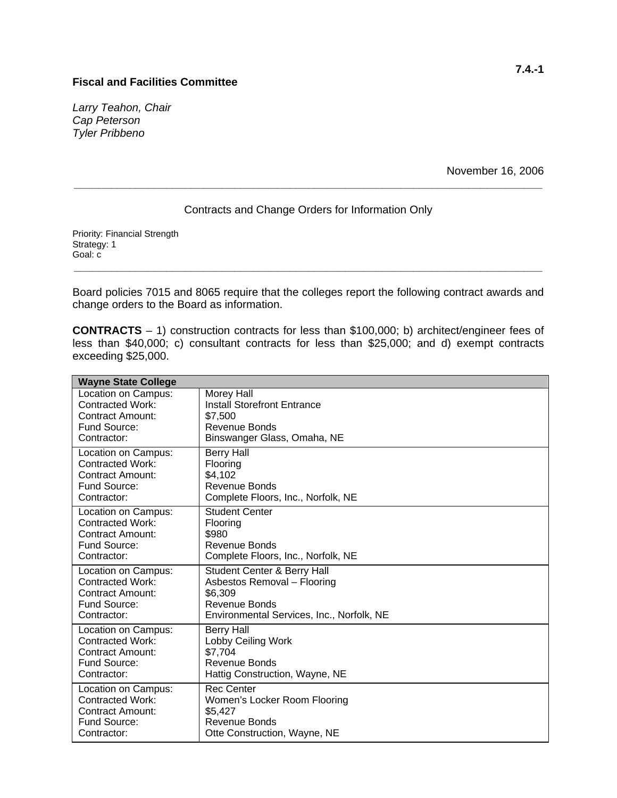# **Fiscal and Facilities Committee**

*Larry Teahon, Chair Cap Peterson Tyler Pribbeno* 

November 16, 2006

# Contracts and Change Orders for Information Only

**\_\_\_\_\_\_\_\_\_\_\_\_\_\_\_\_\_\_\_\_\_\_\_\_\_\_\_\_\_\_\_\_\_\_\_\_\_\_\_\_\_\_\_\_\_\_\_\_\_\_\_\_\_\_\_\_\_\_\_\_\_\_\_\_\_\_\_\_\_\_\_\_\_\_\_\_** 

Priority: Financial Strength Strategy: 1 Goal: c

Board policies 7015 and 8065 require that the colleges report the following contract awards and change orders to the Board as information.

**\_\_\_\_\_\_\_\_\_\_\_\_\_\_\_\_\_\_\_\_\_\_\_\_\_\_\_\_\_\_\_\_\_\_\_\_\_\_\_\_\_\_\_\_\_\_\_\_\_\_\_\_\_\_\_\_\_\_\_\_\_\_\_\_\_\_\_\_\_\_\_\_\_\_\_\_** 

**CONTRACTS** – 1) construction contracts for less than \$100,000; b) architect/engineer fees of less than \$40,000; c) consultant contracts for less than \$25,000; and d) exempt contracts exceeding \$25,000.

| <b>Wayne State College</b>                                                                               |                                                                              |
|----------------------------------------------------------------------------------------------------------|------------------------------------------------------------------------------|
| Location on Campus:<br><b>Contracted Work:</b><br><b>Contract Amount:</b><br>Fund Source:<br>Contractor: | Morey Hall<br><b>Install Storefront Entrance</b><br>\$7,500<br>Revenue Bonds |
| Location on Campus:                                                                                      | Binswanger Glass, Omaha, NE<br><b>Berry Hall</b>                             |
| Contracted Work:                                                                                         | Flooring                                                                     |
| Contract Amount:                                                                                         | \$4,102                                                                      |
| Fund Source:                                                                                             | <b>Revenue Bonds</b>                                                         |
| Contractor:                                                                                              | Complete Floors, Inc., Norfolk, NE                                           |
| Location on Campus:                                                                                      | <b>Student Center</b>                                                        |
| Contracted Work:                                                                                         | Flooring                                                                     |
| Contract Amount:                                                                                         | \$980                                                                        |
| Fund Source:                                                                                             | Revenue Bonds                                                                |
| Contractor:                                                                                              | Complete Floors, Inc., Norfolk, NE                                           |
| Location on Campus:                                                                                      | Student Center & Berry Hall                                                  |
| Contracted Work:                                                                                         | Asbestos Removal - Flooring                                                  |
| Contract Amount:                                                                                         | \$6,309                                                                      |
| Fund Source:                                                                                             | Revenue Bonds                                                                |
| Contractor:                                                                                              | Environmental Services, Inc., Norfolk, NE                                    |
| Location on Campus:                                                                                      | <b>Berry Hall</b>                                                            |
| Contracted Work:                                                                                         | Lobby Ceiling Work                                                           |
| Contract Amount:                                                                                         | \$7,704                                                                      |
| Fund Source:                                                                                             | Revenue Bonds                                                                |
| Contractor:                                                                                              | Hattig Construction, Wayne, NE                                               |
| Location on Campus:                                                                                      | <b>Rec Center</b>                                                            |
| <b>Contracted Work:</b>                                                                                  | Women's Locker Room Flooring                                                 |
| <b>Contract Amount:</b>                                                                                  | \$5,427                                                                      |
| Fund Source:                                                                                             | Revenue Bonds                                                                |
| Contractor:                                                                                              | Otte Construction, Wayne, NE                                                 |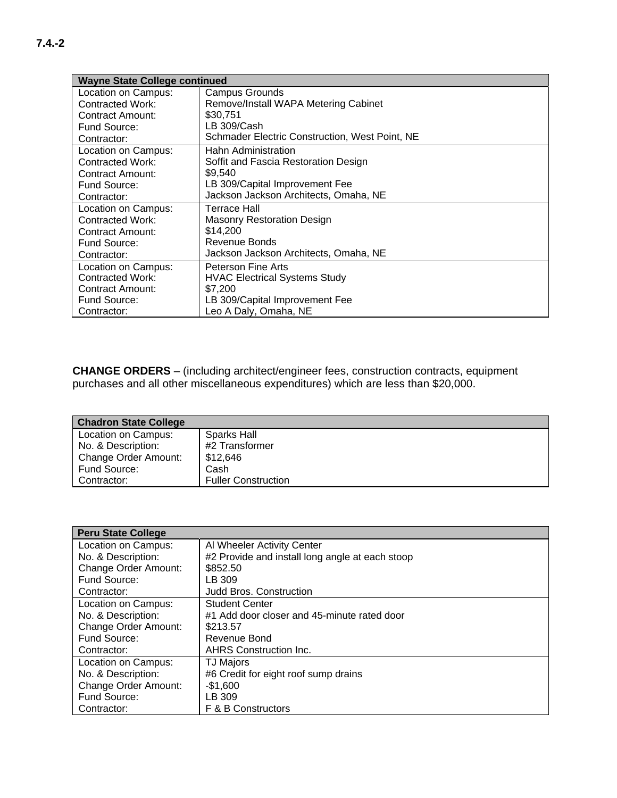| <b>Wayne State College continued</b> |                                                |
|--------------------------------------|------------------------------------------------|
| Location on Campus:                  | Campus Grounds                                 |
| <b>Contracted Work:</b>              | Remove/Install WAPA Metering Cabinet           |
| Contract Amount:                     | \$30,751                                       |
| Fund Source:                         | LB 309/Cash                                    |
| Contractor:                          | Schmader Electric Construction, West Point, NE |
| Location on Campus:                  | Hahn Administration                            |
| <b>Contracted Work:</b>              | Soffit and Fascia Restoration Design           |
| Contract Amount:                     | \$9,540                                        |
| Fund Source:                         | LB 309/Capital Improvement Fee                 |
| Contractor:                          | Jackson Jackson Architects, Omaha, NE          |
| Location on Campus:                  | Terrace Hall                                   |
| <b>Contracted Work:</b>              | Masonry Restoration Design                     |
| Contract Amount:                     | \$14,200                                       |
| Fund Source:                         | Revenue Bonds                                  |
| Contractor:                          | Jackson Jackson Architects, Omaha, NE          |
| Location on Campus:                  | Peterson Fine Arts                             |
| <b>Contracted Work:</b>              | <b>HVAC Electrical Systems Study</b>           |
| Contract Amount:                     | \$7,200                                        |
| Fund Source:                         | LB 309/Capital Improvement Fee                 |
| Contractor:                          | Leo A Daly, Omaha, NE                          |

**CHANGE ORDERS** – (including architect/engineer fees, construction contracts, equipment purchases and all other miscellaneous expenditures) which are less than \$20,000.

| <b>Chadron State College</b> |                            |
|------------------------------|----------------------------|
| Location on Campus:          | <b>Sparks Hall</b>         |
| No. & Description:           | #2 Transformer             |
| Change Order Amount:         | \$12,646                   |
| Fund Source:                 | Cash                       |
| Contractor:                  | <b>Fuller Construction</b> |

| <b>Peru State College</b>   |                                                 |
|-----------------------------|-------------------------------------------------|
| Location on Campus:         | Al Wheeler Activity Center                      |
| No. & Description:          | #2 Provide and install long angle at each stoop |
| Change Order Amount:        | \$852.50                                        |
| Fund Source:                | LB 309                                          |
| Contractor:                 | Judd Bros. Construction                         |
| Location on Campus:         | <b>Student Center</b>                           |
| No. & Description:          | #1 Add door closer and 45-minute rated door     |
| <b>Change Order Amount:</b> | \$213.57                                        |
| Fund Source:                | Revenue Bond                                    |
| Contractor:                 | AHRS Construction Inc.                          |
| Location on Campus:         | <b>TJ Majors</b>                                |
| No. & Description:          | #6 Credit for eight roof sump drains            |
| <b>Change Order Amount:</b> | $-$1,600$                                       |
| Fund Source:                | LB 309                                          |
| Contractor:                 | F & B Constructors                              |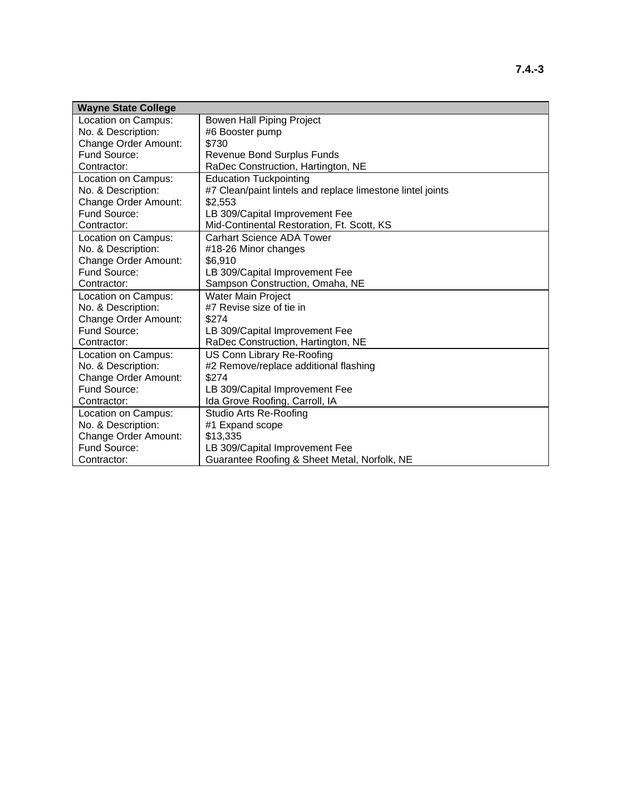| <b>Wayne State College</b> |                                                            |
|----------------------------|------------------------------------------------------------|
| Location on Campus:        | <b>Bowen Hall Piping Project</b>                           |
| No. & Description:         | #6 Booster pump                                            |
| Change Order Amount:       | \$730                                                      |
| Fund Source:               | <b>Revenue Bond Surplus Funds</b>                          |
| Contractor:                | RaDec Construction, Hartington, NE                         |
| Location on Campus:        | <b>Education Tuckpointing</b>                              |
| No. & Description:         | #7 Clean/paint lintels and replace limestone lintel joints |
| Change Order Amount:       | \$2,553                                                    |
| Fund Source:               | LB 309/Capital Improvement Fee                             |
| Contractor:                | Mid-Continental Restoration, Ft. Scott, KS                 |
| Location on Campus:        | <b>Carhart Science ADA Tower</b>                           |
| No. & Description:         | #18-26 Minor changes                                       |
| Change Order Amount:       | \$6,910                                                    |
| Fund Source:               | LB 309/Capital Improvement Fee                             |
| Contractor:                | Sampson Construction, Omaha, NE                            |
| Location on Campus:        | <b>Water Main Project</b>                                  |
| No. & Description:         | #7 Revise size of tie in                                   |
| Change Order Amount:       | \$274                                                      |
| Fund Source:               | LB 309/Capital Improvement Fee                             |
| Contractor:                | RaDec Construction, Hartington, NE                         |
| Location on Campus:        | US Conn Library Re-Roofing                                 |
| No. & Description:         | #2 Remove/replace additional flashing                      |
| Change Order Amount:       | \$274                                                      |
| Fund Source:               | LB 309/Capital Improvement Fee                             |
| Contractor:                | Ida Grove Roofing, Carroll, IA                             |
| Location on Campus:        | Studio Arts Re-Roofing                                     |
| No. & Description:         | #1 Expand scope                                            |
| Change Order Amount:       | \$13,335                                                   |
| Fund Source:               | LB 309/Capital Improvement Fee                             |
| Contractor:                | Guarantee Roofing & Sheet Metal, Norfolk, NE               |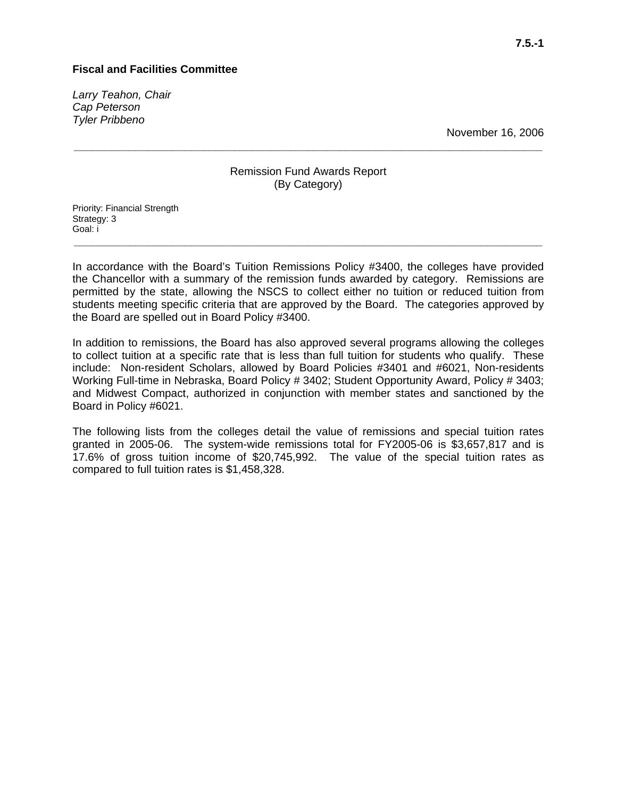# **Fiscal and Facilities Committee**

*Larry Teahon, Chair Cap Peterson Tyler Pribbeno*

November 16, 2006

# Remission Fund Awards Report (By Category)

**\_\_\_\_\_\_\_\_\_\_\_\_\_\_\_\_\_\_\_\_\_\_\_\_\_\_\_\_\_\_\_\_\_\_\_\_\_\_\_\_\_\_\_\_\_\_\_\_\_\_\_\_\_\_\_\_\_\_\_\_\_\_\_\_\_\_\_\_\_\_\_\_\_\_\_\_** 

Priority: Financial Strength Strategy: 3 Goal: i

In accordance with the Board's Tuition Remissions Policy #3400, the colleges have provided the Chancellor with a summary of the remission funds awarded by category. Remissions are permitted by the state, allowing the NSCS to collect either no tuition or reduced tuition from students meeting specific criteria that are approved by the Board. The categories approved by the Board are spelled out in Board Policy #3400.

**\_\_\_\_\_\_\_\_\_\_\_\_\_\_\_\_\_\_\_\_\_\_\_\_\_\_\_\_\_\_\_\_\_\_\_\_\_\_\_\_\_\_\_\_\_\_\_\_\_\_\_\_\_\_\_\_\_\_\_\_\_\_\_\_\_\_\_\_\_\_\_\_\_\_\_\_** 

In addition to remissions, the Board has also approved several programs allowing the colleges to collect tuition at a specific rate that is less than full tuition for students who qualify. These include: Non-resident Scholars, allowed by Board Policies #3401 and #6021, Non-residents Working Full-time in Nebraska, Board Policy # 3402; Student Opportunity Award, Policy # 3403; and Midwest Compact, authorized in conjunction with member states and sanctioned by the Board in Policy #6021.

The following lists from the colleges detail the value of remissions and special tuition rates granted in 2005-06. The system-wide remissions total for FY2005-06 is \$3,657,817 and is 17.6% of gross tuition income of \$20,745,992. The value of the special tuition rates as compared to full tuition rates is \$1,458,328.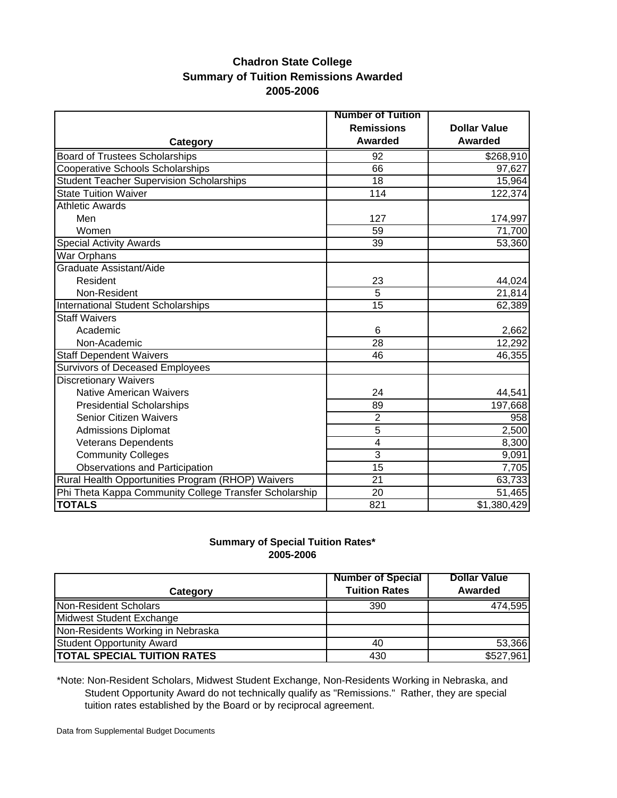# **Chadron State College Summary of Tuition Remissions Awarded 2005-2006**

|                                                        | <b>Number of Tuition</b> |                     |
|--------------------------------------------------------|--------------------------|---------------------|
|                                                        | <b>Remissions</b>        | <b>Dollar Value</b> |
| Category                                               | <b>Awarded</b>           | Awarded             |
| <b>Board of Trustees Scholarships</b>                  | 92                       | \$268,910           |
| <b>Cooperative Schools Scholarships</b>                | 66                       | 97,627              |
| <b>Student Teacher Supervision Scholarships</b>        | 18                       | 15,964              |
| <b>State Tuition Waiver</b>                            | 114                      | 122,374             |
| <b>Athletic Awards</b>                                 |                          |                     |
| Men                                                    | 127                      | 174,997             |
| Women                                                  | 59                       | 71,700              |
| <b>Special Activity Awards</b>                         | 39                       | 53,360              |
| War Orphans                                            |                          |                     |
| Graduate Assistant/Aide                                |                          |                     |
| Resident                                               | 23                       | 44,024              |
| Non-Resident                                           | 5                        | 21,814              |
| <b>International Student Scholarships</b>              | 15                       | 62,389              |
| <b>Staff Waivers</b>                                   |                          |                     |
| Academic                                               | 6                        | 2,662               |
| Non-Academic                                           | 28                       | 12,292              |
| <b>Staff Dependent Waivers</b>                         | 46                       | 46,355              |
| <b>Survivors of Deceased Employees</b>                 |                          |                     |
| <b>Discretionary Waivers</b>                           |                          |                     |
| <b>Native American Waivers</b>                         | 24                       | 44,541              |
| <b>Presidential Scholarships</b>                       | 89                       | 197,668             |
| <b>Senior Citizen Waivers</b>                          | $\overline{2}$           | 958                 |
| <b>Admissions Diplomat</b>                             | 5                        | 2,500               |
| <b>Veterans Dependents</b>                             | $\overline{\mathbf{4}}$  | 8,300               |
| <b>Community Colleges</b>                              | $\overline{3}$           | 9,091               |
| <b>Observations and Participation</b>                  | $\overline{15}$          | 7,705               |
| Rural Health Opportunities Program (RHOP) Waivers      | $\overline{21}$          | 63,733              |
| Phi Theta Kappa Community College Transfer Scholarship | $\overline{20}$          | 51,465              |
| <b>TOTALS</b>                                          | 821                      | \$1,380,429         |

# **2005-2006 Summary of Special Tuition Rates\***

|                                    | <b>Number of Special</b> | <b>Dollar Value</b> |
|------------------------------------|--------------------------|---------------------|
| Category                           | <b>Tuition Rates</b>     | Awarded             |
| Non-Resident Scholars              | 390                      | 474,595             |
| Midwest Student Exchange           |                          |                     |
| Non-Residents Working in Nebraska  |                          |                     |
| <b>Student Opportunity Award</b>   | 40                       | 53,366              |
| <b>TOTAL SPECIAL TUITION RATES</b> | 430                      | \$527,961           |

\*Note: Non-Resident Scholars, Midwest Student Exchange, Non-Residents Working in Nebraska, and Student Opportunity Award do not technically qualify as "Remissions." Rather, they are special tuition rates established by the Board or by reciprocal agreement.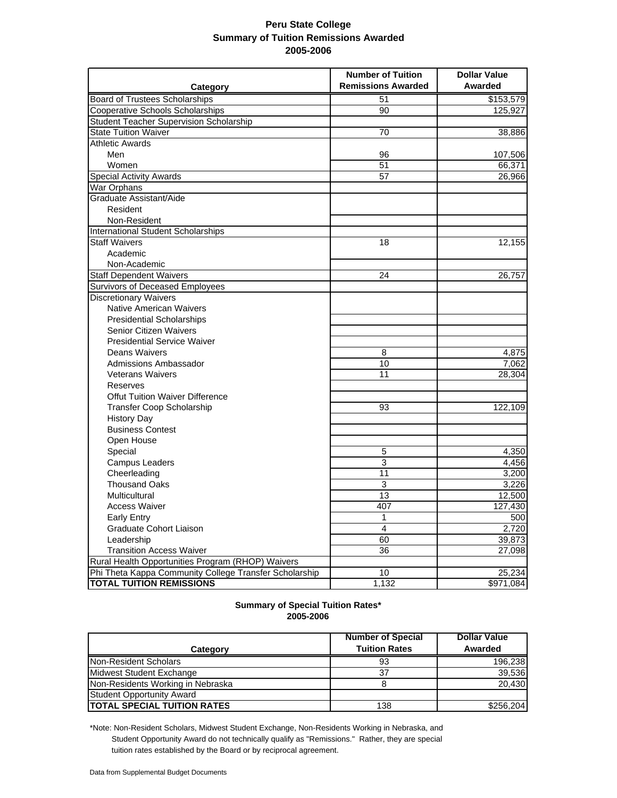# **Peru State College Summary of Tuition Remissions Awarded 2005-2006**

|                                                        | <b>Number of Tuition</b>  | <b>Dollar Value</b> |
|--------------------------------------------------------|---------------------------|---------------------|
| Category                                               | <b>Remissions Awarded</b> | Awarded             |
| <b>Board of Trustees Scholarships</b>                  | 51                        | \$153,579           |
| <b>Cooperative Schools Scholarships</b>                | 90                        | 125,927             |
| <b>Student Teacher Supervision Scholarship</b>         |                           |                     |
| <b>State Tuition Waiver</b>                            | 70                        | 38,886              |
| <b>Athletic Awards</b>                                 |                           |                     |
| Men                                                    | 96                        | 107,506             |
| Women                                                  | 51                        | 66,371              |
| <b>Special Activity Awards</b>                         | 57                        | 26,966              |
| <b>War Orphans</b>                                     |                           |                     |
| Graduate Assistant/Aide                                |                           |                     |
| Resident                                               |                           |                     |
| Non-Resident                                           |                           |                     |
| <b>International Student Scholarships</b>              |                           |                     |
| <b>Staff Waivers</b>                                   | 18                        | 12,155              |
| Academic                                               |                           |                     |
| Non-Academic                                           |                           |                     |
| <b>Staff Dependent Waivers</b>                         | 24                        | 26,757              |
| Survivors of Deceased Employees                        |                           |                     |
| Discretionary Waivers                                  |                           |                     |
| <b>Native American Waivers</b>                         |                           |                     |
| <b>Presidential Scholarships</b>                       |                           |                     |
| Senior Citizen Waivers                                 |                           |                     |
| <b>Presidential Service Waiver</b>                     |                           |                     |
| Deans Waivers                                          | 8                         | 4,875               |
| Admissions Ambassador                                  | 10                        | 7,062               |
| <b>Veterans Waivers</b>                                | 11                        | 28,304              |
| Reserves                                               |                           |                     |
| <b>Offut Tuition Waiver Difference</b>                 |                           |                     |
| <b>Transfer Coop Scholarship</b>                       | 93                        | 122, 109            |
| <b>History Day</b>                                     |                           |                     |
| <b>Business Contest</b>                                |                           |                     |
| Open House                                             |                           |                     |
| Special                                                | 5                         | 4,350               |
| <b>Campus Leaders</b>                                  | 3                         | 4,456               |
| Cheerleading                                           | 11                        | 3,200               |
| <b>Thousand Oaks</b>                                   | 3                         | 3,226               |
| Multicultural                                          | 13                        | 12,500              |
| <b>Access Waiver</b>                                   | 407                       | 127,430             |
| <b>Early Entry</b>                                     | 1                         | 500                 |
| Graduate Cohort Liaison                                | 4                         | 2,720               |
| Leadership                                             | 60                        | 39,873              |
| <b>Transition Access Waiver</b>                        | 36                        | 27,098              |
| Rural Health Opportunities Program (RHOP) Waivers      |                           |                     |
| Phi Theta Kappa Community College Transfer Scholarship | 10                        | 25,234              |
| <b>TOTAL TUITION REMISSIONS</b>                        | 1,132                     | \$971,084           |

#### **2005-2006 Summary of Special Tuition Rates\***

| Category                            | <b>Number of Special</b><br><b>Tuition Rates</b> | <b>Dollar Value</b><br>Awarded |
|-------------------------------------|--------------------------------------------------|--------------------------------|
| Non-Resident Scholars               | 93                                               | 196,238                        |
| Midwest Student Exchange            | 37                                               | 39,536                         |
| Non-Residents Working in Nebraska   |                                                  | 20,430                         |
| <b>Student Opportunity Award</b>    |                                                  |                                |
| <b>ITOTAL SPECIAL TUITION RATES</b> | 138                                              | \$256,204                      |

\*Note: Non-Resident Scholars, Midwest Student Exchange, Non-Residents Working in Nebraska, and Student Opportunity Award do not technically qualify as "Remissions." Rather, they are special tuition rates established by the Board or by reciprocal agreement.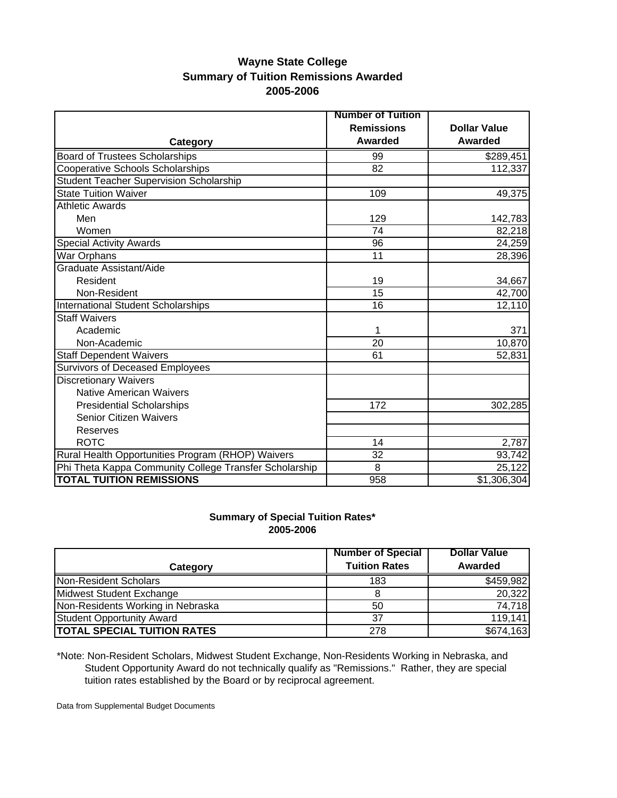# **Wayne State College Summary of Tuition Remissions Awarded 2005-2006**

|                                                        | <b>Number of Tuition</b> |                     |
|--------------------------------------------------------|--------------------------|---------------------|
|                                                        | <b>Remissions</b>        | <b>Dollar Value</b> |
| Category                                               | Awarded                  | Awarded             |
| <b>Board of Trustees Scholarships</b>                  | 99                       | \$289,451           |
| <b>Cooperative Schools Scholarships</b>                | 82                       | 112,337             |
| <b>Student Teacher Supervision Scholarship</b>         |                          |                     |
| <b>State Tuition Waiver</b>                            | 109                      | 49,375              |
| <b>Athletic Awards</b>                                 |                          |                     |
| Men                                                    | 129                      | 142,783             |
| Women                                                  | 74                       | 82,218              |
| <b>Special Activity Awards</b>                         | 96                       | 24,259              |
| War Orphans                                            | 11                       | 28,396              |
| Graduate Assistant/Aide                                |                          |                     |
| Resident                                               | 19                       | 34,667              |
| Non-Resident                                           | 15                       | 42,700              |
| International Student Scholarships                     | 16                       | 12,110              |
| <b>Staff Waivers</b>                                   |                          |                     |
| Academic                                               | 1                        | 371                 |
| Non-Academic                                           | 20                       | 10,870              |
| <b>Staff Dependent Waivers</b>                         | 61                       | 52,831              |
| Survivors of Deceased Employees                        |                          |                     |
| <b>Discretionary Waivers</b>                           |                          |                     |
| <b>Native American Waivers</b>                         |                          |                     |
| <b>Presidential Scholarships</b>                       | 172                      | 302,285             |
| <b>Senior Citizen Waivers</b>                          |                          |                     |
| Reserves                                               |                          |                     |
| <b>ROTC</b>                                            | 14                       | 2,787               |
| Rural Health Opportunities Program (RHOP) Waivers      | 32                       | 93,742              |
| Phi Theta Kappa Community College Transfer Scholarship | $\overline{8}$           | 25,122              |
| <b>TOTAL TUITION REMISSIONS</b>                        | 958                      | \$1,306,304         |

# **Summary of Special Tuition Rates\* 2005-2006**

|                                    | <b>Number of Special</b> | <b>Dollar Value</b> |
|------------------------------------|--------------------------|---------------------|
| Category                           | <b>Tuition Rates</b>     | Awarded             |
| Non-Resident Scholars              | 183                      | \$459,982           |
| Midwest Student Exchange           |                          | 20,322              |
| Non-Residents Working in Nebraska  | 50                       | 74,718              |
| Student Opportunity Award          | 37                       | 119,141             |
| <b>TOTAL SPECIAL TUITION RATES</b> | 278                      | \$674,163           |

\*Note: Non-Resident Scholars, Midwest Student Exchange, Non-Residents Working in Nebraska, and Student Opportunity Award do not technically qualify as "Remissions." Rather, they are special tuition rates established by the Board or by reciprocal agreement.

Data from Supplemental Budget Documents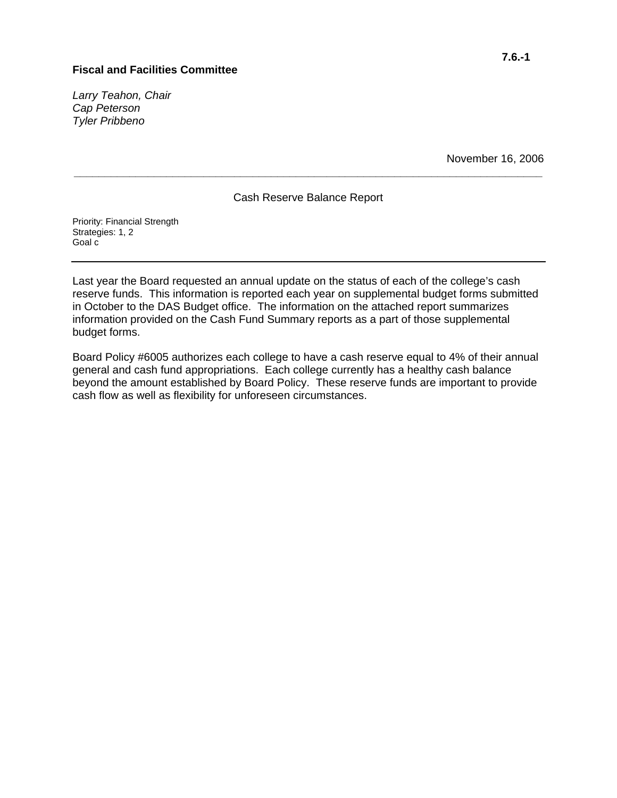# **Fiscal and Facilities Committee**

*Larry Teahon, Chair Cap Peterson Tyler Pribbeno* 

November 16, 2006

Cash Reserve Balance Report

**\_\_\_\_\_\_\_\_\_\_\_\_\_\_\_\_\_\_\_\_\_\_\_\_\_\_\_\_\_\_\_\_\_\_\_\_\_\_\_\_\_\_\_\_\_\_\_\_\_\_\_\_\_\_\_\_\_\_\_\_\_\_\_\_\_\_\_\_\_\_\_\_\_\_\_\_** 

Priority: Financial Strength Strategies: 1, 2 Goal c

Last year the Board requested an annual update on the status of each of the college's cash reserve funds. This information is reported each year on supplemental budget forms submitted in October to the DAS Budget office. The information on the attached report summarizes information provided on the Cash Fund Summary reports as a part of those supplemental budget forms.

Board Policy #6005 authorizes each college to have a cash reserve equal to 4% of their annual general and cash fund appropriations. Each college currently has a healthy cash balance beyond the amount established by Board Policy. These reserve funds are important to provide cash flow as well as flexibility for unforeseen circumstances.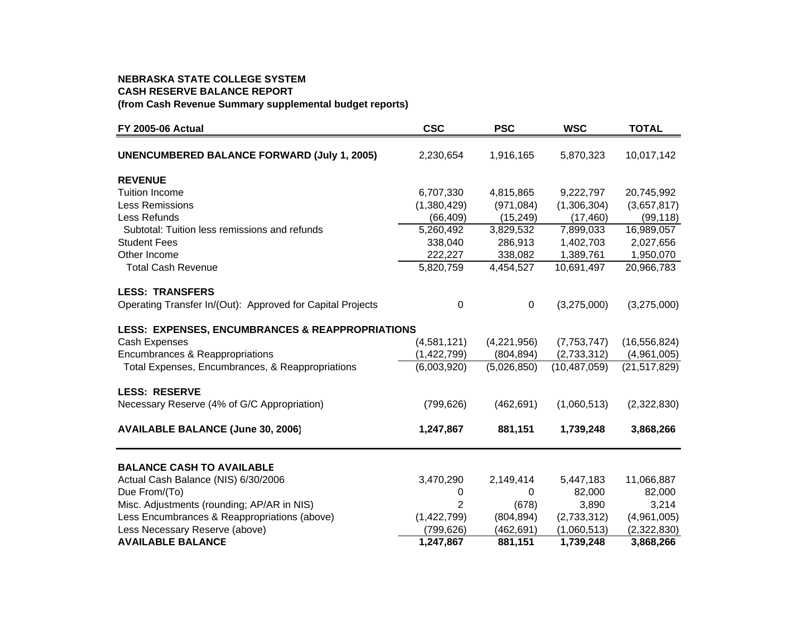# **NEBRASKA STATE COLLEGE SYSTEM CASH RESERVE BALANCE REPORT (from Cash Revenue Summary supplemental budget reports)**

| <b>FY 2005-06 Actual</b>                                   | <b>CSC</b>  | <b>PSC</b>  | <b>WSC</b>     | <b>TOTAL</b>   |
|------------------------------------------------------------|-------------|-------------|----------------|----------------|
| <b>UNENCUMBERED BALANCE FORWARD (July 1, 2005)</b>         | 2,230,654   | 1,916,165   | 5,870,323      | 10,017,142     |
| <b>REVENUE</b>                                             |             |             |                |                |
| <b>Tuition Income</b>                                      | 6,707,330   | 4,815,865   | 9,222,797      | 20,745,992     |
| <b>Less Remissions</b>                                     | (1,380,429) | (971, 084)  | (1,306,304)    | (3,657,817)    |
| Less Refunds                                               | (66, 409)   | (15, 249)   | (17, 460)      | (99, 118)      |
| Subtotal: Tuition less remissions and refunds              | 5,260,492   | 3,829,532   | 7,899,033      | 16,989,057     |
| <b>Student Fees</b>                                        | 338,040     | 286,913     | 1,402,703      | 2,027,656      |
| Other Income                                               | 222,227     | 338,082     | 1,389,761      | 1,950,070      |
| <b>Total Cash Revenue</b>                                  | 5,820,759   | 4,454,527   | 10,691,497     | 20,966,783     |
| <b>LESS: TRANSFERS</b>                                     |             |             |                |                |
| Operating Transfer In/(Out): Approved for Capital Projects | 0           | $\mathbf 0$ | (3,275,000)    | (3,275,000)    |
| LESS: EXPENSES, ENCUMBRANCES & REAPPROPRIATIONS            |             |             |                |                |
| Cash Expenses                                              | (4,581,121) | (4,221,956) | (7, 753, 747)  | (16, 556, 824) |
| Encumbrances & Reappropriations                            | (1,422,799) | (804, 894)  | (2,733,312)    | (4,961,005)    |
| Total Expenses, Encumbrances, & Reappropriations           | (6,003,920) | (5,026,850) | (10, 487, 059) | (21, 517, 829) |
| <b>LESS: RESERVE</b>                                       |             |             |                |                |
| Necessary Reserve (4% of G/C Appropriation)                | (799, 626)  | (462, 691)  | (1,060,513)    | (2,322,830)    |
| <b>AVAILABLE BALANCE (June 30, 2006)</b>                   | 1,247,867   | 881,151     | 1,739,248      | 3,868,266      |
| <b>BALANCE CASH TO AVAILABLE</b>                           |             |             |                |                |
| Actual Cash Balance (NIS) 6/30/2006                        | 3,470,290   | 2,149,414   | 5,447,183      | 11,066,887     |
| Due From/(To)                                              | 0           | 0           | 82,000         | 82,000         |
| Misc. Adjustments (rounding; AP/AR in NIS)                 | 2           | (678)       | 3,890          | 3,214          |
| Less Encumbrances & Reappropriations (above)               | (1,422,799) | (804, 894)  | (2,733,312)    | (4,961,005)    |
| Less Necessary Reserve (above)                             | (799, 626)  | (462, 691)  | (1,060,513)    | (2,322,830)    |
| <b>AVAILABLE BALANCE</b>                                   | 1,247,867   | 881,151     | 1,739,248      | 3,868,266      |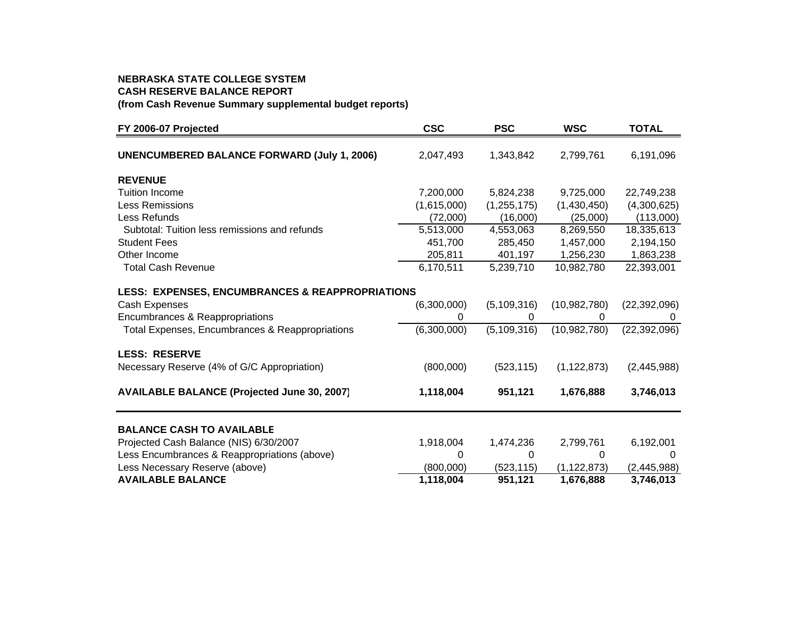#### **NEBRASKA STATE COLLEGE SYSTEM CASH RESERVE BALANCE REPORT (from Cash Revenue Summary supplemental budget reports)**

| FY 2006-07 Projected                                       | <b>CSC</b>  | <b>PSC</b>    | <b>WSC</b>    | <b>TOTAL</b>   |
|------------------------------------------------------------|-------------|---------------|---------------|----------------|
| <b>UNENCUMBERED BALANCE FORWARD (July 1, 2006)</b>         | 2,047,493   | 1,343,842     | 2,799,761     | 6,191,096      |
| <b>REVENUE</b>                                             |             |               |               |                |
| <b>Tuition Income</b>                                      | 7,200,000   | 5,824,238     | 9,725,000     | 22,749,238     |
| <b>Less Remissions</b>                                     | (1,615,000) | (1, 255, 175) | (1,430,450)   | (4,300,625)    |
| Less Refunds                                               | (72,000)    | (16,000)      | (25,000)      | (113,000)      |
| Subtotal: Tuition less remissions and refunds              | 5,513,000   | 4,553,063     | 8,269,550     | 18,335,613     |
| <b>Student Fees</b>                                        | 451,700     | 285,450       | 1,457,000     | 2,194,150      |
| Other Income                                               | 205,811     | 401,197       | 1,256,230     | 1,863,238      |
| <b>Total Cash Revenue</b>                                  | 6,170,511   | 5,239,710     | 10,982,780    | 22,393,001     |
| <b>LESS: EXPENSES, ENCUMBRANCES &amp; REAPPROPRIATIONS</b> |             |               |               |                |
| Cash Expenses                                              | (6,300,000) | (5, 109, 316) | (10,982,780)  | (22, 392, 096) |
| Encumbrances & Reappropriations                            | 0           | 0             | 0             | 0              |
| Total Expenses, Encumbrances & Reappropriations            | (6,300,000) | (5, 109, 316) | (10,982,780)  | (22, 392, 096) |
| <b>LESS: RESERVE</b>                                       |             |               |               |                |
| Necessary Reserve (4% of G/C Appropriation)                | (800,000)   | (523, 115)    | (1, 122, 873) | (2,445,988)    |
| <b>AVAILABLE BALANCE (Projected June 30, 2007)</b>         | 1,118,004   | 951,121       | 1,676,888     | 3,746,013      |
| <b>BALANCE CASH TO AVAILABLE</b>                           |             |               |               |                |
| Projected Cash Balance (NIS) 6/30/2007                     | 1,918,004   | 1,474,236     | 2,799,761     | 6,192,001      |
| Less Encumbrances & Reappropriations (above)               | 0           | 0             | $\Omega$      | $\Omega$       |
| Less Necessary Reserve (above)                             | (800,000)   | (523, 115)    | (1, 122, 873) | (2,445,988)    |
| <b>AVAILABLE BALANCE</b>                                   | 1,118,004   | 951,121       | 1,676,888     | 3,746,013      |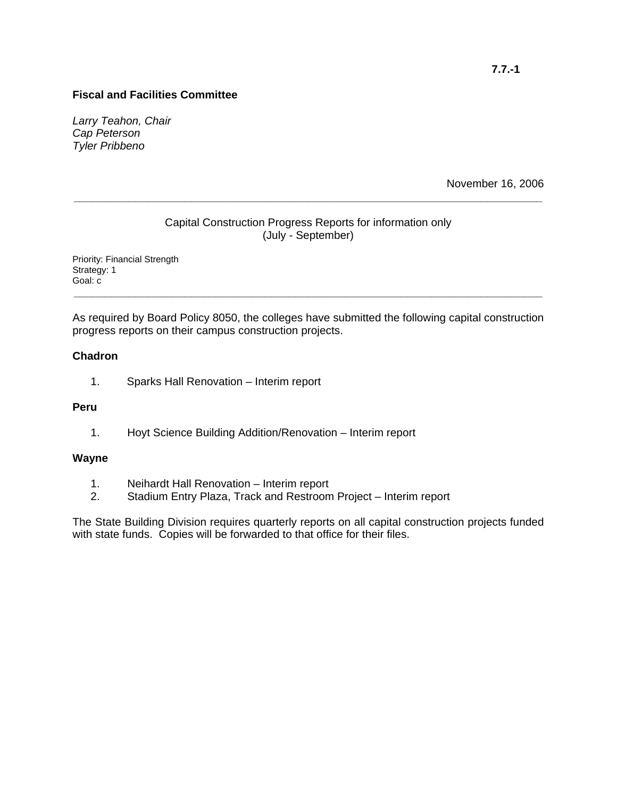# **Fiscal and Facilities Committee**

*Larry Teahon, Chair Cap Peterson Tyler Pribbeno* 

November 16, 2006

# Capital Construction Progress Reports for information only (July - September)

**\_\_\_\_\_\_\_\_\_\_\_\_\_\_\_\_\_\_\_\_\_\_\_\_\_\_\_\_\_\_\_\_\_\_\_\_\_\_\_\_\_\_\_\_\_\_\_\_\_\_\_\_\_\_\_\_\_\_\_\_\_\_\_\_\_\_\_\_\_\_\_\_\_\_\_\_** 

Priority: Financial Strength Strategy: 1 Goal: c

As required by Board Policy 8050, the colleges have submitted the following capital construction progress reports on their campus construction projects.

**\_\_\_\_\_\_\_\_\_\_\_\_\_\_\_\_\_\_\_\_\_\_\_\_\_\_\_\_\_\_\_\_\_\_\_\_\_\_\_\_\_\_\_\_\_\_\_\_\_\_\_\_\_\_\_\_\_\_\_\_\_\_\_\_\_\_\_\_\_\_\_\_\_\_\_\_** 

# **Chadron**

1. Sparks Hall Renovation – Interim report

## **Peru**

1. Hoyt Science Building Addition/Renovation – Interim report

#### **Wayne**

- 1. Neihardt Hall Renovation Interim report
- 2. Stadium Entry Plaza, Track and Restroom Project Interim report

The State Building Division requires quarterly reports on all capital construction projects funded with state funds. Copies will be forwarded to that office for their files.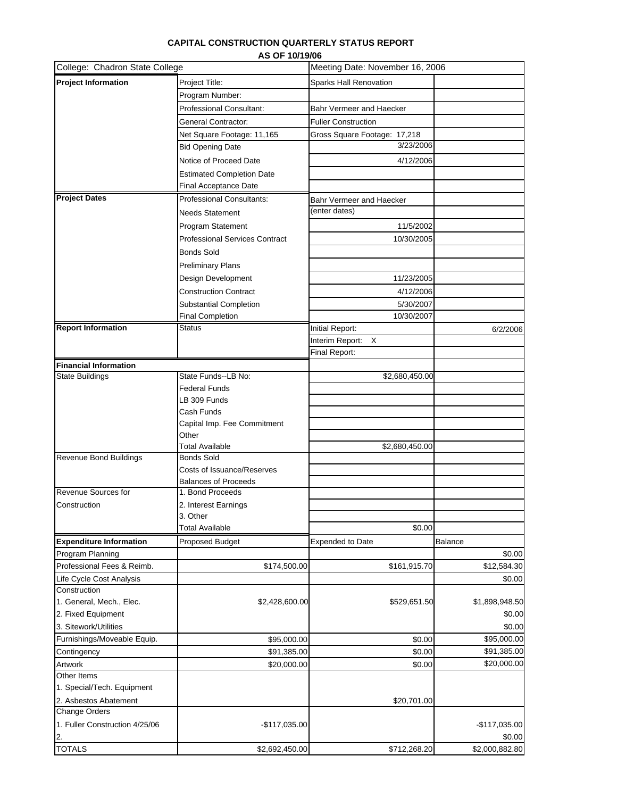#### **CAPITAL CONSTRUCTION QUARTERLY STATUS REPORT AS OF 10/19/06**

| <b>Project Information</b><br>Project Title:<br><b>Sparks Hall Renovation</b><br>Program Number:<br><b>Professional Consultant:</b><br>Bahr Vermeer and Haecker<br><b>Fuller Construction</b><br>General Contractor:<br>Net Square Footage: 11,165<br>Gross Square Footage: 17,218<br>3/23/2006<br><b>Bid Opening Date</b><br>Notice of Proceed Date<br>4/12/2006<br><b>Estimated Completion Date</b><br>Final Acceptance Date<br><b>Project Dates</b><br>Professional Consultants:<br>Bahr Vermeer and Haecker<br>(enter dates)<br><b>Needs Statement</b><br>Program Statement<br>11/5/2002<br><b>Professional Services Contract</b><br>10/30/2005<br><b>Bonds Sold</b><br><b>Preliminary Plans</b><br>Design Development<br>11/23/2005<br><b>Construction Contract</b><br>4/12/2006<br><b>Substantial Completion</b><br>5/30/2007<br>10/30/2007<br><b>Final Completion</b><br><b>Report Information</b><br>Status<br>Initial Report:<br>6/2/2006<br>$\boldsymbol{\mathsf{X}}$<br>Interim Report:<br>Final Report:<br><b>Financial Information</b><br><b>State Buildings</b><br>State Funds--LB No:<br>\$2,680,450.00<br>Federal Funds<br>LB 309 Funds<br>Cash Funds<br>Capital Imp. Fee Commitment<br>Other<br>Total Available<br>\$2,680,450.00<br>Revenue Bond Buildings<br><b>Bonds Sold</b><br>Costs of Issuance/Reserves<br><b>Balances of Proceeds</b><br>Revenue Sources for<br>1. Bond Proceeds<br>Construction<br>2. Interest Earnings<br>3. Other<br><b>Total Available</b><br>\$0.00<br><b>Expenditure Information</b><br>Proposed Budget<br><b>Expended to Date</b><br>Balance<br>Program Planning<br>Professional Fees & Reimb.<br>\$174,500.00<br>\$161,915.70<br>Life Cycle Cost Analysis<br>Construction<br>1. General, Mech., Elec.<br>\$2,428,600.00<br>\$529,651.50<br>2. Fixed Equipment<br>3. Sitework/Utilities<br>Furnishings/Moveable Equip.<br>\$95,000.00<br>\$0.00<br>Contingency<br>\$91,385.00<br>\$0.00<br>Artwork<br>\$20,000.00<br>\$0.00<br>Other Items | College: Chadron State College | <b>AU UI IVIIJIU</b> | Meeting Date: November 16, 2006 |  |
|--------------------------------------------------------------------------------------------------------------------------------------------------------------------------------------------------------------------------------------------------------------------------------------------------------------------------------------------------------------------------------------------------------------------------------------------------------------------------------------------------------------------------------------------------------------------------------------------------------------------------------------------------------------------------------------------------------------------------------------------------------------------------------------------------------------------------------------------------------------------------------------------------------------------------------------------------------------------------------------------------------------------------------------------------------------------------------------------------------------------------------------------------------------------------------------------------------------------------------------------------------------------------------------------------------------------------------------------------------------------------------------------------------------------------------------------------------------------------------------------------------------------------------------------------------------------------------------------------------------------------------------------------------------------------------------------------------------------------------------------------------------------------------------------------------------------------------------------------------------------------------------------------------------------------------------------------------------------------------------------|--------------------------------|----------------------|---------------------------------|--|
|                                                                                                                                                                                                                                                                                                                                                                                                                                                                                                                                                                                                                                                                                                                                                                                                                                                                                                                                                                                                                                                                                                                                                                                                                                                                                                                                                                                                                                                                                                                                                                                                                                                                                                                                                                                                                                                                                                                                                                                            |                                |                      |                                 |  |
|                                                                                                                                                                                                                                                                                                                                                                                                                                                                                                                                                                                                                                                                                                                                                                                                                                                                                                                                                                                                                                                                                                                                                                                                                                                                                                                                                                                                                                                                                                                                                                                                                                                                                                                                                                                                                                                                                                                                                                                            |                                |                      |                                 |  |
| \$0.00<br>\$12,584.30<br>\$0.00<br>\$1,898,948.50<br>\$0.00<br>\$0.00<br>\$95,000.00<br>\$91,385.00<br>\$20,000.00                                                                                                                                                                                                                                                                                                                                                                                                                                                                                                                                                                                                                                                                                                                                                                                                                                                                                                                                                                                                                                                                                                                                                                                                                                                                                                                                                                                                                                                                                                                                                                                                                                                                                                                                                                                                                                                                         |                                |                      |                                 |  |
|                                                                                                                                                                                                                                                                                                                                                                                                                                                                                                                                                                                                                                                                                                                                                                                                                                                                                                                                                                                                                                                                                                                                                                                                                                                                                                                                                                                                                                                                                                                                                                                                                                                                                                                                                                                                                                                                                                                                                                                            |                                |                      |                                 |  |
|                                                                                                                                                                                                                                                                                                                                                                                                                                                                                                                                                                                                                                                                                                                                                                                                                                                                                                                                                                                                                                                                                                                                                                                                                                                                                                                                                                                                                                                                                                                                                                                                                                                                                                                                                                                                                                                                                                                                                                                            |                                |                      |                                 |  |
|                                                                                                                                                                                                                                                                                                                                                                                                                                                                                                                                                                                                                                                                                                                                                                                                                                                                                                                                                                                                                                                                                                                                                                                                                                                                                                                                                                                                                                                                                                                                                                                                                                                                                                                                                                                                                                                                                                                                                                                            |                                |                      |                                 |  |
|                                                                                                                                                                                                                                                                                                                                                                                                                                                                                                                                                                                                                                                                                                                                                                                                                                                                                                                                                                                                                                                                                                                                                                                                                                                                                                                                                                                                                                                                                                                                                                                                                                                                                                                                                                                                                                                                                                                                                                                            |                                |                      |                                 |  |
|                                                                                                                                                                                                                                                                                                                                                                                                                                                                                                                                                                                                                                                                                                                                                                                                                                                                                                                                                                                                                                                                                                                                                                                                                                                                                                                                                                                                                                                                                                                                                                                                                                                                                                                                                                                                                                                                                                                                                                                            |                                |                      |                                 |  |
|                                                                                                                                                                                                                                                                                                                                                                                                                                                                                                                                                                                                                                                                                                                                                                                                                                                                                                                                                                                                                                                                                                                                                                                                                                                                                                                                                                                                                                                                                                                                                                                                                                                                                                                                                                                                                                                                                                                                                                                            |                                |                      |                                 |  |
|                                                                                                                                                                                                                                                                                                                                                                                                                                                                                                                                                                                                                                                                                                                                                                                                                                                                                                                                                                                                                                                                                                                                                                                                                                                                                                                                                                                                                                                                                                                                                                                                                                                                                                                                                                                                                                                                                                                                                                                            |                                |                      |                                 |  |
|                                                                                                                                                                                                                                                                                                                                                                                                                                                                                                                                                                                                                                                                                                                                                                                                                                                                                                                                                                                                                                                                                                                                                                                                                                                                                                                                                                                                                                                                                                                                                                                                                                                                                                                                                                                                                                                                                                                                                                                            |                                |                      |                                 |  |
|                                                                                                                                                                                                                                                                                                                                                                                                                                                                                                                                                                                                                                                                                                                                                                                                                                                                                                                                                                                                                                                                                                                                                                                                                                                                                                                                                                                                                                                                                                                                                                                                                                                                                                                                                                                                                                                                                                                                                                                            |                                |                      |                                 |  |
|                                                                                                                                                                                                                                                                                                                                                                                                                                                                                                                                                                                                                                                                                                                                                                                                                                                                                                                                                                                                                                                                                                                                                                                                                                                                                                                                                                                                                                                                                                                                                                                                                                                                                                                                                                                                                                                                                                                                                                                            |                                |                      |                                 |  |
|                                                                                                                                                                                                                                                                                                                                                                                                                                                                                                                                                                                                                                                                                                                                                                                                                                                                                                                                                                                                                                                                                                                                                                                                                                                                                                                                                                                                                                                                                                                                                                                                                                                                                                                                                                                                                                                                                                                                                                                            |                                |                      |                                 |  |
|                                                                                                                                                                                                                                                                                                                                                                                                                                                                                                                                                                                                                                                                                                                                                                                                                                                                                                                                                                                                                                                                                                                                                                                                                                                                                                                                                                                                                                                                                                                                                                                                                                                                                                                                                                                                                                                                                                                                                                                            |                                |                      |                                 |  |
|                                                                                                                                                                                                                                                                                                                                                                                                                                                                                                                                                                                                                                                                                                                                                                                                                                                                                                                                                                                                                                                                                                                                                                                                                                                                                                                                                                                                                                                                                                                                                                                                                                                                                                                                                                                                                                                                                                                                                                                            |                                |                      |                                 |  |
|                                                                                                                                                                                                                                                                                                                                                                                                                                                                                                                                                                                                                                                                                                                                                                                                                                                                                                                                                                                                                                                                                                                                                                                                                                                                                                                                                                                                                                                                                                                                                                                                                                                                                                                                                                                                                                                                                                                                                                                            |                                |                      |                                 |  |
|                                                                                                                                                                                                                                                                                                                                                                                                                                                                                                                                                                                                                                                                                                                                                                                                                                                                                                                                                                                                                                                                                                                                                                                                                                                                                                                                                                                                                                                                                                                                                                                                                                                                                                                                                                                                                                                                                                                                                                                            |                                |                      |                                 |  |
|                                                                                                                                                                                                                                                                                                                                                                                                                                                                                                                                                                                                                                                                                                                                                                                                                                                                                                                                                                                                                                                                                                                                                                                                                                                                                                                                                                                                                                                                                                                                                                                                                                                                                                                                                                                                                                                                                                                                                                                            |                                |                      |                                 |  |
|                                                                                                                                                                                                                                                                                                                                                                                                                                                                                                                                                                                                                                                                                                                                                                                                                                                                                                                                                                                                                                                                                                                                                                                                                                                                                                                                                                                                                                                                                                                                                                                                                                                                                                                                                                                                                                                                                                                                                                                            |                                |                      |                                 |  |
|                                                                                                                                                                                                                                                                                                                                                                                                                                                                                                                                                                                                                                                                                                                                                                                                                                                                                                                                                                                                                                                                                                                                                                                                                                                                                                                                                                                                                                                                                                                                                                                                                                                                                                                                                                                                                                                                                                                                                                                            |                                |                      |                                 |  |
|                                                                                                                                                                                                                                                                                                                                                                                                                                                                                                                                                                                                                                                                                                                                                                                                                                                                                                                                                                                                                                                                                                                                                                                                                                                                                                                                                                                                                                                                                                                                                                                                                                                                                                                                                                                                                                                                                                                                                                                            |                                |                      |                                 |  |
|                                                                                                                                                                                                                                                                                                                                                                                                                                                                                                                                                                                                                                                                                                                                                                                                                                                                                                                                                                                                                                                                                                                                                                                                                                                                                                                                                                                                                                                                                                                                                                                                                                                                                                                                                                                                                                                                                                                                                                                            |                                |                      |                                 |  |
|                                                                                                                                                                                                                                                                                                                                                                                                                                                                                                                                                                                                                                                                                                                                                                                                                                                                                                                                                                                                                                                                                                                                                                                                                                                                                                                                                                                                                                                                                                                                                                                                                                                                                                                                                                                                                                                                                                                                                                                            |                                |                      |                                 |  |
|                                                                                                                                                                                                                                                                                                                                                                                                                                                                                                                                                                                                                                                                                                                                                                                                                                                                                                                                                                                                                                                                                                                                                                                                                                                                                                                                                                                                                                                                                                                                                                                                                                                                                                                                                                                                                                                                                                                                                                                            |                                |                      |                                 |  |
|                                                                                                                                                                                                                                                                                                                                                                                                                                                                                                                                                                                                                                                                                                                                                                                                                                                                                                                                                                                                                                                                                                                                                                                                                                                                                                                                                                                                                                                                                                                                                                                                                                                                                                                                                                                                                                                                                                                                                                                            |                                |                      |                                 |  |
|                                                                                                                                                                                                                                                                                                                                                                                                                                                                                                                                                                                                                                                                                                                                                                                                                                                                                                                                                                                                                                                                                                                                                                                                                                                                                                                                                                                                                                                                                                                                                                                                                                                                                                                                                                                                                                                                                                                                                                                            |                                |                      |                                 |  |
|                                                                                                                                                                                                                                                                                                                                                                                                                                                                                                                                                                                                                                                                                                                                                                                                                                                                                                                                                                                                                                                                                                                                                                                                                                                                                                                                                                                                                                                                                                                                                                                                                                                                                                                                                                                                                                                                                                                                                                                            |                                |                      |                                 |  |
|                                                                                                                                                                                                                                                                                                                                                                                                                                                                                                                                                                                                                                                                                                                                                                                                                                                                                                                                                                                                                                                                                                                                                                                                                                                                                                                                                                                                                                                                                                                                                                                                                                                                                                                                                                                                                                                                                                                                                                                            |                                |                      |                                 |  |
|                                                                                                                                                                                                                                                                                                                                                                                                                                                                                                                                                                                                                                                                                                                                                                                                                                                                                                                                                                                                                                                                                                                                                                                                                                                                                                                                                                                                                                                                                                                                                                                                                                                                                                                                                                                                                                                                                                                                                                                            |                                |                      |                                 |  |
|                                                                                                                                                                                                                                                                                                                                                                                                                                                                                                                                                                                                                                                                                                                                                                                                                                                                                                                                                                                                                                                                                                                                                                                                                                                                                                                                                                                                                                                                                                                                                                                                                                                                                                                                                                                                                                                                                                                                                                                            |                                |                      |                                 |  |
|                                                                                                                                                                                                                                                                                                                                                                                                                                                                                                                                                                                                                                                                                                                                                                                                                                                                                                                                                                                                                                                                                                                                                                                                                                                                                                                                                                                                                                                                                                                                                                                                                                                                                                                                                                                                                                                                                                                                                                                            |                                |                      |                                 |  |
|                                                                                                                                                                                                                                                                                                                                                                                                                                                                                                                                                                                                                                                                                                                                                                                                                                                                                                                                                                                                                                                                                                                                                                                                                                                                                                                                                                                                                                                                                                                                                                                                                                                                                                                                                                                                                                                                                                                                                                                            |                                |                      |                                 |  |
|                                                                                                                                                                                                                                                                                                                                                                                                                                                                                                                                                                                                                                                                                                                                                                                                                                                                                                                                                                                                                                                                                                                                                                                                                                                                                                                                                                                                                                                                                                                                                                                                                                                                                                                                                                                                                                                                                                                                                                                            |                                |                      |                                 |  |
|                                                                                                                                                                                                                                                                                                                                                                                                                                                                                                                                                                                                                                                                                                                                                                                                                                                                                                                                                                                                                                                                                                                                                                                                                                                                                                                                                                                                                                                                                                                                                                                                                                                                                                                                                                                                                                                                                                                                                                                            |                                |                      |                                 |  |
|                                                                                                                                                                                                                                                                                                                                                                                                                                                                                                                                                                                                                                                                                                                                                                                                                                                                                                                                                                                                                                                                                                                                                                                                                                                                                                                                                                                                                                                                                                                                                                                                                                                                                                                                                                                                                                                                                                                                                                                            |                                |                      |                                 |  |
|                                                                                                                                                                                                                                                                                                                                                                                                                                                                                                                                                                                                                                                                                                                                                                                                                                                                                                                                                                                                                                                                                                                                                                                                                                                                                                                                                                                                                                                                                                                                                                                                                                                                                                                                                                                                                                                                                                                                                                                            |                                |                      |                                 |  |
|                                                                                                                                                                                                                                                                                                                                                                                                                                                                                                                                                                                                                                                                                                                                                                                                                                                                                                                                                                                                                                                                                                                                                                                                                                                                                                                                                                                                                                                                                                                                                                                                                                                                                                                                                                                                                                                                                                                                                                                            |                                |                      |                                 |  |
|                                                                                                                                                                                                                                                                                                                                                                                                                                                                                                                                                                                                                                                                                                                                                                                                                                                                                                                                                                                                                                                                                                                                                                                                                                                                                                                                                                                                                                                                                                                                                                                                                                                                                                                                                                                                                                                                                                                                                                                            |                                |                      |                                 |  |
|                                                                                                                                                                                                                                                                                                                                                                                                                                                                                                                                                                                                                                                                                                                                                                                                                                                                                                                                                                                                                                                                                                                                                                                                                                                                                                                                                                                                                                                                                                                                                                                                                                                                                                                                                                                                                                                                                                                                                                                            |                                |                      |                                 |  |
|                                                                                                                                                                                                                                                                                                                                                                                                                                                                                                                                                                                                                                                                                                                                                                                                                                                                                                                                                                                                                                                                                                                                                                                                                                                                                                                                                                                                                                                                                                                                                                                                                                                                                                                                                                                                                                                                                                                                                                                            |                                |                      |                                 |  |
|                                                                                                                                                                                                                                                                                                                                                                                                                                                                                                                                                                                                                                                                                                                                                                                                                                                                                                                                                                                                                                                                                                                                                                                                                                                                                                                                                                                                                                                                                                                                                                                                                                                                                                                                                                                                                                                                                                                                                                                            |                                |                      |                                 |  |
|                                                                                                                                                                                                                                                                                                                                                                                                                                                                                                                                                                                                                                                                                                                                                                                                                                                                                                                                                                                                                                                                                                                                                                                                                                                                                                                                                                                                                                                                                                                                                                                                                                                                                                                                                                                                                                                                                                                                                                                            |                                |                      |                                 |  |
|                                                                                                                                                                                                                                                                                                                                                                                                                                                                                                                                                                                                                                                                                                                                                                                                                                                                                                                                                                                                                                                                                                                                                                                                                                                                                                                                                                                                                                                                                                                                                                                                                                                                                                                                                                                                                                                                                                                                                                                            |                                |                      |                                 |  |
|                                                                                                                                                                                                                                                                                                                                                                                                                                                                                                                                                                                                                                                                                                                                                                                                                                                                                                                                                                                                                                                                                                                                                                                                                                                                                                                                                                                                                                                                                                                                                                                                                                                                                                                                                                                                                                                                                                                                                                                            |                                |                      |                                 |  |
|                                                                                                                                                                                                                                                                                                                                                                                                                                                                                                                                                                                                                                                                                                                                                                                                                                                                                                                                                                                                                                                                                                                                                                                                                                                                                                                                                                                                                                                                                                                                                                                                                                                                                                                                                                                                                                                                                                                                                                                            |                                |                      |                                 |  |
|                                                                                                                                                                                                                                                                                                                                                                                                                                                                                                                                                                                                                                                                                                                                                                                                                                                                                                                                                                                                                                                                                                                                                                                                                                                                                                                                                                                                                                                                                                                                                                                                                                                                                                                                                                                                                                                                                                                                                                                            |                                |                      |                                 |  |
|                                                                                                                                                                                                                                                                                                                                                                                                                                                                                                                                                                                                                                                                                                                                                                                                                                                                                                                                                                                                                                                                                                                                                                                                                                                                                                                                                                                                                                                                                                                                                                                                                                                                                                                                                                                                                                                                                                                                                                                            |                                |                      |                                 |  |
|                                                                                                                                                                                                                                                                                                                                                                                                                                                                                                                                                                                                                                                                                                                                                                                                                                                                                                                                                                                                                                                                                                                                                                                                                                                                                                                                                                                                                                                                                                                                                                                                                                                                                                                                                                                                                                                                                                                                                                                            |                                |                      |                                 |  |
| 1. Special/Tech. Equipment                                                                                                                                                                                                                                                                                                                                                                                                                                                                                                                                                                                                                                                                                                                                                                                                                                                                                                                                                                                                                                                                                                                                                                                                                                                                                                                                                                                                                                                                                                                                                                                                                                                                                                                                                                                                                                                                                                                                                                 |                                |                      |                                 |  |
| 2. Asbestos Abatement<br>\$20,701.00                                                                                                                                                                                                                                                                                                                                                                                                                                                                                                                                                                                                                                                                                                                                                                                                                                                                                                                                                                                                                                                                                                                                                                                                                                                                                                                                                                                                                                                                                                                                                                                                                                                                                                                                                                                                                                                                                                                                                       |                                |                      |                                 |  |
| Change Orders                                                                                                                                                                                                                                                                                                                                                                                                                                                                                                                                                                                                                                                                                                                                                                                                                                                                                                                                                                                                                                                                                                                                                                                                                                                                                                                                                                                                                                                                                                                                                                                                                                                                                                                                                                                                                                                                                                                                                                              |                                |                      |                                 |  |
| 1. Fuller Construction 4/25/06<br>$-$117,035.00$<br>$-$117,035.00$                                                                                                                                                                                                                                                                                                                                                                                                                                                                                                                                                                                                                                                                                                                                                                                                                                                                                                                                                                                                                                                                                                                                                                                                                                                                                                                                                                                                                                                                                                                                                                                                                                                                                                                                                                                                                                                                                                                         |                                |                      |                                 |  |
| \$0.00<br>2.                                                                                                                                                                                                                                                                                                                                                                                                                                                                                                                                                                                                                                                                                                                                                                                                                                                                                                                                                                                                                                                                                                                                                                                                                                                                                                                                                                                                                                                                                                                                                                                                                                                                                                                                                                                                                                                                                                                                                                               |                                |                      |                                 |  |
| <b>TOTALS</b><br>\$2,000,882.80<br>\$2,692,450.00<br>\$712,268.20                                                                                                                                                                                                                                                                                                                                                                                                                                                                                                                                                                                                                                                                                                                                                                                                                                                                                                                                                                                                                                                                                                                                                                                                                                                                                                                                                                                                                                                                                                                                                                                                                                                                                                                                                                                                                                                                                                                          |                                |                      |                                 |  |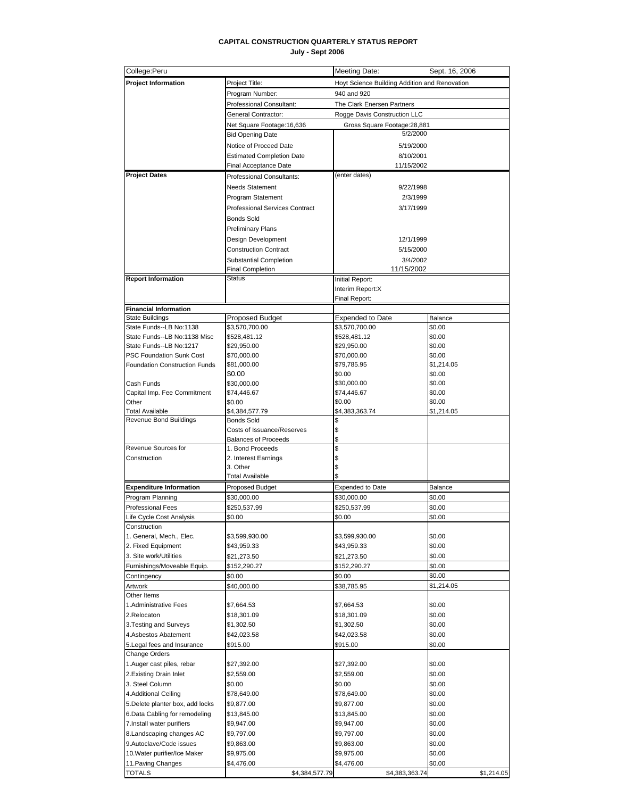#### **CAPITAL CONSTRUCTION QUARTERLY STATUS REPORT July - Sept 2006**

| College:Peru                                           |                                                 | Meeting Date:                                 | Sept. 16, 2006   |
|--------------------------------------------------------|-------------------------------------------------|-----------------------------------------------|------------------|
| <b>Project Information</b>                             | Project Title:                                  | Hoyt Science Building Addition and Renovation |                  |
|                                                        | Program Number:                                 | 940 and 920                                   |                  |
|                                                        | Professional Consultant:                        | The Clark Enersen Partners                    |                  |
|                                                        | General Contractor:                             | Rogge Davis Construction LLC                  |                  |
|                                                        | Net Square Footage:16,636                       | Gross Square Footage: 28,881                  |                  |
|                                                        | <b>Bid Opening Date</b>                         | 5/2/2000                                      |                  |
|                                                        | Notice of Proceed Date                          | 5/19/2000                                     |                  |
|                                                        | <b>Estimated Completion Date</b>                | 8/10/2001                                     |                  |
|                                                        | Final Acceptance Date                           | 11/15/2002                                    |                  |
| <b>Project Dates</b>                                   | Professional Consultants:                       | (enter dates)                                 |                  |
|                                                        | <b>Needs Statement</b>                          | 9/22/1998                                     |                  |
|                                                        |                                                 |                                               |                  |
|                                                        | Program Statement                               | 2/3/1999                                      |                  |
|                                                        | <b>Professional Services Contract</b>           | 3/17/1999                                     |                  |
|                                                        | <b>Bonds Sold</b>                               |                                               |                  |
|                                                        | <b>Preliminary Plans</b>                        |                                               |                  |
|                                                        | Design Development                              | 12/1/1999                                     |                  |
|                                                        | <b>Construction Contract</b>                    | 5/15/2000                                     |                  |
|                                                        | <b>Substantial Completion</b>                   | 3/4/2002                                      |                  |
|                                                        | <b>Final Completion</b>                         | 11/15/2002                                    |                  |
| <b>Report Information</b>                              | Status                                          | Initial Report:                               |                  |
|                                                        |                                                 | Interim Report:X<br>Final Report:             |                  |
|                                                        |                                                 |                                               |                  |
| <b>Financial Information</b><br><b>State Buildings</b> | <b>Proposed Budget</b>                          | <b>Expended to Date</b>                       | Balance          |
| State Funds--LB No:1138                                | \$3,570,700.00                                  | \$3,570,700.00                                | \$0.00           |
| State Funds--LB No:1138 Misc                           | \$528,481.12                                    | \$528,481.12                                  | \$0.00           |
| State Funds--LB No:1217                                | \$29,950.00                                     | \$29,950.00                                   | \$0.00           |
| <b>PSC Foundation Sunk Cost</b>                        | \$70,000.00                                     | \$70,000.00                                   | \$0.00           |
| <b>Foundation Construction Funds</b>                   | \$81,000.00                                     | \$79,785.95                                   | \$1,214.05       |
|                                                        | \$0.00                                          | \$0.00                                        | \$0.00           |
| Cash Funds                                             | \$30,000.00                                     | \$30,000.00                                   | \$0.00           |
| Capital Imp. Fee Commitment                            | \$74,446.67                                     | \$74,446.67                                   | \$0.00           |
| Other                                                  | \$0.00                                          | \$0.00                                        | \$0.00           |
| <b>Total Available</b>                                 | \$4,384,577.79                                  | \$4,383,363.74                                | \$1,214.05       |
| Revenue Bond Buildings                                 | <b>Bonds Sold</b><br>Costs of Issuance/Reserves | \$                                            |                  |
|                                                        | <b>Balances of Proceeds</b>                     |                                               |                  |
| Revenue Sources for                                    | 1. Bond Proceeds                                |                                               |                  |
| Construction                                           | 2. Interest Earnings                            |                                               |                  |
|                                                        | 3. Other                                        |                                               |                  |
|                                                        | <b>Total Available</b>                          |                                               |                  |
| <b>Expenditure Information</b>                         | Proposed Budget                                 | <b>Expended to Date</b>                       | Balance          |
| Program Planning                                       | \$30,000.00                                     | \$30,000.00                                   | \$0.00           |
| Professional Fees                                      | \$250,537.99                                    | \$250,537.99                                  | \$0.00           |
| Life Cycle Cost Analysis                               | \$0.00                                          | \$0.00                                        | \$0.00           |
| Construction                                           |                                                 |                                               |                  |
| 1. General, Mech., Elec.                               | \$3,599,930.00                                  | \$3,599,930.00                                | \$0.00           |
| 2. Fixed Equipment                                     | \$43,959.33                                     | \$43,959.33                                   | \$0.00           |
| 3. Site work/Utilities                                 | \$21,273.50                                     | \$21,273.50                                   | \$0.00           |
| Furnishings/Moveable Equip.                            | \$152,290.27                                    | \$152,290.27                                  | \$0.00           |
| Contingency                                            | \$0.00                                          | \$0.00                                        | \$0.00           |
| Artwork                                                | \$40,000.00                                     | \$38,785.95                                   | \$1,214.05       |
| Other Items                                            |                                                 |                                               |                  |
| 1.Administrative Fees                                  | \$7,664.53                                      | \$7,664.53                                    | \$0.00           |
| 2.Relocaton                                            | \$18,301.09                                     | \$18,301.09                                   | \$0.00           |
| 3. Testing and Surveys                                 | \$1,302.50                                      | \$1,302.50                                    | \$0.00           |
| 4.Asbestos Abatement                                   | \$42,023.58                                     | \$42,023.58                                   | \$0.00           |
| 5.Legal fees and Insurance                             | \$915.00                                        | \$915.00                                      | \$0.00           |
| Change Orders                                          |                                                 |                                               |                  |
| 1. Auger cast piles, rebar                             | \$27,392.00                                     | \$27,392.00                                   | \$0.00           |
| 2. Existing Drain Inlet                                | \$2,559.00                                      | \$2,559.00                                    | \$0.00           |
| 3. Steel Column                                        | \$0.00                                          | \$0.00                                        | \$0.00           |
| 4. Additional Ceiling                                  | \$78,649.00                                     | \$78,649.00                                   | \$0.00           |
| 5. Delete planter box, add locks                       | \$9,877.00                                      | \$9,877.00                                    | \$0.00           |
| 6. Data Cabling for remodeling                         | \$13,845.00                                     | \$13,845.00                                   | \$0.00           |
| 7. Install water purifiers                             | \$9,947.00                                      | \$9,947.00                                    | \$0.00           |
| 8. Landscaping changes AC<br>9.Autoclave/Code issues   | \$9,797.00<br>\$9,863.00                        | \$9,797.00                                    | \$0.00<br>\$0.00 |
| 10. Water purifier/Ice Maker                           | \$9,975.00                                      | \$9,863.00<br>\$9,975.00                      | \$0.00           |
| 11. Paving Changes                                     | \$4,476.00                                      | \$4,476.00                                    | \$0.00           |
| TOTALS                                                 | \$4,384,577.79                                  | \$4,383,363.74                                | \$1,214.05       |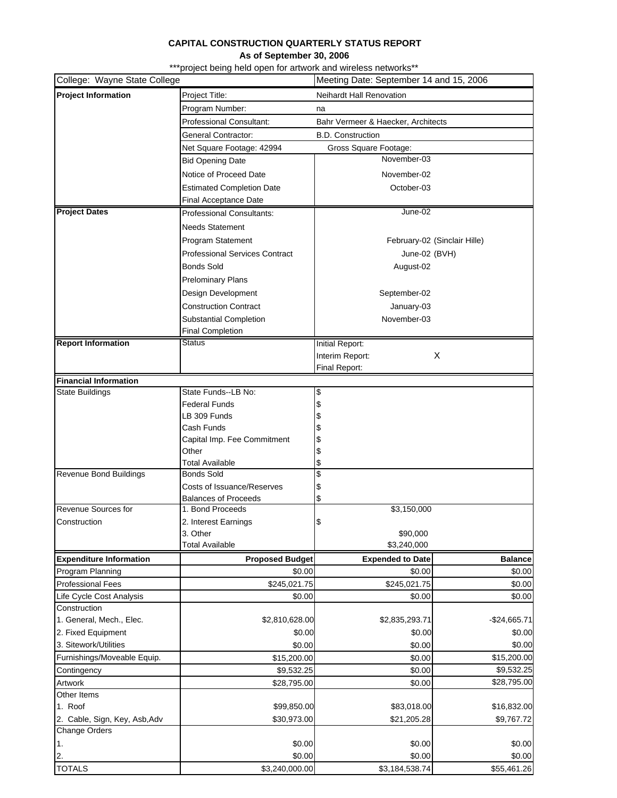## **CAPITAL CONSTRUCTION QUARTERLY STATUS REPORT**

# **As of September 30, 2006**

\*\*\*project being held open for artwork and wireless networks\*\*

| College: Wayne State College                       |                                       | Meeting Date: September 14 and 15, 2006 |                              |
|----------------------------------------------------|---------------------------------------|-----------------------------------------|------------------------------|
| <b>Project Information</b>                         | Project Title:                        | Neihardt Hall Renovation                |                              |
|                                                    | Program Number:                       | na                                      |                              |
|                                                    | <b>Professional Consultant:</b>       | Bahr Vermeer & Haecker, Architects      |                              |
|                                                    | General Contractor:                   | <b>B.D. Construction</b>                |                              |
|                                                    | Net Square Footage: 42994             | Gross Square Footage:                   |                              |
|                                                    | <b>Bid Opening Date</b>               | November-03                             |                              |
|                                                    | Notice of Proceed Date                | November-02                             |                              |
|                                                    | <b>Estimated Completion Date</b>      | October-03                              |                              |
|                                                    | Final Acceptance Date                 |                                         |                              |
| <b>Project Dates</b>                               | Professional Consultants:             | June-02                                 |                              |
|                                                    | <b>Needs Statement</b>                |                                         |                              |
|                                                    | Program Statement                     |                                         | February-02 (Sinclair Hille) |
|                                                    | <b>Professional Services Contract</b> | June-02 (BVH)                           |                              |
|                                                    | <b>Bonds Sold</b>                     |                                         |                              |
|                                                    |                                       | August-02                               |                              |
|                                                    | <b>Prelominary Plans</b>              |                                         |                              |
|                                                    | Design Development                    | September-02                            |                              |
|                                                    | <b>Construction Contract</b>          | January-03                              |                              |
|                                                    | <b>Substantial Completion</b>         | November-03                             |                              |
| <b>Report Information</b>                          | <b>Final Completion</b><br>Status     |                                         |                              |
|                                                    |                                       | <b>Initial Report:</b>                  | X                            |
|                                                    |                                       | Interim Report:<br>Final Report:        |                              |
| <b>Financial Information</b>                       |                                       |                                         |                              |
| <b>State Buildings</b>                             | State Funds--LB No:                   | \$                                      |                              |
|                                                    | <b>Federal Funds</b>                  | \$                                      |                              |
|                                                    | LB 309 Funds                          | \$                                      |                              |
|                                                    | Cash Funds                            | \$                                      |                              |
|                                                    | Capital Imp. Fee Commitment           | \$                                      |                              |
|                                                    | Other                                 | \$                                      |                              |
|                                                    | <b>Total Available</b>                | \$                                      |                              |
| <b>Revenue Bond Buildings</b>                      | <b>Bonds Sold</b>                     | \$                                      |                              |
|                                                    | Costs of Issuance/Reserves            | \$                                      |                              |
|                                                    | <b>Balances of Proceeds</b>           | \$                                      |                              |
| Revenue Sources for                                | 1. Bond Proceeds                      | \$3,150,000                             |                              |
| Construction                                       | 2. Interest Earnings                  | \$                                      |                              |
|                                                    | 3. Other<br><b>Total Available</b>    | \$90,000<br>\$3,240,000                 |                              |
|                                                    |                                       |                                         |                              |
| <b>Expenditure Information</b><br>Program Planning | <b>Proposed Budget</b><br>\$0.00      | <b>Expended to Date</b><br>\$0.00       | <b>Balance</b><br>\$0.00     |
| <b>Professional Fees</b>                           | \$245,021.75                          | \$245,021.75                            | \$0.00                       |
| Life Cycle Cost Analysis                           | \$0.00                                | \$0.00                                  | \$0.00                       |
| Construction                                       |                                       |                                         |                              |
| 1. General, Mech., Elec.                           | \$2,810,628.00                        | \$2,835,293.71                          | $-$24,665.71$                |
| 2. Fixed Equipment                                 | \$0.00                                | \$0.00                                  | \$0.00                       |
| 3. Sitework/Utilities                              | \$0.00                                | \$0.00                                  | \$0.00                       |
| Furnishings/Moveable Equip.                        | \$15,200.00                           | \$0.00                                  | \$15,200.00                  |
| Contingency                                        | \$9,532.25                            | \$0.00                                  | \$9,532.25                   |
| Artwork                                            | \$28,795.00                           | \$0.00                                  | \$28,795.00                  |
| Other Items                                        |                                       |                                         |                              |
| 1. Roof                                            | \$99,850.00                           | \$83,018.00                             | \$16,832.00                  |
| 2. Cable, Sign, Key, Asb, Adv                      | \$30,973.00                           | \$21,205.28                             | \$9,767.72                   |
| Change Orders                                      |                                       |                                         |                              |
| 1.                                                 | \$0.00                                | \$0.00                                  | \$0.00                       |
| 2.                                                 | \$0.00                                | \$0.00                                  | \$0.00                       |
| <b>TOTALS</b>                                      | \$3,240,000.00                        | \$3,184,538.74                          | \$55,461.26                  |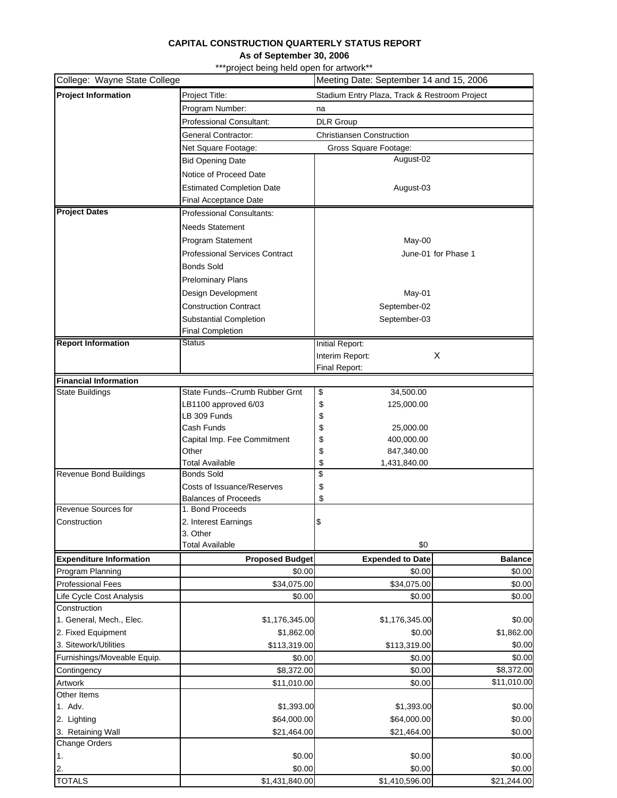## **CAPITAL CONSTRUCTION QUARTERLY STATUS REPORT**

# **As of September 30, 2006**

\*\*\*project being held open for artwork\*\*

| College: Wayne State College                           |                                       | Meeting Date: September 14 and 15, 2006       |                     |
|--------------------------------------------------------|---------------------------------------|-----------------------------------------------|---------------------|
| <b>Project Information</b>                             | Project Title:                        | Stadium Entry Plaza, Track & Restroom Project |                     |
|                                                        | Program Number:                       | na                                            |                     |
|                                                        | Professional Consultant:              | <b>DLR Group</b>                              |                     |
|                                                        | General Contractor:                   | <b>Christiansen Construction</b>              |                     |
|                                                        | Net Square Footage:                   | Gross Square Footage:                         |                     |
|                                                        | <b>Bid Opening Date</b>               | August-02                                     |                     |
|                                                        | Notice of Proceed Date                |                                               |                     |
|                                                        | <b>Estimated Completion Date</b>      | August-03                                     |                     |
|                                                        | Final Acceptance Date                 |                                               |                     |
| <b>Project Dates</b>                                   | <b>Professional Consultants:</b>      |                                               |                     |
|                                                        | <b>Needs Statement</b>                |                                               |                     |
|                                                        | Program Statement                     | May-00                                        |                     |
|                                                        | <b>Professional Services Contract</b> |                                               | June-01 for Phase 1 |
|                                                        |                                       |                                               |                     |
|                                                        | <b>Bonds Sold</b>                     |                                               |                     |
|                                                        | <b>Prelominary Plans</b>              |                                               |                     |
|                                                        | Design Development                    | May-01                                        |                     |
|                                                        | <b>Construction Contract</b>          | September-02                                  |                     |
|                                                        | <b>Substantial Completion</b>         | September-03                                  |                     |
|                                                        | <b>Final Completion</b>               |                                               |                     |
| <b>Report Information</b>                              | Status                                | <b>Initial Report:</b>                        |                     |
|                                                        |                                       | Interim Report:                               | X                   |
|                                                        |                                       | Final Report:                                 |                     |
| <b>Financial Information</b><br><b>State Buildings</b> | State Funds--Crumb Rubber Grnt        | \$<br>34,500.00                               |                     |
|                                                        | LB1100 approved 6/03                  | \$<br>125,000.00                              |                     |
|                                                        | LB 309 Funds                          | \$                                            |                     |
|                                                        | Cash Funds                            | \$<br>25,000.00                               |                     |
|                                                        | Capital Imp. Fee Commitment           | \$<br>400,000.00                              |                     |
|                                                        | Other                                 | \$<br>847,340.00                              |                     |
|                                                        | Total Available                       | \$<br>1,431,840.00                            |                     |
| <b>Revenue Bond Buildings</b>                          | <b>Bonds Sold</b>                     | \$                                            |                     |
|                                                        | <b>Costs of Issuance/Reserves</b>     | \$                                            |                     |
|                                                        | <b>Balances of Proceeds</b>           | \$                                            |                     |
| Revenue Sources for                                    | 1. Bond Proceeds                      |                                               |                     |
| Construction                                           | 2. Interest Earnings                  | \$                                            |                     |
|                                                        | 3. Other<br><b>Total Available</b>    |                                               |                     |
|                                                        |                                       | \$0                                           |                     |
| <b>Expenditure Information</b>                         | <b>Proposed Budget</b>                | <b>Expended to Date</b>                       | <b>Balance</b>      |
| Program Planning<br><b>Professional Fees</b>           | \$0.00                                | \$0.00                                        | \$0.00              |
|                                                        | \$34,075.00                           | \$34,075.00                                   | \$0.00              |
| Life Cycle Cost Analysis<br>Construction               | \$0.00                                | \$0.00                                        | \$0.00              |
| 1. General, Mech., Elec.                               | \$1,176,345.00                        | \$1,176,345.00                                | \$0.00              |
| 2. Fixed Equipment                                     | \$1,862.00                            | \$0.00                                        | \$1,862.00          |
| 3. Sitework/Utilities                                  | \$113,319.00                          | \$113,319.00                                  | \$0.00              |
| Furnishings/Moveable Equip.                            | \$0.00                                | \$0.00                                        | \$0.00              |
| Contingency                                            | \$8,372.00                            | \$0.00                                        | \$8,372.00          |
| Artwork                                                | \$11,010.00                           | \$0.00                                        | \$11,010.00         |
| Other Items                                            |                                       |                                               |                     |
| 1. Adv.                                                | \$1,393.00                            | \$1,393.00                                    | \$0.00              |
| 2. Lighting                                            | \$64,000.00                           | \$64,000.00                                   | \$0.00              |
| 3. Retaining Wall                                      | \$21,464.00                           | \$21,464.00                                   | \$0.00              |
| Change Orders                                          |                                       |                                               |                     |
| 1.                                                     | \$0.00                                | \$0.00                                        | \$0.00              |
| 2.                                                     | \$0.00                                | \$0.00                                        | \$0.00              |
| <b>TOTALS</b>                                          | \$1,431,840.00                        | \$1,410,596.00                                | \$21,244.00         |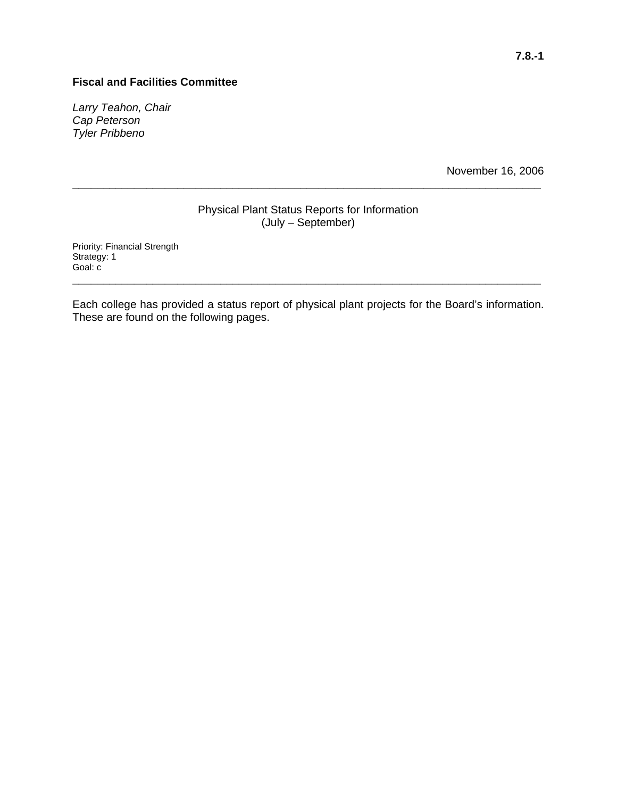# **Fiscal and Facilities Committee**

*Larry Teahon, Chair Cap Peterson Tyler Pribbeno* 

November 16, 2006

# Physical Plant Status Reports for Information (July – September)

**\_\_\_\_\_\_\_\_\_\_\_\_\_\_\_\_\_\_\_\_\_\_\_\_\_\_\_\_\_\_\_\_\_\_\_\_\_\_\_\_\_\_\_\_\_\_\_\_\_\_\_\_\_\_\_\_\_\_\_\_\_\_\_\_\_\_\_\_\_\_\_\_\_\_\_\_** 

Priority: Financial Strength Strategy: 1 Goal: c

Each college has provided a status report of physical plant projects for the Board's information. These are found on the following pages.

**\_\_\_\_\_\_\_\_\_\_\_\_\_\_\_\_\_\_\_\_\_\_\_\_\_\_\_\_\_\_\_\_\_\_\_\_\_\_\_\_\_\_\_\_\_\_\_\_\_\_\_\_\_\_\_\_\_\_\_\_\_\_\_\_\_\_\_\_\_\_\_\_\_\_\_\_**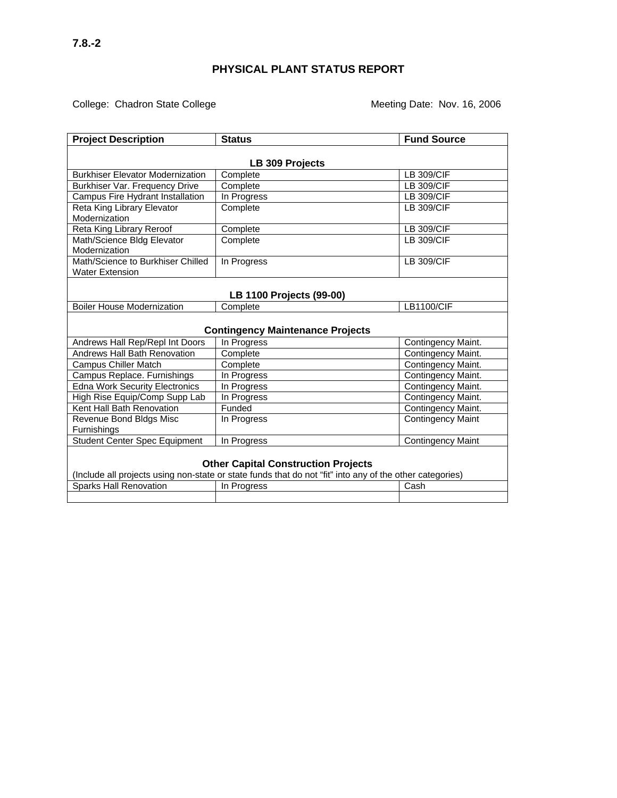# College: Chadron State College **Meeting Date: Nov. 16, 2006**

| <b>Project Description</b>                                                                                                                             | <b>Status</b>                           | <b>Fund Source</b>       |  |
|--------------------------------------------------------------------------------------------------------------------------------------------------------|-----------------------------------------|--------------------------|--|
|                                                                                                                                                        |                                         |                          |  |
|                                                                                                                                                        | LB 309 Projects                         |                          |  |
| <b>Burkhiser Elevator Modernization</b>                                                                                                                | Complete                                | <b>LB 309/CIF</b>        |  |
| Burkhiser Var. Frequency Drive                                                                                                                         | Complete                                | <b>LB 309/CIF</b>        |  |
| Campus Fire Hydrant Installation                                                                                                                       | In Progress                             | <b>LB 309/CIF</b>        |  |
| Reta King Library Elevator<br>Modernization                                                                                                            | Complete                                | <b>LB 309/CIF</b>        |  |
| <b>Reta King Library Reroof</b>                                                                                                                        | Complete                                | <b>LB 309/CIF</b>        |  |
| Math/Science Bldg Elevator<br>Modernization                                                                                                            | Complete                                | <b>LB 309/CIF</b>        |  |
| Math/Science to Burkhiser Chilled<br><b>Water Extension</b>                                                                                            | In Progress                             | <b>LB 309/CIF</b>        |  |
| LB 1100 Projects (99-00)                                                                                                                               |                                         |                          |  |
| <b>Boiler House Modernization</b>                                                                                                                      | Complete                                | <b>LB1100/CIF</b>        |  |
|                                                                                                                                                        | <b>Contingency Maintenance Projects</b> |                          |  |
| Andrews Hall Rep/Repl Int Doors                                                                                                                        | In Progress                             | Contingency Maint.       |  |
| <b>Andrews Hall Bath Renovation</b>                                                                                                                    | Complete                                | Contingency Maint.       |  |
| <b>Campus Chiller Match</b>                                                                                                                            | Complete                                | Contingency Maint.       |  |
| Campus Replace. Furnishings                                                                                                                            | In Progress                             | Contingency Maint.       |  |
| <b>Edna Work Security Electronics</b>                                                                                                                  | In Progress                             | Contingency Maint.       |  |
| High Rise Equip/Comp Supp Lab                                                                                                                          | In Progress                             | Contingency Maint.       |  |
| Kent Hall Bath Renovation                                                                                                                              | Funded                                  | Contingency Maint.       |  |
| Revenue Bond Bldgs Misc<br>Furnishings                                                                                                                 | In Progress                             | <b>Contingency Maint</b> |  |
| <b>Student Center Spec Equipment</b>                                                                                                                   | In Progress                             | <b>Contingency Maint</b> |  |
| <b>Other Capital Construction Projects</b><br>(Include all projects using non-state or state funds that do not "fit" into any of the other categories) |                                         |                          |  |
| <b>Sparks Hall Renovation</b>                                                                                                                          | In Progress                             | Cash                     |  |
|                                                                                                                                                        |                                         |                          |  |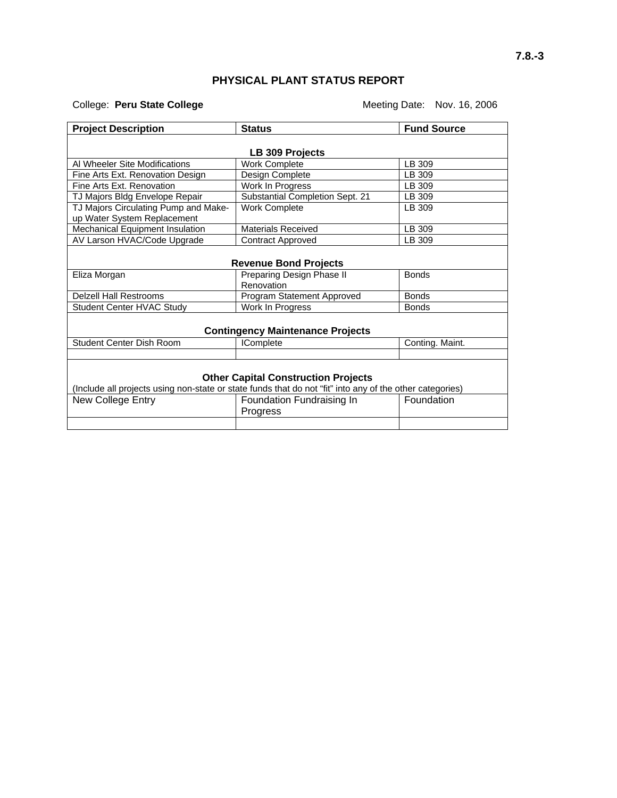# **PHYSICAL PLANT STATUS REPORT**

# College: Peru State College **Meeting Date: Nov. 16, 2006** Meeting Date: Nov. 16, 2006

| <b>Project Description</b>                                                                               | <b>Status</b>                   | <b>Fund Source</b> |  |
|----------------------------------------------------------------------------------------------------------|---------------------------------|--------------------|--|
|                                                                                                          |                                 |                    |  |
|                                                                                                          | LB 309 Projects                 |                    |  |
| Al Wheeler Site Modifications                                                                            | <b>Work Complete</b>            | LB 309             |  |
| Fine Arts Ext. Renovation Design                                                                         | Design Complete                 | LB 309             |  |
| Fine Arts Ext. Renovation                                                                                | Work In Progress                | LB 309             |  |
| TJ Majors Bldg Envelope Repair                                                                           | Substantial Completion Sept. 21 | LB 309             |  |
| TJ Majors Circulating Pump and Make-                                                                     | <b>Work Complete</b>            | LB 309             |  |
| up Water System Replacement                                                                              |                                 |                    |  |
| Mechanical Equipment Insulation                                                                          | <b>Materials Received</b>       | LB 309             |  |
| AV Larson HVAC/Code Upgrade                                                                              | <b>Contract Approved</b>        | LB 309             |  |
|                                                                                                          |                                 |                    |  |
|                                                                                                          | <b>Revenue Bond Projects</b>    |                    |  |
| Eliza Morgan                                                                                             | Preparing Design Phase II       | <b>Bonds</b>       |  |
|                                                                                                          | Renovation                      |                    |  |
| Delzell Hall Restrooms                                                                                   | Program Statement Approved      | <b>Bonds</b>       |  |
| Student Center HVAC Study                                                                                | Work In Progress                | <b>Bonds</b>       |  |
|                                                                                                          |                                 |                    |  |
| <b>Contingency Maintenance Projects</b>                                                                  |                                 |                    |  |
| Student Center Dish Room                                                                                 | <b>IComplete</b>                | Conting. Maint.    |  |
|                                                                                                          |                                 |                    |  |
|                                                                                                          |                                 |                    |  |
| <b>Other Capital Construction Projects</b>                                                               |                                 |                    |  |
| (Include all projects using non-state or state funds that do not "fit" into any of the other categories) |                                 |                    |  |
| New College Entry                                                                                        | Foundation Fundraising In       | Foundation         |  |
|                                                                                                          | Progress                        |                    |  |
|                                                                                                          |                                 |                    |  |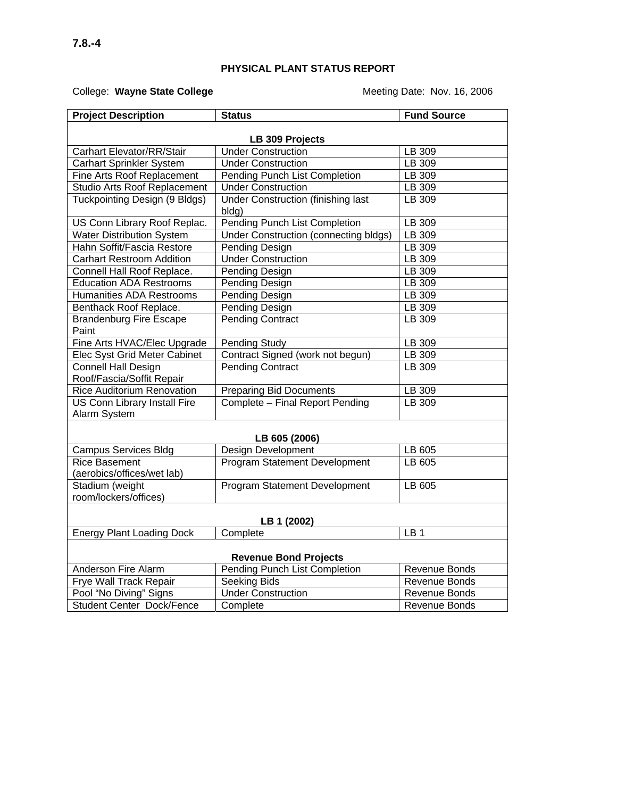# **PHYSICAL PLANT STATUS REPORT**

# College: Wayne State College **Mate College 10 College:** Meeting Date: Nov. 16, 2006

| <b>Project Description</b>                              | <b>Status</b>                                      | <b>Fund Source</b> |  |
|---------------------------------------------------------|----------------------------------------------------|--------------------|--|
|                                                         |                                                    |                    |  |
|                                                         | LB 309 Projects                                    |                    |  |
| Carhart Elevator/RR/Stair                               | <b>Under Construction</b>                          | LB 309             |  |
| <b>Carhart Sprinkler System</b>                         | <b>Under Construction</b>                          | LB 309             |  |
| Fine Arts Roof Replacement                              | Pending Punch List Completion                      | LB 309             |  |
| Studio Arts Roof Replacement                            | <b>Under Construction</b>                          | LB 309             |  |
| <b>Tuckpointing Design (9 Bldgs)</b>                    | <b>Under Construction (finishing last</b><br>bldg) | LB 309             |  |
| US Conn Library Roof Replac.                            | Pending Punch List Completion                      | LB 309             |  |
| <b>Water Distribution System</b>                        | Under Construction (connecting bldgs)              | LB 309             |  |
| Hahn Soffit/Fascia Restore                              | Pending Design                                     | LB 309             |  |
| <b>Carhart Restroom Addition</b>                        | <b>Under Construction</b>                          | LB 309             |  |
| Connell Hall Roof Replace.                              | Pending Design                                     | LB 309             |  |
| <b>Education ADA Restrooms</b>                          | Pending Design                                     | LB 309             |  |
| <b>Humanities ADA Restrooms</b>                         | Pending Design                                     | LB 309             |  |
| Benthack Roof Replace.                                  | Pending Design                                     | LB 309             |  |
| <b>Brandenburg Fire Escape</b><br>Paint                 | <b>Pending Contract</b>                            | LB 309             |  |
| Fine Arts HVAC/Elec Upgrade                             | <b>Pending Study</b>                               | LB 309             |  |
| Elec Syst Grid Meter Cabinet                            | Contract Signed (work not begun)                   | LB 309             |  |
| <b>Connell Hall Design</b><br>Roof/Fascia/Soffit Repair | <b>Pending Contract</b>                            | LB 309             |  |
| <b>Rice Auditorium Renovation</b>                       | <b>Preparing Bid Documents</b>                     | LB 309             |  |
| US Conn Library Install Fire<br>Alarm System            | Complete - Final Report Pending                    | LB 309             |  |
| LB 605 (2006)                                           |                                                    |                    |  |
| <b>Campus Services Bldg</b>                             | Design Development                                 | LB 605             |  |
| <b>Rice Basement</b><br>(aerobics/offices/wet lab)      | <b>Program Statement Development</b>               | LB 605             |  |
| Stadium (weight<br>room/lockers/offices)                | Program Statement Development                      | LB 605             |  |
|                                                         |                                                    |                    |  |
| LB 1 (2002)                                             |                                                    |                    |  |
| <b>Energy Plant Loading Dock</b>                        | Complete                                           | LB <sub>1</sub>    |  |
| <b>Revenue Bond Projects</b>                            |                                                    |                    |  |
| Anderson Fire Alarm                                     | Pending Punch List Completion                      | Revenue Bonds      |  |
| Frye Wall Track Repair                                  | <b>Seeking Bids</b>                                | Revenue Bonds      |  |
| Pool "No Diving" Signs                                  | <b>Under Construction</b>                          | Revenue Bonds      |  |
| Student Center Dock/Fence                               | Complete                                           | Revenue Bonds      |  |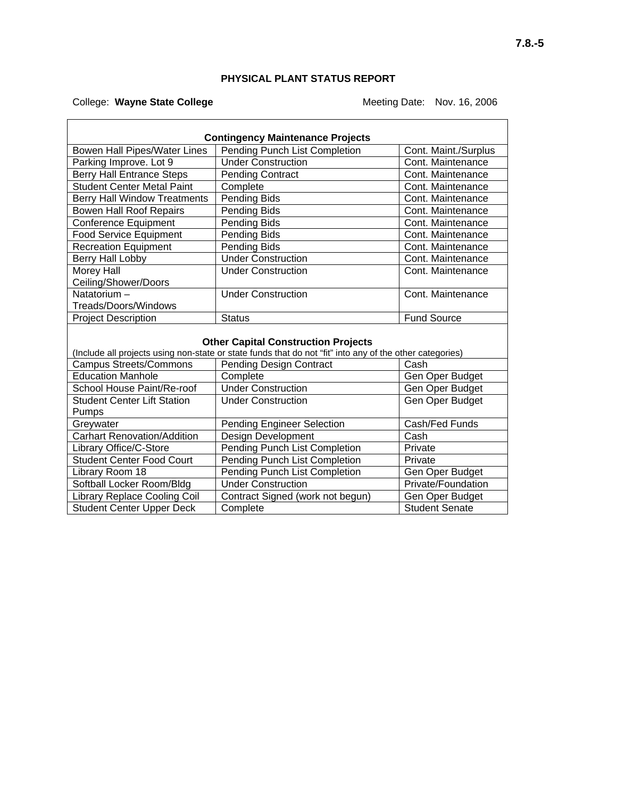# **PHYSICAL PLANT STATUS REPORT**

# College: Wayne State College Meeting Date: Nov. 16, 2006

| <b>Contingency Maintenance Projects</b>                                                                                                                |                                      |                       |  |
|--------------------------------------------------------------------------------------------------------------------------------------------------------|--------------------------------------|-----------------------|--|
| Bowen Hall Pipes/Water Lines                                                                                                                           | Pending Punch List Completion        | Cont. Maint./Surplus  |  |
| Parking Improve. Lot 9                                                                                                                                 | <b>Under Construction</b>            | Cont. Maintenance     |  |
| <b>Berry Hall Entrance Steps</b>                                                                                                                       | <b>Pending Contract</b>              | Cont. Maintenance     |  |
| <b>Student Center Metal Paint</b>                                                                                                                      | Complete                             | Cont. Maintenance     |  |
| <b>Berry Hall Window Treatments</b>                                                                                                                    | <b>Pending Bids</b>                  | Cont. Maintenance     |  |
| <b>Bowen Hall Roof Repairs</b>                                                                                                                         | <b>Pending Bids</b>                  | Cont. Maintenance     |  |
| Conference Equipment                                                                                                                                   | Pending Bids                         | Cont. Maintenance     |  |
| <b>Food Service Equipment</b>                                                                                                                          | Pending Bids                         | Cont. Maintenance     |  |
| <b>Recreation Equipment</b>                                                                                                                            | Pending Bids                         | Cont. Maintenance     |  |
| Berry Hall Lobby                                                                                                                                       | <b>Under Construction</b>            | Cont. Maintenance     |  |
| <b>Morey Hall</b>                                                                                                                                      | <b>Under Construction</b>            | Cont. Maintenance     |  |
| Ceiling/Shower/Doors                                                                                                                                   |                                      |                       |  |
| Natatorium-                                                                                                                                            | <b>Under Construction</b>            | Cont. Maintenance     |  |
| Treads/Doors/Windows                                                                                                                                   |                                      |                       |  |
| <b>Project Description</b>                                                                                                                             | <b>Status</b>                        | <b>Fund Source</b>    |  |
| <b>Other Capital Construction Projects</b><br>(Include all projects using non-state or state funds that do not "fit" into any of the other categories) |                                      |                       |  |
| <b>Campus Streets/Commons</b>                                                                                                                          | <b>Pending Design Contract</b>       | Cash                  |  |
| <b>Education Manhole</b>                                                                                                                               | Complete                             | Gen Oper Budget       |  |
| School House Paint/Re-roof                                                                                                                             | <b>Under Construction</b>            | Gen Oper Budget       |  |
| Student Center Lift Station<br>Pumps                                                                                                                   | <b>Under Construction</b>            | Gen Oper Budget       |  |
| Greywater                                                                                                                                              | <b>Pending Engineer Selection</b>    | Cash/Fed Funds        |  |
| <b>Carhart Renovation/Addition</b>                                                                                                                     | Design Development                   | Cash                  |  |
| Library Office/C-Store                                                                                                                                 | Pending Punch List Completion        | Private               |  |
| <b>Student Center Food Court</b>                                                                                                                       | <b>Pending Punch List Completion</b> | Private               |  |
| Library Room 18                                                                                                                                        | Pending Punch List Completion        | Gen Oper Budget       |  |
| Softball Locker Room/Bldg                                                                                                                              | <b>Under Construction</b>            | Private/Foundation    |  |
| Library Replace Cooling Coil                                                                                                                           | Contract Signed (work not begun)     | Gen Oper Budget       |  |
| <b>Student Center Upper Deck</b>                                                                                                                       | Complete                             | <b>Student Senate</b> |  |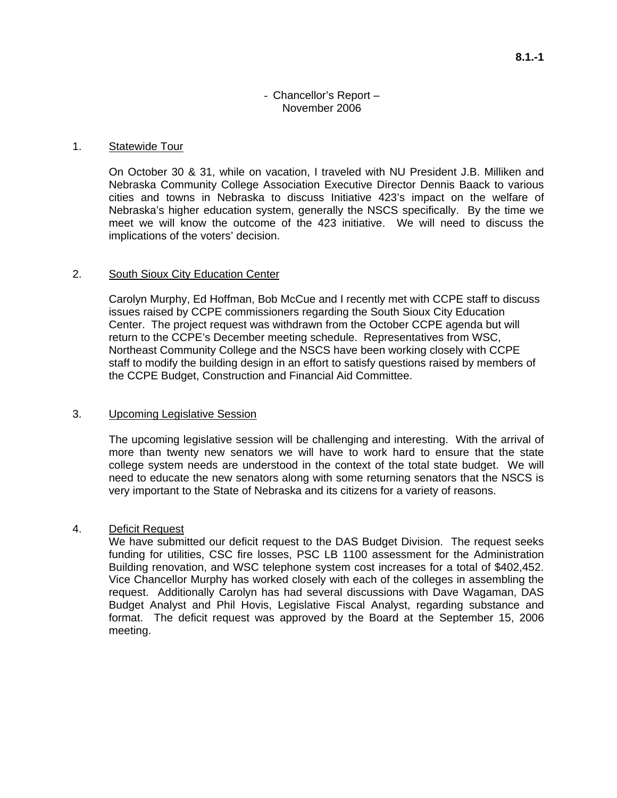# - Chancellor's Report – November 2006

#### 1. Statewide Tour

On October 30 & 31, while on vacation, I traveled with NU President J.B. Milliken and Nebraska Community College Association Executive Director Dennis Baack to various cities and towns in Nebraska to discuss Initiative 423's impact on the welfare of Nebraska's higher education system, generally the NSCS specifically. By the time we meet we will know the outcome of the 423 initiative. We will need to discuss the implications of the voters' decision.

# 2. South Sioux City Education Center

Carolyn Murphy, Ed Hoffman, Bob McCue and I recently met with CCPE staff to discuss issues raised by CCPE commissioners regarding the South Sioux City Education Center. The project request was withdrawn from the October CCPE agenda but will return to the CCPE's December meeting schedule. Representatives from WSC, Northeast Community College and the NSCS have been working closely with CCPE staff to modify the building design in an effort to satisfy questions raised by members of the CCPE Budget, Construction and Financial Aid Committee.

#### 3. Upcoming Legislative Session

 The upcoming legislative session will be challenging and interesting. With the arrival of more than twenty new senators we will have to work hard to ensure that the state college system needs are understood in the context of the total state budget. We will need to educate the new senators along with some returning senators that the NSCS is very important to the State of Nebraska and its citizens for a variety of reasons.

# 4. Deficit Request

 We have submitted our deficit request to the DAS Budget Division. The request seeks funding for utilities, CSC fire losses, PSC LB 1100 assessment for the Administration Building renovation, and WSC telephone system cost increases for a total of \$402,452. Vice Chancellor Murphy has worked closely with each of the colleges in assembling the request. Additionally Carolyn has had several discussions with Dave Wagaman, DAS Budget Analyst and Phil Hovis, Legislative Fiscal Analyst, regarding substance and format. The deficit request was approved by the Board at the September 15, 2006 meeting.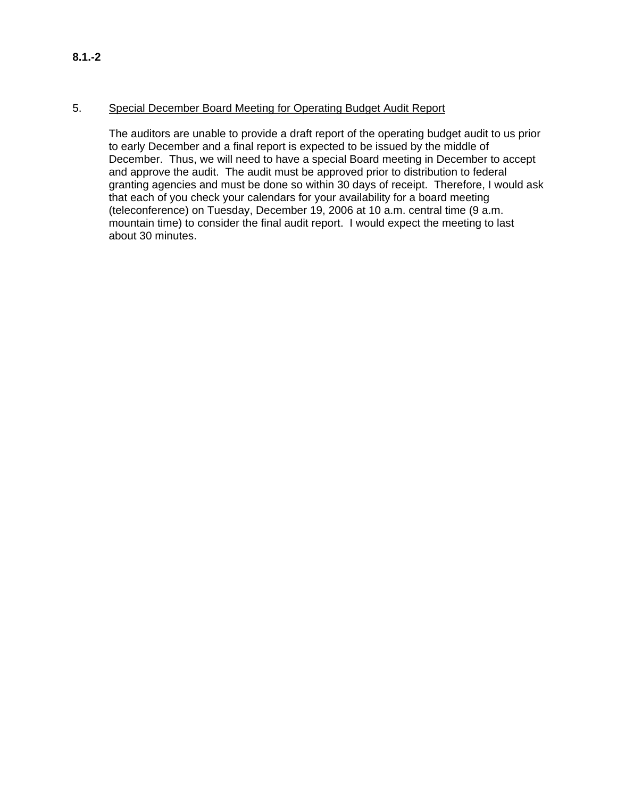# 5. Special December Board Meeting for Operating Budget Audit Report

The auditors are unable to provide a draft report of the operating budget audit to us prior to early December and a final report is expected to be issued by the middle of December. Thus, we will need to have a special Board meeting in December to accept and approve the audit. The audit must be approved prior to distribution to federal granting agencies and must be done so within 30 days of receipt. Therefore, I would ask that each of you check your calendars for your availability for a board meeting (teleconference) on Tuesday, December 19, 2006 at 10 a.m. central time (9 a.m. mountain time) to consider the final audit report. I would expect the meeting to last about 30 minutes.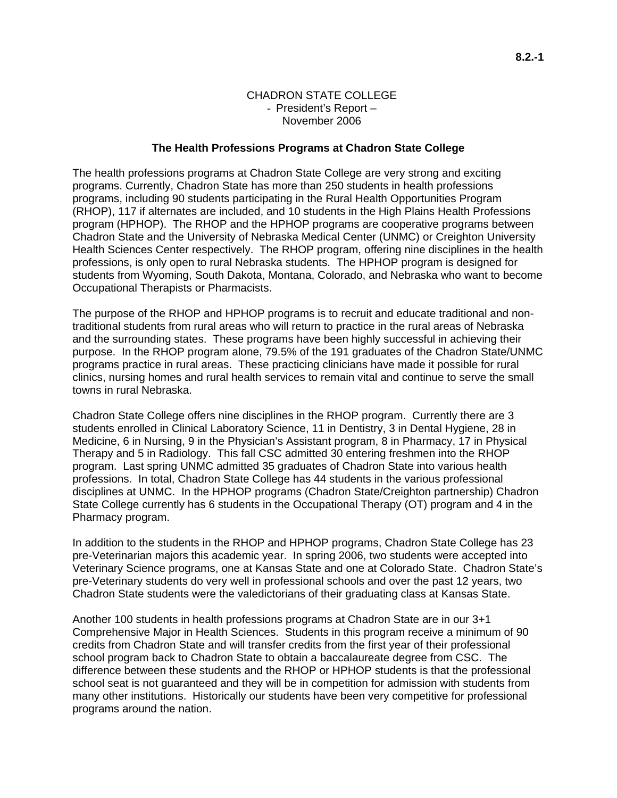## CHADRON STATE COLLEGE - President's Report – November 2006

#### **The Health Professions Programs at Chadron State College**

The health professions programs at Chadron State College are very strong and exciting programs. Currently, Chadron State has more than 250 students in health professions programs, including 90 students participating in the Rural Health Opportunities Program (RHOP), 117 if alternates are included, and 10 students in the High Plains Health Professions program (HPHOP). The RHOP and the HPHOP programs are cooperative programs between Chadron State and the University of Nebraska Medical Center (UNMC) or Creighton University Health Sciences Center respectively. The RHOP program, offering nine disciplines in the health professions, is only open to rural Nebraska students. The HPHOP program is designed for students from Wyoming, South Dakota, Montana, Colorado, and Nebraska who want to become Occupational Therapists or Pharmacists.

The purpose of the RHOP and HPHOP programs is to recruit and educate traditional and nontraditional students from rural areas who will return to practice in the rural areas of Nebraska and the surrounding states. These programs have been highly successful in achieving their purpose. In the RHOP program alone, 79.5% of the 191 graduates of the Chadron State/UNMC programs practice in rural areas. These practicing clinicians have made it possible for rural clinics, nursing homes and rural health services to remain vital and continue to serve the small towns in rural Nebraska.

Chadron State College offers nine disciplines in the RHOP program. Currently there are 3 students enrolled in Clinical Laboratory Science, 11 in Dentistry, 3 in Dental Hygiene, 28 in Medicine, 6 in Nursing, 9 in the Physician's Assistant program, 8 in Pharmacy, 17 in Physical Therapy and 5 in Radiology. This fall CSC admitted 30 entering freshmen into the RHOP program. Last spring UNMC admitted 35 graduates of Chadron State into various health professions. In total, Chadron State College has 44 students in the various professional disciplines at UNMC. In the HPHOP programs (Chadron State/Creighton partnership) Chadron State College currently has 6 students in the Occupational Therapy (OT) program and 4 in the Pharmacy program.

In addition to the students in the RHOP and HPHOP programs, Chadron State College has 23 pre-Veterinarian majors this academic year. In spring 2006, two students were accepted into Veterinary Science programs, one at Kansas State and one at Colorado State. Chadron State's pre-Veterinary students do very well in professional schools and over the past 12 years, two Chadron State students were the valedictorians of their graduating class at Kansas State.

Another 100 students in health professions programs at Chadron State are in our 3+1 Comprehensive Major in Health Sciences. Students in this program receive a minimum of 90 credits from Chadron State and will transfer credits from the first year of their professional school program back to Chadron State to obtain a baccalaureate degree from CSC. The difference between these students and the RHOP or HPHOP students is that the professional school seat is not guaranteed and they will be in competition for admission with students from many other institutions. Historically our students have been very competitive for professional programs around the nation.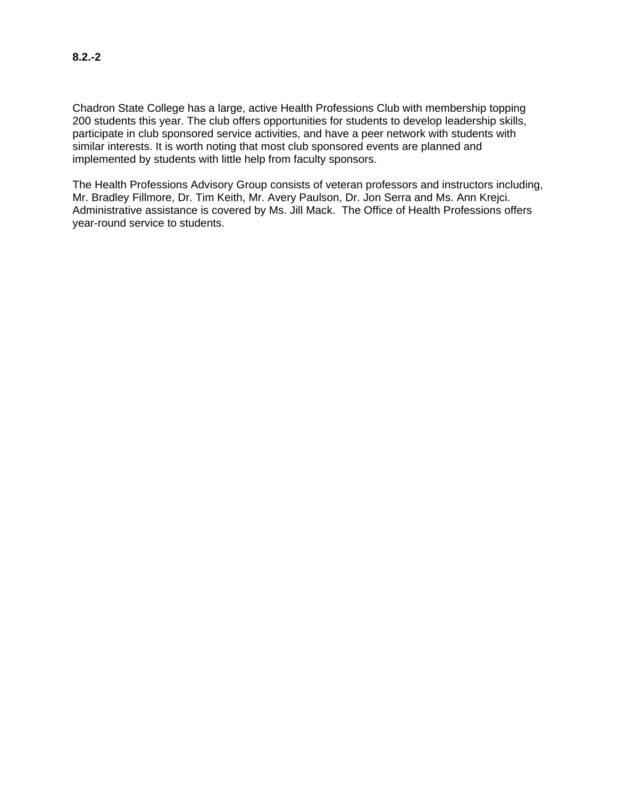Chadron State College has a large, active Health Professions Club with membership topping 200 students this year. The club offers opportunities for students to develop leadership skills, participate in club sponsored service activities, and have a peer network with students with similar interests. It is worth noting that most club sponsored events are planned and implemented by students with little help from faculty sponsors.

The Health Professions Advisory Group consists of veteran professors and instructors including, Mr. Bradley Fillmore, Dr. Tim Keith, Mr. Avery Paulson, Dr. Jon Serra and Ms. Ann Krejci. Administrative assistance is covered by Ms. Jill Mack. The Office of Health Professions offers year-round service to students.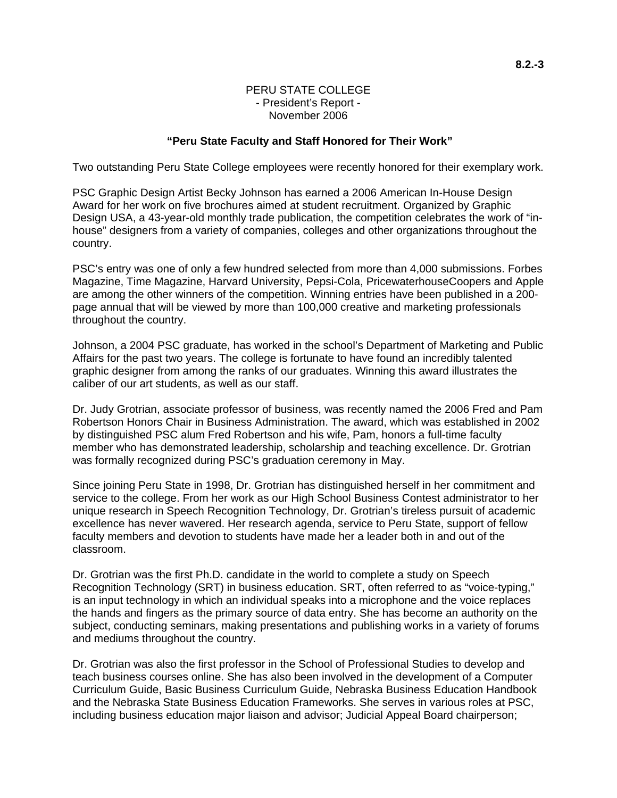# PERU STATE COLLEGE - President's Report - November 2006

# **"Peru State Faculty and Staff Honored for Their Work"**

Two outstanding Peru State College employees were recently honored for their exemplary work.

PSC Graphic Design Artist Becky Johnson has earned a 2006 American In-House Design Award for her work on five brochures aimed at student recruitment. Organized by Graphic Design USA, a 43-year-old monthly trade publication, the competition celebrates the work of "inhouse" designers from a variety of companies, colleges and other organizations throughout the country.

PSC's entry was one of only a few hundred selected from more than 4,000 submissions. Forbes Magazine, Time Magazine, Harvard University, Pepsi-Cola, PricewaterhouseCoopers and Apple are among the other winners of the competition. Winning entries have been published in a 200 page annual that will be viewed by more than 100,000 creative and marketing professionals throughout the country.

Johnson, a 2004 PSC graduate, has worked in the school's Department of Marketing and Public Affairs for the past two years. The college is fortunate to have found an incredibly talented graphic designer from among the ranks of our graduates. Winning this award illustrates the caliber of our art students, as well as our staff.

Dr. Judy Grotrian, associate professor of business, was recently named the 2006 Fred and Pam Robertson Honors Chair in Business Administration. The award, which was established in 2002 by distinguished PSC alum Fred Robertson and his wife, Pam, honors a full-time faculty member who has demonstrated leadership, scholarship and teaching excellence. Dr. Grotrian was formally recognized during PSC's graduation ceremony in May.

Since joining Peru State in 1998, Dr. Grotrian has distinguished herself in her commitment and service to the college. From her work as our High School Business Contest administrator to her unique research in Speech Recognition Technology, Dr. Grotrian's tireless pursuit of academic excellence has never wavered. Her research agenda, service to Peru State, support of fellow faculty members and devotion to students have made her a leader both in and out of the classroom.

Dr. Grotrian was the first Ph.D. candidate in the world to complete a study on Speech Recognition Technology (SRT) in business education. SRT, often referred to as "voice-typing," is an input technology in which an individual speaks into a microphone and the voice replaces the hands and fingers as the primary source of data entry. She has become an authority on the subject, conducting seminars, making presentations and publishing works in a variety of forums and mediums throughout the country.

Dr. Grotrian was also the first professor in the School of Professional Studies to develop and teach business courses online. She has also been involved in the development of a Computer Curriculum Guide, Basic Business Curriculum Guide, Nebraska Business Education Handbook and the Nebraska State Business Education Frameworks. She serves in various roles at PSC, including business education major liaison and advisor; Judicial Appeal Board chairperson;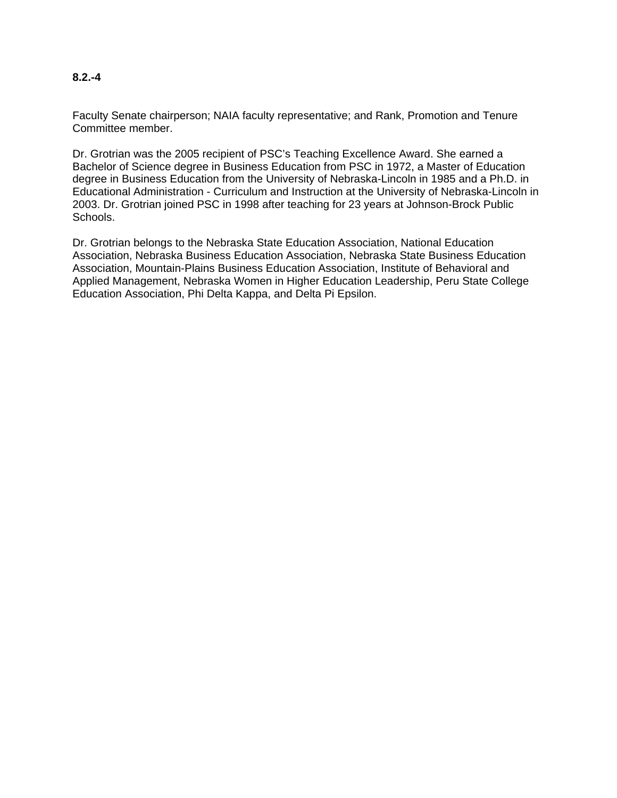# **8.2.-4**

Faculty Senate chairperson; NAIA faculty representative; and Rank, Promotion and Tenure Committee member.

Dr. Grotrian was the 2005 recipient of PSC's Teaching Excellence Award. She earned a Bachelor of Science degree in Business Education from PSC in 1972, a Master of Education degree in Business Education from the University of Nebraska-Lincoln in 1985 and a Ph.D. in Educational Administration - Curriculum and Instruction at the University of Nebraska-Lincoln in 2003. Dr. Grotrian joined PSC in 1998 after teaching for 23 years at Johnson-Brock Public Schools.

Dr. Grotrian belongs to the Nebraska State Education Association, National Education Association, Nebraska Business Education Association, Nebraska State Business Education Association, Mountain-Plains Business Education Association, Institute of Behavioral and Applied Management, Nebraska Women in Higher Education Leadership, Peru State College Education Association, Phi Delta Kappa, and Delta Pi Epsilon.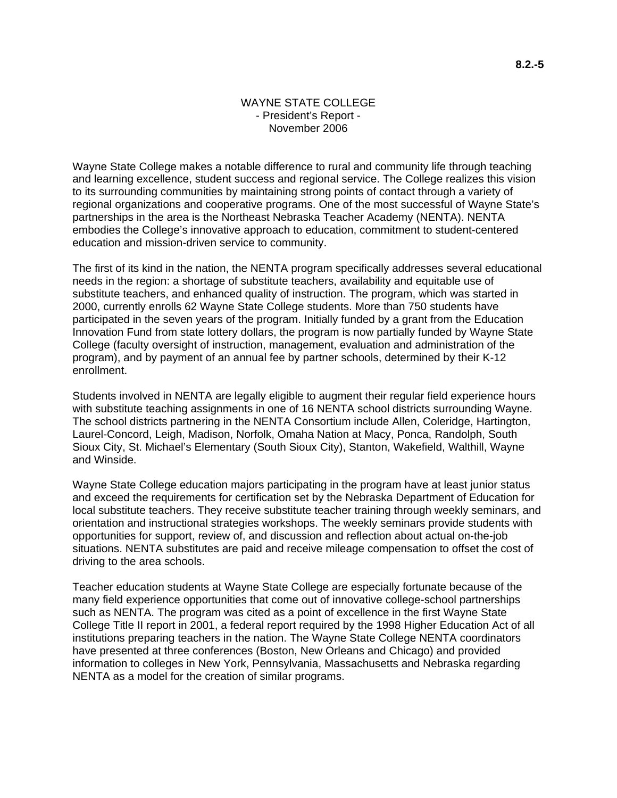# WAYNE STATE COLLEGE - President's Report - November 2006

Wayne State College makes a notable difference to rural and community life through teaching and learning excellence, student success and regional service. The College realizes this vision to its surrounding communities by maintaining strong points of contact through a variety of regional organizations and cooperative programs. One of the most successful of Wayne State's partnerships in the area is the Northeast Nebraska Teacher Academy (NENTA). NENTA embodies the College's innovative approach to education, commitment to student-centered education and mission-driven service to community.

The first of its kind in the nation, the NENTA program specifically addresses several educational needs in the region: a shortage of substitute teachers, availability and equitable use of substitute teachers, and enhanced quality of instruction. The program, which was started in 2000, currently enrolls 62 Wayne State College students. More than 750 students have participated in the seven years of the program. Initially funded by a grant from the Education Innovation Fund from state lottery dollars, the program is now partially funded by Wayne State College (faculty oversight of instruction, management, evaluation and administration of the program), and by payment of an annual fee by partner schools, determined by their K-12 enrollment.

Students involved in NENTA are legally eligible to augment their regular field experience hours with substitute teaching assignments in one of 16 NENTA school districts surrounding Wayne. The school districts partnering in the NENTA Consortium include Allen, Coleridge, Hartington, Laurel-Concord, Leigh, Madison, Norfolk, Omaha Nation at Macy, Ponca, Randolph, South Sioux City, St. Michael's Elementary (South Sioux City), Stanton, Wakefield, Walthill, Wayne and Winside.

Wayne State College education majors participating in the program have at least junior status and exceed the requirements for certification set by the Nebraska Department of Education for local substitute teachers. They receive substitute teacher training through weekly seminars, and orientation and instructional strategies workshops. The weekly seminars provide students with opportunities for support, review of, and discussion and reflection about actual on-the-job situations. NENTA substitutes are paid and receive mileage compensation to offset the cost of driving to the area schools.

Teacher education students at Wayne State College are especially fortunate because of the many field experience opportunities that come out of innovative college-school partnerships such as NENTA. The program was cited as a point of excellence in the first Wayne State College Title II report in 2001, a federal report required by the 1998 Higher Education Act of all institutions preparing teachers in the nation. The Wayne State College NENTA coordinators have presented at three conferences (Boston, New Orleans and Chicago) and provided information to colleges in New York, Pennsylvania, Massachusetts and Nebraska regarding NENTA as a model for the creation of similar programs.